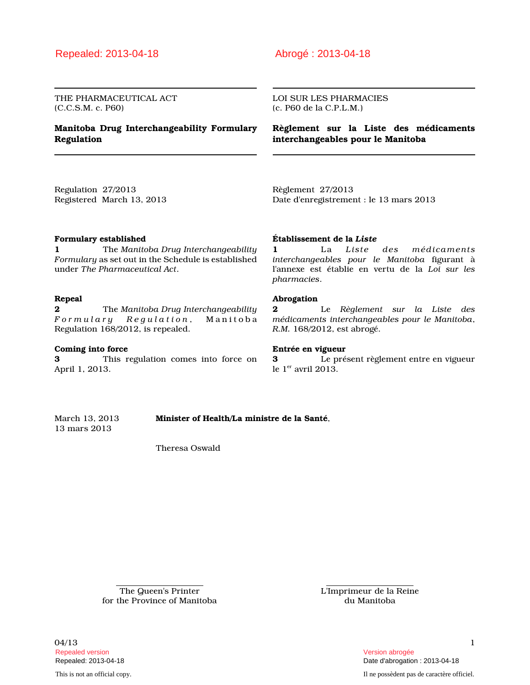## Repealed: 2013-04-18 Abrogé : 2013-04-18

THE PHARMACEUTICAL ACT (C.C.S.M. c. P60)

### **Manitoba Drug Interchangeability Formulary Regulation**

LOI SUR LES PHARMACIES (c. P60 de la C.P.L.M.)

**Règlement sur la Liste des médicaments interchangeables pour le Manitoba**

Regulation 27/2013 Registered March 13, 2013 Règlement 27/2013 Date d'enregistrement : le 13 mars 2013

### **Formulary established**

**1** The *Manitoba Drug Interchangeability Formulary* as set out in the Schedule is established under *The Pharmaceutical Act*.

### **Repeal**

**2** The *Manitoba Drug Interchangeability F o r m u l a r y R e g u l a t i o n* , M a n i t o b a Regulation 168/2012, is repealed.

#### **Coming into force**

**3** This regulation comes into force on April 1, 2013.

### **Établissement de la** *Liste*

**1** La *Liste des médicaments interchangeables pour le Manitoba* figurant à l'annexe est établie en vertu de la *Loi sur les pharmacies*.

#### **Abrogation**

**2** Le *Règlement sur la Liste des médicaments interchangeables pour le Manitoba*, *R.M.* 168/2012, est abrogé.

#### **Entrée en vigueur**

**3** Le présent règlement entre en vigueur le  $1<sup>er</sup>$  avril 2013.

March 13, 2013 **Minister of Health/La ministre de la Santé**, 13 mars 2013

Theresa Oswald

The Queen's Printer for the Province of Manitoba L'Imprimeur de la Reine du Manitoba

 $04/13$  1 Repealed version Version abrogée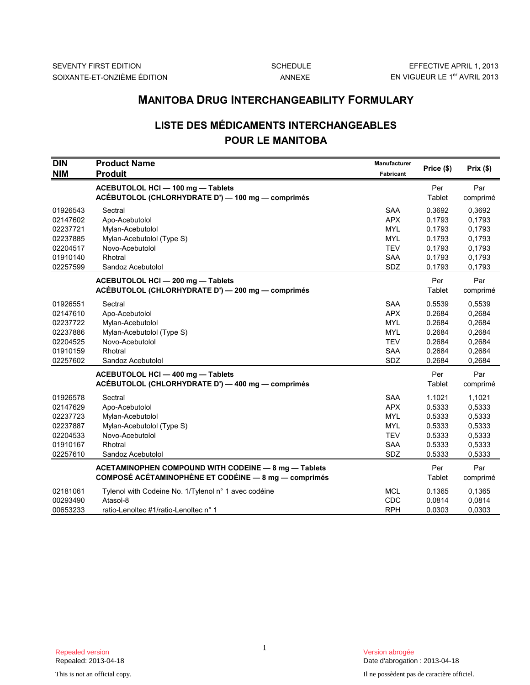# **LISTE DES MÉDICAMENTS INTERCHANGEABLES POUR LE MANITOBA**

|                                                                                  | <b>MANITOBA DRUG INTERCHANGEABILITY FORMULARY</b>                                                                             |                                                                                                |                                                                    |                                                                    |  |
|----------------------------------------------------------------------------------|-------------------------------------------------------------------------------------------------------------------------------|------------------------------------------------------------------------------------------------|--------------------------------------------------------------------|--------------------------------------------------------------------|--|
|                                                                                  | <b>LISTE DES MÉDICAMENTS INTERCHANGEABLES</b><br><b>POUR LE MANITOBA</b>                                                      |                                                                                                |                                                                    |                                                                    |  |
| <b>DIN</b><br><b>NIM</b>                                                         | <b>Product Name</b><br><b>Produit</b>                                                                                         | <b>Manufacturer</b><br><b>Fabricant</b>                                                        | Price (\$)                                                         | Prix(\$)                                                           |  |
|                                                                                  | ACEBUTOLOL HCI - 100 mg - Tablets<br>ACÉBUTOLOL (CHLORHYDRATE D') - 100 mg - comprimés                                        |                                                                                                | Per<br>Tablet                                                      | Par<br>comprimé                                                    |  |
| 01926543<br>02147602<br>02237721<br>02237885<br>02204517<br>01910140<br>02257599 | Sectral<br>Apo-Acebutolol<br>Mylan-Acebutolol<br>Mylan-Acebutolol (Type S)<br>Novo-Acebutolol<br>Rhotral<br>Sandoz Acebutolol | <b>SAA</b><br><b>APX</b><br><b>MYL</b><br><b>MYL</b><br><b>TEV</b><br><b>SAA</b><br><b>SDZ</b> | 0.3692<br>0.1793<br>0.1793<br>0.1793<br>0.1793<br>0.1793<br>0.1793 | 0,3692<br>0.1793<br>0.1793<br>0,1793<br>0,1793<br>0.1793<br>0,1793 |  |
|                                                                                  | ACEBUTOLOL HCI-200 mg-Tablets<br>ACÉBUTOLOL (CHLORHYDRATE D') - 200 mg - comprimés                                            |                                                                                                | Per<br>Tablet                                                      | Par<br>comprimé                                                    |  |
| 01926551<br>02147610<br>02237722<br>02237886<br>02204525<br>01910159<br>02257602 | Sectral<br>Apo-Acebutolol<br>Mylan-Acebutolol<br>Mylan-Acebutolol (Type S)<br>Novo-Acebutolol<br>Rhotral<br>Sandoz Acebutolol | <b>SAA</b><br><b>APX</b><br><b>MYL</b><br><b>MYL</b><br><b>TEV</b><br><b>SAA</b><br>SDZ        | 0.5539<br>0.2684<br>0.2684<br>0.2684<br>0.2684<br>0.2684<br>0.2684 | 0,5539<br>0,2684<br>0,2684<br>0,2684<br>0,2684<br>0,2684<br>0,2684 |  |
|                                                                                  | ACEBUTOLOL HCI - 400 mg - Tablets<br>ACÉBUTOLOL (CHLORHYDRATE D') - 400 mg - comprimés                                        |                                                                                                | Per<br>Tablet                                                      | Par<br>comprimé                                                    |  |
| 01926578<br>02147629<br>02237723<br>02237887<br>02204533<br>01910167<br>02257610 | Sectral<br>Apo-Acebutolol<br>Mylan-Acebutolol<br>Mylan-Acebutolol (Type S)<br>Novo-Acebutolol<br>Rhotral<br>Sandoz Acebutolol | <b>SAA</b><br><b>APX</b><br><b>MYL</b><br><b>MYL</b><br><b>TEV</b><br><b>SAA</b><br>SDZ        | 1.1021<br>0.5333<br>0.5333<br>0.5333<br>0.5333<br>0.5333<br>0.5333 | 1,1021<br>0,5333<br>0,5333<br>0,5333<br>0,5333<br>0,5333<br>0,5333 |  |
|                                                                                  | ACETAMINOPHEN COMPOUND WITH CODEINE - 8 mg - Tablets<br>COMPOSÉ ACÉTAMINOPHÈNE ET CODÉINE - 8 mg - comprimés                  |                                                                                                | Per<br>Tablet                                                      | Par<br>comprimé                                                    |  |
| 02181061<br>00293490<br>00653233                                                 | Tylenol with Codeine No. 1/Tylenol n° 1 avec codéine<br>Atasol-8<br>ratio-Lenoltec #1/ratio-Lenoltec n° 1                     | <b>MCL</b><br>CDC<br><b>RPH</b>                                                                | 0.1365<br>0.0814<br>0.0303                                         | 0.1365<br>0,0814<br>0,0303                                         |  |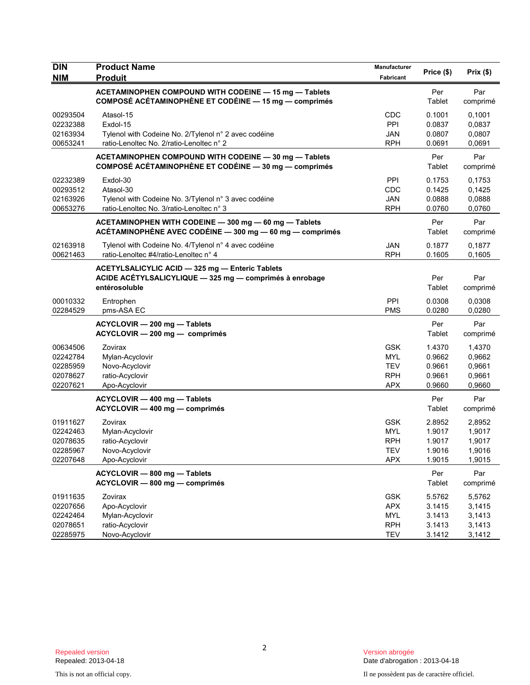| <b>DIN</b><br><b>NIM</b>                                 | <b>Product Name</b><br><b>Produit</b>                                                                                       | Manufacturer<br>Fabricant                                          | Price (\$)                                     | Prix(\$)                                       |
|----------------------------------------------------------|-----------------------------------------------------------------------------------------------------------------------------|--------------------------------------------------------------------|------------------------------------------------|------------------------------------------------|
|                                                          | ACETAMINOPHEN COMPOUND WITH CODEINE - 15 mg - Tablets<br>COMPOSÉ ACÉTAMINOPHÈNE ET CODÉINE - 15 mg - comprimés              |                                                                    | Per<br>Tablet                                  | Par<br>comprimé                                |
| 00293504<br>02232388<br>02163934<br>00653241             | Atasol-15<br>Exdol-15<br>Tylenol with Codeine No. 2/Tylenol n° 2 avec codéine<br>ratio-Lenoltec No. 2/ratio-Lenoltec n° 2   | CDC<br>PPI<br>JAN<br><b>RPH</b>                                    | 0.1001<br>0.0837<br>0.0807<br>0.0691           | 0,1001<br>0,0837<br>0,0807<br>0,0691           |
|                                                          | ACETAMINOPHEN COMPOUND WITH CODEINE - 30 mg - Tablets<br>COMPOSÉ ACÉTAMINOPHÈNE ET CODÉINE - 30 mg - comprimés              |                                                                    | Per<br>Tablet                                  | Par<br>comprimé                                |
| 02232389<br>00293512<br>02163926<br>00653276             | Exdol-30<br>Atasol-30<br>Tylenol with Codeine No. 3/Tylenol n° 3 avec codéine<br>ratio-Lenoltec No. 3/ratio-Lenoltec n° 3   | PPI<br>CDC<br><b>JAN</b><br><b>RPH</b>                             | 0.1753<br>0.1425<br>0.0888<br>0.0760           | 0,1753<br>0,1425<br>0,0888<br>0,0760           |
|                                                          | ACETAMINOPHEN WITH CODEINE - 300 mg - 60 mg - Tablets<br>ACÉTAMINOPHÈNE AVEC CODÉINE - 300 mg - 60 mg - comprimés           |                                                                    | Per<br>Tablet                                  | Par<br>comprimé                                |
| 02163918<br>00621463                                     | Tylenol with Codeine No. 4/Tylenol n° 4 avec codéine<br>ratio-Lenoltec #4/ratio-Lenoltec n° 4                               | <b>JAN</b><br><b>RPH</b>                                           | 0.1877<br>0.1605                               | 0,1877<br>0.1605                               |
|                                                          | ACETYLSALICYLIC ACID - 325 mg - Enteric Tablets<br>ACIDE ACETYLSALICYLIQUE - 325 mg - comprimés à enrobage<br>entérosoluble |                                                                    | Per<br>Tablet                                  | Par<br>comprimé                                |
| 00010332<br>02284529                                     | Entrophen<br>pms-ASA EC                                                                                                     | PPI<br><b>PMS</b>                                                  | 0.0308<br>0.0280                               | 0,0308<br>0,0280                               |
|                                                          | ACYCLOVIR - 200 mg - Tablets<br>ACYCLOVIR - 200 mg - comprimés                                                              |                                                                    | Per<br>Tablet                                  | Par<br>comprimé                                |
| 00634506<br>02242784<br>02285959<br>02078627<br>02207621 | Zovirax<br>Mylan-Acyclovir<br>Novo-Acyclovir<br>ratio-Acyclovir<br>Apo-Acyclovir                                            | <b>GSK</b><br><b>MYL</b><br><b>TEV</b><br><b>RPH</b><br><b>APX</b> | 1.4370<br>0.9662<br>0.9661<br>0.9661<br>0.9660 | 1,4370<br>0,9662<br>0,9661<br>0,9661<br>0,9660 |
|                                                          | ACYCLOVIR - 400 mg - Tablets<br>ACYCLOVIR - 400 mg - comprimés                                                              |                                                                    | Per<br>Tablet                                  | Par<br>comprimé                                |
| 01911627<br>02242463<br>02078635<br>02285967<br>02207648 | Zovirax<br>Mylan-Acyclovir<br>ratio-Acyclovir<br>Novo-Acyclovir<br>Apo-Acyclovir                                            | <b>GSK</b><br><b>MYL</b><br><b>RPH</b><br>TEV<br><b>APX</b>        | 2.8952<br>1.9017<br>1.9017<br>1.9016<br>1.9015 | 2,8952<br>1,9017<br>1,9017<br>1,9016<br>1,9015 |
|                                                          | ACYCLOVIR - 800 mg - Tablets<br>ACYCLOVIR - 800 mg - comprimés                                                              |                                                                    | Per<br>Tablet                                  | Par<br>comprimé                                |
| 01911635<br>02207656<br>02242464<br>02078651<br>02285975 | Zovirax<br>Apo-Acyclovir<br>Mylan-Acyclovir<br>ratio-Acyclovir<br>Novo-Acyclovir                                            | <b>GSK</b><br><b>APX</b><br><b>MYL</b><br><b>RPH</b><br><b>TEV</b> | 5.5762<br>3.1415<br>3.1413<br>3.1413<br>3.1412 | 5,5762<br>3,1415<br>3,1413<br>3,1413<br>3,1412 |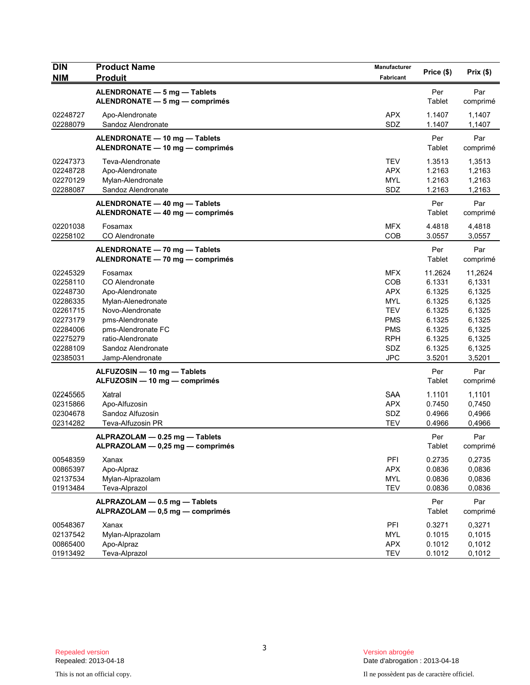| <b>DIN</b><br><b>NIM</b>                                                                                             | <b>Product Name</b><br><b>Produit</b>                                                                                                                                                          | Manufacturer<br>Fabricant                                                                                                  | Price (\$)                                                                                        | Prix(\$)                                                                                          |
|----------------------------------------------------------------------------------------------------------------------|------------------------------------------------------------------------------------------------------------------------------------------------------------------------------------------------|----------------------------------------------------------------------------------------------------------------------------|---------------------------------------------------------------------------------------------------|---------------------------------------------------------------------------------------------------|
|                                                                                                                      | ALENDRONATE - 5 mg - Tablets<br>ALENDRONATE - 5 mg - comprimés                                                                                                                                 |                                                                                                                            | Per<br>Tablet                                                                                     | Par<br>comprimé                                                                                   |
| 02248727<br>02288079                                                                                                 | Apo-Alendronate<br>Sandoz Alendronate                                                                                                                                                          | <b>APX</b><br>SDZ                                                                                                          | 1.1407<br>1.1407                                                                                  | 1,1407<br>1,1407                                                                                  |
|                                                                                                                      | ALENDRONATE - 10 mg - Tablets<br>ALENDRONATE - 10 mg - comprimés                                                                                                                               |                                                                                                                            | Per<br>Tablet                                                                                     | Par<br>comprimé                                                                                   |
| 02247373<br>02248728<br>02270129<br>02288087                                                                         | Teva-Alendronate<br>Apo-Alendronate<br>Mylan-Alendronate<br>Sandoz Alendronate                                                                                                                 | <b>TEV</b><br><b>APX</b><br><b>MYL</b><br>SDZ                                                                              | 1.3513<br>1.2163<br>1.2163<br>1.2163                                                              | 1,3513<br>1,2163<br>1,2163<br>1,2163                                                              |
|                                                                                                                      | ALENDRONATE - 40 mg - Tablets<br>ALENDRONATE - 40 mg - comprimés                                                                                                                               |                                                                                                                            | Per<br>Tablet                                                                                     | Par<br>comprimé                                                                                   |
| 02201038<br>02258102                                                                                                 | Fosamax<br>CO Alendronate                                                                                                                                                                      | <b>MFX</b><br>COB                                                                                                          | 4.4818<br>3.0557                                                                                  | 4,4818<br>3,0557                                                                                  |
|                                                                                                                      | ALENDRONATE - 70 mg - Tablets<br>ALENDRONATE - 70 mg - comprimés                                                                                                                               |                                                                                                                            | Per<br>Tablet                                                                                     | Par<br>comprimé                                                                                   |
| 02245329<br>02258110<br>02248730<br>02286335<br>02261715<br>02273179<br>02284006<br>02275279<br>02288109<br>02385031 | Fosamax<br>CO Alendronate<br>Apo-Alendronate<br>Mylan-Alenedronate<br>Novo-Alendronate<br>pms-Alendronate<br>pms-Alendronate FC<br>ratio-Alendronate<br>Sandoz Alendronate<br>Jamp-Alendronate | <b>MFX</b><br>COB<br><b>APX</b><br><b>MYL</b><br><b>TEV</b><br><b>PMS</b><br><b>PMS</b><br><b>RPH</b><br>SDZ<br><b>JPC</b> | 11.2624<br>6.1331<br>6.1325<br>6.1325<br>6.1325<br>6.1325<br>6.1325<br>6.1325<br>6.1325<br>3.5201 | 11,2624<br>6,1331<br>6,1325<br>6,1325<br>6,1325<br>6,1325<br>6,1325<br>6,1325<br>6,1325<br>3,5201 |
|                                                                                                                      | ALFUZOSIN - 10 mg - Tablets<br>ALFUZOSIN - 10 mg - comprimés                                                                                                                                   |                                                                                                                            | Per<br>Tablet                                                                                     | Par<br>comprimé                                                                                   |
| 02245565<br>02315866<br>02304678<br>02314282                                                                         | Xatral<br>Apo-Alfuzosin<br>Sandoz Alfuzosin<br>Teva-Alfuzosin PR                                                                                                                               | <b>SAA</b><br><b>APX</b><br>SDZ<br><b>TEV</b>                                                                              | 1.1101<br>0.7450<br>0.4966<br>0.4966                                                              | 1,1101<br>0,7450<br>0,4966<br>0,4966                                                              |
|                                                                                                                      | ALPRAZOLAM - 0.25 mg - Tablets<br>ALPRAZOLAM — 0,25 mg — comprimés                                                                                                                             |                                                                                                                            | Per<br>Tablet                                                                                     | Par<br>comprimé                                                                                   |
| 00548359<br>00865397<br>02137534<br>01913484                                                                         | Xanax<br>Apo-Alpraz<br>Mylan-Alprazolam<br>Teva-Alprazol                                                                                                                                       | PFI<br><b>APX</b><br><b>MYL</b><br><b>TEV</b>                                                                              | 0.2735<br>0.0836<br>0.0836<br>0.0836                                                              | 0,2735<br>0,0836<br>0,0836<br>0,0836                                                              |
|                                                                                                                      | ALPRAZOLAM - 0.5 mg - Tablets<br>ALPRAZOLAM - 0,5 mg - comprimés                                                                                                                               |                                                                                                                            | Per<br>Tablet                                                                                     | Par<br>comprimé                                                                                   |
| 00548367<br>02137542<br>00865400<br>01913492                                                                         | Xanax<br>Mylan-Alprazolam<br>Apo-Alpraz<br>Teva-Alprazol                                                                                                                                       | PFI<br><b>MYL</b><br><b>APX</b><br><b>TEV</b>                                                                              | 0.3271<br>0.1015<br>0.1012<br>0.1012                                                              | 0,3271<br>0,1015<br>0,1012<br>0,1012                                                              |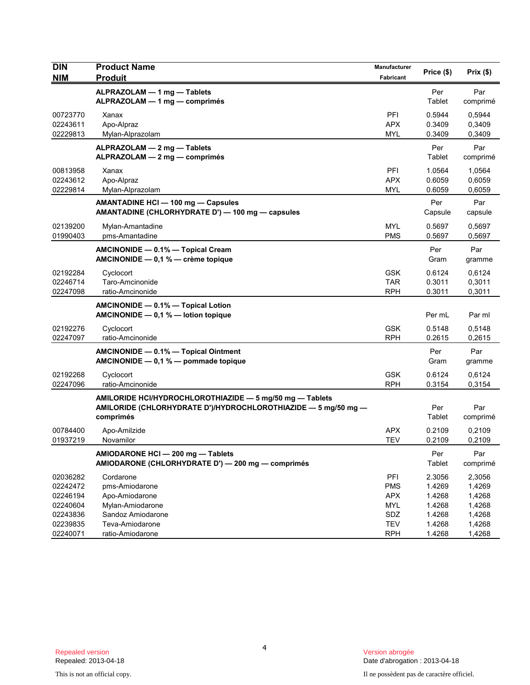| <b>DIN</b> | <b>Product Name</b>                                                                                                        | Manufacturer | Price (\$) | Prix (\$) |
|------------|----------------------------------------------------------------------------------------------------------------------------|--------------|------------|-----------|
| <b>NIM</b> | <b>Produit</b>                                                                                                             | Fabricant    |            |           |
|            | ALPRAZOLAM - 1 mg - Tablets                                                                                                |              | Per        | Par       |
|            | ALPRAZOLAM - 1 mg - comprimés                                                                                              |              | Tablet     | comprimé  |
| 00723770   | Xanax                                                                                                                      | PFI          | 0.5944     | 0,5944    |
| 02243611   | Apo-Alpraz                                                                                                                 | <b>APX</b>   | 0.3409     | 0,3409    |
| 02229813   | Mylan-Alprazolam                                                                                                           | <b>MYL</b>   | 0.3409     | 0,3409    |
|            | ALPRAZOLAM - 2 mg - Tablets                                                                                                |              | Per        | Par       |
|            | ALPRAZOLAM - 2 mg - comprimés                                                                                              |              | Tablet     | comprimé  |
| 00813958   | Xanax                                                                                                                      | <b>PFI</b>   | 1.0564     | 1,0564    |
| 02243612   | Apo-Alpraz                                                                                                                 | <b>APX</b>   | 0.6059     | 0,6059    |
| 02229814   | Mylan-Alprazolam                                                                                                           | <b>MYL</b>   | 0.6059     | 0,6059    |
|            | AMANTADINE HCI - 100 mg - Capsules                                                                                         |              | Per        | Par       |
|            | AMANTADINE (CHLORHYDRATE D') - 100 mg - capsules                                                                           |              | Capsule    | capsule   |
| 02139200   | Mylan-Amantadine                                                                                                           | <b>MYL</b>   | 0.5697     | 0,5697    |
| 01990403   | pms-Amantadine                                                                                                             | <b>PMS</b>   | 0.5697     | 0,5697    |
|            | AMCINONIDE - 0.1% - Topical Cream                                                                                          |              | Per        | Par       |
|            | AMCINONIDE - 0,1 % - crème topique                                                                                         |              | Gram       | gramme    |
| 02192284   | Cyclocort                                                                                                                  | <b>GSK</b>   | 0.6124     | 0,6124    |
| 02246714   | Taro-Amcinonide                                                                                                            | <b>TAR</b>   | 0.3011     | 0,3011    |
| 02247098   | ratio-Amcinonide                                                                                                           | <b>RPH</b>   | 0.3011     | 0,3011    |
|            | AMCINONIDE - 0.1% - Topical Lotion<br>AMCINONIDE $- 0.1 %$ - lotion topique                                                |              | Per mL     | Par ml    |
| 02192276   | Cyclocort                                                                                                                  | <b>GSK</b>   | 0.5148     | 0,5148    |
| 02247097   | ratio-Amcinonide                                                                                                           | <b>RPH</b>   | 0.2615     | 0,2615    |
|            | AMCINONIDE - 0.1% - Topical Ointment                                                                                       |              | Per        | Par       |
|            | AMCINONIDE - 0,1 % - pommade topique                                                                                       |              | Gram       | gramme    |
| 02192268   | Cyclocort                                                                                                                  | <b>GSK</b>   | 0.6124     | 0,6124    |
| 02247096   | ratio-Amcinonide                                                                                                           | <b>RPH</b>   | 0.3154     | 0,3154    |
|            |                                                                                                                            |              |            |           |
|            | AMILORIDE HCI/HYDROCHLOROTHIAZIDE - 5 mg/50 mg - Tablets<br>AMILORIDE (CHLORHYDRATE D')/HYDROCHLOROTHIAZIDE - 5 mg/50 mg - |              | Per        | Par       |
|            | comprimés                                                                                                                  |              | Tablet     | comprimé  |
| 00784400   | Apo-Amilzide                                                                                                               | <b>APX</b>   | 0.2109     | 0,2109    |
| 01937219   | Novamilor                                                                                                                  | <b>TEV</b>   | 0.2109     | 0,2109    |
|            | AMIODARONE HCI - 200 mg - Tablets                                                                                          |              | Per        | Par       |
|            | AMIODARONE (CHLORHYDRATE D') - 200 mg - comprimés                                                                          |              | Tablet     | comprimé  |
| 02036282   | Cordarone                                                                                                                  | PFI          | 2.3056     | 2,3056    |
| 02242472   | pms-Amiodarone                                                                                                             | <b>PMS</b>   | 1.4269     | 1,4269    |
| 02246194   | Apo-Amiodarone                                                                                                             | <b>APX</b>   | 1.4268     | 1,4268    |
| 02240604   | Mylan-Amiodarone                                                                                                           | <b>MYL</b>   | 1.4268     | 1,4268    |
| 02243836   | Sandoz Amiodarone                                                                                                          | SDZ          | 1.4268     | 1,4268    |
| 02239835   | Teva-Amiodarone                                                                                                            | <b>TEV</b>   | 1.4268     | 1,4268    |
| 02240071   | ratio-Amiodarone                                                                                                           | <b>RPH</b>   | 1.4268     | 1,4268    |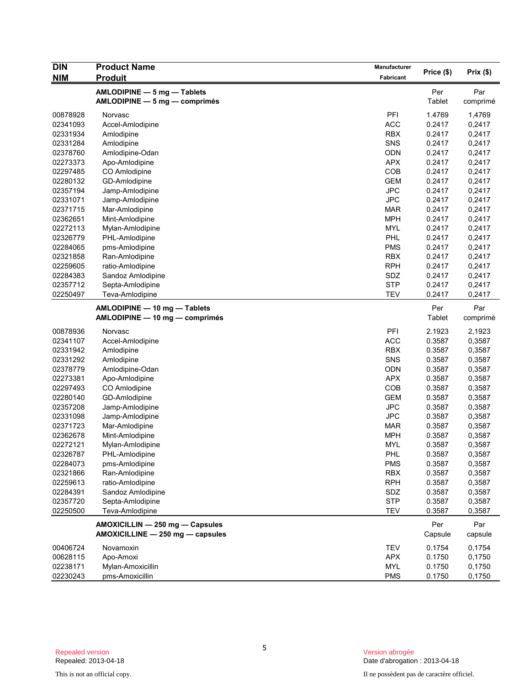| <b>DIN</b> | <b>Product Name</b>              | Manufacturer |            |                  |
|------------|----------------------------------|--------------|------------|------------------|
| <b>NIM</b> | <u>Produit</u>                   | Fabricant    | Price (\$) | Prix(\$)         |
|            | AMLODIPINE - 5 mg - Tablets      |              | Per        | Par              |
|            | $AMLODIPINE - 5 mg - comprimés$  |              | Tablet     | comprimé         |
|            |                                  |              |            |                  |
| 00878928   | Norvasc                          | PFI          | 1.4769     | 1,4769           |
| 02341093   | Accel-Amlodipine                 | <b>ACC</b>   | 0.2417     | 0,2417           |
| 02331934   | Amlodipine                       | <b>RBX</b>   | 0.2417     | 0,2417           |
| 02331284   | Amlodipine                       | SNS          | 0.2417     | 0,2417           |
| 02378760   | Amlodipine-Odan                  | <b>ODN</b>   | 0.2417     | 0,2417           |
| 02273373   | Apo-Amlodipine                   | <b>APX</b>   | 0.2417     | 0,2417           |
| 02297485   | CO Amlodipine                    | COB          | 0.2417     | 0,2417           |
| 02280132   | GD-Amlodipine                    | <b>GEM</b>   | 0.2417     | 0,2417           |
| 02357194   | Jamp-Amlodipine                  | <b>JPC</b>   | 0.2417     | 0,2417           |
| 02331071   | Jamp-Amlodipine                  | <b>JPC</b>   | 0.2417     | 0,2417           |
| 02371715   | Mar-Amlodipine                   | <b>MAR</b>   | 0.2417     | 0,2417           |
| 02362651   | Mint-Amlodipine                  | <b>MPH</b>   | 0.2417     | 0,2417           |
| 02272113   | Mylan-Amlodipine                 | <b>MYL</b>   | 0.2417     | 0,2417           |
| 02326779   | PHL-Amlodipine                   | PHL          | 0.2417     | 0,2417           |
| 02284065   | pms-Amlodipine                   | <b>PMS</b>   | 0.2417     | 0,2417           |
| 02321858   | Ran-Amlodipine                   | <b>RBX</b>   | 0.2417     | 0,2417           |
| 02259605   | ratio-Amlodipine                 | <b>RPH</b>   | 0.2417     | 0,2417           |
| 02284383   | Sandoz Amlodipine                | SDZ          | 0.2417     | 0,2417           |
| 02357712   | Septa-Amlodipine                 | <b>STP</b>   | 0.2417     | 0,2417           |
| 02250497   | Teva-Amlodipine                  | <b>TEV</b>   | 0.2417     | 0,2417           |
|            | AMLODIPINE - 10 mg - Tablets     |              | Per        | Par              |
|            | AMLODIPINE - 10 mg - comprimés   |              | Tablet     | comprimé         |
| 00878936   |                                  | PFI          | 2.1923     |                  |
| 02341107   | Norvasc                          | <b>ACC</b>   | 0.3587     | 2,1923<br>0,3587 |
|            | Accel-Amlodipine                 |              |            | 0,3587           |
| 02331942   | Amlodipine                       | <b>RBX</b>   | 0.3587     |                  |
| 02331292   | Amlodipine                       | SNS          | 0.3587     | 0,3587           |
| 02378779   | Amlodipine-Odan                  | <b>ODN</b>   | 0.3587     | 0,3587           |
| 02273381   | Apo-Amlodipine                   | APX          | 0.3587     | 0,3587           |
| 02297493   | CO Amlodipine                    | COB          | 0.3587     | 0,3587           |
| 02280140   | GD-Amlodipine                    | <b>GEM</b>   | 0.3587     | 0,3587           |
| 02357208   | Jamp-Amlodipine                  | <b>JPC</b>   | 0.3587     | 0,3587           |
| 02331098   | Jamp-Amlodipine                  | <b>JPC</b>   | 0.3587     | 0,3587           |
| 02371723   | Mar-Amlodipine                   | <b>MAR</b>   | 0.3587     | 0,3587           |
| 02362678   | Mint-Amlodipine                  | <b>MPH</b>   | 0.3587     | 0,3587           |
| 02272121   | Mylan-Amlodipine                 | <b>MYL</b>   | 0.3587     | 0,3587           |
| 02326787   | PHL-Amlodipine                   | <b>PHL</b>   | 0.3587     | 0,3587           |
| 02284073   | pms-Amlodipine                   | <b>PMS</b>   | 0.3587     | 0,3587           |
| 02321866   | Ran-Amlodipine                   | <b>RBX</b>   | 0.3587     | 0,3587           |
| 02259613   | ratio-Amlodipine                 | <b>RPH</b>   | 0.3587     | 0,3587           |
| 02284391   | Sandoz Amlodipine                | SDZ          | 0.3587     | 0,3587           |
| 02357720   | Septa-Amlodipine                 | <b>STP</b>   | 0.3587     | 0,3587           |
| 02250500   | Teva-Amlodipine                  | <b>TEV</b>   | 0.3587     | 0,3587           |
|            | AMOXICILLIN - 250 mg - Capsules  |              | Per        | Par              |
|            | AMOXICILLINE - 250 mg - capsules |              | Capsule    | capsule          |
| 00406724   | Novamoxin                        | <b>TEV</b>   | 0.1754     | 0,1754           |
| 00628115   | Apo-Amoxi                        | <b>APX</b>   | 0.1750     | 0,1750           |
| 02238171   | Mylan-Amoxicillin                | MYL          | 0.1750     | 0,1750           |
| 02230243   | pms-Amoxicillin                  | <b>PMS</b>   | 0.1750     | 0,1750           |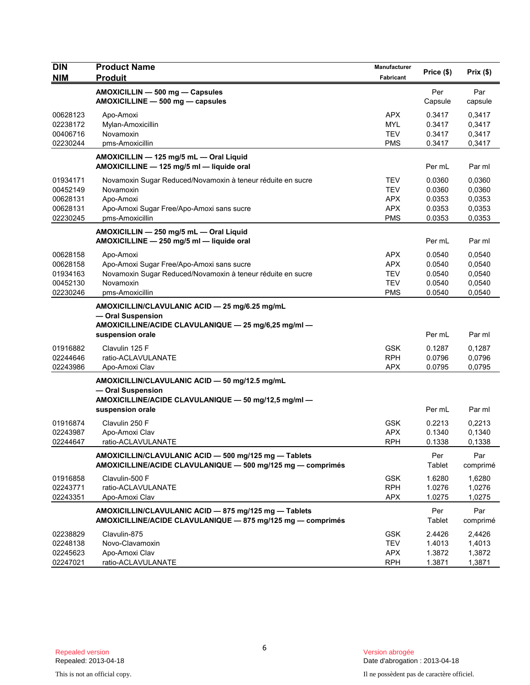| <b>DIN</b>                                               | <b>Product Name</b>                                                                                                                                   | Manufacturer                                                       | Price (\$)                                     | Prix(\$)                                       |
|----------------------------------------------------------|-------------------------------------------------------------------------------------------------------------------------------------------------------|--------------------------------------------------------------------|------------------------------------------------|------------------------------------------------|
| <b>NIM</b>                                               | <b>Produit</b>                                                                                                                                        | Fabricant                                                          |                                                |                                                |
|                                                          | AMOXICILLIN - 500 mg - Capsules<br>AMOXICILLINE - 500 mg - capsules                                                                                   |                                                                    | Per<br>Capsule                                 | Par<br>capsule                                 |
| 00628123<br>02238172<br>00406716<br>02230244             | Apo-Amoxi<br>Mylan-Amoxicillin<br>Novamoxin<br>pms-Amoxicillin                                                                                        | <b>APX</b><br><b>MYL</b><br><b>TEV</b><br><b>PMS</b>               | 0.3417<br>0.3417<br>0.3417<br>0.3417           | 0,3417<br>0,3417<br>0,3417<br>0,3417           |
|                                                          | AMOXICILLIN - 125 mg/5 mL - Oral Liquid<br>AMOXICILLINE - 125 mg/5 ml - liquide oral                                                                  |                                                                    | Per mL                                         | Par ml                                         |
| 01934171<br>00452149<br>00628131<br>00628131<br>02230245 | Novamoxin Sugar Reduced/Novamoxin à teneur réduite en sucre<br>Novamoxin<br>Apo-Amoxi<br>Apo-Amoxi Sugar Free/Apo-Amoxi sans sucre<br>pms-Amoxicillin | <b>TEV</b><br><b>TEV</b><br><b>APX</b><br><b>APX</b><br><b>PMS</b> | 0.0360<br>0.0360<br>0.0353<br>0.0353<br>0.0353 | 0,0360<br>0,0360<br>0,0353<br>0,0353<br>0,0353 |
|                                                          | AMOXICILLIN - 250 mg/5 mL - Oral Liquid<br>AMOXICILLINE - 250 mg/5 ml - liquide oral                                                                  |                                                                    | Per mL                                         | Par ml                                         |
| 00628158<br>00628158<br>01934163<br>00452130<br>02230246 | Apo-Amoxi<br>Apo-Amoxi Sugar Free/Apo-Amoxi sans sucre<br>Novamoxin Sugar Reduced/Novamoxin à teneur réduite en sucre<br>Novamoxin<br>pms-Amoxicillin | <b>APX</b><br><b>APX</b><br><b>TEV</b><br><b>TEV</b><br><b>PMS</b> | 0.0540<br>0.0540<br>0.0540<br>0.0540<br>0.0540 | 0,0540<br>0,0540<br>0,0540<br>0,0540<br>0,0540 |
|                                                          | AMOXICILLIN/CLAVULANIC ACID - 25 mg/6.25 mg/mL<br>- Oral Suspension<br>AMOXICILLINE/ACIDE CLAVULANIQUE - 25 mg/6,25 mg/ml -<br>suspension orale       |                                                                    | Per mL                                         | Par ml                                         |
| 01916882<br>02244646<br>02243986                         | Clavulin 125 F<br>ratio-ACLAVULANATE<br>Apo-Amoxi Clav                                                                                                | <b>GSK</b><br><b>RPH</b><br><b>APX</b>                             | 0.1287<br>0.0796<br>0.0795                     | 0,1287<br>0,0796<br>0,0795                     |
|                                                          | AMOXICILLIN/CLAVULANIC ACID - 50 mg/12.5 mg/mL<br>- Oral Suspension<br>AMOXICILLINE/ACIDE CLAVULANIQUE - 50 mg/12,5 mg/ml -<br>suspension orale       |                                                                    | Per mL                                         | Par ml                                         |
| 01916874<br>02243987<br>02244647                         | Clavulin 250 F<br>Apo-Amoxi Clav<br>ratio-ACLAVULANATE                                                                                                | <b>GSK</b><br><b>APX</b><br><b>RPH</b>                             | 0.2213<br>0.1340<br>0.1338                     | 0,2213<br>0,1340<br>0,1338                     |
|                                                          | AMOXICILLIN/CLAVULANIC ACID - 500 mg/125 mg - Tablets<br>AMOXICILLINE/ACIDE CLAVULANIQUE - 500 mg/125 mg - comprimés                                  |                                                                    | Per<br>Tablet                                  | Par<br>comprimé                                |
| 01916858<br>02243771<br>02243351                         | Clavulin-500 F<br>ratio-ACLAVULANATE<br>Apo-Amoxi Clav                                                                                                | <b>GSK</b><br><b>RPH</b><br><b>APX</b>                             | 1.6280<br>1.0276<br>1.0275                     | 1,6280<br>1,0276<br>1,0275                     |
|                                                          | AMOXICILLIN/CLAVULANIC ACID - 875 mg/125 mg - Tablets<br>AMOXICILLINE/ACIDE CLAVULANIQUE - 875 mg/125 mg - comprimés                                  |                                                                    | Per<br>Tablet                                  | Par<br>comprimé                                |
| 02238829<br>02248138<br>02245623<br>02247021             | Clavulin-875<br>Novo-Clavamoxin<br>Apo-Amoxi Clav<br>ratio-ACLAVULANATE                                                                               | <b>GSK</b><br><b>TEV</b><br><b>APX</b><br><b>RPH</b>               | 2.4426<br>1.4013<br>1.3872<br>1.3871           | 2,4426<br>1,4013<br>1,3872<br>1,3871           |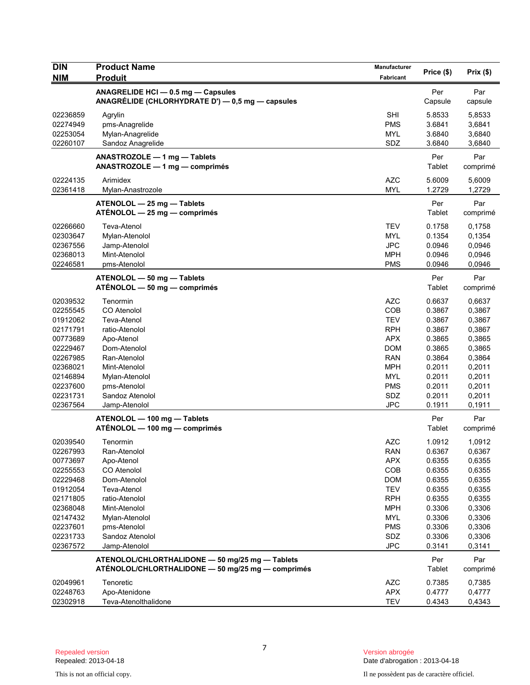| <b>DIN</b><br><b>NIM</b> | <b>Product Name</b><br><b>Produit</b>                                                                | Manufacturer<br>Fabricant | Price (\$)       | Prix(\$)         |
|--------------------------|------------------------------------------------------------------------------------------------------|---------------------------|------------------|------------------|
|                          | ANAGRELIDE HCI - 0.5 mg - Capsules<br>ANAGRÉLIDE (CHLORHYDRATE D') — 0,5 mg — capsules               |                           | Per<br>Capsule   | Par<br>capsule   |
| 02236859                 | Agrylin                                                                                              | <b>SHI</b>                | 5.8533           | 5,8533           |
| 02274949                 | pms-Anagrelide                                                                                       | <b>PMS</b>                | 3.6841           | 3,6841           |
| 02253054                 | Mylan-Anagrelide                                                                                     | <b>MYL</b>                | 3.6840           | 3,6840           |
| 02260107                 | Sandoz Anagrelide                                                                                    | SDZ                       | 3.6840           | 3,6840           |
|                          | ANASTROZOLE - 1 mg - Tablets<br>$ANASTROZOLE - 1 mg - comprimés$                                     |                           | Per<br>Tablet    | Par<br>comprimé  |
| 02224135<br>02361418     | Arimidex<br>Mylan-Anastrozole                                                                        | <b>AZC</b><br><b>MYL</b>  | 5.6009<br>1.2729 | 5,6009<br>1,2729 |
|                          | ATENOLOL - 25 mg - Tablets<br>$ATÉNOLOL - 25 mg - comprimés$                                         |                           | Per<br>Tablet    | Par<br>comprimé  |
| 02266660                 | Teva-Atenol                                                                                          | <b>TEV</b>                | 0.1758           | 0,1758           |
| 02303647                 | Mylan-Atenolol                                                                                       | <b>MYL</b>                | 0.1354           | 0,1354           |
| 02367556                 | Jamp-Atenolol                                                                                        | <b>JPC</b>                | 0.0946           | 0,0946           |
| 02368013                 | Mint-Atenolol                                                                                        | <b>MPH</b>                | 0.0946           | 0,0946           |
| 02246581                 | pms-Atenolol                                                                                         | <b>PMS</b>                | 0.0946           | 0,0946           |
|                          | ATENOLOL - 50 mg - Tablets<br>ATÉNOLOL - 50 mg - comprimés                                           |                           | Per<br>Tablet    | Par<br>comprimé  |
| 02039532                 | Tenormin                                                                                             | <b>AZC</b>                | 0.6637           | 0,6637           |
| 02255545                 | CO Atenolol                                                                                          | COB                       | 0.3867           | 0,3867           |
| 01912062                 | Teva-Atenol                                                                                          | <b>TEV</b>                | 0.3867           | 0,3867           |
| 02171791                 | ratio-Atenolol                                                                                       | <b>RPH</b>                | 0.3867           | 0,3867           |
| 00773689                 | Apo-Atenol                                                                                           | <b>APX</b>                | 0.3865           | 0,3865           |
| 02229467<br>02267985     | Dom-Atenolol<br>Ran-Atenolol                                                                         | <b>DOM</b><br>RAN         | 0.3865<br>0.3864 | 0,3865           |
| 02368021                 | Mint-Atenolol                                                                                        | <b>MPH</b>                | 0.2011           | 0,3864<br>0,2011 |
| 02146894                 | Mylan-Atenolol                                                                                       | <b>MYL</b>                | 0.2011           | 0,2011           |
| 02237600                 | pms-Atenolol                                                                                         | <b>PMS</b>                | 0.2011           | 0,2011           |
| 02231731                 | Sandoz Atenolol                                                                                      | <b>SDZ</b>                | 0.2011           | 0,2011           |
| 02367564                 | Jamp-Atenolol                                                                                        | <b>JPC</b>                | 0.1911           | 0,1911           |
|                          | ATENOLOL - 100 mg - Tablets                                                                          |                           | Per              | Par              |
|                          | ATÉNOLOL — 100 mg — comprimés                                                                        |                           | Tablet           | comprimé         |
| 02039540                 | Tenormin                                                                                             | AZC                       | 1.0912           | 1,0912           |
| 02267993                 | Ran-Atenolol                                                                                         | <b>RAN</b>                | 0.6367           | 0,6367           |
| 00773697                 | Apo-Atenol                                                                                           | <b>APX</b>                | 0.6355           | 0,6355           |
| 02255553                 | CO Atenolol                                                                                          | COB                       | 0.6355           | 0,6355           |
| 02229468<br>01912054     | Dom-Atenolol<br>Teva-Atenol                                                                          | <b>DOM</b><br><b>TEV</b>  | 0.6355<br>0.6355 | 0,6355<br>0,6355 |
| 02171805                 | ratio-Atenolol                                                                                       | <b>RPH</b>                | 0.6355           | 0,6355           |
| 02368048                 | Mint-Atenolol                                                                                        | <b>MPH</b>                | 0.3306           | 0,3306           |
| 02147432                 | Mylan-Atenolol                                                                                       | <b>MYL</b>                | 0.3306           | 0,3306           |
| 02237601                 | pms-Atenolol                                                                                         | <b>PMS</b>                | 0.3306           | 0,3306           |
| 02231733                 | Sandoz Atenolol                                                                                      | SDZ                       | 0.3306           | 0,3306           |
| 02367572                 | Jamp-Atenolol                                                                                        | <b>JPC</b>                | 0.3141           | 0,3141           |
|                          | ATENOLOL/CHLORTHALIDONE - 50 mg/25 mg - Tablets<br>ATÉNOLOL/CHLORTHALIDONE - 50 mg/25 mg - comprimés |                           | Per<br>Tablet    | Par              |
|                          |                                                                                                      |                           |                  | comprimé         |
| 02049961                 | Tenoretic                                                                                            | <b>AZC</b>                | 0.7385           | 0,7385           |
| 02248763                 | Apo-Atenidone<br>Teva-Atenolthalidone                                                                | <b>APX</b><br><b>TEV</b>  | 0.4777           | 0,4777           |
| 02302918                 |                                                                                                      |                           | 0.4343           | 0,4343           |

Version abrogée<br>Date d'abrogation : 2013-04-18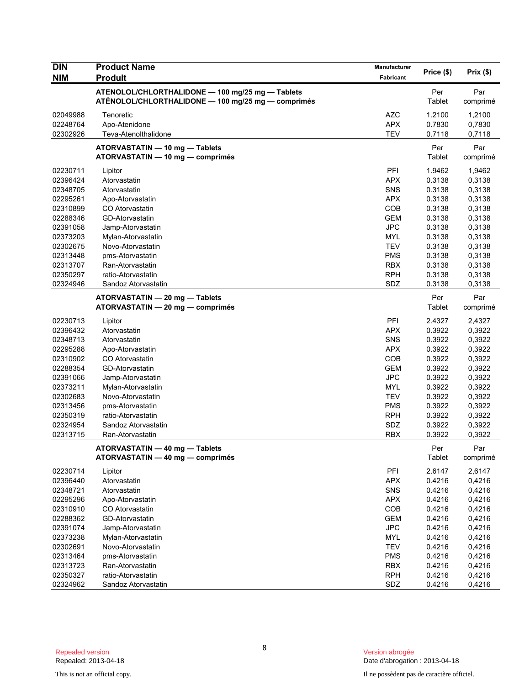| <b>DIN</b><br><b>NIM</b> | <b>Product Name</b><br><b>Produit</b>                                                                  | <b>Manufacturer</b><br>Fabricant | Price (\$)       | Prix(\$)         |
|--------------------------|--------------------------------------------------------------------------------------------------------|----------------------------------|------------------|------------------|
|                          | ATENOLOL/CHLORTHALIDONE - 100 mg/25 mg - Tablets<br>ATÉNOLOL/CHLORTHALIDONE - 100 mg/25 mg - comprimés |                                  | Per<br>Tablet    | Par<br>comprimé  |
| 02049988                 | Tenoretic                                                                                              | <b>AZC</b>                       | 1.2100           | 1,2100           |
| 02248764<br>02302926     | Apo-Atenidone<br>Teva-Atenolthalidone                                                                  | <b>APX</b><br><b>TEV</b>         | 0.7830<br>0.7118 | 0,7830<br>0,7118 |
|                          | ATORVASTATIN - 10 mg - Tablets                                                                         |                                  | Per              | Par              |
|                          | ATORVASTATIN - 10 mg - comprimés                                                                       |                                  | Tablet           | comprimé         |
| 02230711                 | Lipitor                                                                                                | PFI                              | 1.9462           | 1,9462           |
| 02396424                 | Atorvastatin                                                                                           | <b>APX</b>                       | 0.3138           | 0,3138           |
| 02348705                 | Atorvastatin                                                                                           | SNS                              | 0.3138           | 0,3138           |
| 02295261                 | Apo-Atorvastatin                                                                                       | <b>APX</b>                       | 0.3138           | 0,3138           |
| 02310899                 | CO Atorvastatin                                                                                        | COB                              | 0.3138           | 0,3138           |
| 02288346                 | GD-Atorvastatin                                                                                        | <b>GEM</b>                       | 0.3138           | 0,3138           |
| 02391058                 | Jamp-Atorvastatin                                                                                      | <b>JPC</b>                       | 0.3138           | 0,3138           |
| 02373203                 | Mylan-Atorvastatin                                                                                     | <b>MYL</b>                       | 0.3138           | 0,3138           |
| 02302675                 | Novo-Atorvastatin                                                                                      | <b>TEV</b>                       | 0.3138           | 0,3138           |
| 02313448                 | pms-Atorvastatin                                                                                       | <b>PMS</b>                       | 0.3138           | 0,3138           |
| 02313707                 | Ran-Atorvastatin                                                                                       | <b>RBX</b>                       | 0.3138           | 0,3138           |
| 02350297                 | ratio-Atorvastatin                                                                                     | <b>RPH</b>                       | 0.3138           | 0,3138           |
| 02324946                 | Sandoz Atorvastatin                                                                                    | SDZ                              | 0.3138           | 0,3138           |
|                          | ATORVASTATIN - 20 mg - Tablets                                                                         |                                  | Per              | Par              |
|                          | ATORVASTATIN - 20 mg - comprimés                                                                       |                                  | Tablet           | comprimé         |
| 02230713                 | Lipitor                                                                                                | PFI                              | 2.4327           | 2,4327           |
| 02396432                 | Atorvastatin                                                                                           | <b>APX</b>                       | 0.3922           | 0,3922           |
| 02348713                 | Atorvastatin                                                                                           | SNS                              | 0.3922           | 0,3922           |
| 02295288                 | Apo-Atorvastatin                                                                                       | <b>APX</b>                       | 0.3922           | 0,3922           |
| 02310902                 | CO Atorvastatin                                                                                        | <b>COB</b>                       | 0.3922           | 0,3922           |
| 02288354                 | GD-Atorvastatin                                                                                        | <b>GEM</b>                       | 0.3922           | 0,3922           |
| 02391066                 | Jamp-Atorvastatin                                                                                      | <b>JPC</b>                       | 0.3922           | 0,3922           |
| 02373211                 | Mylan-Atorvastatin                                                                                     | <b>MYL</b>                       | 0.3922           | 0,3922           |
| 02302683                 | Novo-Atorvastatin                                                                                      | <b>TEV</b>                       | 0.3922           | 0,3922           |
| 02313456                 | pms-Atorvastatin                                                                                       | <b>PMS</b>                       | 0.3922           | 0,3922           |
| 02350319                 | ratio-Atorvastatin                                                                                     | <b>RPH</b>                       | 0.3922           | 0,3922           |
| 02324954                 | Sandoz Atorvastatin                                                                                    | SDZ                              | 0.3922           | 0,3922           |
| 02313715                 | Ran-Atorvastatin                                                                                       | <b>RBX</b>                       | 0.3922           | 0,3922           |
|                          | ATORVASTATIN - 40 mg - Tablets                                                                         |                                  | Per              | Par              |
|                          | ATORVASTATIN - 40 mg - comprimés                                                                       |                                  | Tablet           | comprimé         |
| 02230714                 | Lipitor                                                                                                | PFI                              | 2.6147           | 2,6147           |
| 02396440                 | Atorvastatin                                                                                           | <b>APX</b>                       | 0.4216           | 0,4216           |
| 02348721                 | Atorvastatin                                                                                           | SNS                              | 0.4216           | 0,4216           |
| 02295296                 | Apo-Atorvastatin                                                                                       | <b>APX</b>                       | 0.4216           | 0,4216           |
| 02310910                 | CO Atorvastatin                                                                                        | COB                              | 0.4216           | 0,4216           |
| 02288362                 | GD-Atorvastatin                                                                                        | <b>GEM</b>                       | 0.4216           | 0,4216           |
| 02391074                 | Jamp-Atorvastatin                                                                                      | <b>JPC</b>                       | 0.4216           | 0,4216           |
| 02373238                 | Mylan-Atorvastatin                                                                                     | <b>MYL</b>                       | 0.4216           | 0,4216           |
| 02302691                 | Novo-Atorvastatin                                                                                      | TEV                              | 0.4216           | 0,4216           |
| 02313464                 | pms-Atorvastatin                                                                                       | <b>PMS</b>                       | 0.4216           | 0,4216           |
| 02313723                 | Ran-Atorvastatin                                                                                       | <b>RBX</b>                       | 0.4216           | 0,4216           |
| 02350327                 | ratio-Atorvastatin                                                                                     | <b>RPH</b>                       | 0.4216           | 0,4216           |
| 02324962                 | Sandoz Atorvastatin                                                                                    | SDZ                              | 0.4216           | 0,4216           |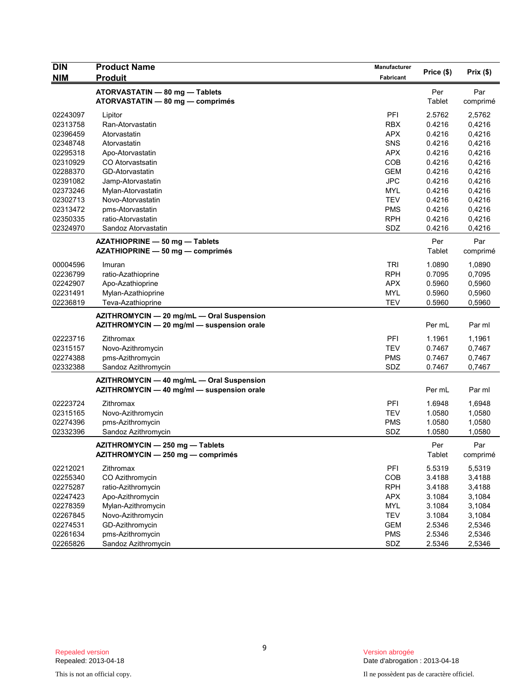| Price (\$)<br>Prix(\$)<br><b>NIM</b><br><b>Produit</b><br>Fabricant<br>ATORVASTATIN - 80 mg - Tablets<br>Per<br>Par<br>ATORVASTATIN - 80 mg - comprimés<br>Tablet<br>PFI<br>2.5762<br>02243097<br>2,5762<br>Lipitor<br>Ran-Atorvastatin<br><b>RBX</b><br>0.4216<br>0,4216<br>02313758<br>02396459<br>Atorvastatin<br><b>APX</b><br>0.4216<br>0,4216<br>02348748<br>SNS<br>0.4216<br>0,4216<br>Atorvastatin<br>02295318<br><b>APX</b><br>0.4216<br>0,4216<br>Apo-Atorvastatin<br>COB<br>0.4216<br>0,4216<br>02310929<br>CO Atorvastsatin<br>02288370<br>GD-Atorvastatin<br><b>GEM</b><br>0.4216<br>0,4216<br><b>JPC</b><br>02391082<br>0.4216<br>0,4216<br>Jamp-Atorvastatin<br><b>MYL</b><br>0.4216<br>0,4216<br>02373246<br>Mylan-Atorvastatin<br>02302713<br>Novo-Atorvastatin<br><b>TEV</b><br>0.4216<br>0,4216<br><b>PMS</b><br>0.4216<br>0,4216<br>02313472<br>pms-Atorvastatin<br>02350335<br><b>RPH</b><br>0.4216<br>0,4216<br>ratio-Atorvastatin<br>SDZ<br>02324970<br>Sandoz Atorvastatin<br>0.4216<br>0,4216<br>Par<br>Per<br>AZATHIOPRINE - 50 mg - Tablets<br>AZATHIOPRINE - 50 mg - comprimés<br>Tablet<br>TRI<br>1.0890<br>00004596<br>1,0890<br>Imuran<br><b>RPH</b><br>0.7095<br>0,7095<br>02236799<br>ratio-Azathioprine<br>02242907<br><b>APX</b><br>0.5960<br>0,5960<br>Apo-Azathioprine<br>02231491<br>Mylan-Azathioprine<br><b>MYL</b><br>0.5960<br>0,5960<br>02236819<br><b>TEV</b><br>0.5960<br>0,5960<br>Teva-Azathioprine<br>AZITHROMYCIN - 20 mg/mL - Oral Suspension<br>AZITHROMYCIN - 20 mg/ml - suspension orale<br>Per mL<br>Par ml | <b>DIN</b> | <b>Product Name</b> | <b>Manufacturer</b> |          |
|-------------------------------------------------------------------------------------------------------------------------------------------------------------------------------------------------------------------------------------------------------------------------------------------------------------------------------------------------------------------------------------------------------------------------------------------------------------------------------------------------------------------------------------------------------------------------------------------------------------------------------------------------------------------------------------------------------------------------------------------------------------------------------------------------------------------------------------------------------------------------------------------------------------------------------------------------------------------------------------------------------------------------------------------------------------------------------------------------------------------------------------------------------------------------------------------------------------------------------------------------------------------------------------------------------------------------------------------------------------------------------------------------------------------------------------------------------------------------------------------------------------------------------------------------------------------|------------|---------------------|---------------------|----------|
|                                                                                                                                                                                                                                                                                                                                                                                                                                                                                                                                                                                                                                                                                                                                                                                                                                                                                                                                                                                                                                                                                                                                                                                                                                                                                                                                                                                                                                                                                                                                                                   |            |                     |                     |          |
|                                                                                                                                                                                                                                                                                                                                                                                                                                                                                                                                                                                                                                                                                                                                                                                                                                                                                                                                                                                                                                                                                                                                                                                                                                                                                                                                                                                                                                                                                                                                                                   |            |                     |                     |          |
|                                                                                                                                                                                                                                                                                                                                                                                                                                                                                                                                                                                                                                                                                                                                                                                                                                                                                                                                                                                                                                                                                                                                                                                                                                                                                                                                                                                                                                                                                                                                                                   |            |                     |                     | comprimé |
|                                                                                                                                                                                                                                                                                                                                                                                                                                                                                                                                                                                                                                                                                                                                                                                                                                                                                                                                                                                                                                                                                                                                                                                                                                                                                                                                                                                                                                                                                                                                                                   |            |                     |                     |          |
|                                                                                                                                                                                                                                                                                                                                                                                                                                                                                                                                                                                                                                                                                                                                                                                                                                                                                                                                                                                                                                                                                                                                                                                                                                                                                                                                                                                                                                                                                                                                                                   |            |                     |                     |          |
|                                                                                                                                                                                                                                                                                                                                                                                                                                                                                                                                                                                                                                                                                                                                                                                                                                                                                                                                                                                                                                                                                                                                                                                                                                                                                                                                                                                                                                                                                                                                                                   |            |                     |                     |          |
|                                                                                                                                                                                                                                                                                                                                                                                                                                                                                                                                                                                                                                                                                                                                                                                                                                                                                                                                                                                                                                                                                                                                                                                                                                                                                                                                                                                                                                                                                                                                                                   |            |                     |                     |          |
|                                                                                                                                                                                                                                                                                                                                                                                                                                                                                                                                                                                                                                                                                                                                                                                                                                                                                                                                                                                                                                                                                                                                                                                                                                                                                                                                                                                                                                                                                                                                                                   |            |                     |                     |          |
|                                                                                                                                                                                                                                                                                                                                                                                                                                                                                                                                                                                                                                                                                                                                                                                                                                                                                                                                                                                                                                                                                                                                                                                                                                                                                                                                                                                                                                                                                                                                                                   |            |                     |                     |          |
|                                                                                                                                                                                                                                                                                                                                                                                                                                                                                                                                                                                                                                                                                                                                                                                                                                                                                                                                                                                                                                                                                                                                                                                                                                                                                                                                                                                                                                                                                                                                                                   |            |                     |                     |          |
|                                                                                                                                                                                                                                                                                                                                                                                                                                                                                                                                                                                                                                                                                                                                                                                                                                                                                                                                                                                                                                                                                                                                                                                                                                                                                                                                                                                                                                                                                                                                                                   |            |                     |                     |          |
|                                                                                                                                                                                                                                                                                                                                                                                                                                                                                                                                                                                                                                                                                                                                                                                                                                                                                                                                                                                                                                                                                                                                                                                                                                                                                                                                                                                                                                                                                                                                                                   |            |                     |                     |          |
|                                                                                                                                                                                                                                                                                                                                                                                                                                                                                                                                                                                                                                                                                                                                                                                                                                                                                                                                                                                                                                                                                                                                                                                                                                                                                                                                                                                                                                                                                                                                                                   |            |                     |                     |          |
|                                                                                                                                                                                                                                                                                                                                                                                                                                                                                                                                                                                                                                                                                                                                                                                                                                                                                                                                                                                                                                                                                                                                                                                                                                                                                                                                                                                                                                                                                                                                                                   |            |                     |                     |          |
|                                                                                                                                                                                                                                                                                                                                                                                                                                                                                                                                                                                                                                                                                                                                                                                                                                                                                                                                                                                                                                                                                                                                                                                                                                                                                                                                                                                                                                                                                                                                                                   |            |                     |                     |          |
|                                                                                                                                                                                                                                                                                                                                                                                                                                                                                                                                                                                                                                                                                                                                                                                                                                                                                                                                                                                                                                                                                                                                                                                                                                                                                                                                                                                                                                                                                                                                                                   |            |                     |                     |          |
|                                                                                                                                                                                                                                                                                                                                                                                                                                                                                                                                                                                                                                                                                                                                                                                                                                                                                                                                                                                                                                                                                                                                                                                                                                                                                                                                                                                                                                                                                                                                                                   |            |                     |                     |          |
|                                                                                                                                                                                                                                                                                                                                                                                                                                                                                                                                                                                                                                                                                                                                                                                                                                                                                                                                                                                                                                                                                                                                                                                                                                                                                                                                                                                                                                                                                                                                                                   |            |                     |                     | comprimé |
|                                                                                                                                                                                                                                                                                                                                                                                                                                                                                                                                                                                                                                                                                                                                                                                                                                                                                                                                                                                                                                                                                                                                                                                                                                                                                                                                                                                                                                                                                                                                                                   |            |                     |                     |          |
|                                                                                                                                                                                                                                                                                                                                                                                                                                                                                                                                                                                                                                                                                                                                                                                                                                                                                                                                                                                                                                                                                                                                                                                                                                                                                                                                                                                                                                                                                                                                                                   |            |                     |                     |          |
|                                                                                                                                                                                                                                                                                                                                                                                                                                                                                                                                                                                                                                                                                                                                                                                                                                                                                                                                                                                                                                                                                                                                                                                                                                                                                                                                                                                                                                                                                                                                                                   |            |                     |                     |          |
|                                                                                                                                                                                                                                                                                                                                                                                                                                                                                                                                                                                                                                                                                                                                                                                                                                                                                                                                                                                                                                                                                                                                                                                                                                                                                                                                                                                                                                                                                                                                                                   |            |                     |                     |          |
|                                                                                                                                                                                                                                                                                                                                                                                                                                                                                                                                                                                                                                                                                                                                                                                                                                                                                                                                                                                                                                                                                                                                                                                                                                                                                                                                                                                                                                                                                                                                                                   |            |                     |                     |          |
|                                                                                                                                                                                                                                                                                                                                                                                                                                                                                                                                                                                                                                                                                                                                                                                                                                                                                                                                                                                                                                                                                                                                                                                                                                                                                                                                                                                                                                                                                                                                                                   |            |                     |                     |          |
|                                                                                                                                                                                                                                                                                                                                                                                                                                                                                                                                                                                                                                                                                                                                                                                                                                                                                                                                                                                                                                                                                                                                                                                                                                                                                                                                                                                                                                                                                                                                                                   |            |                     |                     |          |
| 02223716<br>PFI<br>1.1961<br>1,1961<br>Zithromax                                                                                                                                                                                                                                                                                                                                                                                                                                                                                                                                                                                                                                                                                                                                                                                                                                                                                                                                                                                                                                                                                                                                                                                                                                                                                                                                                                                                                                                                                                                  |            |                     |                     |          |
| 02315157<br>Novo-Azithromycin<br><b>TEV</b><br>0.7467<br>0,7467                                                                                                                                                                                                                                                                                                                                                                                                                                                                                                                                                                                                                                                                                                                                                                                                                                                                                                                                                                                                                                                                                                                                                                                                                                                                                                                                                                                                                                                                                                   |            |                     |                     |          |
| 02274388<br><b>PMS</b><br>pms-Azithromycin<br>0.7467<br>0,7467                                                                                                                                                                                                                                                                                                                                                                                                                                                                                                                                                                                                                                                                                                                                                                                                                                                                                                                                                                                                                                                                                                                                                                                                                                                                                                                                                                                                                                                                                                    |            |                     |                     |          |
| SDZ<br>02332388<br>Sandoz Azithromycin<br>0.7467<br>0,7467                                                                                                                                                                                                                                                                                                                                                                                                                                                                                                                                                                                                                                                                                                                                                                                                                                                                                                                                                                                                                                                                                                                                                                                                                                                                                                                                                                                                                                                                                                        |            |                     |                     |          |
| AZITHROMYCIN - 40 mg/mL - Oral Suspension                                                                                                                                                                                                                                                                                                                                                                                                                                                                                                                                                                                                                                                                                                                                                                                                                                                                                                                                                                                                                                                                                                                                                                                                                                                                                                                                                                                                                                                                                                                         |            |                     |                     |          |
| AZITHROMYCIN - 40 mg/ml - suspension orale<br>Par ml<br>Per mL                                                                                                                                                                                                                                                                                                                                                                                                                                                                                                                                                                                                                                                                                                                                                                                                                                                                                                                                                                                                                                                                                                                                                                                                                                                                                                                                                                                                                                                                                                    |            |                     |                     |          |
| 02223724<br>Zithromax<br><b>PFI</b><br>1.6948<br>1,6948                                                                                                                                                                                                                                                                                                                                                                                                                                                                                                                                                                                                                                                                                                                                                                                                                                                                                                                                                                                                                                                                                                                                                                                                                                                                                                                                                                                                                                                                                                           |            |                     |                     |          |
| 02315165<br><b>TEV</b><br>1,0580<br>Novo-Azithromycin<br>1.0580                                                                                                                                                                                                                                                                                                                                                                                                                                                                                                                                                                                                                                                                                                                                                                                                                                                                                                                                                                                                                                                                                                                                                                                                                                                                                                                                                                                                                                                                                                   |            |                     |                     |          |
| 02274396<br><b>PMS</b><br>pms-Azithromycin<br>1.0580<br>1,0580                                                                                                                                                                                                                                                                                                                                                                                                                                                                                                                                                                                                                                                                                                                                                                                                                                                                                                                                                                                                                                                                                                                                                                                                                                                                                                                                                                                                                                                                                                    |            |                     |                     |          |
| SDZ<br>1.0580<br>02332396<br>Sandoz Azithromycin<br>1,0580                                                                                                                                                                                                                                                                                                                                                                                                                                                                                                                                                                                                                                                                                                                                                                                                                                                                                                                                                                                                                                                                                                                                                                                                                                                                                                                                                                                                                                                                                                        |            |                     |                     |          |
| AZITHROMYCIN - 250 mg - Tablets<br>Per<br>Par                                                                                                                                                                                                                                                                                                                                                                                                                                                                                                                                                                                                                                                                                                                                                                                                                                                                                                                                                                                                                                                                                                                                                                                                                                                                                                                                                                                                                                                                                                                     |            |                     |                     |          |
| Tablet<br>AZITHROMYCIN - 250 mg - comprimés                                                                                                                                                                                                                                                                                                                                                                                                                                                                                                                                                                                                                                                                                                                                                                                                                                                                                                                                                                                                                                                                                                                                                                                                                                                                                                                                                                                                                                                                                                                       |            |                     |                     | comprimé |
|                                                                                                                                                                                                                                                                                                                                                                                                                                                                                                                                                                                                                                                                                                                                                                                                                                                                                                                                                                                                                                                                                                                                                                                                                                                                                                                                                                                                                                                                                                                                                                   |            |                     |                     |          |
| PFI<br>5.5319<br>5,5319<br>02212021<br>Zithromax                                                                                                                                                                                                                                                                                                                                                                                                                                                                                                                                                                                                                                                                                                                                                                                                                                                                                                                                                                                                                                                                                                                                                                                                                                                                                                                                                                                                                                                                                                                  |            |                     |                     |          |
| CO Azithromycin<br>COB<br>02255340<br>3.4188<br>3,4188                                                                                                                                                                                                                                                                                                                                                                                                                                                                                                                                                                                                                                                                                                                                                                                                                                                                                                                                                                                                                                                                                                                                                                                                                                                                                                                                                                                                                                                                                                            |            |                     |                     |          |
| <b>RPH</b><br>3.4188<br>02275287<br>ratio-Azithromycin<br>3,4188<br>02247423<br><b>APX</b>                                                                                                                                                                                                                                                                                                                                                                                                                                                                                                                                                                                                                                                                                                                                                                                                                                                                                                                                                                                                                                                                                                                                                                                                                                                                                                                                                                                                                                                                        |            |                     |                     |          |
| Apo-Azithromycin<br>3.1084<br>3,1084                                                                                                                                                                                                                                                                                                                                                                                                                                                                                                                                                                                                                                                                                                                                                                                                                                                                                                                                                                                                                                                                                                                                                                                                                                                                                                                                                                                                                                                                                                                              |            |                     |                     |          |
| Mylan-Azithromycin<br><b>MYL</b><br>3.1084<br>3,1084<br>02278359<br>Novo-Azithromycin<br><b>TEV</b><br>3.1084<br>3,1084<br>02267845                                                                                                                                                                                                                                                                                                                                                                                                                                                                                                                                                                                                                                                                                                                                                                                                                                                                                                                                                                                                                                                                                                                                                                                                                                                                                                                                                                                                                               |            |                     |                     |          |
| 02274531<br>GD-Azithromycin<br><b>GEM</b><br>2.5346<br>2,5346                                                                                                                                                                                                                                                                                                                                                                                                                                                                                                                                                                                                                                                                                                                                                                                                                                                                                                                                                                                                                                                                                                                                                                                                                                                                                                                                                                                                                                                                                                     |            |                     |                     |          |
| 02261634<br>pms-Azithromycin<br><b>PMS</b><br>2.5346<br>2,5346                                                                                                                                                                                                                                                                                                                                                                                                                                                                                                                                                                                                                                                                                                                                                                                                                                                                                                                                                                                                                                                                                                                                                                                                                                                                                                                                                                                                                                                                                                    |            |                     |                     |          |
| SDZ<br>02265826<br>Sandoz Azithromycin<br>2.5346<br>2,5346                                                                                                                                                                                                                                                                                                                                                                                                                                                                                                                                                                                                                                                                                                                                                                                                                                                                                                                                                                                                                                                                                                                                                                                                                                                                                                                                                                                                                                                                                                        |            |                     |                     |          |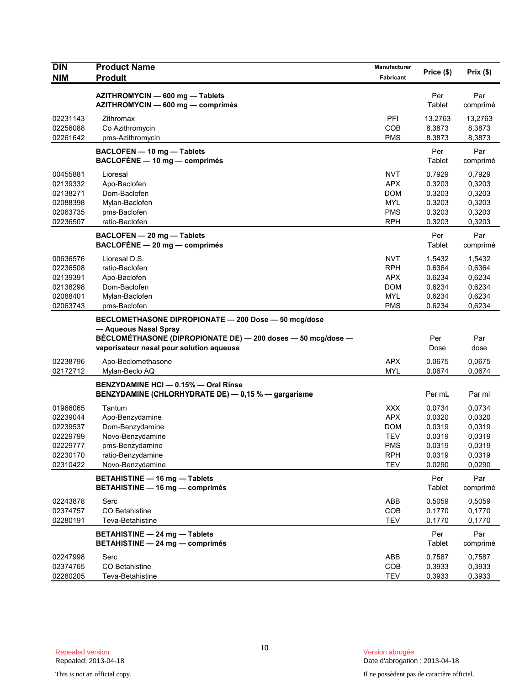| <b>DIN</b>           | <b>Product Name</b>                                          | <b>Manufacturer</b>      | Price (\$)       | Prix(\$)         |
|----------------------|--------------------------------------------------------------|--------------------------|------------------|------------------|
| <b>NIM</b>           | <b>Produit</b>                                               | Fabricant                |                  |                  |
|                      | AZITHROMYCIN - 600 mg - Tablets                              |                          | Per              | Par              |
|                      | AZITHROMYCIN - 600 mg - comprimés                            |                          | Tablet           | comprimé         |
| 02231143             | Zithromax                                                    | PFI                      | 13.2763          | 13,2763          |
| 02256088             | Co Azithromycin                                              | COB                      | 8.3873           | 8.3873           |
| 02261642             | pms-Azithromycin                                             | <b>PMS</b>               | 8.3873           | 8,3873           |
|                      | BACLOFEN - 10 mg - Tablets                                   |                          | Per              | Par              |
|                      | BACLOFÈNE - 10 mg - comprimés                                |                          | Tablet           | comprimé         |
| 00455881             | Lioresal                                                     | NVT                      | 0.7929           | 0,7929           |
| 02139332             | Apo-Baclofen                                                 | <b>APX</b>               | 0.3203           | 0,3203           |
| 02138271             | Dom-Baclofen                                                 | <b>DOM</b>               | 0.3203           | 0,3203           |
| 02088398             | Mylan-Baclofen                                               | <b>MYL</b>               | 0.3203           | 0,3203           |
| 02063735             | pms-Baclofen                                                 | <b>PMS</b>               | 0.3203           | 0,3203           |
| 02236507             | ratio-Baclofen                                               | <b>RPH</b>               | 0.3203           | 0,3203           |
|                      | BACLOFEN - 20 mg - Tablets                                   |                          | Per              | Par              |
|                      | $BACLOFÈNE - 20 mg - comprimés$                              |                          | Tablet           | comprimé         |
| 00636576             | Lioresal D.S.                                                | NVT                      | 1.5432           | 1,5432           |
| 02236508             | ratio-Baclofen                                               | <b>RPH</b>               | 0.6364           | 0,6364           |
| 02139391             | Apo-Baclofen                                                 | <b>APX</b>               | 0.6234           | 0,6234           |
| 02138298             | Dom-Baclofen                                                 | <b>DOM</b>               | 0.6234           | 0,6234           |
| 02088401             | Mylan-Baclofen                                               | <b>MYL</b>               | 0.6234           | 0,6234           |
| 02063743             | pms-Baclofen                                                 | <b>PMS</b>               | 0.6234           | 0,6234           |
|                      | BECLOMETHASONE DIPROPIONATE - 200 Dose - 50 mcg/dose         |                          |                  |                  |
|                      | - Aqueous Nasal Spray                                        |                          |                  |                  |
|                      | BÉCLOMÉTHASONE (DIPROPIONATE DE) - 200 doses - 50 mcg/dose - |                          | Per<br>Dose      | Par<br>dose      |
|                      | vaporisateur nasal pour solution aqueuse                     |                          |                  |                  |
| 02238796<br>02172712 | Apo-Beclomethasone                                           | <b>APX</b><br><b>MYL</b> | 0.0675<br>0.0674 | 0,0675           |
|                      | Mylan-Beclo AQ                                               |                          |                  | 0.0674           |
|                      | BENZYDAMINE HCI - 0.15% - Oral Rinse                         |                          |                  |                  |
|                      | BENZYDAMINE (CHLORHYDRATE DE) - 0,15 % - gargarisme          |                          | Per mL           | Par ml           |
| 01966065             | Tantum                                                       | <b>XXX</b>               | 0.0734           | 0,0734           |
| 02239044             | Apo-Benzydamine                                              | <b>APX</b>               | 0.0320           | 0,0320           |
| 02239537<br>02229799 | Dom-Benzydamine                                              | <b>DOM</b><br><b>TEV</b> | 0.0319<br>0.0319 | 0,0319           |
| 02229777             | Novo-Benzydamine<br>pms-Benzydamine                          | <b>PMS</b>               | 0.0319           | 0,0319<br>0,0319 |
| 02230170             | ratio-Benzydamine                                            | <b>RPH</b>               | 0.0319           | 0,0319           |
| 02310422             | Novo-Benzydamine                                             | <b>TEV</b>               | 0.0290           | 0,0290           |
|                      | <b>BETAHISTINE - 16 mg - Tablets</b>                         |                          | Per              | Par              |
|                      | BETAHISTINE - 16 mg - comprimés                              |                          | Tablet           | comprimé         |
| 02243878             | Serc                                                         | ABB                      | 0.5059           | 0,5059           |
| 02374757             | CO Betahistine                                               | COB                      | 0.1770           | 0,1770           |
| 02280191             | Teva-Betahistine                                             | <b>TEV</b>               | 0.1770           | 0,1770           |
|                      | BETAHISTINE - 24 mg - Tablets                                |                          | Per              | Par              |
|                      | BETAHISTINE - 24 mg - comprimés                              |                          | Tablet           | comprimé         |
| 02247998             | Serc                                                         | ABB                      | 0.7587           | 0,7587           |
| 02374765             | CO Betahistine                                               | COB                      | 0.3933           | 0,3933           |
| 02280205             | Teva-Betahistine                                             | <b>TEV</b>               | 0.3933           | 0,3933           |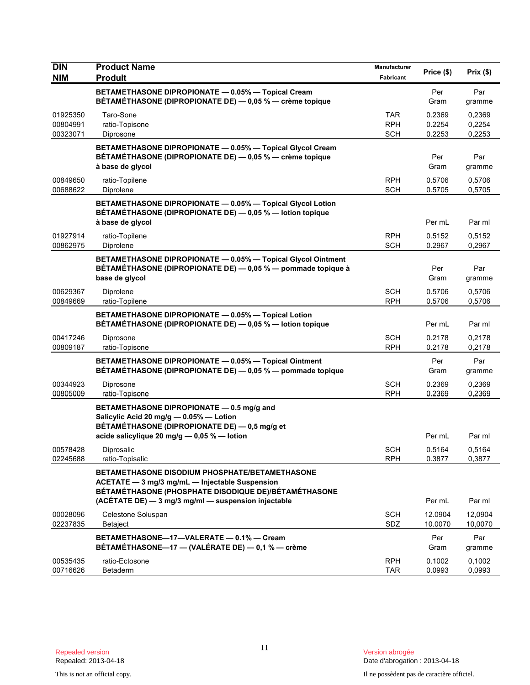| <b>DIN</b><br><b>NIM</b>         | <b>Product Name</b><br><b>Produit</b>                                                                                                                                                                                  | Manufacturer<br>Fabricant              | Price (\$)                 | Prix(\$)                   |
|----------------------------------|------------------------------------------------------------------------------------------------------------------------------------------------------------------------------------------------------------------------|----------------------------------------|----------------------------|----------------------------|
|                                  | BETAMETHASONE DIPROPIONATE - 0.05% - Topical Cream<br>BÉTAMÉTHASONE (DIPROPIONATE DE) — 0,05 % — crème topique                                                                                                         |                                        | Per<br>Gram                | Par<br>gramme              |
| 01925350<br>00804991<br>00323071 | Taro-Sone<br>ratio-Topisone<br>Diprosone                                                                                                                                                                               | <b>TAR</b><br><b>RPH</b><br><b>SCH</b> | 0.2369<br>0.2254<br>0.2253 | 0,2369<br>0,2254<br>0,2253 |
|                                  | BETAMETHASONE DIPROPIONATE - 0.05% - Topical Glycol Cream<br>BÉTAMÉTHASONE (DIPROPIONATE DE) - 0,05 % - crème topique<br>à base de glycol                                                                              |                                        | Per<br>Gram                | Par<br>gramme              |
| 00849650<br>00688622             | ratio-Topilene<br>Diprolene                                                                                                                                                                                            | <b>RPH</b><br><b>SCH</b>               | 0.5706<br>0.5705           | 0,5706<br>0,5705           |
|                                  | BETAMETHASONE DIPROPIONATE - 0.05% - Topical Glycol Lotion<br>BÉTAMÉTHASONE (DIPROPIONATE DE) - 0,05 % - lotion topique                                                                                                |                                        |                            |                            |
| 01927914<br>00862975             | à base de glycol<br>ratio-Topilene<br>Diprolene                                                                                                                                                                        | <b>RPH</b><br><b>SCH</b>               | Per mL<br>0.5152<br>0.2967 | Par ml<br>0,5152<br>0,2967 |
|                                  | BETAMETHASONE DIPROPIONATE - 0.05% - Topical Glycol Ointment<br>BÉTAMÉTHASONE (DIPROPIONATE DE) - 0,05 % - pommade topique à<br>base de glycol                                                                         |                                        | Per<br>Gram                | Par<br>gramme              |
| 00629367<br>00849669             | Diprolene<br>ratio-Topilene                                                                                                                                                                                            | <b>SCH</b><br><b>RPH</b>               | 0.5706<br>0.5706           | 0,5706<br>0,5706           |
|                                  | BETAMETHASONE DIPROPIONATE - 0.05% - Topical Lotion<br>BÉTAMÉTHASONE (DIPROPIONATE DE) - 0,05 % - lotion topique                                                                                                       |                                        | Per mL                     | Par ml                     |
| 00417246<br>00809187             | Diprosone<br>ratio-Topisone                                                                                                                                                                                            | SCH<br><b>RPH</b>                      | 0.2178<br>0.2178           | 0,2178<br>0,2178           |
|                                  | BETAMETHASONE DIPROPIONATE - 0.05% - Topical Ointment<br>BÉTAMÉTHASONE (DIPROPIONATE DE) — 0,05 % — pommade topique                                                                                                    |                                        | Per<br>Gram                | Par<br>gramme              |
| 00344923<br>00805009             | Diprosone<br>ratio-Topisone                                                                                                                                                                                            | <b>SCH</b><br><b>RPH</b>               | 0.2369<br>0.2369           | 0,2369<br>0,2369           |
|                                  | BETAMETHASONE DIPROPIONATE - 0.5 mg/g and<br>Salicylic Acid 20 mg/g - 0.05% - Lotion<br>BÉTAMÉTHASONE (DIPROPIONATE DE) — 0,5 mg/g et                                                                                  |                                        |                            |                            |
| 00578428<br>02245688             | acide salicylique 20 mg/g - 0,05 % - lotion<br>Diprosalic<br>ratio-Topisalic                                                                                                                                           | <b>SCH</b><br><b>RPH</b>               | Per mL<br>0.5164<br>0.3877 | Par ml<br>0,5164<br>0,3877 |
|                                  | <b>BETAMETHASONE DISODIUM PHOSPHATE/BETAMETHASONE</b><br>ACETATE - 3 mg/3 mg/mL - Injectable Suspension<br>BÉTAMÉTHASONE (PHOSPHATE DISODIQUE DE)/BÉTAMÉTHASONE<br>(ACÉTATE DE) - 3 mg/3 mg/ml - suspension injectable |                                        | Per mL                     | Par ml                     |
| 00028096<br>02237835             | Celestone Soluspan<br><b>Betaject</b>                                                                                                                                                                                  | <b>SCH</b><br>SDZ                      | 12.0904<br>10.0070         | 12,0904<br>10,0070         |
|                                  | BETAMETHASONE-17-VALERATE - 0.1% - Cream<br>BÉTAMÉTHASONE-17 - (VALÉRATE DE) - 0,1 % - crème                                                                                                                           |                                        | Per<br>Gram                | Par<br>gramme              |
| 00535435<br>00716626             | ratio-Ectosone<br>Betaderm                                                                                                                                                                                             | <b>RPH</b><br><b>TAR</b>               | 0.1002<br>0.0993           | 0,1002<br>0,0993           |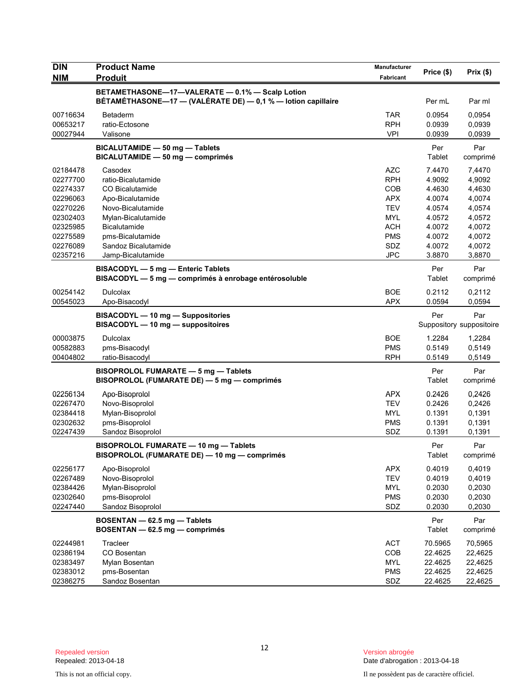| <b>DIN</b>                                                                                               | <b>Product Name</b>                                                                                                                                                               | Manufacturer                                                                                                 | Price (\$)                                                                             | Prix(\$)                                                                               |
|----------------------------------------------------------------------------------------------------------|-----------------------------------------------------------------------------------------------------------------------------------------------------------------------------------|--------------------------------------------------------------------------------------------------------------|----------------------------------------------------------------------------------------|----------------------------------------------------------------------------------------|
| <b>NIM</b>                                                                                               | <b>Produit</b>                                                                                                                                                                    | Fabricant                                                                                                    |                                                                                        |                                                                                        |
|                                                                                                          | BETAMETHASONE-17-VALERATE - 0.1% - Scalp Lotion<br>BÉTAMÉTHASONE-17 - (VALÉRATE DE) - 0,1 % - lotion capillaire                                                                   |                                                                                                              | Per mL                                                                                 | Par ml                                                                                 |
| 00716634<br>00653217<br>00027944                                                                         | <b>Betaderm</b><br>ratio-Ectosone<br>Valisone                                                                                                                                     | <b>TAR</b><br><b>RPH</b><br><b>VPI</b>                                                                       | 0.0954<br>0.0939<br>0.0939                                                             | 0.0954<br>0,0939<br>0,0939                                                             |
|                                                                                                          | BICALUTAMIDE - 50 mg - Tablets<br>BICALUTAMIDE - 50 mg - comprimés                                                                                                                |                                                                                                              | Per<br>Tablet                                                                          | Par<br>comprimé                                                                        |
| 02184478<br>02277700<br>02274337<br>02296063<br>02270226<br>02302403<br>02325985<br>02275589<br>02276089 | Casodex<br>ratio-Bicalutamide<br>CO Bicalutamide<br>Apo-Bicalutamide<br>Novo-Bicalutamide<br>Mylan-Bicalutamide<br><b>Bicalutamide</b><br>pms-Bicalutamide<br>Sandoz Bicalutamide | <b>AZC</b><br><b>RPH</b><br>COB<br><b>APX</b><br><b>TEV</b><br><b>MYL</b><br><b>ACH</b><br><b>PMS</b><br>SDZ | 7.4470<br>4.9092<br>4.4630<br>4.0074<br>4.0574<br>4.0572<br>4.0072<br>4.0072<br>4.0072 | 7,4470<br>4,9092<br>4,4630<br>4,0074<br>4,0574<br>4,0572<br>4,0072<br>4,0072<br>4,0072 |
| 02357216                                                                                                 | Jamp-Bicalutamide                                                                                                                                                                 | <b>JPC</b>                                                                                                   | 3.8870                                                                                 | 3,8870                                                                                 |
|                                                                                                          | BISACODYL - 5 mg - Enteric Tablets<br>BISACODYL - 5 mg - comprimés à enrobage entérosoluble                                                                                       |                                                                                                              | Per<br>Tablet                                                                          | Par<br>comprimé                                                                        |
| 00254142<br>00545023                                                                                     | <b>Dulcolax</b><br>Apo-Bisacodyl                                                                                                                                                  | <b>BOE</b><br><b>APX</b>                                                                                     | 0.2112<br>0.0594                                                                       | 0,2112<br>0,0594                                                                       |
|                                                                                                          | BISACODYL - 10 mg - Suppositories<br>BISACODYL - 10 mg - suppositoires                                                                                                            |                                                                                                              | Per                                                                                    | Par<br>Suppository suppositoire                                                        |
| 00003875<br>00582883<br>00404802                                                                         | <b>Dulcolax</b><br>pms-Bisacodyl<br>ratio-Bisacodyl                                                                                                                               | <b>BOE</b><br><b>PMS</b><br><b>RPH</b>                                                                       | 1.2284<br>0.5149<br>0.5149                                                             | 1,2284<br>0,5149<br>0,5149                                                             |
|                                                                                                          | BISOPROLOL FUMARATE - 5 mg - Tablets<br>BISOPROLOL (FUMARATE DE) - 5 mg - comprimés                                                                                               |                                                                                                              | Per<br>Tablet                                                                          | Par<br>comprimé                                                                        |
| 02256134<br>02267470<br>02384418<br>02302632<br>02247439                                                 | Apo-Bisoprolol<br>Novo-Bisoprolol<br>Mylan-Bisoprolol<br>pms-Bisoprolol<br>Sandoz Bisoprolol                                                                                      | APX<br><b>TEV</b><br><b>MYL</b><br><b>PMS</b><br>SDZ                                                         | 0.2426<br>0.2426<br>0.1391<br>0.1391<br>0.1391                                         | 0,2426<br>0,2426<br>0,1391<br>0,1391<br>0,1391                                         |
|                                                                                                          | BISOPROLOL FUMARATE - 10 mg - Tablets<br>BISOPROLOL (FUMARATE DE) - 10 mg - comprimés                                                                                             |                                                                                                              | Per<br>Tablet                                                                          | Par<br>comprimé                                                                        |
| 02256177<br>02267489<br>02384426<br>02302640<br>02247440                                                 | Apo-Bisoprolol<br>Novo-Bisoprolol<br>Mylan-Bisoprolol<br>pms-Bisoprolol<br>Sandoz Bisoprolol                                                                                      | <b>APX</b><br><b>TEV</b><br><b>MYL</b><br><b>PMS</b><br>SDZ                                                  | 0.4019<br>0.4019<br>0.2030<br>0.2030<br>0.2030                                         | 0,4019<br>0,4019<br>0,2030<br>0,2030<br>0,2030                                         |
|                                                                                                          | BOSENTAN - 62.5 mg - Tablets<br>BOSENTAN - 62.5 mg - comprimés                                                                                                                    |                                                                                                              | Per<br>Tablet                                                                          | Par<br>comprimé                                                                        |
| 02244981<br>02386194<br>02383497<br>02383012<br>02386275                                                 | Tracleer<br>CO Bosentan<br>Mylan Bosentan<br>pms-Bosentan<br>Sandoz Bosentan                                                                                                      | <b>ACT</b><br>COB<br>MYL<br><b>PMS</b><br>SDZ                                                                | 70.5965<br>22.4625<br>22.4625<br>22.4625<br>22.4625                                    | 70,5965<br>22,4625<br>22,4625<br>22,4625<br>22,4625                                    |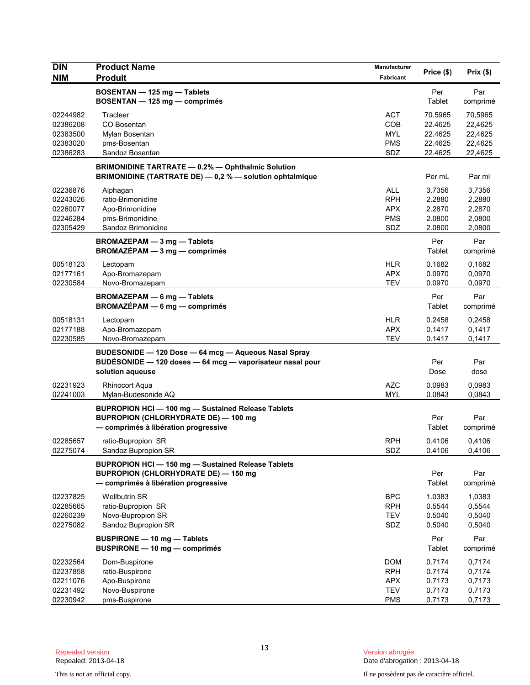| <b>DIN</b>           | <b>Product Name</b>                                                                                                  | <b>Manufacturer</b> | Price (\$)         | Prix(\$)           |
|----------------------|----------------------------------------------------------------------------------------------------------------------|---------------------|--------------------|--------------------|
| <b>NIM</b>           | <b>Produit</b>                                                                                                       | Fabricant           |                    |                    |
|                      | BOSENTAN - 125 mg - Tablets<br>BOSENTAN - 125 mg - comprimés                                                         |                     | Per<br>Tablet      | Par<br>comprimé    |
| 02244982<br>02386208 | Tracleer<br>CO Bosentan                                                                                              | <b>ACT</b><br>COB   | 70.5965<br>22.4625 | 70,5965<br>22,4625 |
| 02383500             | Mylan Bosentan                                                                                                       | <b>MYL</b>          | 22.4625            | 22,4625            |
| 02383020             | pms-Bosentan                                                                                                         | <b>PMS</b>          | 22.4625            | 22,4625            |
| 02386283             | Sandoz Bosentan                                                                                                      | SDZ                 | 22.4625            | 22,4625            |
|                      | <b>BRIMONIDINE TARTRATE - 0.2% - Ophthalmic Solution</b><br>BRIMONIDINE (TARTRATE DE) - 0,2 % - solution ophtalmique |                     | Per mL             | Par ml             |
| 02236876             | Alphagan                                                                                                             | <b>ALL</b>          | 3.7356             | 3,7356             |
| 02243026             | ratio-Brimonidine                                                                                                    | <b>RPH</b>          | 2.2880             | 2,2880             |
| 02260077             | Apo-Brimonidine                                                                                                      | <b>APX</b>          | 2.2870             | 2,2870             |
| 02246284<br>02305429 | pms-Brimonidine<br>Sandoz Brimonidine                                                                                | <b>PMS</b><br>SDZ   | 2.0800<br>2.0800   | 2,0800<br>2,0800   |
|                      |                                                                                                                      |                     |                    |                    |
|                      | BROMAZEPAM - 3 mg - Tablets<br>BROMAZÉPAM - 3 mg - comprimés                                                         |                     | Per<br>Tablet      | Par<br>comprimé    |
| 00518123             | Lectopam                                                                                                             | <b>HLR</b>          | 0.1682             | 0,1682             |
| 02177161             | Apo-Bromazepam                                                                                                       | <b>APX</b>          | 0.0970             | 0,0970             |
| 02230584             | Novo-Bromazepam                                                                                                      | <b>TEV</b>          | 0.0970             | 0,0970             |
|                      | <b>BROMAZEPAM - 6 mg - Tablets</b><br>BROMAZÉPAM - 6 mg - comprimés                                                  |                     | Per<br>Tablet      | Par<br>comprimé    |
| 00518131             | Lectopam                                                                                                             | <b>HLR</b>          | 0.2458             | 0,2458             |
| 02177188             | Apo-Bromazepam                                                                                                       | <b>APX</b>          | 0.1417             | 0,1417             |
| 02230585             | Novo-Bromazepam                                                                                                      | <b>TEV</b>          | 0.1417             | 0,1417             |
|                      | BUDESONIDE - 120 Dose - 64 mcg - Aqueous Nasal Spray                                                                 |                     |                    |                    |
|                      | BUDÉSONIDE - 120 doses - 64 mcg - vaporisateur nasal pour                                                            |                     | Per                | Par                |
|                      | solution aqueuse                                                                                                     |                     | Dose               | dose               |
| 02231923             | <b>Rhinocort Aqua</b>                                                                                                | <b>AZC</b>          | 0.0983             | 0,0983             |
| 02241003             | Mylan-Budesonide AQ                                                                                                  | <b>MYL</b>          | 0.0843             | 0,0843             |
|                      | <b>BUPROPION HCI-100 mg-Sustained Release Tablets</b>                                                                |                     |                    |                    |
|                      | <b>BUPROPION (CHLORHYDRATE DE) - 100 mg</b>                                                                          |                     | Per                | Par                |
|                      | - comprimés à libération progressive                                                                                 |                     | Tablet             | comprimé           |
| 02285657             | ratio-Bupropion SR                                                                                                   | <b>RPH</b>          | 0.4106             | 0,4106             |
| 02275074             | Sandoz Bupropion SR                                                                                                  | SDZ                 | 0.4106             | 0,4106             |
|                      | BUPROPION HCI-150 mg-Sustained Release Tablets                                                                       |                     |                    |                    |
|                      | <b>BUPROPION (CHLORHYDRATE DE) - 150 mg</b>                                                                          |                     | Per                | Par                |
|                      | - comprimés à libération progressive                                                                                 |                     | Tablet             | comprimé           |
| 02237825             | <b>Wellbutrin SR</b>                                                                                                 | <b>BPC</b>          | 1.0383             | 1,0383             |
| 02285665             | ratio-Bupropion SR                                                                                                   | <b>RPH</b>          | 0.5544             | 0,5544             |
| 02260239             | Novo-Bupropion SR                                                                                                    | <b>TEV</b>          | 0.5040             | 0,5040             |
| 02275082             | Sandoz Bupropion SR                                                                                                  | SDZ                 | 0.5040             | 0,5040             |
|                      | <b>BUSPIRONE - 10 mg - Tablets</b>                                                                                   |                     | Per                | Par                |
|                      | <b>BUSPIRONE - 10 mg - comprimés</b>                                                                                 |                     | Tablet             | comprimé           |
| 02232564             | Dom-Buspirone                                                                                                        | <b>DOM</b>          | 0.7174             | 0,7174             |
| 02237858             | ratio-Buspirone                                                                                                      | <b>RPH</b>          | 0.7174             | 0,7174             |
| 02211076             | Apo-Buspirone                                                                                                        | <b>APX</b>          | 0.7173             | 0,7173             |
| 02231492             | Novo-Buspirone                                                                                                       | <b>TEV</b>          | 0.7173             | 0,7173             |
| 02230942             | pms-Buspirone                                                                                                        | <b>PMS</b>          | 0.7173             | 0,7173             |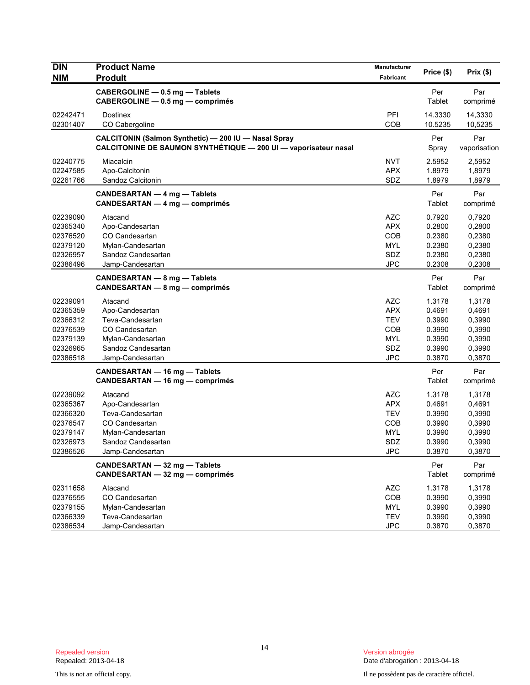| <b>DIN</b> | <b>Product Name</b>                                             | <b>Manufacturer</b> | Price (\$) | Prix(\$)     |
|------------|-----------------------------------------------------------------|---------------------|------------|--------------|
| <b>NIM</b> | <b>Produit</b>                                                  | Fabricant           |            |              |
|            | CABERGOLINE - 0.5 mg - Tablets                                  |                     | Per        | Par          |
|            | CABERGOLINE - 0.5 mg - comprimés                                |                     | Tablet     | comprimé     |
| 02242471   | Dostinex                                                        | PFI                 | 14.3330    | 14,3330      |
| 02301407   | CO Cabergoline                                                  | COB                 | 10.5235    | 10,5235      |
|            | CALCITONIN (Salmon Synthetic) - 200 IU - Nasal Spray            |                     | Per        | Par          |
|            | CALCITONINE DE SAUMON SYNTHÉTIQUE - 200 UI - vaporisateur nasal |                     | Spray      | vaporisation |
| 02240775   | Miacalcin                                                       | <b>NVT</b>          | 2.5952     | 2,5952       |
| 02247585   | Apo-Calcitonin                                                  | <b>APX</b>          | 1.8979     | 1,8979       |
| 02261766   | Sandoz Calcitonin                                               | SDZ                 | 1.8979     | 1,8979       |
|            | CANDESARTAN - 4 mg - Tablets                                    |                     | Per        | Par          |
|            | <b>CANDESARTAN — 4 mg — comprimés</b>                           |                     | Tablet     | comprimé     |
| 02239090   | Atacand                                                         | AZC                 | 0.7920     | 0,7920       |
| 02365340   | Apo-Candesartan                                                 | <b>APX</b>          | 0.2800     | 0,2800       |
| 02376520   | CO Candesartan                                                  | <b>COB</b>          | 0.2380     | 0,2380       |
| 02379120   | Mylan-Candesartan                                               | <b>MYL</b>          | 0.2380     | 0,2380       |
| 02326957   | Sandoz Candesartan                                              | SDZ                 | 0.2380     | 0,2380       |
| 02386496   | Jamp-Candesartan                                                | <b>JPC</b>          | 0.2308     | 0,2308       |
|            | CANDESARTAN - 8 mg - Tablets                                    |                     | Per        | Par          |
|            | <b>CANDESARTAN - 8 mg - comprimés</b>                           |                     | Tablet     | comprimé     |
| 02239091   | Atacand                                                         | AZC                 | 1.3178     | 1,3178       |
| 02365359   | Apo-Candesartan                                                 | <b>APX</b>          | 0.4691     | 0,4691       |
| 02366312   | Teva-Candesartan                                                | <b>TEV</b>          | 0.3990     | 0,3990       |
| 02376539   | CO Candesartan                                                  | COB                 | 0.3990     | 0,3990       |
| 02379139   | Mylan-Candesartan                                               | <b>MYL</b>          | 0.3990     | 0,3990       |
| 02326965   | Sandoz Candesartan                                              | SDZ                 | 0.3990     | 0,3990       |
| 02386518   | Jamp-Candesartan                                                | <b>JPC</b>          | 0.3870     | 0,3870       |
|            | CANDESARTAN - 16 mg - Tablets                                   |                     | Per        | Par          |
|            | CANDESARTAN - 16 mg - comprimés                                 |                     | Tablet     | comprimé     |
| 02239092   | Atacand                                                         | <b>AZC</b>          | 1.3178     | 1,3178       |
| 02365367   | Apo-Candesartan                                                 | <b>APX</b>          | 0.4691     | 0,4691       |
| 02366320   | Teva-Candesartan                                                | <b>TEV</b>          | 0.3990     | 0,3990       |
| 02376547   | CO Candesartan                                                  | <b>COB</b>          | 0.3990     | 0,3990       |
| 02379147   | Mylan-Candesartan                                               | <b>MYL</b>          | 0.3990     | 0,3990       |
| 02326973   | Sandoz Candesartan                                              | SDZ                 | 0.3990     | 0,3990       |
| 02386526   | Jamp-Candesartan                                                | JPC                 | 0.3870     | 0,3870       |
|            | CANDESARTAN - 32 mg - Tablets                                   |                     | Per        | Par          |
|            | CANDESARTAN - 32 mg - comprimés                                 |                     | Tablet     | comprimé     |
| 02311658   | Atacand                                                         | <b>AZC</b>          | 1.3178     | 1,3178       |
| 02376555   | CO Candesartan                                                  | COB                 | 0.3990     | 0,3990       |
| 02379155   | Mylan-Candesartan                                               | <b>MYL</b>          | 0.3990     | 0,3990       |
| 02366339   | Teva-Candesartan                                                | <b>TEV</b>          | 0.3990     | 0,3990       |
| 02386534   | Jamp-Candesartan                                                | <b>JPC</b>          | 0.3870     | 0,3870       |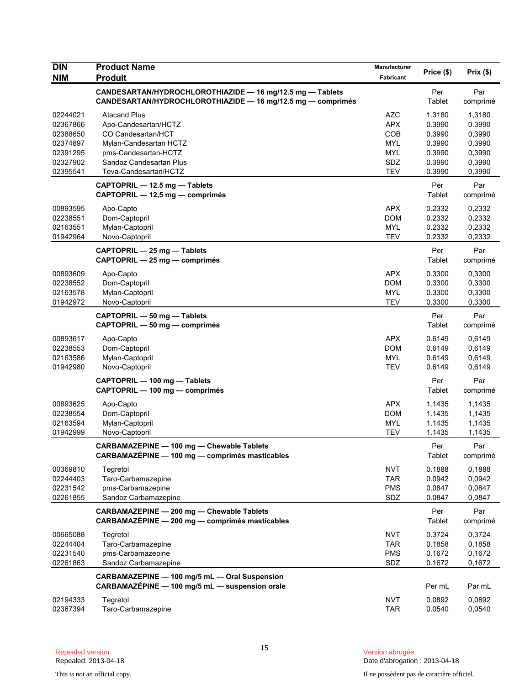| <b>DIN</b><br><b>NIM</b>                                                         | <b>Product Name</b><br><b>Produit</b>                                                                                                                                   | <b>Manufacturer</b><br>Fabricant                                          | Price (\$)                                                         | Prix(\$)                                                           |
|----------------------------------------------------------------------------------|-------------------------------------------------------------------------------------------------------------------------------------------------------------------------|---------------------------------------------------------------------------|--------------------------------------------------------------------|--------------------------------------------------------------------|
|                                                                                  | CANDESARTAN/HYDROCHLOROTHIAZIDE - 16 mg/12.5 mg - Tablets<br>CANDESARTAN/HYDROCHLOROTHIAZIDE - 16 mg/12.5 mg - comprimés                                                |                                                                           | Per<br>Tablet                                                      | Par<br>comprimé                                                    |
| 02244021<br>02367866<br>02388650<br>02374897<br>02391295<br>02327902<br>02395541 | <b>Atacand Plus</b><br>Apo-Candesartan/HCTZ<br>CO Candesartan/HCT<br>Mylan-Candesartan HCTZ<br>pms-Candesartan-HCTZ<br>Sandoz Candesartan Plus<br>Teva-Candesartan/HCTZ | AZC<br><b>APX</b><br>COB<br><b>MYL</b><br><b>MYL</b><br>SDZ<br><b>TEV</b> | 1.3180<br>0.3990<br>0.3990<br>0.3990<br>0.3990<br>0.3990<br>0.3990 | 1,3180<br>0.3990<br>0,3990<br>0,3990<br>0,3990<br>0,3990<br>0,3990 |
|                                                                                  | CAPTOPRIL - 12.5 mg - Tablets<br>CAPTOPRIL - 12,5 mg - comprimés                                                                                                        |                                                                           | Per<br>Tablet                                                      | Par<br>comprimé                                                    |
| 00893595<br>02238551<br>02163551<br>01942964                                     | Apo-Capto<br>Dom-Captopril<br>Mylan-Captopril<br>Novo-Captopril                                                                                                         | <b>APX</b><br><b>DOM</b><br><b>MYL</b><br><b>TEV</b>                      | 0.2332<br>0.2332<br>0.2332<br>0.2332                               | 0,2332<br>0,2332<br>0,2332<br>0,2332                               |
|                                                                                  | CAPTOPRIL - 25 mg - Tablets<br>CAPTOPRIL - 25 mg - comprimés                                                                                                            |                                                                           | Per<br>Tablet                                                      | Par<br>comprimé                                                    |
| 00893609<br>02238552<br>02163578<br>01942972                                     | Apo-Capto<br>Dom-Captopril<br>Mylan-Captopril<br>Novo-Captopril                                                                                                         | <b>APX</b><br><b>DOM</b><br><b>MYL</b><br><b>TEV</b>                      | 0.3300<br>0.3300<br>0.3300<br>0.3300                               | 0,3300<br>0,3300<br>0,3300<br>0,3300                               |
|                                                                                  | CAPTOPRIL - 50 mg - Tablets<br>CAPTOPRIL - 50 mg - comprimés                                                                                                            |                                                                           | Per<br>Tablet                                                      | Par<br>comprimé                                                    |
| 00893617<br>02238553<br>02163586<br>01942980                                     | Apo-Capto<br>Dom-Captopril<br>Mylan-Captopril<br>Novo-Captopril                                                                                                         | <b>APX</b><br><b>DOM</b><br><b>MYL</b><br><b>TEV</b>                      | 0.6149<br>0.6149<br>0.6149<br>0.6149                               | 0,6149<br>0,6149<br>0,6149<br>0,6149                               |
|                                                                                  | CAPTOPRIL - 100 mg - Tablets<br>CAPTOPRIL - 100 mg - comprimés                                                                                                          |                                                                           | Per<br>Tablet                                                      | Par<br>comprimé                                                    |
| 00893625<br>02238554<br>02163594<br>01942999                                     | Apo-Capto<br>Dom-Captopril<br>Mylan-Captopril<br>Novo-Captopril                                                                                                         | <b>APX</b><br><b>DOM</b><br><b>MYL</b><br><b>TEV</b>                      | 1.1435<br>1.1435<br>1.1435<br>1.1435                               | 1,1435<br>1,1435<br>1,1435<br>1,1435                               |
|                                                                                  | CARBAMAZEPINE - 100 mg - Chewable Tablets<br>CARBAMAZÉPINE - 100 mg - comprimés masticables                                                                             |                                                                           | Per<br>Tablet                                                      | Par<br>comprimé                                                    |
| 00369810<br>02244403<br>02231542<br>02261855                                     | Tegretol<br>Taro-Carbamazepine<br>pms-Carbamazepine<br>Sandoz Carbamazepine                                                                                             | <b>NVT</b><br><b>TAR</b><br><b>PMS</b><br>SDZ                             | 0.1888<br>0.0942<br>0.0847<br>0.0847                               | 0,1888<br>0,0942<br>0,0847<br>0,0847                               |
|                                                                                  | CARBAMAZEPINE - 200 mg - Chewable Tablets<br>CARBAMAZÉPINE - 200 mg - comprimés masticables                                                                             |                                                                           | Per<br>Tablet                                                      | Par<br>comprimé                                                    |
| 00665088<br>02244404<br>02231540<br>02261863                                     | Tegretol<br>Taro-Carbamazepine<br>pms-Carbamazepine<br>Sandoz Carbamazepine                                                                                             | <b>NVT</b><br><b>TAR</b><br><b>PMS</b><br>SDZ                             | 0.3724<br>0.1858<br>0.1672<br>0.1672                               | 0,3724<br>0,1858<br>0,1672<br>0,1672                               |
|                                                                                  | CARBAMAZEPINE - 100 mg/5 mL - Oral Suspension<br>CARBAMAZÉPINE - 100 mg/5 mL - suspension orale                                                                         |                                                                           | Per mL                                                             | Par mL                                                             |
| 02194333<br>02367394                                                             | Tegretol<br>Taro-Carbamazepine                                                                                                                                          | <b>NVT</b><br><b>TAR</b>                                                  | 0.0892<br>0.0540                                                   | 0,0892<br>0,0540                                                   |

Version abrogée<br>Date d'abrogation : 2013-04-18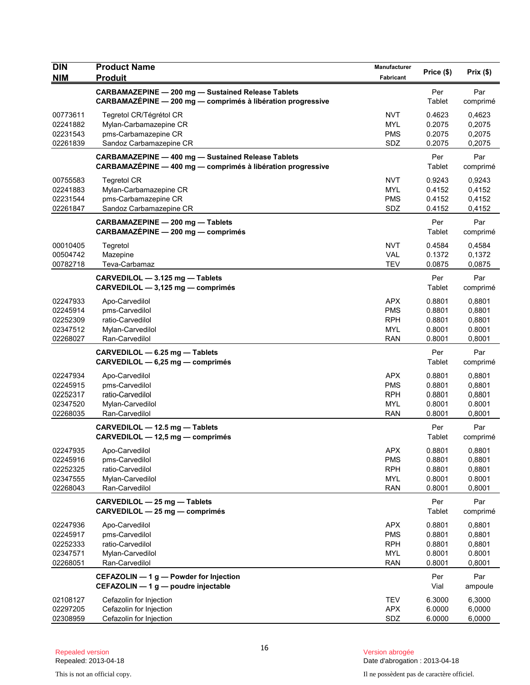| <b>DIN</b><br><b>NIM</b>                                 | <b>Product Name</b><br><b>Produit</b>                                                                                    | Manufacturer<br><b>Fabricant</b>                                   | Price (\$)                                     | Prix(\$)                                       |
|----------------------------------------------------------|--------------------------------------------------------------------------------------------------------------------------|--------------------------------------------------------------------|------------------------------------------------|------------------------------------------------|
|                                                          | <b>CARBAMAZEPINE - 200 mg - Sustained Release Tablets</b><br>CARBAMAZÉPINE - 200 mg - comprimés à libération progressive |                                                                    | Per<br>Tablet                                  | Par<br>comprimé                                |
| 00773611<br>02241882<br>02231543<br>02261839             | Tegretol CR/Tégrétol CR<br>Mylan-Carbamazepine CR<br>pms-Carbamazepine CR<br>Sandoz Carbamazepine CR                     | <b>NVT</b><br><b>MYL</b><br><b>PMS</b><br>SDZ                      | 0.4623<br>0.2075<br>0.2075<br>0.2075           | 0,4623<br>0,2075<br>0,2075<br>0,2075           |
|                                                          | <b>CARBAMAZEPINE - 400 mg - Sustained Release Tablets</b><br>CARBAMAZÉPINE - 400 mg - comprimés à libération progressive |                                                                    | Per<br>Tablet                                  | Par<br>comprimé                                |
| 00755583<br>02241883<br>02231544<br>02261847             | <b>Tegretol CR</b><br>Mylan-Carbamazepine CR<br>pms-Carbamazepine CR<br>Sandoz Carbamazepine CR                          | <b>NVT</b><br><b>MYL</b><br><b>PMS</b><br>SDZ                      | 0.9243<br>0.4152<br>0.4152<br>0.4152           | 0,9243<br>0,4152<br>0,4152<br>0,4152           |
|                                                          | CARBAMAZEPINE - 200 mg - Tablets<br>CARBAMAZÉPINE - 200 mg - comprimés                                                   |                                                                    | Per<br>Tablet                                  | Par<br>comprimé                                |
| 00010405<br>00504742<br>00782718                         | Tegretol<br>Mazepine<br>Teva-Carbamaz                                                                                    | <b>NVT</b><br><b>VAL</b><br><b>TEV</b>                             | 0.4584<br>0.1372<br>0.0875                     | 0,4584<br>0,1372<br>0,0875                     |
|                                                          | CARVEDILOL - 3.125 mg - Tablets<br>CARVEDILOL - 3,125 mg - comprimés                                                     |                                                                    | Per<br>Tablet                                  | Par<br>comprimé                                |
| 02247933<br>02245914<br>02252309<br>02347512<br>02268027 | Apo-Carvedilol<br>pms-Carvedilol<br>ratio-Carvedilol<br>Mylan-Carvedilol<br>Ran-Carvedilol                               | <b>APX</b><br><b>PMS</b><br><b>RPH</b><br><b>MYL</b><br><b>RAN</b> | 0.8801<br>0.8801<br>0.8801<br>0.8001<br>0.8001 | 0,8801<br>0,8801<br>0,8801<br>0.8001<br>0,8001 |
|                                                          | CARVEDILOL - 6.25 mg - Tablets<br>CARVEDILOL - 6,25 mg - comprimés                                                       |                                                                    | Per<br>Tablet                                  | Par<br>comprimé                                |
| 02247934<br>02245915<br>02252317<br>02347520<br>02268035 | Apo-Carvedilol<br>pms-Carvedilol<br>ratio-Carvedilol<br>Mylan-Carvedilol<br>Ran-Carvedilol                               | <b>APX</b><br><b>PMS</b><br><b>RPH</b><br><b>MYL</b><br><b>RAN</b> | 0.8801<br>0.8801<br>0.8801<br>0.8001<br>0.8001 | 0,8801<br>0,8801<br>0,8801<br>0.8001<br>0,8001 |
|                                                          | CARVEDILOL - 12.5 mg - Tablets<br>CARVEDILOL - 12,5 mg - comprimés                                                       |                                                                    | Per<br>Tablet                                  | Par<br>comprimé                                |
| 02247935<br>02245916<br>02252325<br>02347555<br>02268043 | Apo-Carvedilol<br>pms-Carvedilol<br>ratio-Carvedilol<br>Mylan-Carvedilol<br>Ran-Carvedilol                               | <b>APX</b><br><b>PMS</b><br><b>RPH</b><br><b>MYL</b><br><b>RAN</b> | 0.8801<br>0.8801<br>0.8801<br>0.8001<br>0.8001 | 0,8801<br>0,8801<br>0,8801<br>0.8001<br>0,8001 |
|                                                          | CARVEDILOL - 25 mg - Tablets<br>CARVEDILOL - 25 mg - comprimés                                                           |                                                                    | Per<br>Tablet                                  | Par<br>comprimé                                |
| 02247936<br>02245917<br>02252333<br>02347571<br>02268051 | Apo-Carvedilol<br>pms-Carvedilol<br>ratio-Carvedilol<br>Mylan-Carvedilol<br>Ran-Carvedilol                               | <b>APX</b><br><b>PMS</b><br><b>RPH</b><br>MYL<br><b>RAN</b>        | 0.8801<br>0.8801<br>0.8801<br>0.8001<br>0.8001 | 0,8801<br>0,8801<br>0,8801<br>0.8001<br>0,8001 |
|                                                          | CEFAZOLIN - 1 g - Powder for Injection<br>CEFAZOLIN - 1 g - poudre injectable                                            |                                                                    | Per<br>Vial                                    | Par<br>ampoule                                 |
| 02108127<br>02297205<br>02308959                         | Cefazolin for Injection<br>Cefazolin for Injection<br>Cefazolin for Injection                                            | <b>TEV</b><br><b>APX</b><br>SDZ                                    | 6.3000<br>6.0000<br>6.0000                     | 6,3000<br>6,0000<br>6,0000                     |

Version abrogée<br>Date d'abrogation : 2013-04-18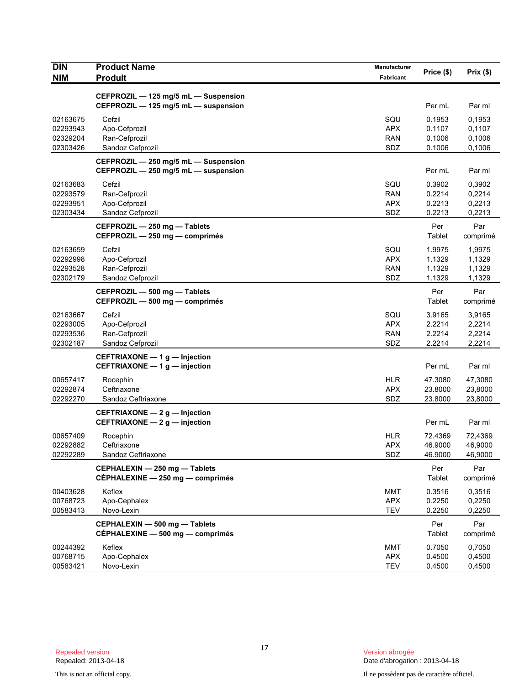| <b>DIN</b><br><b>NIM</b>                     | <b>Product Name</b><br><b>Produit</b>                                        | Manufacturer<br>Fabricant              | Price (\$)                           | Prix(\$)                             |
|----------------------------------------------|------------------------------------------------------------------------------|----------------------------------------|--------------------------------------|--------------------------------------|
|                                              |                                                                              |                                        |                                      |                                      |
|                                              | CEFPROZIL - 125 mg/5 mL - Suspension<br>CEFPROZIL - 125 mg/5 mL - suspension |                                        | Per mL                               | Par ml                               |
| 02163675<br>02293943<br>02329204<br>02303426 | Cefzil<br>Apo-Cefprozil<br>Ran-Cefprozil<br>Sandoz Cefprozil                 | SQU<br><b>APX</b><br><b>RAN</b><br>SDZ | 0.1953<br>0.1107<br>0.1006<br>0.1006 | 0.1953<br>0,1107<br>0,1006<br>0,1006 |
|                                              | CEFPROZIL - 250 mg/5 mL - Suspension<br>CEFPROZIL - 250 mg/5 mL - suspension |                                        | Per mL                               | Par ml                               |
| 02163683<br>02293579<br>02293951<br>02303434 | Cefzil<br>Ran-Cefprozil<br>Apo-Cefprozil<br>Sandoz Cefprozil                 | SQU<br><b>RAN</b><br><b>APX</b><br>SDZ | 0.3902<br>0.2214<br>0.2213<br>0.2213 | 0,3902<br>0,2214<br>0,2213<br>0,2213 |
|                                              | CEFPROZIL - 250 mg - Tablets<br>CEFPROZIL - 250 mg - comprimés               |                                        | Per<br>Tablet                        | Par<br>comprimé                      |
| 02163659<br>02292998<br>02293528<br>02302179 | Cefzil<br>Apo-Cefprozil<br>Ran-Cefprozil<br>Sandoz Cefprozil                 | SQU<br><b>APX</b><br>RAN<br>SDZ        | 1.9975<br>1.1329<br>1.1329<br>1.1329 | 1,9975<br>1,1329<br>1,1329<br>1,1329 |
|                                              | CEFPROZIL - 500 mg - Tablets<br>CEFPROZIL - 500 mg - comprimés               |                                        | Per<br>Tablet                        | Par<br>comprimé                      |
| 02163667<br>02293005<br>02293536<br>02302187 | Cefzil<br>Apo-Cefprozil<br>Ran-Cefprozil<br>Sandoz Cefprozil                 | SQU<br><b>APX</b><br><b>RAN</b><br>SDZ | 3.9165<br>2.2214<br>2.2214<br>2.2214 | 3,9165<br>2,2214<br>2,2214<br>2,2214 |
|                                              | CEFTRIAXONE $-1$ g $-$ Injection<br>CEFTRIAXONE - 1 g - injection            |                                        | Per mL                               | Par ml                               |
| 00657417<br>02292874<br>02292270             | Rocephin<br>Ceftriaxone<br>Sandoz Ceftriaxone                                | <b>HLR</b><br><b>APX</b><br>SDZ        | 47.3080<br>23.8000<br>23.8000        | 47,3080<br>23,8000<br>23,8000        |
|                                              | CEFTRIAXONE - 2 g - Injection<br>CEFTRIAXONE - 2 g - injection               |                                        | Per mL                               | Par ml                               |
| 00657409<br>02292882<br>02292289             | Rocephin<br>Ceftriaxone<br>Sandoz Ceftriaxone                                | <b>HLR</b><br><b>APX</b><br>SDZ        | 72.4369<br>46.9000<br>46.9000        | 72,4369<br>46,9000<br>46,9000        |
|                                              | CEPHALEXIN - 250 mg - Tablets<br>CÉPHALEXINE - 250 mg - comprimés            |                                        | Per<br>Tablet                        | Par<br>comprimé                      |
| 00403628<br>00768723<br>00583413             | Keflex<br>Apo-Cephalex<br>Novo-Lexin                                         | <b>MMT</b><br><b>APX</b><br><b>TEV</b> | 0.3516<br>0.2250<br>0.2250           | 0,3516<br>0,2250<br>0,2250           |
|                                              | CEPHALEXIN - 500 mg - Tablets<br>CÉPHALEXINE - 500 mg - comprimés            |                                        | Per<br>Tablet                        | Par<br>comprimé                      |
| 00244392<br>00768715<br>00583421             | Keflex<br>Apo-Cephalex<br>Novo-Lexin                                         | <b>MMT</b><br><b>APX</b><br><b>TEV</b> | 0.7050<br>0.4500<br>0.4500           | 0,7050<br>0,4500<br>0,4500           |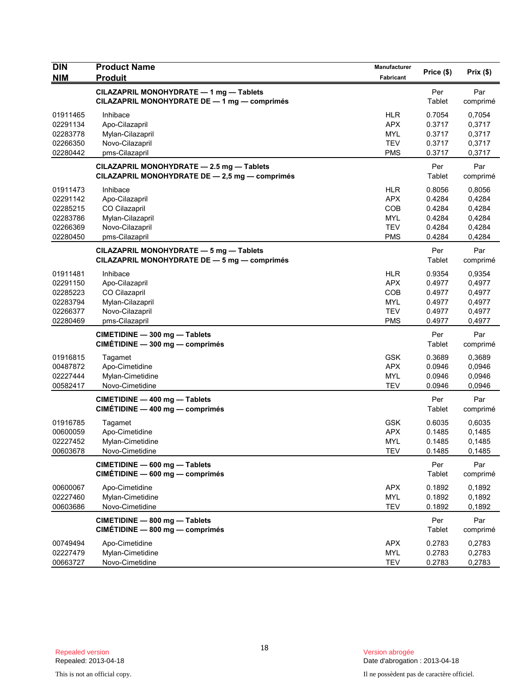| <b>DIN</b>                                                           | <b>Product Name</b>                                                                                  | Manufacturer                                                              | Price (\$)                                               | Prix(\$)                                                 |
|----------------------------------------------------------------------|------------------------------------------------------------------------------------------------------|---------------------------------------------------------------------------|----------------------------------------------------------|----------------------------------------------------------|
| <b>NIM</b>                                                           | <b>Produit</b>                                                                                       | Fabricant                                                                 |                                                          |                                                          |
|                                                                      | CILAZAPRIL MONOHYDRATE - 1 mg - Tablets<br>CILAZAPRIL MONOHYDRATE DE - 1 mg - comprimés              |                                                                           | Per<br>Tablet                                            | Par<br>comprimé                                          |
| 01911465<br>02291134<br>02283778<br>02266350                         | Inhibace<br>Apo-Cilazapril<br>Mylan-Cilazapril<br>Novo-Cilazapril                                    | <b>HLR</b><br><b>APX</b><br><b>MYL</b><br><b>TEV</b>                      | 0.7054<br>0.3717<br>0.3717<br>0.3717                     | 0,7054<br>0,3717<br>0,3717<br>0,3717                     |
| 02280442                                                             | pms-Cilazapril                                                                                       | <b>PMS</b>                                                                | 0.3717                                                   | 0,3717                                                   |
|                                                                      | CILAZAPRIL MONOHYDRATE - 2.5 mg - Tablets<br>CILAZAPRIL MONOHYDRATE DE - 2,5 mg - comprimés          |                                                                           | Per<br>Tablet                                            | Par<br>comprimé                                          |
| 01911473<br>02291142<br>02285215<br>02283786<br>02266369<br>02280450 | Inhibace<br>Apo-Cilazapril<br>CO Cilazapril<br>Mylan-Cilazapril<br>Novo-Cilazapril<br>pms-Cilazapril | <b>HLR</b><br><b>APX</b><br>COB<br><b>MYL</b><br><b>TEV</b><br><b>PMS</b> | 0.8056<br>0.4284<br>0.4284<br>0.4284<br>0.4284<br>0.4284 | 0,8056<br>0,4284<br>0,4284<br>0,4284<br>0,4284<br>0,4284 |
|                                                                      | CILAZAPRIL MONOHYDRATE - 5 mg - Tablets<br>CILAZAPRIL MONOHYDRATE DE - 5 mg - comprimés              |                                                                           | Per<br>Tablet                                            | Par<br>comprimé                                          |
| 01911481<br>02291150<br>02285223<br>02283794<br>02266377<br>02280469 | Inhibace<br>Apo-Cilazapril<br>CO Cilazapril<br>Mylan-Cilazapril<br>Novo-Cilazapril<br>pms-Cilazapril | <b>HLR</b><br><b>APX</b><br>COB<br><b>MYL</b><br><b>TEV</b><br><b>PMS</b> | 0.9354<br>0.4977<br>0.4977<br>0.4977<br>0.4977<br>0.4977 | 0,9354<br>0,4977<br>0,4977<br>0,4977<br>0,4977<br>0,4977 |
|                                                                      | CIMETIDINE - 300 mg - Tablets<br>CIMÉTIDINE - 300 mg - comprimés                                     |                                                                           | Per<br>Tablet                                            | Par<br>comprimé                                          |
| 01916815<br>00487872<br>02227444<br>00582417                         | Tagamet<br>Apo-Cimetidine<br>Mylan-Cimetidine<br>Novo-Cimetidine                                     | <b>GSK</b><br><b>APX</b><br><b>MYL</b><br><b>TEV</b>                      | 0.3689<br>0.0946<br>0.0946<br>0.0946                     | 0,3689<br>0,0946<br>0,0946<br>0,0946                     |
|                                                                      | CIMETIDINE - 400 mg - Tablets<br>CIMÉTIDINE - 400 mg - comprimés                                     |                                                                           | Per<br>Tablet                                            | Par<br>comprimé                                          |
| 01916785<br>00600059<br>02227452<br>00603678                         | Tagamet<br>Apo-Cimetidine<br>Mylan-Cimetidine<br>Novo-Cimetidine                                     | <b>GSK</b><br><b>APX</b><br><b>MYL</b><br>TEV                             | 0.6035<br>0.1485<br>0.1485<br>0.1485                     | 0,6035<br>0,1485<br>0,1485<br>0,1485                     |
|                                                                      | CIMETIDINE - 600 mg - Tablets<br>CIMÉTIDINE - 600 mg - comprimés                                     |                                                                           | Per<br>Tablet                                            | Par<br>comprimé                                          |
| 00600067<br>02227460<br>00603686                                     | Apo-Cimetidine<br>Mylan-Cimetidine<br>Novo-Cimetidine                                                | <b>APX</b><br>MYL<br><b>TEV</b>                                           | 0.1892<br>0.1892<br>0.1892                               | 0,1892<br>0,1892<br>0,1892                               |
|                                                                      | CIMETIDINE - 800 mg - Tablets<br>CIMÉTIDINE - 800 mg - comprimés                                     |                                                                           | Per<br>Tablet                                            | Par<br>comprimé                                          |
| 00749494<br>02227479<br>00663727                                     | Apo-Cimetidine<br>Mylan-Cimetidine<br>Novo-Cimetidine                                                | <b>APX</b><br>MYL<br><b>TEV</b>                                           | 0.2783<br>0.2783<br>0.2783                               | 0,2783<br>0,2783<br>0,2783                               |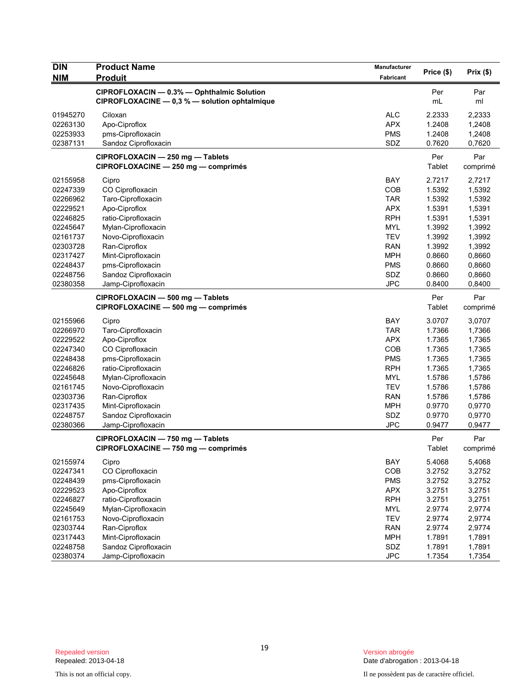| <b>DIN</b> | <b>Product Name</b>                             | Manufacturer | Price (\$) | Prix(\$) |
|------------|-------------------------------------------------|--------------|------------|----------|
| <b>NIM</b> | <b>Produit</b>                                  | Fabricant    |            |          |
|            | CIPROFLOXACIN - 0.3% - Ophthalmic Solution      |              | Per        | Par      |
|            | CIPROFLOXACINE $- 0.3 %$ - solution ophtalmique |              | mL         | ml       |
| 01945270   | Ciloxan                                         | <b>ALC</b>   | 2.2333     | 2,2333   |
| 02263130   | Apo-Ciproflox                                   | <b>APX</b>   | 1.2408     | 1,2408   |
| 02253933   | pms-Ciprofloxacin                               | <b>PMS</b>   | 1.2408     | 1,2408   |
| 02387131   | Sandoz Ciprofloxacin                            | SDZ          | 0.7620     | 0,7620   |
|            | CIPROFLOXACIN - 250 mg - Tablets                |              | Per        | Par      |
|            | CIPROFLOXACINE - 250 mg - comprimés             |              | Tablet     | comprimé |
| 02155958   | Cipro                                           | <b>BAY</b>   | 2.7217     | 2,7217   |
| 02247339   | CO Ciprofloxacin                                | COB          | 1.5392     | 1,5392   |
| 02266962   | Taro-Ciprofloxacin                              | <b>TAR</b>   | 1.5392     | 1,5392   |
| 02229521   | Apo-Ciproflox                                   | <b>APX</b>   | 1.5391     | 1,5391   |
| 02246825   | ratio-Ciprofloxacin                             | <b>RPH</b>   | 1.5391     | 1,5391   |
| 02245647   | Mylan-Ciprofloxacin                             | <b>MYL</b>   | 1.3992     | 1,3992   |
| 02161737   | Novo-Ciprofloxacin                              | <b>TEV</b>   | 1.3992     | 1,3992   |
| 02303728   | Ran-Ciproflox                                   | <b>RAN</b>   | 1.3992     | 1,3992   |
| 02317427   | Mint-Ciprofloxacin                              | <b>MPH</b>   | 0.8660     | 0,8660   |
| 02248437   | pms-Ciprofloxacin                               | <b>PMS</b>   | 0.8660     | 0,8660   |
| 02248756   | Sandoz Ciprofloxacin                            | SDZ          | 0.8660     | 0,8660   |
| 02380358   | Jamp-Ciprofloxacin                              | <b>JPC</b>   | 0.8400     | 0,8400   |
|            | CIPROFLOXACIN - 500 mg - Tablets                |              | Per        | Par      |
|            | CIPROFLOXACINE - 500 mg - comprimés             |              | Tablet     | comprimé |
| 02155966   | Cipro                                           | <b>BAY</b>   | 3.0707     | 3,0707   |
| 02266970   | Taro-Ciprofloxacin                              | <b>TAR</b>   | 1.7366     | 1,7366   |
| 02229522   | Apo-Ciproflox                                   | <b>APX</b>   | 1.7365     | 1,7365   |
| 02247340   | CO Ciprofloxacin                                | COB          | 1.7365     | 1,7365   |
| 02248438   | pms-Ciprofloxacin                               | <b>PMS</b>   | 1.7365     | 1,7365   |
| 02246826   | ratio-Ciprofloxacin                             | <b>RPH</b>   | 1.7365     | 1,7365   |
| 02245648   | Mylan-Ciprofloxacin                             | <b>MYL</b>   | 1.5786     | 1,5786   |
| 02161745   | Novo-Ciprofloxacin                              | <b>TEV</b>   | 1.5786     | 1,5786   |
| 02303736   | Ran-Ciproflox                                   | <b>RAN</b>   | 1.5786     | 1,5786   |
| 02317435   | Mint-Ciprofloxacin                              | <b>MPH</b>   | 0.9770     | 0,9770   |
| 02248757   | Sandoz Ciprofloxacin                            | SDZ          | 0.9770     | 0,9770   |
| 02380366   | Jamp-Ciprofloxacin                              | <b>JPC</b>   | 0.9477     | 0,9477   |
|            | CIPROFLOXACIN - 750 mg - Tablets                |              | Per        | Par      |
|            | CIPROFLOXACINE - 750 mg - comprimés             |              | Tablet     | comprimé |
| 02155974   | Cipro                                           | BAY          | 5.4068     | 5,4068   |
| 02247341   | CO Ciprofloxacin                                | COB          | 3.2752     | 3,2752   |
| 02248439   | pms-Ciprofloxacin                               | <b>PMS</b>   | 3.2752     | 3,2752   |
| 02229523   | Apo-Ciproflox                                   | <b>APX</b>   | 3.2751     | 3,2751   |
| 02246827   | ratio-Ciprofloxacin                             | <b>RPH</b>   | 3.2751     | 3,2751   |
| 02245649   | Mylan-Ciprofloxacin                             | <b>MYL</b>   | 2.9774     | 2,9774   |
| 02161753   | Novo-Ciprofloxacin                              | <b>TEV</b>   | 2.9774     | 2,9774   |
| 02303744   | Ran-Ciproflox                                   | <b>RAN</b>   | 2.9774     | 2,9774   |
| 02317443   | Mint-Ciprofloxacin                              | <b>MPH</b>   | 1.7891     | 1,7891   |
| 02248758   | Sandoz Ciprofloxacin                            | SDZ          | 1.7891     | 1,7891   |
| 02380374   | Jamp-Ciprofloxacin                              | <b>JPC</b>   | 1.7354     | 1,7354   |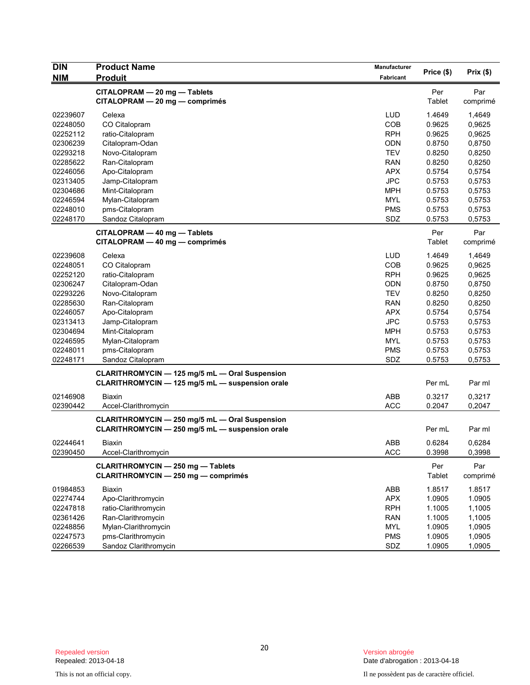| <b>DIN</b>           | <b>Product Name</b>                             | Manufacturer             |                  |                  |  |
|----------------------|-------------------------------------------------|--------------------------|------------------|------------------|--|
| <b>NIM</b>           | <b>Produit</b>                                  | Fabricant                | Price (\$)       | Prix(\$)         |  |
|                      | CITALOPRAM - 20 mg - Tablets                    |                          | Per              | Par              |  |
|                      | CITALOPRAM - 20 mg - comprimés                  |                          | Tablet           | comprimé         |  |
| 02239607             | Celexa                                          | LUD                      | 1.4649           | 1,4649           |  |
| 02248050             | CO Citalopram                                   | COB                      | 0.9625           | 0,9625           |  |
| 02252112             | ratio-Citalopram                                | <b>RPH</b>               | 0.9625           | 0,9625           |  |
| 02306239             | Citalopram-Odan                                 | <b>ODN</b>               | 0.8750           | 0,8750           |  |
| 02293218             | Novo-Citalopram                                 | <b>TEV</b>               | 0.8250           | 0,8250           |  |
| 02285622             | Ran-Citalopram                                  | <b>RAN</b>               | 0.8250           | 0,8250           |  |
| 02246056             | Apo-Citalopram                                  | <b>APX</b>               | 0.5754           | 0,5754           |  |
| 02313405             | Jamp-Citalopram                                 | <b>JPC</b>               | 0.5753           | 0,5753           |  |
| 02304686             | Mint-Citalopram                                 | <b>MPH</b>               | 0.5753           | 0,5753           |  |
| 02246594             | Mylan-Citalopram                                | <b>MYL</b>               | 0.5753           | 0,5753           |  |
| 02248010             | pms-Citalopram                                  | <b>PMS</b>               | 0.5753           | 0,5753           |  |
| 02248170             | Sandoz Citalopram                               | SDZ                      | 0.5753           | 0,5753           |  |
|                      | CITALOPRAM - 40 mg - Tablets                    |                          | Per              | Par              |  |
|                      | CITALOPRAM - 40 mg - comprimés                  |                          | Tablet           | comprimé         |  |
|                      |                                                 |                          |                  |                  |  |
| 02239608             | Celexa                                          | <b>LUD</b>               | 1.4649           | 1,4649           |  |
| 02248051             | CO Citalopram                                   | COB                      | 0.9625           | 0,9625           |  |
| 02252120             | ratio-Citalopram                                | <b>RPH</b>               | 0.9625           | 0,9625           |  |
| 02306247             | Citalopram-Odan                                 | <b>ODN</b>               | 0.8750           | 0,8750           |  |
| 02293226             | Novo-Citalopram                                 | <b>TEV</b>               | 0.8250           | 0,8250           |  |
| 02285630             | Ran-Citalopram                                  | <b>RAN</b>               | 0.8250           | 0,8250           |  |
| 02246057             | Apo-Citalopram                                  | <b>APX</b>               | 0.5754           | 0,5754           |  |
| 02313413             | Jamp-Citalopram                                 | <b>JPC</b>               | 0.5753           | 0,5753           |  |
| 02304694             | Mint-Citalopram                                 | <b>MPH</b>               | 0.5753           | 0,5753           |  |
| 02246595             | Mylan-Citalopram                                | <b>MYL</b>               | 0.5753           | 0,5753           |  |
| 02248011             | pms-Citalopram                                  | <b>PMS</b>               | 0.5753           | 0,5753           |  |
| 02248171             | Sandoz Citalopram                               | SDZ                      | 0.5753           | 0,5753           |  |
|                      | CLARITHROMYCIN - 125 mg/5 mL - Oral Suspension  |                          |                  |                  |  |
|                      | CLARITHROMYCIN - 125 mg/5 mL - suspension orale |                          | Per mL           | Par ml           |  |
| 02146908             | <b>Biaxin</b>                                   | <b>ABB</b>               | 0.3217           | 0,3217           |  |
| 02390442             | Accel-Clarithromycin                            | <b>ACC</b>               | 0.2047           | 0,2047           |  |
|                      | CLARITHROMYCIN - 250 mg/5 mL - Oral Suspension  |                          |                  |                  |  |
|                      | CLARITHROMYCIN - 250 mg/5 mL - suspension orale |                          | Per mL           | Par ml           |  |
|                      |                                                 |                          |                  |                  |  |
| 02244641<br>02390450 | <b>Biaxin</b><br>Accel-Clarithromycin           | <b>ABB</b><br><b>ACC</b> | 0.6284<br>0.3998 | 0,6284<br>0,3998 |  |
|                      |                                                 |                          |                  |                  |  |
|                      | <b>CLARITHROMYCIN - 250 mg - Tablets</b>        |                          | Per              | Par              |  |
|                      | <b>CLARITHROMYCIN - 250 mg - comprimés</b>      |                          | Tablet           | comprimé         |  |
| 01984853             | <b>Biaxin</b>                                   | ABB                      | 1.8517           | 1.8517           |  |
| 02274744             | Apo-Clarithromycin                              | <b>APX</b>               | 1.0905           | 1.0905           |  |
| 02247818             | ratio-Clarithromycin                            | <b>RPH</b>               | 1.1005           | 1,1005           |  |
| 02361426             | Ran-Clarithromycin                              | <b>RAN</b>               | 1.1005           | 1,1005           |  |
| 02248856             | Mylan-Clarithromycin                            | <b>MYL</b>               | 1.0905           | 1,0905           |  |
| 02247573             | pms-Clarithromycin                              | <b>PMS</b>               | 1.0905           | 1,0905           |  |
| 02266539             | Sandoz Clarithromycin                           | SDZ                      | 1.0905           | 1,0905           |  |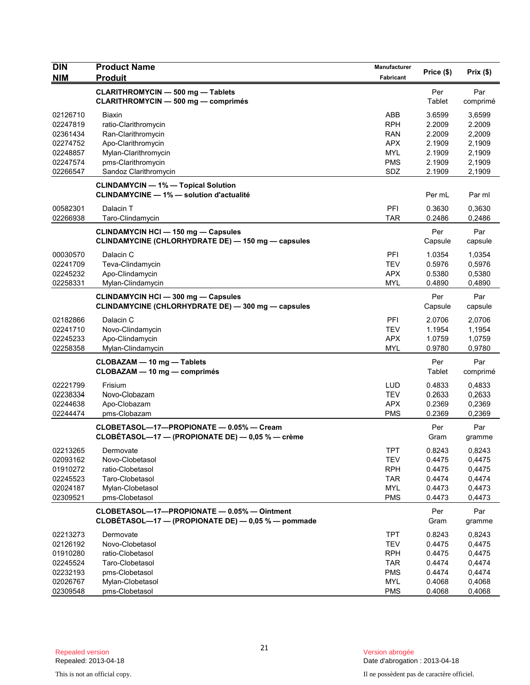| <b>DIN</b>           | <b>Product Name</b>                                                                               | Manufacturer             | Price (\$)       | Prix(\$)         |
|----------------------|---------------------------------------------------------------------------------------------------|--------------------------|------------------|------------------|
| <b>NIM</b>           | <b>Produit</b>                                                                                    | Fabricant                |                  |                  |
|                      | <b>CLARITHROMYCIN - 500 mg - Tablets</b><br><b>CLARITHROMYCIN - 500 mg - comprimés</b>            |                          | Per<br>Tablet    | Par<br>comprimé  |
| 02126710             | <b>Biaxin</b>                                                                                     | ABB                      | 3.6599           | 3,6599           |
| 02247819             | ratio-Clarithromycin                                                                              | <b>RPH</b>               | 2.2009           | 2.2009           |
| 02361434             | Ran-Clarithromycin                                                                                | <b>RAN</b>               | 2.2009           | 2,2009           |
| 02274752             | Apo-Clarithromycin                                                                                | <b>APX</b>               | 2.1909           | 2,1909           |
| 02248857<br>02247574 | Mylan-Clarithromycin                                                                              | <b>MYL</b><br><b>PMS</b> | 2.1909           | 2,1909<br>2,1909 |
| 02266547             | pms-Clarithromycin<br>Sandoz Clarithromycin                                                       | SDZ                      | 2.1909<br>2.1909 | 2,1909           |
|                      | <b>CLINDAMYCIN - 1% - Topical Solution</b>                                                        |                          |                  |                  |
|                      | <b>CLINDAMYCINE - 1% - solution d'actualité</b>                                                   |                          | Per mL           | Par ml           |
| 00582301             | Dalacin T                                                                                         | PFI                      | 0.3630           | 0,3630           |
| 02266938             | Taro-Clindamycin                                                                                  | <b>TAR</b>               | 0.2486           | 0,2486           |
|                      | <b>CLINDAMYCIN HCI - 150 mg - Capsules</b><br>CLINDAMYCINE (CHLORHYDRATE DE) - 150 mg - capsules  |                          | Per<br>Capsule   | Par<br>capsule   |
| 00030570             | Dalacin C                                                                                         | PFI                      | 1.0354           | 1,0354           |
| 02241709             | Teva-Clindamycin                                                                                  | <b>TEV</b>               | 0.5976           | 0,5976           |
| 02245232             | Apo-Clindamycin                                                                                   | <b>APX</b>               | 0.5380           | 0,5380           |
| 02258331             | Mylan-Clindamycin                                                                                 | <b>MYL</b>               | 0.4890           | 0,4890           |
|                      | <b>CLINDAMYCIN HCI - 300 mg - Capsules</b><br>CLINDAMYCINE (CHLORHYDRATE DE) - 300 mg - capsules  |                          | Per<br>Capsule   | Par<br>capsule   |
| 02182866             | Dalacin C                                                                                         | <b>PFI</b>               | 2.0706           | 2,0706           |
| 02241710             | Novo-Clindamycin                                                                                  | <b>TEV</b>               | 1.1954           | 1,1954           |
| 02245233             | Apo-Clindamycin                                                                                   | <b>APX</b>               | 1.0759           | 1,0759           |
| 02258358             | Mylan-Clindamycin                                                                                 | <b>MYL</b>               | 0.9780           | 0,9780           |
|                      | CLOBAZAM - 10 mg - Tablets<br>CLOBAZAM - 10 mg - comprimés                                        |                          | Per<br>Tablet    | Par<br>comprimé  |
| 02221799             | Frisium                                                                                           | <b>LUD</b>               | 0.4833           | 0,4833           |
| 02238334             | Novo-Clobazam                                                                                     | <b>TEV</b>               | 0.2633           | 0,2633           |
| 02244638             | Apo-Clobazam                                                                                      | <b>APX</b>               | 0.2369           | 0,2369           |
| 02244474             | pms-Clobazam                                                                                      | <b>PMS</b>               | 0.2369           | 0,2369           |
|                      | CLOBETASOL-17-PROPIONATE - 0.05% - Cream<br>CLOBÉTASOL-17 - (PROPIONATE DE) - 0,05 % - crème      |                          | Per<br>Gram      | Par<br>gramme    |
| 02213265             | Dermovate                                                                                         | TPT                      | 0.8243           | 0,8243           |
| 02093162             | Novo-Clobetasol                                                                                   | <b>TEV</b>               | 0.4475           | 0,4475           |
| 01910272             | ratio-Clobetasol                                                                                  | <b>RPH</b>               | 0.4475           | 0,4475           |
| 02245523             | Taro-Clobetasol                                                                                   | <b>TAR</b>               | 0.4474           | 0,4474           |
| 02024187             | Mylan-Clobetasol                                                                                  | <b>MYL</b>               | 0.4473           | 0,4473           |
| 02309521             | pms-Clobetasol                                                                                    | <b>PMS</b>               | 0.4473           | 0,4473           |
|                      | CLOBETASOL-17-PROPIONATE - 0.05% - Ointment<br>CLOBÉTASOL—17 — (PROPIONATE DE) — 0,05 % — pommade |                          | Per<br>Gram      | Par<br>gramme    |
| 02213273             | Dermovate                                                                                         | <b>TPT</b>               | 0.8243           | 0,8243           |
| 02126192             | Novo-Clobetasol                                                                                   | <b>TEV</b>               | 0.4475           | 0,4475           |
| 01910280             | ratio-Clobetasol                                                                                  | <b>RPH</b>               | 0.4475           | 0,4475           |
| 02245524             | Taro-Clobetasol                                                                                   | <b>TAR</b>               | 0.4474           | 0,4474           |
| 02232193             | pms-Clobetasol                                                                                    | <b>PMS</b>               | 0.4474           | 0,4474           |
| 02026767             | Mylan-Clobetasol                                                                                  | MYL                      | 0.4068           | 0,4068           |
| 02309548             | pms-Clobetasol                                                                                    | <b>PMS</b>               | 0.4068           | 0,4068           |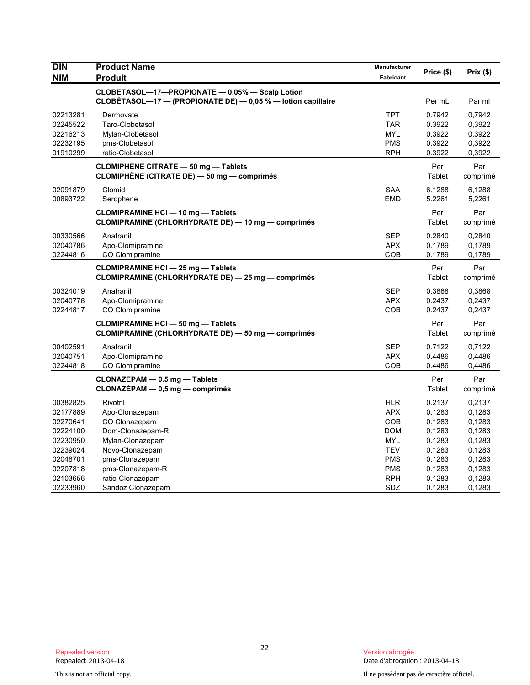| <b>DIN</b><br><b>NIM</b> | <b>Product Name</b><br>Produit                                                                  | Manufacturer<br>Fabricant | Price (\$)       | Prix(\$)         |
|--------------------------|-------------------------------------------------------------------------------------------------|---------------------------|------------------|------------------|
|                          | CLOBETASOL-17-PROPIONATE - 0.05% - Scalp Lotion                                                 |                           |                  |                  |
|                          | CLOBÉTASOL-17 - (PROPIONATE DE) - 0,05 % - lotion capillaire                                    |                           | Per mL           | Par ml           |
| 02213281                 | Dermovate                                                                                       | <b>TPT</b>                | 0.7942           | 0.7942           |
| 02245522                 | Taro-Clobetasol                                                                                 | <b>TAR</b>                | 0.3922           | 0,3922           |
| 02216213                 | Mylan-Clobetasol                                                                                | <b>MYL</b>                | 0.3922           | 0,3922           |
| 02232195                 | pms-Clobetasol                                                                                  | <b>PMS</b>                | 0.3922           | 0,3922           |
| 01910299                 | ratio-Clobetasol                                                                                | <b>RPH</b>                | 0.3922           | 0,3922           |
|                          | <b>CLOMIPHENE CITRATE - 50 mg - Tablets</b><br>CLOMIPHENE (CITRATE DE) — 50 mg — comprimés      |                           | Per<br>Tablet    | Par<br>comprimé  |
| 02091879                 | Clomid                                                                                          | <b>SAA</b>                | 6.1288           | 6,1288           |
| 00893722                 | Serophene                                                                                       | <b>EMD</b>                | 5.2261           | 5,2261           |
|                          | <b>CLOMIPRAMINE HCI - 10 mg - Tablets</b>                                                       |                           | Per              | Par              |
|                          | CLOMIPRAMINE (CHLORHYDRATE DE) — 10 mg — comprimés                                              |                           | Tablet           | comprimé         |
| 00330566                 | Anafranil                                                                                       | <b>SEP</b>                | 0.2840           | 0,2840           |
| 02040786                 | Apo-Clomipramine                                                                                | <b>APX</b>                | 0.1789           | 0,1789           |
| 02244816                 | CO Clomipramine                                                                                 | COB                       | 0.1789           | 0,1789           |
|                          | <b>CLOMIPRAMINE HCI - 25 mg - Tablets</b><br>CLOMIPRAMINE (CHLORHYDRATE DE) - 25 mg - comprimés |                           | Per<br>Tablet    | Par<br>comprimé  |
| 00324019                 | Anafranil                                                                                       | <b>SEP</b>                | 0.3868           | 0,3868           |
| 02040778                 | Apo-Clomipramine                                                                                | APX                       | 0.2437           | 0,2437           |
| 02244817                 | CO Clomipramine                                                                                 | COB                       | 0.2437           | 0,2437           |
|                          | <b>CLOMIPRAMINE HCI-50 mg-Tablets</b>                                                           |                           | Per              | Par              |
|                          | CLOMIPRAMINE (CHLORHYDRATE DE) - 50 mg - comprimés                                              |                           | Tablet           | comprimé         |
| 00402591                 | Anafranil                                                                                       | <b>SEP</b>                | 0.7122           | 0,7122           |
| 02040751                 | Apo-Clomipramine                                                                                | APX                       | 0.4486           | 0,4486           |
| 02244818                 | CO Clomipramine                                                                                 | COB                       | 0.4486           | 0,4486           |
|                          | CLONAZEPAM - 0.5 mg - Tablets                                                                   |                           | Per              | Par              |
|                          | CLONAZÉPAM - 0,5 mg - comprimés                                                                 |                           | Tablet           | comprimé         |
| 00382825                 | Rivotril                                                                                        | <b>HLR</b>                | 0.2137           | 0,2137           |
| 02177889                 | Apo-Clonazepam                                                                                  | <b>APX</b>                | 0.1283           | 0,1283           |
| 02270641                 | CO Clonazepam                                                                                   | <b>COB</b>                | 0.1283           | 0,1283           |
| 02224100                 | Dom-Clonazepam-R                                                                                | <b>DOM</b>                | 0.1283           | 0,1283           |
| 02230950                 | Mylan-Clonazepam                                                                                | MYL                       | 0.1283           | 0,1283           |
| 02239024                 | Novo-Clonazepam                                                                                 | <b>TEV</b>                | 0.1283           | 0,1283           |
| 02048701<br>02207818     | pms-Clonazepam<br>pms-Clonazepam-R                                                              | <b>PMS</b><br><b>PMS</b>  | 0.1283<br>0.1283 | 0,1283<br>0,1283 |
| 02103656                 | ratio-Clonazepam                                                                                | <b>RPH</b>                | 0.1283           | 0,1283           |
| 02233960                 | Sandoz Clonazepam                                                                               | SDZ                       | 0.1283           | 0,1283           |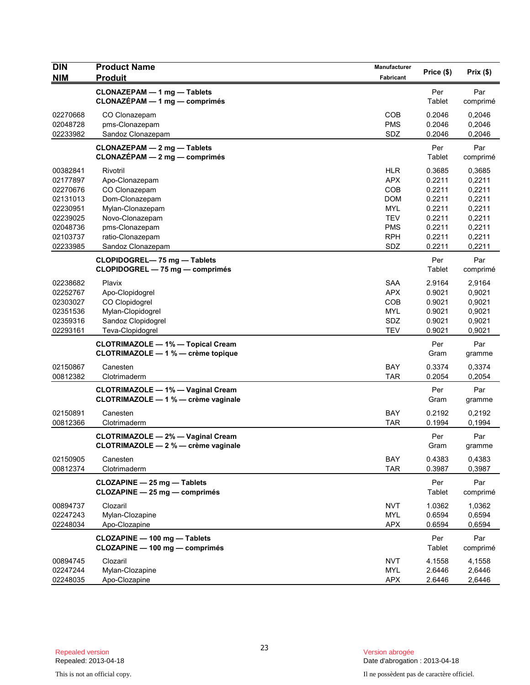| <b>DIN</b><br><b>NIM</b>                                                                                 | <b>Product Name</b><br><b>Produit</b>                                                                                                                           | Manufacturer<br><b>Fabricant</b>                                                                             | Price (\$)                                                                             | Prix(\$)                                                                               |
|----------------------------------------------------------------------------------------------------------|-----------------------------------------------------------------------------------------------------------------------------------------------------------------|--------------------------------------------------------------------------------------------------------------|----------------------------------------------------------------------------------------|----------------------------------------------------------------------------------------|
|                                                                                                          | CLONAZEPAM - 1 mg - Tablets<br>$CLONAZÉPAM - 1 mg - comprimés$                                                                                                  |                                                                                                              | Per<br>Tablet                                                                          | Par<br>comprimé                                                                        |
| 02270668<br>02048728<br>02233982                                                                         | CO Clonazepam<br>pms-Clonazepam<br>Sandoz Clonazepam                                                                                                            | COB<br><b>PMS</b><br>SDZ                                                                                     | 0.2046<br>0.2046<br>0.2046                                                             | 0,2046<br>0,2046<br>0,2046                                                             |
|                                                                                                          | <b>CLONAZEPAM - 2 mg - Tablets</b><br>CLONAZÉPAM - 2 mg - comprimés                                                                                             |                                                                                                              | Per<br>Tablet                                                                          | Par<br>comprimé                                                                        |
| 00382841<br>02177897<br>02270676<br>02131013<br>02230951<br>02239025<br>02048736<br>02103737<br>02233985 | Rivotril<br>Apo-Clonazepam<br>CO Clonazepam<br>Dom-Clonazepam<br>Mylan-Clonazepam<br>Novo-Clonazepam<br>pms-Clonazepam<br>ratio-Clonazepam<br>Sandoz Clonazepam | <b>HLR</b><br><b>APX</b><br><b>COB</b><br><b>DOM</b><br><b>MYL</b><br>TEV<br><b>PMS</b><br><b>RPH</b><br>SDZ | 0.3685<br>0.2211<br>0.2211<br>0.2211<br>0.2211<br>0.2211<br>0.2211<br>0.2211<br>0.2211 | 0,3685<br>0,2211<br>0,2211<br>0,2211<br>0,2211<br>0,2211<br>0,2211<br>0,2211<br>0,2211 |
|                                                                                                          | CLOPIDOGREL-75 mg - Tablets<br>CLOPIDOGREL - 75 mg - comprimés                                                                                                  |                                                                                                              | Per<br>Tablet                                                                          | Par<br>comprimé                                                                        |
| 02238682<br>02252767<br>02303027<br>02351536<br>02359316<br>02293161                                     | Plavix<br>Apo-Clopidogrel<br>CO Clopidogrel<br>Mylan-Clopidogrel<br>Sandoz Clopidogrel<br>Teva-Clopidogrel                                                      | <b>SAA</b><br><b>APX</b><br><b>COB</b><br><b>MYL</b><br>SDZ<br><b>TEV</b>                                    | 2.9164<br>0.9021<br>0.9021<br>0.9021<br>0.9021<br>0.9021                               | 2,9164<br>0,9021<br>0,9021<br>0,9021<br>0,9021<br>0,9021                               |
|                                                                                                          | <b>CLOTRIMAZOLE - 1% - Topical Cream</b><br>CLOTRIMAZOLE - 1 % - crème topique                                                                                  |                                                                                                              | Per<br>Gram                                                                            | Par<br>gramme                                                                          |
| 02150867<br>00812382                                                                                     | Canesten<br>Clotrimaderm                                                                                                                                        | <b>BAY</b><br><b>TAR</b>                                                                                     | 0.3374<br>0.2054                                                                       | 0,3374<br>0,2054                                                                       |
|                                                                                                          | <b>CLOTRIMAZOLE - 1% - Vaginal Cream</b><br>CLOTRIMAZOLE - 1 % - crème vaginale                                                                                 |                                                                                                              | Per<br>Gram                                                                            | Par<br>gramme                                                                          |
| 02150891<br>00812366                                                                                     | Canesten<br>Clotrimaderm                                                                                                                                        | BAY<br><b>TAR</b>                                                                                            | 0.2192<br>0.1994                                                                       | 0,2192<br>0,1994                                                                       |
|                                                                                                          | <b>CLOTRIMAZOLE - 2% - Vaginal Cream</b><br>CLOTRIMAZOLE - 2 % - crème vaginale                                                                                 |                                                                                                              | Per<br>Gram                                                                            | Par<br>gramme                                                                          |
| 02150905<br>00812374                                                                                     | Canesten<br>Clotrimaderm                                                                                                                                        | <b>BAY</b><br><b>TAR</b>                                                                                     | 0.4383<br>0.3987                                                                       | 0,4383<br>0,3987                                                                       |
|                                                                                                          | CLOZAPINE - 25 mg - Tablets<br>CLOZAPINE - 25 mg - comprimés                                                                                                    |                                                                                                              | Per<br>Tablet                                                                          | Par<br>comprimé                                                                        |
| 00894737<br>02247243<br>02248034                                                                         | Clozaril<br>Mylan-Clozapine<br>Apo-Clozapine                                                                                                                    | <b>NVT</b><br><b>MYL</b><br><b>APX</b>                                                                       | 1.0362<br>0.6594<br>0.6594                                                             | 1,0362<br>0,6594<br>0,6594                                                             |
|                                                                                                          | CLOZAPINE - 100 mg - Tablets<br>CLOZAPINE - 100 mg - comprimés                                                                                                  |                                                                                                              | Per<br>Tablet                                                                          | Par<br>comprimé                                                                        |
| 00894745<br>02247244<br>02248035                                                                         | Clozaril<br>Mylan-Clozapine<br>Apo-Clozapine                                                                                                                    | <b>NVT</b><br><b>MYL</b><br><b>APX</b>                                                                       | 4.1558<br>2.6446<br>2.6446                                                             | 4,1558<br>2,6446<br>2,6446                                                             |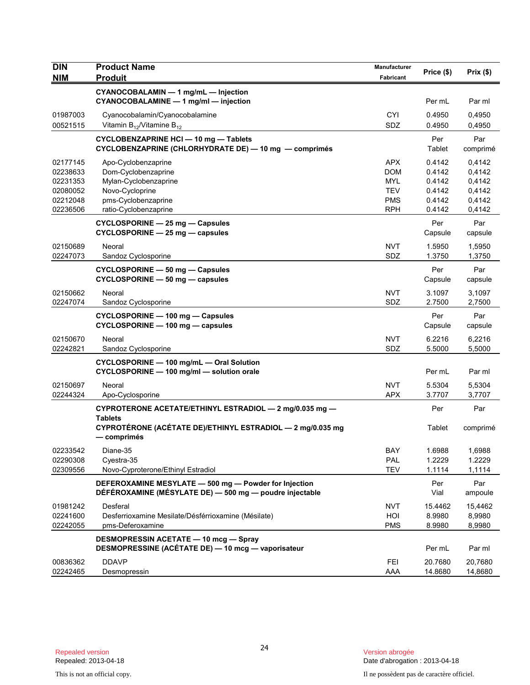| <b>DIN</b>                                                           | <b>Product Name</b>                                                                                                                                    | Manufacturer                                                                     | Price (\$)                                               | Prix(\$)                                                 |
|----------------------------------------------------------------------|--------------------------------------------------------------------------------------------------------------------------------------------------------|----------------------------------------------------------------------------------|----------------------------------------------------------|----------------------------------------------------------|
| <b>NIM</b>                                                           | <b>Produit</b>                                                                                                                                         | Fabricant                                                                        |                                                          |                                                          |
|                                                                      | CYANOCOBALAMIN - 1 mg/mL - Injection<br>CYANOCOBALAMINE - 1 mg/ml - injection                                                                          |                                                                                  | Per mL                                                   | Par ml                                                   |
| 01987003<br>00521515                                                 | Cyanocobalamin/Cyanocobalamine<br>Vitamin $B_{12}$ /Vitamine $B_{12}$                                                                                  | <b>CYI</b><br><b>SDZ</b>                                                         | 0.4950<br>0.4950                                         | 0,4950<br>0,4950                                         |
|                                                                      | CYCLOBENZAPRINE HCI - 10 mg - Tablets<br>CYCLOBENZAPRINE (CHLORHYDRATE DE) - 10 mg - comprimés                                                         |                                                                                  | Per<br>Tablet                                            | Par<br>comprimé                                          |
| 02177145<br>02238633<br>02231353<br>02080052<br>02212048<br>02236506 | Apo-Cyclobenzaprine<br>Dom-Cyclobenzaprine<br>Mylan-Cyclobenzaprine<br>Novo-Cycloprine<br>pms-Cyclobenzaprine<br>ratio-Cyclobenzaprine                 | <b>APX</b><br><b>DOM</b><br><b>MYL</b><br><b>TEV</b><br><b>PMS</b><br><b>RPH</b> | 0.4142<br>0.4142<br>0.4142<br>0.4142<br>0.4142<br>0.4142 | 0.4142<br>0.4142<br>0,4142<br>0,4142<br>0,4142<br>0,4142 |
|                                                                      | CYCLOSPORINE - 25 mg - Capsules<br>CYCLOSPORINE - 25 mg - capsules                                                                                     |                                                                                  | Per<br>Capsule                                           | Par<br>capsule                                           |
| 02150689<br>02247073                                                 | Neoral<br>Sandoz Cyclosporine                                                                                                                          | <b>NVT</b><br>SDZ                                                                | 1.5950<br>1.3750                                         | 1,5950<br>1,3750                                         |
|                                                                      | CYCLOSPORINE - 50 mg - Capsules<br>CYCLOSPORINE - 50 mg - capsules                                                                                     |                                                                                  | Per<br>Capsule                                           | Par<br>capsule                                           |
| 02150662<br>02247074                                                 | Neoral<br>Sandoz Cyclosporine                                                                                                                          | <b>NVT</b><br>SDZ                                                                | 3.1097<br>2.7500                                         | 3,1097<br>2,7500                                         |
|                                                                      | CYCLOSPORINE - 100 mg - Capsules<br>CYCLOSPORINE - 100 mg - capsules                                                                                   |                                                                                  | Per<br>Capsule                                           | Par<br>capsule                                           |
| 02150670<br>02242821                                                 | Neoral<br>Sandoz Cyclosporine                                                                                                                          | <b>NVT</b><br>SDZ                                                                | 6.2216<br>5.5000                                         | 6,2216<br>5,5000                                         |
|                                                                      | CYCLOSPORINE - 100 mg/mL - Oral Solution<br>CYCLOSPORINE - 100 mg/ml - solution orale                                                                  |                                                                                  | Per mL                                                   | Par ml                                                   |
| 02150697<br>02244324                                                 | Neoral<br>Apo-Cyclosporine                                                                                                                             | <b>NVT</b><br><b>APX</b>                                                         | 5.5304<br>3.7707                                         | 5,5304<br>3,7707                                         |
|                                                                      | CYPROTERONE ACETATE/ETHINYL ESTRADIOL - 2 mg/0.035 mg -<br><b>Tablets</b><br>CYPROTÉRONE (ACÉTATE DE)/ETHINYL ESTRADIOL — 2 mg/0.035 mg<br>— comprimés |                                                                                  | Per<br>Tablet                                            | Par<br>comprimé                                          |
| 02233542<br>02290308<br>02309556                                     | Diane-35<br>Cyestra-35<br>Novo-Cyproterone/Ethinyl Estradiol                                                                                           | <b>BAY</b><br><b>PAL</b><br><b>TEV</b>                                           | 1.6988<br>1.2229<br>1.1114                               | 1,6988<br>1.2229<br>1,1114                               |
|                                                                      | DEFEROXAMINE MESYLATE - 500 mg - Powder for Injection<br>DÉFÉROXAMINE (MÉSYLATE DE) - 500 mg - poudre injectable                                       |                                                                                  | Per<br>Vial                                              | Par<br>ampoule                                           |
| 01981242<br>02241600<br>02242055                                     | Desferal<br>Desferrioxamine Mesilate/Désférrioxamine (Mésilate)<br>pms-Deferoxamine                                                                    | NVT<br>HOI<br><b>PMS</b>                                                         | 15.4462<br>8.9980<br>8.9980                              | 15,4462<br>8,9980<br>8,9980                              |
|                                                                      | <b>DESMOPRESSIN ACETATE - 10 mcg - Spray</b><br>DESMOPRESSINE (ACÉTATE DE) - 10 mcg - vaporisateur                                                     |                                                                                  | Per mL                                                   | Par ml                                                   |
| 00836362<br>02242465                                                 | <b>DDAVP</b><br>Desmopressin                                                                                                                           | <b>FEI</b><br>AAA                                                                | 20.7680<br>14.8680                                       | 20,7680<br>14,8680                                       |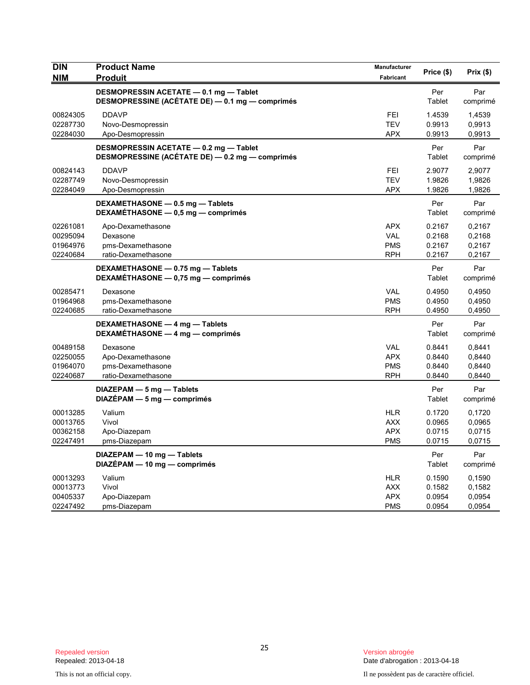| <b>DIN</b><br><b>NIM</b>                     | <b>Product Name</b><br><b>Produit</b>                                                     | Manufacturer<br>Fabricant                            | Price (\$)                           | Prix(\$)                             |
|----------------------------------------------|-------------------------------------------------------------------------------------------|------------------------------------------------------|--------------------------------------|--------------------------------------|
|                                              | DESMOPRESSIN ACETATE - 0.1 mg - Tablet<br>DESMOPRESSINE (ACÉTATE DE) - 0.1 mg - comprimés |                                                      | Per<br>Tablet                        | Par<br>comprimé                      |
| 00824305<br>02287730<br>02284030             | <b>DDAVP</b><br>Novo-Desmopressin<br>Apo-Desmopressin                                     | <b>FEI</b><br><b>TEV</b><br><b>APX</b>               | 1.4539<br>0.9913<br>0.9913           | 1,4539<br>0.9913<br>0,9913           |
|                                              | DESMOPRESSIN ACETATE - 0.2 mg - Tablet<br>DESMOPRESSINE (ACÉTATE DE) - 0.2 mg - comprimés |                                                      | Per<br>Tablet                        | Par<br>comprimé                      |
| 00824143<br>02287749<br>02284049             | <b>DDAVP</b><br>Novo-Desmopressin<br>Apo-Desmopressin                                     | FEI<br><b>TEV</b><br><b>APX</b>                      | 2.9077<br>1.9826<br>1.9826           | 2,9077<br>1,9826<br>1,9826           |
|                                              | DEXAMETHASONE - 0.5 mg - Tablets<br>DEXAMÉTHASONE - 0,5 mg - comprimés                    |                                                      | Per<br>Tablet                        | Par<br>comprimé                      |
| 02261081<br>00295094<br>01964976<br>02240684 | Apo-Dexamethasone<br>Dexasone<br>pms-Dexamethasone<br>ratio-Dexamethasone                 | <b>APX</b><br><b>VAL</b><br><b>PMS</b><br><b>RPH</b> | 0.2167<br>0.2168<br>0.2167<br>0.2167 | 0,2167<br>0,2168<br>0,2167<br>0,2167 |
|                                              | DEXAMETHASONE - 0.75 mg - Tablets<br>DEXAMETHASONE - 0,75 mg - comprimés                  |                                                      | Per<br>Tablet                        | Par<br>comprimé                      |
| 00285471<br>01964968<br>02240685             | Dexasone<br>pms-Dexamethasone<br>ratio-Dexamethasone                                      | <b>VAL</b><br><b>PMS</b><br><b>RPH</b>               | 0.4950<br>0.4950<br>0.4950           | 0,4950<br>0,4950<br>0,4950           |
|                                              | DEXAMETHASONE - 4 mg - Tablets<br>DEXAMÉTHASONE - 4 mg - comprimés                        |                                                      | Per<br>Tablet                        | Par<br>comprimé                      |
| 00489158<br>02250055<br>01964070<br>02240687 | Dexasone<br>Apo-Dexamethasone<br>pms-Dexamethasone<br>ratio-Dexamethasone                 | <b>VAL</b><br><b>APX</b><br><b>PMS</b><br><b>RPH</b> | 0.8441<br>0.8440<br>0.8440<br>0.8440 | 0,8441<br>0,8440<br>0,8440<br>0,8440 |
|                                              | $DIAZEPAM - 5 mg - Tables$<br>$DIAZÉPAM - 5 mg - comprimés$                               |                                                      | Per<br>Tablet                        | Par<br>comprimé                      |
| 00013285<br>00013765<br>00362158<br>02247491 | Valium<br>Vivol<br>Apo-Diazepam<br>pms-Diazepam                                           | <b>HLR</b><br><b>AXX</b><br><b>APX</b><br><b>PMS</b> | 0.1720<br>0.0965<br>0.0715<br>0.0715 | 0,1720<br>0.0965<br>0,0715<br>0,0715 |
|                                              | DIAZEPAM - 10 mg - Tablets<br>DIAZÉPAM - 10 mg - comprimés                                |                                                      | Per<br>Tablet                        | Par<br>comprimé                      |
| 00013293<br>00013773<br>00405337<br>02247492 | Valium<br>Vivol<br>Apo-Diazepam<br>pms-Diazepam                                           | <b>HLR</b><br><b>AXX</b><br><b>APX</b><br><b>PMS</b> | 0.1590<br>0.1582<br>0.0954<br>0.0954 | 0,1590<br>0,1582<br>0.0954<br>0.0954 |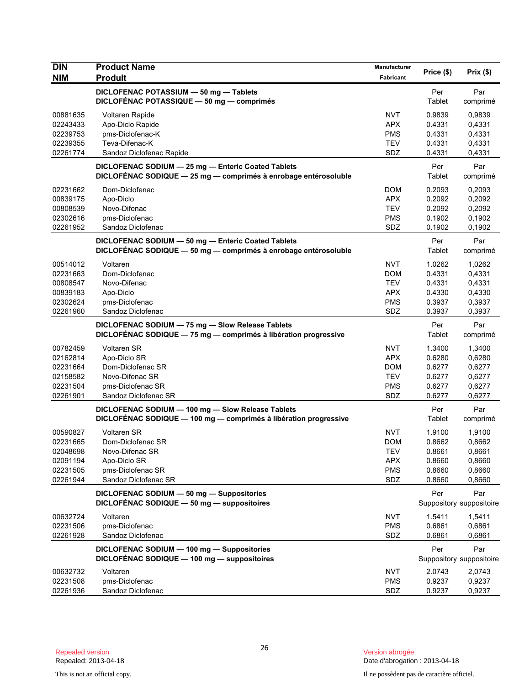| <b>DIN</b><br><b>NIM</b> | <b>Product Name</b><br><b>Produit</b>                                                                                 | <b>Manufacturer</b><br>Fabricant | Price (\$)    | Prix(\$)                        |
|--------------------------|-----------------------------------------------------------------------------------------------------------------------|----------------------------------|---------------|---------------------------------|
|                          | DICLOFENAC POTASSIUM - 50 mg - Tablets<br>DICLOFÉNAC POTASSIQUE - 50 mg - comprimés                                   |                                  | Per<br>Tablet | Par<br>comprimé                 |
| 00881635                 | <b>Voltaren Rapide</b>                                                                                                | <b>NVT</b>                       | 0.9839        | 0,9839                          |
| 02243433                 | Apo-Diclo Rapide                                                                                                      | <b>APX</b>                       | 0.4331        | 0,4331                          |
| 02239753                 | pms-Diclofenac-K                                                                                                      | <b>PMS</b>                       | 0.4331        | 0,4331                          |
| 02239355                 | Teva-Difenac-K                                                                                                        | <b>TEV</b>                       | 0.4331        | 0,4331                          |
| 02261774                 | Sandoz Diclofenac Rapide                                                                                              | SDZ                              | 0.4331        | 0,4331                          |
|                          | DICLOFENAC SODIUM - 25 mg - Enteric Coated Tablets<br>DICLOFÉNAC SODIQUE - 25 mg - comprimés à enrobage entérosoluble |                                  | Per<br>Tablet | Par<br>comprimé                 |
| 02231662                 | Dom-Diclofenac                                                                                                        | <b>DOM</b>                       | 0.2093        | 0,2093                          |
| 00839175                 | Apo-Diclo                                                                                                             | <b>APX</b>                       | 0.2092        | 0,2092                          |
| 00808539                 | Novo-Difenac                                                                                                          | <b>TEV</b>                       | 0.2092        | 0,2092                          |
| 02302616                 | pms-Diclofenac                                                                                                        | <b>PMS</b>                       | 0.1902        | 0,1902                          |
| 02261952                 | Sandoz Diclofenac                                                                                                     | SDZ                              | 0.1902        | 0,1902                          |
|                          | DICLOFENAC SODIUM - 50 mg - Enteric Coated Tablets<br>DICLOFÉNAC SODIQUE - 50 mg - comprimés à enrobage entérosoluble |                                  | Per<br>Tablet | Par<br>comprimé                 |
| 00514012                 | Voltaren                                                                                                              | <b>NVT</b>                       | 1.0262        | 1,0262                          |
| 02231663                 | Dom-Diclofenac                                                                                                        | <b>DOM</b>                       | 0.4331        | 0,4331                          |
| 00808547                 | Novo-Difenac                                                                                                          | <b>TEV</b>                       | 0.4331        | 0,4331                          |
| 00839183                 | Apo-Diclo                                                                                                             | <b>APX</b>                       | 0.4330        | 0,4330                          |
| 02302624                 | pms-Diclofenac                                                                                                        | <b>PMS</b>                       | 0.3937        | 0,3937                          |
| 02261960                 | Sandoz Diclofenac                                                                                                     | SDZ                              | 0.3937        | 0,3937                          |
|                          | DICLOFENAC SODIUM - 75 mg - Slow Release Tablets<br>DICLOFÉNAC SODIQUE - 75 mg - comprimés à libération progressive   |                                  | Per<br>Tablet | Par<br>comprimé                 |
| 00782459                 | <b>Voltaren SR</b>                                                                                                    | <b>NVT</b>                       | 1.3400        | 1,3400                          |
| 02162814                 | Apo-Diclo SR                                                                                                          | <b>APX</b>                       | 0.6280        | 0,6280                          |
| 02231664                 | Dom-Diclofenac SR                                                                                                     | <b>DOM</b>                       | 0.6277        | 0,6277                          |
| 02158582                 | Novo-Difenac SR                                                                                                       | <b>TEV</b>                       | 0.6277        | 0,6277                          |
| 02231504                 | pms-Diclofenac SR                                                                                                     | <b>PMS</b>                       | 0.6277        | 0,6277                          |
| 02261901                 | Sandoz Diclofenac SR                                                                                                  | SDZ                              | 0.6277        | 0,6277                          |
|                          | DICLOFENAC SODIUM - 100 mg - Slow Release Tablets                                                                     |                                  | Per           | Par                             |
|                          | DICLOFÉNAC SODIQUE - 100 mg - comprimés à libération progressive                                                      |                                  | Tablet        | comprimé                        |
| 00590827                 | Voltaren SR                                                                                                           | <b>NVT</b>                       | 1.9100        | 1,9100                          |
| 02231665                 | Dom-Diclofenac SR                                                                                                     | <b>DOM</b>                       | 0.8662        | 0,8662                          |
| 02048698                 | Novo-Difenac SR                                                                                                       | TEV                              | 0.8661        | 0,8661                          |
| 02091194                 | Apo-Diclo SR                                                                                                          | <b>APX</b>                       | 0.8660        | 0,8660                          |
| 02231505                 | pms-Diclofenac SR                                                                                                     | <b>PMS</b>                       | 0.8660        | 0,8660                          |
| 02261944                 | Sandoz Diclofenac SR                                                                                                  | SDZ                              | 0.8660        | 0,8660                          |
|                          | DICLOFENAC SODIUM - 50 mg - Suppositories<br>DICLOFÉNAC SODIQUE - 50 mg - suppositoires                               |                                  | Per           | Par<br>Suppository suppositoire |
| 00632724                 | Voltaren                                                                                                              | <b>NVT</b>                       | 1.5411        | 1,5411                          |
| 02231506                 | pms-Diclofenac                                                                                                        | <b>PMS</b>                       | 0.6861        | 0,6861                          |
| 02261928                 | Sandoz Diclofenac                                                                                                     | SDZ                              | 0.6861        | 0,6861                          |
|                          | DICLOFENAC SODIUM - 100 mg - Suppositories                                                                            |                                  | Per           | Par                             |
|                          | DICLOFÉNAC SODIQUE - 100 mg - suppositoires                                                                           |                                  |               | Suppository suppositoire        |
| 00632732                 | Voltaren                                                                                                              | <b>NVT</b>                       | 2.0743        | 2,0743                          |
| 02231508                 | pms-Diclofenac                                                                                                        | <b>PMS</b>                       | 0.9237        | 0,9237                          |
| 02261936                 | Sandoz Diclofenac                                                                                                     | SDZ                              | 0.9237        | 0,9237                          |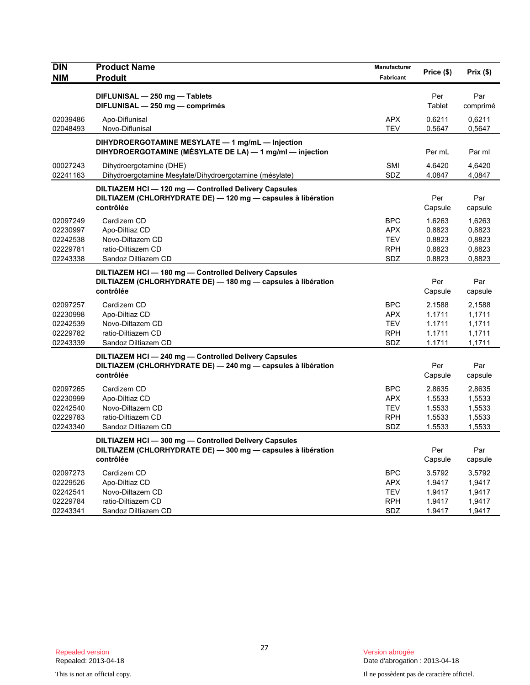| <b>DIN</b><br><b>NIM</b>                                 | <b>Product Name</b><br><b>Produit</b>                                                                                              | Manufacturer<br>Fabricant                                   | Price (\$)                                     | Prix (\$)                                      |
|----------------------------------------------------------|------------------------------------------------------------------------------------------------------------------------------------|-------------------------------------------------------------|------------------------------------------------|------------------------------------------------|
|                                                          | DIFLUNISAL - 250 mg - Tablets<br>DIFLUNISAL - 250 mg - comprimés                                                                   |                                                             | Per<br>Tablet                                  | Par<br>comprimé                                |
| 02039486<br>02048493                                     | Apo-Diflunisal<br>Novo-Diflunisal                                                                                                  | <b>APX</b><br><b>TEV</b>                                    | 0.6211<br>0.5647                               | 0,6211<br>0,5647                               |
|                                                          | DIHYDROERGOTAMINE MESYLATE - 1 mg/mL - Injection<br>DIHYDROERGOTAMINE (MÉSYLATE DE LA) - 1 mg/ml - injection                       |                                                             | Per mL                                         | Par ml                                         |
| 00027243<br>02241163                                     | Dihydroergotamine (DHE)<br>Dihydroergotamine Mesylate/Dihydroergotamine (mésylate)                                                 | <b>SMI</b><br>SDZ                                           | 4.6420<br>4.0847                               | 4,6420<br>4,0847                               |
|                                                          | DILTIAZEM HCI - 120 mg - Controlled Delivery Capsules<br>DILTIAZEM (CHLORHYDRATE DE) - 120 mg - capsules à libération<br>contrôlée |                                                             | Per<br>Capsule                                 | Par<br>capsule                                 |
| 02097249<br>02230997<br>02242538<br>02229781<br>02243338 | Cardizem CD<br>Apo-Diltiaz CD<br>Novo-Diltazem CD<br>ratio-Diltiazem CD<br>Sandoz Diltiazem CD                                     | <b>BPC</b><br>APX.<br>TEV<br><b>RPH</b><br>SDZ              | 1.6263<br>0.8823<br>0.8823<br>0.8823<br>0.8823 | 1,6263<br>0,8823<br>0,8823<br>0,8823<br>0,8823 |
|                                                          | DILTIAZEM HCI - 180 mg - Controlled Delivery Capsules<br>DILTIAZEM (CHLORHYDRATE DE) - 180 mg - capsules à libération<br>contrôlée |                                                             | Per<br>Capsule                                 | Par<br>capsule                                 |
| 02097257<br>02230998<br>02242539<br>02229782<br>02243339 | Cardizem CD<br>Apo-Diltiaz CD<br>Novo-Diltazem CD<br>ratio-Diltiazem CD<br>Sandoz Diltiazem CD                                     | <b>BPC</b><br><b>APX</b><br><b>TEV</b><br><b>RPH</b><br>SDZ | 2.1588<br>1.1711<br>1.1711<br>1.1711<br>1.1711 | 2,1588<br>1,1711<br>1,1711<br>1,1711<br>1,1711 |
|                                                          | DILTIAZEM HCI-240 mg-Controlled Delivery Capsules<br>DILTIAZEM (CHLORHYDRATE DE) - 240 mg - capsules à libération<br>contrôlée     |                                                             | Per<br>Capsule                                 | Par<br>capsule                                 |
| 02097265<br>02230999<br>02242540<br>02229783<br>02243340 | Cardizem CD<br>Apo-Diltiaz CD<br>Novo-Diltazem CD<br>ratio-Diltiazem CD<br>Sandoz Diltiazem CD                                     | <b>BPC</b><br><b>APX</b><br><b>TEV</b><br><b>RPH</b><br>SDZ | 2.8635<br>1.5533<br>1.5533<br>1.5533<br>1.5533 | 2,8635<br>1,5533<br>1,5533<br>1,5533<br>1,5533 |
|                                                          | DILTIAZEM HCI-300 mg-Controlled Delivery Capsules<br>DILTIAZEM (CHLORHYDRATE DE) — 300 mg — capsules à libération<br>contrôlée     |                                                             | Per<br>Capsule                                 | Par<br>capsule                                 |
| 02097273<br>02229526<br>02242541<br>02229784<br>02243341 | Cardizem CD<br>Apo-Diltiaz CD<br>Novo-Diltazem CD<br>ratio-Diltiazem CD<br>Sandoz Diltiazem CD                                     | <b>BPC</b><br><b>APX</b><br><b>TEV</b><br><b>RPH</b><br>SDZ | 3.5792<br>1.9417<br>1.9417<br>1.9417<br>1.9417 | 3,5792<br>1,9417<br>1,9417<br>1,9417<br>1,9417 |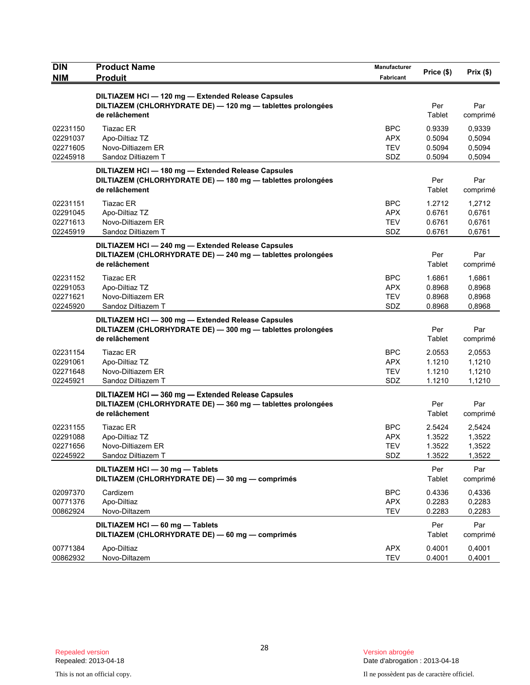| <b>DIN</b>                                   | <b>Product Name</b>                                                                                                                 | Manufacturer                                  | Price (\$)                           | Prix (\$)                            |
|----------------------------------------------|-------------------------------------------------------------------------------------------------------------------------------------|-----------------------------------------------|--------------------------------------|--------------------------------------|
| <b>NIM</b>                                   | <b>Produit</b>                                                                                                                      | Fabricant                                     |                                      |                                      |
|                                              | DILTIAZEM HCI - 120 mg - Extended Release Capsules<br>DILTIAZEM (CHLORHYDRATE DE) - 120 mg - tablettes prolongées<br>de relâchement |                                               | Per<br>Tablet                        | Par<br>comprimé                      |
| 02231150<br>02291037<br>02271605<br>02245918 | <b>Tiazac ER</b><br>Apo-Diltiaz TZ<br>Novo-Diltiazem ER<br>Sandoz Diltiazem T                                                       | <b>BPC</b><br>APX<br><b>TEV</b><br>SDZ        | 0.9339<br>0.5094<br>0.5094<br>0.5094 | 0,9339<br>0,5094<br>0,5094<br>0,5094 |
|                                              | DILTIAZEM HCI-180 mg-Extended Release Capsules<br>DILTIAZEM (CHLORHYDRATE DE) - 180 mg - tablettes prolongées<br>de relâchement     |                                               | Per<br>Tablet                        | Par<br>comprimé                      |
| 02231151<br>02291045<br>02271613<br>02245919 | <b>Tiazac ER</b><br>Apo-Diltiaz TZ<br>Novo-Diltiazem ER<br>Sandoz Diltiazem T                                                       | <b>BPC</b><br><b>APX</b><br><b>TEV</b><br>SDZ | 1.2712<br>0.6761<br>0.6761<br>0.6761 | 1,2712<br>0,6761<br>0,6761<br>0,6761 |
|                                              | DILTIAZEM HCI-240 mg-Extended Release Capsules<br>DILTIAZEM (CHLORHYDRATE DE) - 240 mg - tablettes prolongées<br>de relâchement     |                                               | Per<br>Tablet                        | Par<br>comprimé                      |
| 02231152<br>02291053<br>02271621<br>02245920 | <b>Tiazac ER</b><br>Apo-Diltiaz TZ<br>Novo-Diltiazem ER<br>Sandoz Diltiazem T                                                       | <b>BPC</b><br>APX.<br><b>TEV</b><br>SDZ       | 1.6861<br>0.8968<br>0.8968<br>0.8968 | 1.6861<br>0,8968<br>0,8968<br>0,8968 |
|                                              | DILTIAZEM HCI-300 mg-Extended Release Capsules<br>DILTIAZEM (CHLORHYDRATE DE) - 300 mg - tablettes prolongées<br>de relâchement     |                                               | Per<br>Tablet                        | Par<br>comprimé                      |
| 02231154<br>02291061<br>02271648<br>02245921 | <b>Tiazac ER</b><br>Apo-Diltiaz TZ<br>Novo-Diltiazem ER<br>Sandoz Diltiazem T                                                       | <b>BPC</b><br><b>APX</b><br><b>TEV</b><br>SDZ | 2.0553<br>1.1210<br>1.1210<br>1.1210 | 2,0553<br>1,1210<br>1,1210<br>1,1210 |
|                                              | DILTIAZEM HCI-360 mg-Extended Release Capsules<br>DILTIAZEM (CHLORHYDRATE DE) - 360 mg - tablettes prolongées<br>de relâchement     |                                               | Per<br>Tablet                        | Par<br>comprimé                      |
| 02231155<br>02291088<br>02271656<br>02245922 | <b>Tiazac ER</b><br>Apo-Diltiaz TZ<br>Novo-Diltiazem ER<br>Sandoz Diltiazem T                                                       | BPC<br><b>APX</b><br><b>TEV</b><br>SDZ        | 2.5424<br>1.3522<br>1.3522<br>1.3522 | 2,5424<br>1,3522<br>1,3522<br>1,3522 |
|                                              | DILTIAZEM HCI - 30 mg - Tablets<br>DILTIAZEM (CHLORHYDRATE DE) - 30 mg - comprimés                                                  |                                               | Per<br>Tablet                        | Par<br>comprimé                      |
| 02097370<br>00771376<br>00862924             | Cardizem<br>Apo-Diltiaz<br>Novo-Diltazem                                                                                            | <b>BPC</b><br><b>APX</b><br><b>TEV</b>        | 0.4336<br>0.2283<br>0.2283           | 0,4336<br>0,2283<br>0,2283           |
|                                              | DILTIAZEM HCI - 60 mg - Tablets<br>DILTIAZEM (CHLORHYDRATE DE) - 60 mg - comprimés                                                  |                                               | Per<br>Tablet                        | Par<br>comprimé                      |
| 00771384<br>00862932                         | Apo-Diltiaz<br>Novo-Diltazem                                                                                                        | <b>APX</b><br><b>TEV</b>                      | 0.4001<br>0.4001                     | 0,4001<br>0,4001                     |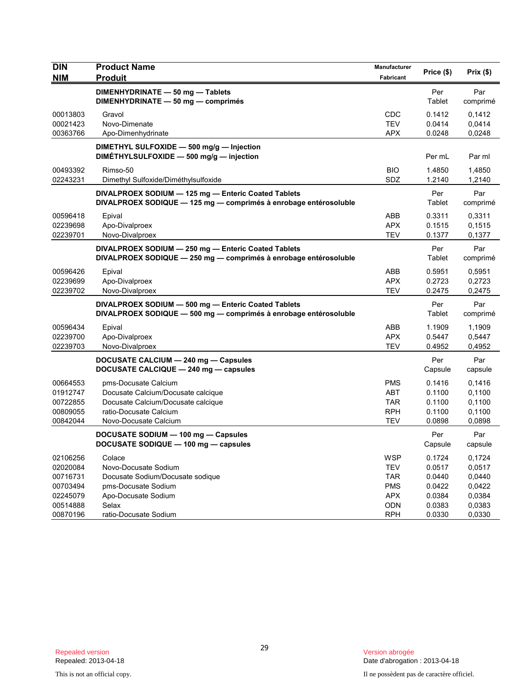| <b>DIN</b><br><b>NIM</b> | <b>Product Name</b><br><b>Produit</b>                                                                                   | Manufacturer<br>Fabricant | Price (\$)     | Prix(\$)        |
|--------------------------|-------------------------------------------------------------------------------------------------------------------------|---------------------------|----------------|-----------------|
|                          | DIMENHYDRINATE - 50 mg - Tablets<br>DIMENHYDRINATE - 50 mg - comprimés                                                  |                           | Per<br>Tablet  | Par<br>comprimé |
| 00013803                 | Gravol                                                                                                                  | <b>CDC</b>                | 0.1412         | 0.1412          |
| 00021423                 | Novo-Dimenate                                                                                                           | <b>TEV</b>                | 0.0414         | 0,0414          |
| 00363766                 | Apo-Dimenhydrinate                                                                                                      | <b>APX</b>                | 0.0248         | 0,0248          |
|                          | DIMETHYL SULFOXIDE - 500 mg/g - Injection<br>DIMÉTHYLSULFOXIDE - 500 mg/g - injection                                   |                           | Per mL         | Par ml          |
| 00493392                 | Rimso-50                                                                                                                | <b>BIO</b>                | 1.4850         | 1,4850          |
| 02243231                 | Dimethyl Sulfoxide/Diméthylsulfoxide                                                                                    | SDZ                       | 1.2140         | 1,2140          |
|                          | DIVALPROEX SODIUM - 125 mg - Enteric Coated Tablets<br>DIVALPROEX SODIQUE - 125 mg - comprimés à enrobage entérosoluble |                           | Per<br>Tablet  | Par<br>comprimé |
| 00596418                 | Epival                                                                                                                  | ABB                       | 0.3311         | 0,3311          |
| 02239698                 | Apo-Divalproex                                                                                                          | <b>APX</b>                | 0.1515         | 0,1515          |
| 02239701                 | Novo-Divalproex                                                                                                         | <b>TEV</b>                | 0.1377         | 0,1377          |
|                          | DIVALPROEX SODIUM - 250 mg - Enteric Coated Tablets<br>DIVALPROEX SODIQUE - 250 mg - comprimés à enrobage entérosoluble |                           | Per<br>Tablet  | Par<br>comprimé |
| 00596426                 | Epival                                                                                                                  | ABB                       | 0.5951         | 0,5951          |
| 02239699                 | Apo-Divalproex                                                                                                          | <b>APX</b>                | 0.2723         | 0,2723          |
| 02239702                 | Novo-Divalproex                                                                                                         | <b>TEV</b>                | 0.2475         | 0,2475          |
|                          | DIVALPROEX SODIUM - 500 mg - Enteric Coated Tablets<br>DIVALPROEX SODIQUE - 500 mg - comprimés à enrobage entérosoluble |                           | Per<br>Tablet  | Par<br>comprimé |
| 00596434                 | Epival                                                                                                                  | ABB                       | 1.1909         | 1,1909          |
| 02239700                 | Apo-Divalproex                                                                                                          | <b>APX</b>                | 0.5447         | 0,5447          |
| 02239703                 | Novo-Divalproex                                                                                                         | <b>TEV</b>                | 0.4952         | 0,4952          |
|                          | DOCUSATE CALCIUM - 240 mg - Capsules<br>DOCUSATE CALCIQUE - 240 mg - capsules                                           |                           | Per<br>Capsule | Par<br>capsule  |
| 00664553                 | pms-Docusate Calcium                                                                                                    | <b>PMS</b>                | 0.1416         | 0,1416          |
| 01912747                 | Docusate Calcium/Docusate calcique                                                                                      | <b>ABT</b>                | 0.1100         | 0,1100          |
| 00722855                 | Docusate Calcium/Docusate calcique                                                                                      | <b>TAR</b>                | 0.1100         | 0,1100          |
| 00809055                 | ratio-Docusate Calcium                                                                                                  | <b>RPH</b>                | 0.1100         | 0,1100          |
| 00842044                 | Novo-Docusate Calcium                                                                                                   | <b>TEV</b>                | 0.0898         | 0,0898          |
|                          | DOCUSATE SODIUM - 100 mg - Capsules<br>DOCUSATE SODIQUE - 100 mg - capsules                                             |                           | Per<br>Capsule | Par<br>capsule  |
| 02106256                 | Colace                                                                                                                  | <b>WSP</b>                | 0.1724         | 0,1724          |
| 02020084                 | Novo-Docusate Sodium                                                                                                    | <b>TEV</b>                | 0.0517         | 0,0517          |
| 00716731                 | Docusate Sodium/Docusate sodique                                                                                        | <b>TAR</b>                | 0.0440         | 0,0440          |
| 00703494                 | pms-Docusate Sodium                                                                                                     | <b>PMS</b>                | 0.0422         | 0,0422          |
| 02245079                 | Apo-Docusate Sodium                                                                                                     | APX                       | 0.0384         | 0,0384          |
| 00514888                 | Selax                                                                                                                   | ODN                       | 0.0383         | 0,0383          |
| 00870196                 | ratio-Docusate Sodium                                                                                                   | <b>RPH</b>                | 0.0330         | 0,0330          |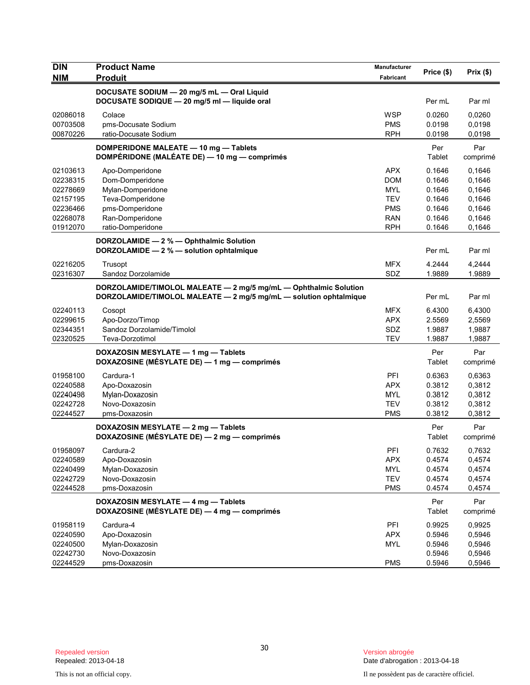| <b>DIN</b> | <b>Product Name</b>                                               | Manufacturer |            |          |
|------------|-------------------------------------------------------------------|--------------|------------|----------|
| <b>NIM</b> | <b>Produit</b>                                                    | Fabricant    | Price (\$) | Prix(\$) |
|            | DOCUSATE SODIUM - 20 mg/5 mL - Oral Liquid                        |              |            |          |
|            | DOCUSATE SODIQUE - 20 mg/5 ml - liquide oral                      |              | Per mL     | Par ml   |
| 02086018   | Colace                                                            | <b>WSP</b>   | 0.0260     | 0,0260   |
| 00703508   | pms-Docusate Sodium                                               | <b>PMS</b>   | 0.0198     | 0,0198   |
| 00870226   | ratio-Docusate Sodium                                             | <b>RPH</b>   | 0.0198     | 0,0198   |
|            | DOMPERIDONE MALEATE - 10 mg - Tablets                             |              | Per        | Par      |
|            | DOMPÉRIDONE (MALÉATE DE) - 10 mg - comprimés                      |              | Tablet     | comprimé |
| 02103613   | Apo-Domperidone                                                   | <b>APX</b>   | 0.1646     | 0.1646   |
| 02238315   | Dom-Domperidone                                                   | <b>DOM</b>   | 0.1646     | 0,1646   |
| 02278669   | Mylan-Domperidone                                                 | <b>MYL</b>   | 0.1646     | 0,1646   |
| 02157195   | Teva-Domperidone                                                  | <b>TEV</b>   | 0.1646     | 0,1646   |
| 02236466   | pms-Domperidone                                                   | <b>PMS</b>   | 0.1646     | 0,1646   |
| 02268078   | Ran-Domperidone                                                   | <b>RAN</b>   | 0.1646     | 0,1646   |
| 01912070   | ratio-Domperidone                                                 | <b>RPH</b>   | 0.1646     | 0,1646   |
|            | DORZOLAMIDE - 2 % - Ophthalmic Solution                           |              |            |          |
|            | DORZOLAMIDE - 2 % - solution ophtalmique                          |              | Per mL     | Par ml   |
| 02216205   | Trusopt                                                           | <b>MFX</b>   | 4.2444     | 4,2444   |
| 02316307   | Sandoz Dorzolamide                                                | SDZ          | 1.9889     | 1.9889   |
|            | DORZOLAMIDE/TIMOLOL MALEATE - 2 mg/5 mg/mL - Ophthalmic Solution  |              |            |          |
|            | DORZOLAMIDE/TIMOLOL MALEATE - 2 mg/5 mg/mL - solution ophtalmique |              | Per mL     | Par ml   |
| 02240113   | Cosopt                                                            | <b>MFX</b>   | 6.4300     | 6,4300   |
| 02299615   | Apo-Dorzo/Timop                                                   | <b>APX</b>   | 2.5569     | 2,5569   |
| 02344351   | Sandoz Dorzolamide/Timolol                                        | SDZ          | 1.9887     | 1,9887   |
| 02320525   | Teva-Dorzotimol                                                   | <b>TEV</b>   | 1.9887     | 1,9887   |
|            | DOXAZOSIN MESYLATE - 1 mg - Tablets                               |              | Per        | Par      |
|            | DOXAZOSINE (MÉSYLATE DE) - 1 mg - comprimés                       |              | Tablet     | comprimé |
| 01958100   | Cardura-1                                                         | PFI          | 0.6363     | 0,6363   |
| 02240588   | Apo-Doxazosin                                                     | <b>APX</b>   | 0.3812     | 0,3812   |
| 02240498   | Mylan-Doxazosin                                                   | <b>MYL</b>   | 0.3812     | 0,3812   |
| 02242728   | Novo-Doxazosin                                                    | <b>TEV</b>   | 0.3812     | 0,3812   |
| 02244527   | pms-Doxazosin                                                     | <b>PMS</b>   | 0.3812     | 0,3812   |
|            | DOXAZOSIN MESYLATE - 2 mg - Tablets                               |              | Per        | Par      |
|            | DOXAZOSINE (MÉSYLATE DE) - 2 mg - comprimés                       |              | Tablet     | comprimé |
| 01958097   | Cardura-2                                                         | PFI          | 0.7632     | 0,7632   |
| 02240589   | Apo-Doxazosin                                                     | <b>APX</b>   | 0.4574     | 0,4574   |
| 02240499   | Mylan-Doxazosin                                                   | MYL          | 0.4574     | 0,4574   |
| 02242729   | Novo-Doxazosin                                                    | <b>TEV</b>   | 0.4574     | 0,4574   |
| 02244528   | pms-Doxazosin                                                     | <b>PMS</b>   | 0.4574     | 0,4574   |
|            | DOXAZOSIN MESYLATE - 4 mg - Tablets                               |              | Per        | Par      |
|            | DOXAZOSINE (MÉSYLATE DE) - 4 mg - comprimés                       |              | Tablet     | comprimé |
| 01958119   | Cardura-4                                                         | PFI          | 0.9925     | 0,9925   |
| 02240590   | Apo-Doxazosin                                                     | <b>APX</b>   | 0.5946     | 0,5946   |
| 02240500   | Mylan-Doxazosin                                                   | MYL          | 0.5946     | 0,5946   |
| 02242730   | Novo-Doxazosin                                                    |              | 0.5946     | 0,5946   |
| 02244529   | pms-Doxazosin                                                     | <b>PMS</b>   | 0.5946     | 0,5946   |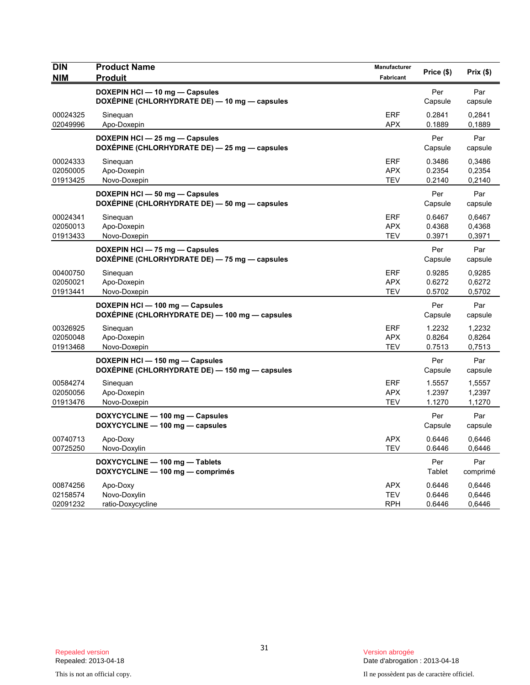| <b>DIN</b><br><b>NIM</b>         | <b>Product Name</b><br><b>Produit</b>                                             | Manufacturer<br>Fabricant              | Price (\$)                 | Prix (\$)                  |
|----------------------------------|-----------------------------------------------------------------------------------|----------------------------------------|----------------------------|----------------------------|
|                                  | DOXEPIN HCI - 10 mg - Capsules<br>DOXÉPINE (CHLORHYDRATE DE) — 10 mg — capsules   |                                        | Per<br>Capsule             | Par<br>capsule             |
| 00024325<br>02049996             | Sineguan<br>Apo-Doxepin                                                           | <b>ERF</b><br><b>APX</b>               | 0.2841<br>0.1889           | 0,2841<br>0,1889           |
|                                  | DOXEPIN HCI - 25 mg - Capsules<br>DOXÉPINE (CHLORHYDRATE DE) - 25 mg - capsules   |                                        | Per<br>Capsule             | Par<br>capsule             |
| 00024333<br>02050005<br>01913425 | Sineguan<br>Apo-Doxepin<br>Novo-Doxepin                                           | <b>ERF</b><br><b>APX</b><br><b>TEV</b> | 0.3486<br>0.2354<br>0.2140 | 0,3486<br>0,2354<br>0,2140 |
|                                  | DOXEPIN HCI - 50 mg - Capsules<br>DOXEPINE (CHLORHYDRATE DE) - 50 mg - capsules   |                                        | Per<br>Capsule             | Par<br>capsule             |
| 00024341<br>02050013<br>01913433 | Sinequan<br>Apo-Doxepin<br>Novo-Doxepin                                           | <b>ERF</b><br><b>APX</b><br><b>TEV</b> | 0.6467<br>0.4368<br>0.3971 | 0,6467<br>0,4368<br>0,3971 |
|                                  | DOXEPIN HCI - 75 mg - Capsules<br>DOXEPINE (CHLORHYDRATE DE) - 75 mg - capsules   |                                        | Per<br>Capsule             | Par<br>capsule             |
| 00400750<br>02050021<br>01913441 | Sineguan<br>Apo-Doxepin<br>Novo-Doxepin                                           | <b>ERF</b><br><b>APX</b><br><b>TEV</b> | 0.9285<br>0.6272<br>0.5702 | 0,9285<br>0,6272<br>0,5702 |
|                                  | DOXEPIN HCI-100 mg-Capsules<br>DOXÉPINE (CHLORHYDRATE DE) — 100 mg — capsules     |                                        | Per<br>Capsule             | Par<br>capsule             |
| 00326925<br>02050048<br>01913468 | Sineguan<br>Apo-Doxepin<br>Novo-Doxepin                                           | <b>ERF</b><br><b>APX</b><br><b>TEV</b> | 1.2232<br>0.8264<br>0.7513 | 1,2232<br>0,8264<br>0,7513 |
|                                  | DOXEPIN HCI - 150 mg - Capsules<br>DOXEPINE (CHLORHYDRATE DE) - 150 mg - capsules |                                        | Per<br>Capsule             | Par<br>capsule             |
| 00584274<br>02050056<br>01913476 | Sinequan<br>Apo-Doxepin<br>Novo-Doxepin                                           | <b>ERF</b><br><b>APX</b><br><b>TEV</b> | 1.5557<br>1.2397<br>1.1270 | 1,5557<br>1,2397<br>1,1270 |
|                                  | DOXYCYCLINE - 100 mg - Capsules<br>DOXYCYCLINE - 100 mg - capsules                |                                        | Per<br>Capsule             | Par<br>capsule             |
| 00740713<br>00725250             | Apo-Doxy<br>Novo-Doxylin                                                          | <b>APX</b><br><b>TEV</b>               | 0.6446<br>0.6446           | 0,6446<br>0,6446           |
|                                  | DOXYCYCLINE - 100 mg - Tablets<br>DOXYCYCLINE - 100 mg - comprimés                |                                        | Per<br>Tablet              | Par<br>comprimé            |
| 00874256<br>02158574<br>02091232 | Apo-Doxy<br>Novo-Doxylin<br>ratio-Doxycycline                                     | <b>APX</b><br><b>TEV</b><br>RPH        | 0.6446<br>0.6446<br>0.6446 | 0,6446<br>0,6446<br>0,6446 |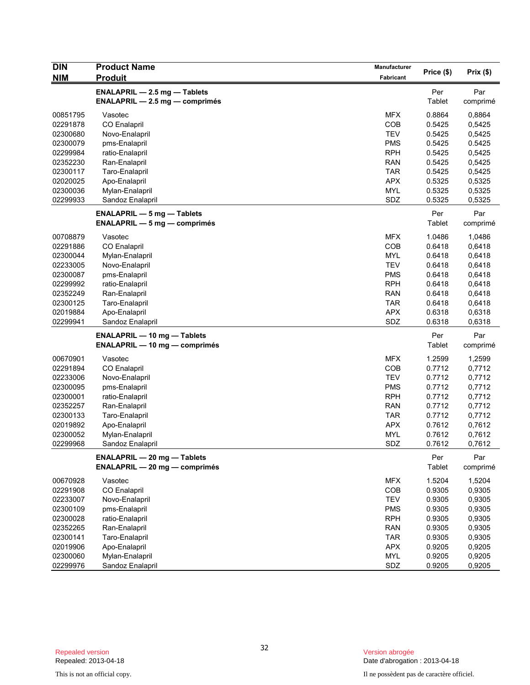| <b>NIM</b><br><b>Produit</b><br>Fabricant<br><b>ENALAPRIL - 2.5 mg - Tablets</b><br>Per<br>Par<br>Tablet<br><b>ENALAPRIL - 2.5 mg - comprimés</b><br>comprimé<br><b>MFX</b><br>0.8864<br>00851795<br>Vasotec<br>0,8864<br><b>COB</b><br>02291878<br><b>CO Enalapril</b><br>0.5425<br>0,5425<br><b>TEV</b><br>02300680<br>Novo-Enalapril<br>0.5425<br>0,5425<br><b>PMS</b><br>0.5425<br>0.5425<br>02300079<br>pms-Enalapril<br>02299984<br><b>RPH</b><br>0.5425<br>0,5425<br>ratio-Enalapril<br><b>RAN</b><br>02352230<br>Ran-Enalapril<br>0.5425<br>0,5425<br>02300117<br><b>TAR</b><br>0.5425<br>Taro-Enalapril<br>0,5425<br>02020025<br><b>APX</b><br>0.5325<br>0,5325<br>Apo-Enalapril<br><b>MYL</b><br>02300036<br>Mylan-Enalapril<br>0.5325<br>0,5325<br>SDZ<br>0.5325<br>0,5325<br>02299933<br>Sandoz Enalapril<br>Per<br>Par<br><b>ENALAPRIL - 5 mg - Tablets</b><br>Tablet<br>$ENALAPRIL - 5 mg - comprimés$<br>comprimé<br><b>MFX</b><br>00708879<br>Vasotec<br>1.0486<br>1,0486<br><b>COB</b><br>02291886<br><b>CO Enalapril</b><br>0.6418<br>0,6418<br>0,6418<br>02300044<br>Mylan-Enalapril<br>MYL<br>0.6418<br><b>TEV</b><br>0.6418<br>02233005<br>Novo-Enalapril<br>0,6418<br>02300087<br><b>PMS</b><br>pms-Enalapril<br>0.6418<br>0,6418<br>02299992<br><b>RPH</b><br>ratio-Enalapril<br>0.6418<br>0,6418<br><b>RAN</b><br>0,6418<br>02352249<br>Ran-Enalapril<br>0.6418<br><b>TAR</b><br>0.6418<br>0,6418<br>02300125<br>Taro-Enalapril<br>02019884<br>Apo-Enalapril<br><b>APX</b><br>0.6318<br>0,6318<br>SDZ<br>02299941<br>Sandoz Enalapril<br>0.6318<br>0,6318<br>Per<br>Par<br><b>ENALAPRIL - 10 mg - Tablets</b><br>Tablet<br><b>ENALAPRIL - 10 mg - comprimés</b><br>comprimé<br><b>MFX</b><br>1.2599<br>00670901<br>Vasotec<br>1,2599<br>02291894<br>COB<br>0.7712<br>0,7712<br><b>CO Enalapril</b><br><b>TEV</b><br>0.7712<br>0,7712<br>02233006<br>Novo-Enalapril<br>02300095<br>pms-Enalapril<br><b>PMS</b><br>0.7712<br>0,7712<br><b>RPH</b><br>02300001<br>0.7712<br>0,7712<br>ratio-Enalapril<br><b>RAN</b><br>0.7712<br>0,7712<br>02352257<br>Ran-Enalapril<br><b>TAR</b><br>02300133<br>Taro-Enalapril<br>0.7712<br>0,7712<br><b>APX</b><br>02019892<br>Apo-Enalapril<br>0.7612<br>0,7612<br>02300052<br><b>MYL</b><br>0.7612<br>0,7612<br>Mylan-Enalapril<br>SDZ<br>0,7612<br>02299968<br>Sandoz Enalapril<br>0.7612<br>Per<br>Par<br><b>ENALAPRIL - 20 mg - Tablets</b><br>Tablet<br><b>ENALAPRIL - 20 mg - comprimés</b><br>comprimé<br>00670928<br><b>MFX</b><br>1.5204<br>1,5204<br>Vasotec<br>02291908<br>CO Enalapril<br>COB<br>0.9305<br>0,9305<br><b>TEV</b><br>0.9305<br>0,9305<br>02233007<br>Novo-Enalapril<br>02300109<br><b>PMS</b><br>0.9305<br>0,9305<br>pms-Enalapril<br>02300028<br>ratio-Enalapril<br><b>RPH</b><br>0.9305<br>0,9305<br>02352265<br>Ran-Enalapril<br><b>RAN</b><br>0.9305<br>0,9305<br>Taro-Enalapril<br><b>TAR</b><br>0.9305<br>0,9305<br>02300141<br>02019906<br>Apo-Enalapril<br><b>APX</b><br>0.9205<br>0,9205<br>02300060<br>Mylan-Enalapril<br>MYL<br>0.9205<br>0,9205 | <b>DIN</b> | <b>Product Name</b> | Manufacturer |            | Prix(\$) |
|------------------------------------------------------------------------------------------------------------------------------------------------------------------------------------------------------------------------------------------------------------------------------------------------------------------------------------------------------------------------------------------------------------------------------------------------------------------------------------------------------------------------------------------------------------------------------------------------------------------------------------------------------------------------------------------------------------------------------------------------------------------------------------------------------------------------------------------------------------------------------------------------------------------------------------------------------------------------------------------------------------------------------------------------------------------------------------------------------------------------------------------------------------------------------------------------------------------------------------------------------------------------------------------------------------------------------------------------------------------------------------------------------------------------------------------------------------------------------------------------------------------------------------------------------------------------------------------------------------------------------------------------------------------------------------------------------------------------------------------------------------------------------------------------------------------------------------------------------------------------------------------------------------------------------------------------------------------------------------------------------------------------------------------------------------------------------------------------------------------------------------------------------------------------------------------------------------------------------------------------------------------------------------------------------------------------------------------------------------------------------------------------------------------------------------------------------------------------------------------------------------------------------------------------------------------------------------------------------------------------------------------------------------------------------------------------------------------------------------------------------------------------------------------------------------------------------------------------------------------------------------------------------------------------------------------------------------------------------------------------------------------------------------------------|------------|---------------------|--------------|------------|----------|
|                                                                                                                                                                                                                                                                                                                                                                                                                                                                                                                                                                                                                                                                                                                                                                                                                                                                                                                                                                                                                                                                                                                                                                                                                                                                                                                                                                                                                                                                                                                                                                                                                                                                                                                                                                                                                                                                                                                                                                                                                                                                                                                                                                                                                                                                                                                                                                                                                                                                                                                                                                                                                                                                                                                                                                                                                                                                                                                                                                                                                                                |            |                     |              | Price (\$) |          |
|                                                                                                                                                                                                                                                                                                                                                                                                                                                                                                                                                                                                                                                                                                                                                                                                                                                                                                                                                                                                                                                                                                                                                                                                                                                                                                                                                                                                                                                                                                                                                                                                                                                                                                                                                                                                                                                                                                                                                                                                                                                                                                                                                                                                                                                                                                                                                                                                                                                                                                                                                                                                                                                                                                                                                                                                                                                                                                                                                                                                                                                |            |                     |              |            |          |
|                                                                                                                                                                                                                                                                                                                                                                                                                                                                                                                                                                                                                                                                                                                                                                                                                                                                                                                                                                                                                                                                                                                                                                                                                                                                                                                                                                                                                                                                                                                                                                                                                                                                                                                                                                                                                                                                                                                                                                                                                                                                                                                                                                                                                                                                                                                                                                                                                                                                                                                                                                                                                                                                                                                                                                                                                                                                                                                                                                                                                                                |            |                     |              |            |          |
|                                                                                                                                                                                                                                                                                                                                                                                                                                                                                                                                                                                                                                                                                                                                                                                                                                                                                                                                                                                                                                                                                                                                                                                                                                                                                                                                                                                                                                                                                                                                                                                                                                                                                                                                                                                                                                                                                                                                                                                                                                                                                                                                                                                                                                                                                                                                                                                                                                                                                                                                                                                                                                                                                                                                                                                                                                                                                                                                                                                                                                                |            |                     |              |            |          |
|                                                                                                                                                                                                                                                                                                                                                                                                                                                                                                                                                                                                                                                                                                                                                                                                                                                                                                                                                                                                                                                                                                                                                                                                                                                                                                                                                                                                                                                                                                                                                                                                                                                                                                                                                                                                                                                                                                                                                                                                                                                                                                                                                                                                                                                                                                                                                                                                                                                                                                                                                                                                                                                                                                                                                                                                                                                                                                                                                                                                                                                |            |                     |              |            |          |
|                                                                                                                                                                                                                                                                                                                                                                                                                                                                                                                                                                                                                                                                                                                                                                                                                                                                                                                                                                                                                                                                                                                                                                                                                                                                                                                                                                                                                                                                                                                                                                                                                                                                                                                                                                                                                                                                                                                                                                                                                                                                                                                                                                                                                                                                                                                                                                                                                                                                                                                                                                                                                                                                                                                                                                                                                                                                                                                                                                                                                                                |            |                     |              |            |          |
|                                                                                                                                                                                                                                                                                                                                                                                                                                                                                                                                                                                                                                                                                                                                                                                                                                                                                                                                                                                                                                                                                                                                                                                                                                                                                                                                                                                                                                                                                                                                                                                                                                                                                                                                                                                                                                                                                                                                                                                                                                                                                                                                                                                                                                                                                                                                                                                                                                                                                                                                                                                                                                                                                                                                                                                                                                                                                                                                                                                                                                                |            |                     |              |            |          |
|                                                                                                                                                                                                                                                                                                                                                                                                                                                                                                                                                                                                                                                                                                                                                                                                                                                                                                                                                                                                                                                                                                                                                                                                                                                                                                                                                                                                                                                                                                                                                                                                                                                                                                                                                                                                                                                                                                                                                                                                                                                                                                                                                                                                                                                                                                                                                                                                                                                                                                                                                                                                                                                                                                                                                                                                                                                                                                                                                                                                                                                |            |                     |              |            |          |
|                                                                                                                                                                                                                                                                                                                                                                                                                                                                                                                                                                                                                                                                                                                                                                                                                                                                                                                                                                                                                                                                                                                                                                                                                                                                                                                                                                                                                                                                                                                                                                                                                                                                                                                                                                                                                                                                                                                                                                                                                                                                                                                                                                                                                                                                                                                                                                                                                                                                                                                                                                                                                                                                                                                                                                                                                                                                                                                                                                                                                                                |            |                     |              |            |          |
|                                                                                                                                                                                                                                                                                                                                                                                                                                                                                                                                                                                                                                                                                                                                                                                                                                                                                                                                                                                                                                                                                                                                                                                                                                                                                                                                                                                                                                                                                                                                                                                                                                                                                                                                                                                                                                                                                                                                                                                                                                                                                                                                                                                                                                                                                                                                                                                                                                                                                                                                                                                                                                                                                                                                                                                                                                                                                                                                                                                                                                                |            |                     |              |            |          |
|                                                                                                                                                                                                                                                                                                                                                                                                                                                                                                                                                                                                                                                                                                                                                                                                                                                                                                                                                                                                                                                                                                                                                                                                                                                                                                                                                                                                                                                                                                                                                                                                                                                                                                                                                                                                                                                                                                                                                                                                                                                                                                                                                                                                                                                                                                                                                                                                                                                                                                                                                                                                                                                                                                                                                                                                                                                                                                                                                                                                                                                |            |                     |              |            |          |
|                                                                                                                                                                                                                                                                                                                                                                                                                                                                                                                                                                                                                                                                                                                                                                                                                                                                                                                                                                                                                                                                                                                                                                                                                                                                                                                                                                                                                                                                                                                                                                                                                                                                                                                                                                                                                                                                                                                                                                                                                                                                                                                                                                                                                                                                                                                                                                                                                                                                                                                                                                                                                                                                                                                                                                                                                                                                                                                                                                                                                                                |            |                     |              |            |          |
|                                                                                                                                                                                                                                                                                                                                                                                                                                                                                                                                                                                                                                                                                                                                                                                                                                                                                                                                                                                                                                                                                                                                                                                                                                                                                                                                                                                                                                                                                                                                                                                                                                                                                                                                                                                                                                                                                                                                                                                                                                                                                                                                                                                                                                                                                                                                                                                                                                                                                                                                                                                                                                                                                                                                                                                                                                                                                                                                                                                                                                                |            |                     |              |            |          |
|                                                                                                                                                                                                                                                                                                                                                                                                                                                                                                                                                                                                                                                                                                                                                                                                                                                                                                                                                                                                                                                                                                                                                                                                                                                                                                                                                                                                                                                                                                                                                                                                                                                                                                                                                                                                                                                                                                                                                                                                                                                                                                                                                                                                                                                                                                                                                                                                                                                                                                                                                                                                                                                                                                                                                                                                                                                                                                                                                                                                                                                |            |                     |              |            |          |
|                                                                                                                                                                                                                                                                                                                                                                                                                                                                                                                                                                                                                                                                                                                                                                                                                                                                                                                                                                                                                                                                                                                                                                                                                                                                                                                                                                                                                                                                                                                                                                                                                                                                                                                                                                                                                                                                                                                                                                                                                                                                                                                                                                                                                                                                                                                                                                                                                                                                                                                                                                                                                                                                                                                                                                                                                                                                                                                                                                                                                                                |            |                     |              |            |          |
|                                                                                                                                                                                                                                                                                                                                                                                                                                                                                                                                                                                                                                                                                                                                                                                                                                                                                                                                                                                                                                                                                                                                                                                                                                                                                                                                                                                                                                                                                                                                                                                                                                                                                                                                                                                                                                                                                                                                                                                                                                                                                                                                                                                                                                                                                                                                                                                                                                                                                                                                                                                                                                                                                                                                                                                                                                                                                                                                                                                                                                                |            |                     |              |            |          |
|                                                                                                                                                                                                                                                                                                                                                                                                                                                                                                                                                                                                                                                                                                                                                                                                                                                                                                                                                                                                                                                                                                                                                                                                                                                                                                                                                                                                                                                                                                                                                                                                                                                                                                                                                                                                                                                                                                                                                                                                                                                                                                                                                                                                                                                                                                                                                                                                                                                                                                                                                                                                                                                                                                                                                                                                                                                                                                                                                                                                                                                |            |                     |              |            |          |
|                                                                                                                                                                                                                                                                                                                                                                                                                                                                                                                                                                                                                                                                                                                                                                                                                                                                                                                                                                                                                                                                                                                                                                                                                                                                                                                                                                                                                                                                                                                                                                                                                                                                                                                                                                                                                                                                                                                                                                                                                                                                                                                                                                                                                                                                                                                                                                                                                                                                                                                                                                                                                                                                                                                                                                                                                                                                                                                                                                                                                                                |            |                     |              |            |          |
|                                                                                                                                                                                                                                                                                                                                                                                                                                                                                                                                                                                                                                                                                                                                                                                                                                                                                                                                                                                                                                                                                                                                                                                                                                                                                                                                                                                                                                                                                                                                                                                                                                                                                                                                                                                                                                                                                                                                                                                                                                                                                                                                                                                                                                                                                                                                                                                                                                                                                                                                                                                                                                                                                                                                                                                                                                                                                                                                                                                                                                                |            |                     |              |            |          |
|                                                                                                                                                                                                                                                                                                                                                                                                                                                                                                                                                                                                                                                                                                                                                                                                                                                                                                                                                                                                                                                                                                                                                                                                                                                                                                                                                                                                                                                                                                                                                                                                                                                                                                                                                                                                                                                                                                                                                                                                                                                                                                                                                                                                                                                                                                                                                                                                                                                                                                                                                                                                                                                                                                                                                                                                                                                                                                                                                                                                                                                |            |                     |              |            |          |
|                                                                                                                                                                                                                                                                                                                                                                                                                                                                                                                                                                                                                                                                                                                                                                                                                                                                                                                                                                                                                                                                                                                                                                                                                                                                                                                                                                                                                                                                                                                                                                                                                                                                                                                                                                                                                                                                                                                                                                                                                                                                                                                                                                                                                                                                                                                                                                                                                                                                                                                                                                                                                                                                                                                                                                                                                                                                                                                                                                                                                                                |            |                     |              |            |          |
|                                                                                                                                                                                                                                                                                                                                                                                                                                                                                                                                                                                                                                                                                                                                                                                                                                                                                                                                                                                                                                                                                                                                                                                                                                                                                                                                                                                                                                                                                                                                                                                                                                                                                                                                                                                                                                                                                                                                                                                                                                                                                                                                                                                                                                                                                                                                                                                                                                                                                                                                                                                                                                                                                                                                                                                                                                                                                                                                                                                                                                                |            |                     |              |            |          |
|                                                                                                                                                                                                                                                                                                                                                                                                                                                                                                                                                                                                                                                                                                                                                                                                                                                                                                                                                                                                                                                                                                                                                                                                                                                                                                                                                                                                                                                                                                                                                                                                                                                                                                                                                                                                                                                                                                                                                                                                                                                                                                                                                                                                                                                                                                                                                                                                                                                                                                                                                                                                                                                                                                                                                                                                                                                                                                                                                                                                                                                |            |                     |              |            |          |
|                                                                                                                                                                                                                                                                                                                                                                                                                                                                                                                                                                                                                                                                                                                                                                                                                                                                                                                                                                                                                                                                                                                                                                                                                                                                                                                                                                                                                                                                                                                                                                                                                                                                                                                                                                                                                                                                                                                                                                                                                                                                                                                                                                                                                                                                                                                                                                                                                                                                                                                                                                                                                                                                                                                                                                                                                                                                                                                                                                                                                                                |            |                     |              |            |          |
|                                                                                                                                                                                                                                                                                                                                                                                                                                                                                                                                                                                                                                                                                                                                                                                                                                                                                                                                                                                                                                                                                                                                                                                                                                                                                                                                                                                                                                                                                                                                                                                                                                                                                                                                                                                                                                                                                                                                                                                                                                                                                                                                                                                                                                                                                                                                                                                                                                                                                                                                                                                                                                                                                                                                                                                                                                                                                                                                                                                                                                                |            |                     |              |            |          |
|                                                                                                                                                                                                                                                                                                                                                                                                                                                                                                                                                                                                                                                                                                                                                                                                                                                                                                                                                                                                                                                                                                                                                                                                                                                                                                                                                                                                                                                                                                                                                                                                                                                                                                                                                                                                                                                                                                                                                                                                                                                                                                                                                                                                                                                                                                                                                                                                                                                                                                                                                                                                                                                                                                                                                                                                                                                                                                                                                                                                                                                |            |                     |              |            |          |
|                                                                                                                                                                                                                                                                                                                                                                                                                                                                                                                                                                                                                                                                                                                                                                                                                                                                                                                                                                                                                                                                                                                                                                                                                                                                                                                                                                                                                                                                                                                                                                                                                                                                                                                                                                                                                                                                                                                                                                                                                                                                                                                                                                                                                                                                                                                                                                                                                                                                                                                                                                                                                                                                                                                                                                                                                                                                                                                                                                                                                                                |            |                     |              |            |          |
|                                                                                                                                                                                                                                                                                                                                                                                                                                                                                                                                                                                                                                                                                                                                                                                                                                                                                                                                                                                                                                                                                                                                                                                                                                                                                                                                                                                                                                                                                                                                                                                                                                                                                                                                                                                                                                                                                                                                                                                                                                                                                                                                                                                                                                                                                                                                                                                                                                                                                                                                                                                                                                                                                                                                                                                                                                                                                                                                                                                                                                                |            |                     |              |            |          |
|                                                                                                                                                                                                                                                                                                                                                                                                                                                                                                                                                                                                                                                                                                                                                                                                                                                                                                                                                                                                                                                                                                                                                                                                                                                                                                                                                                                                                                                                                                                                                                                                                                                                                                                                                                                                                                                                                                                                                                                                                                                                                                                                                                                                                                                                                                                                                                                                                                                                                                                                                                                                                                                                                                                                                                                                                                                                                                                                                                                                                                                |            |                     |              |            |          |
|                                                                                                                                                                                                                                                                                                                                                                                                                                                                                                                                                                                                                                                                                                                                                                                                                                                                                                                                                                                                                                                                                                                                                                                                                                                                                                                                                                                                                                                                                                                                                                                                                                                                                                                                                                                                                                                                                                                                                                                                                                                                                                                                                                                                                                                                                                                                                                                                                                                                                                                                                                                                                                                                                                                                                                                                                                                                                                                                                                                                                                                |            |                     |              |            |          |
|                                                                                                                                                                                                                                                                                                                                                                                                                                                                                                                                                                                                                                                                                                                                                                                                                                                                                                                                                                                                                                                                                                                                                                                                                                                                                                                                                                                                                                                                                                                                                                                                                                                                                                                                                                                                                                                                                                                                                                                                                                                                                                                                                                                                                                                                                                                                                                                                                                                                                                                                                                                                                                                                                                                                                                                                                                                                                                                                                                                                                                                |            |                     |              |            |          |
|                                                                                                                                                                                                                                                                                                                                                                                                                                                                                                                                                                                                                                                                                                                                                                                                                                                                                                                                                                                                                                                                                                                                                                                                                                                                                                                                                                                                                                                                                                                                                                                                                                                                                                                                                                                                                                                                                                                                                                                                                                                                                                                                                                                                                                                                                                                                                                                                                                                                                                                                                                                                                                                                                                                                                                                                                                                                                                                                                                                                                                                |            |                     |              |            |          |
|                                                                                                                                                                                                                                                                                                                                                                                                                                                                                                                                                                                                                                                                                                                                                                                                                                                                                                                                                                                                                                                                                                                                                                                                                                                                                                                                                                                                                                                                                                                                                                                                                                                                                                                                                                                                                                                                                                                                                                                                                                                                                                                                                                                                                                                                                                                                                                                                                                                                                                                                                                                                                                                                                                                                                                                                                                                                                                                                                                                                                                                |            |                     |              |            |          |
|                                                                                                                                                                                                                                                                                                                                                                                                                                                                                                                                                                                                                                                                                                                                                                                                                                                                                                                                                                                                                                                                                                                                                                                                                                                                                                                                                                                                                                                                                                                                                                                                                                                                                                                                                                                                                                                                                                                                                                                                                                                                                                                                                                                                                                                                                                                                                                                                                                                                                                                                                                                                                                                                                                                                                                                                                                                                                                                                                                                                                                                |            |                     |              |            |          |
|                                                                                                                                                                                                                                                                                                                                                                                                                                                                                                                                                                                                                                                                                                                                                                                                                                                                                                                                                                                                                                                                                                                                                                                                                                                                                                                                                                                                                                                                                                                                                                                                                                                                                                                                                                                                                                                                                                                                                                                                                                                                                                                                                                                                                                                                                                                                                                                                                                                                                                                                                                                                                                                                                                                                                                                                                                                                                                                                                                                                                                                |            |                     |              |            |          |
|                                                                                                                                                                                                                                                                                                                                                                                                                                                                                                                                                                                                                                                                                                                                                                                                                                                                                                                                                                                                                                                                                                                                                                                                                                                                                                                                                                                                                                                                                                                                                                                                                                                                                                                                                                                                                                                                                                                                                                                                                                                                                                                                                                                                                                                                                                                                                                                                                                                                                                                                                                                                                                                                                                                                                                                                                                                                                                                                                                                                                                                |            |                     |              |            |          |
|                                                                                                                                                                                                                                                                                                                                                                                                                                                                                                                                                                                                                                                                                                                                                                                                                                                                                                                                                                                                                                                                                                                                                                                                                                                                                                                                                                                                                                                                                                                                                                                                                                                                                                                                                                                                                                                                                                                                                                                                                                                                                                                                                                                                                                                                                                                                                                                                                                                                                                                                                                                                                                                                                                                                                                                                                                                                                                                                                                                                                                                |            |                     |              |            |          |
|                                                                                                                                                                                                                                                                                                                                                                                                                                                                                                                                                                                                                                                                                                                                                                                                                                                                                                                                                                                                                                                                                                                                                                                                                                                                                                                                                                                                                                                                                                                                                                                                                                                                                                                                                                                                                                                                                                                                                                                                                                                                                                                                                                                                                                                                                                                                                                                                                                                                                                                                                                                                                                                                                                                                                                                                                                                                                                                                                                                                                                                |            |                     |              |            |          |
|                                                                                                                                                                                                                                                                                                                                                                                                                                                                                                                                                                                                                                                                                                                                                                                                                                                                                                                                                                                                                                                                                                                                                                                                                                                                                                                                                                                                                                                                                                                                                                                                                                                                                                                                                                                                                                                                                                                                                                                                                                                                                                                                                                                                                                                                                                                                                                                                                                                                                                                                                                                                                                                                                                                                                                                                                                                                                                                                                                                                                                                |            |                     |              |            |          |
|                                                                                                                                                                                                                                                                                                                                                                                                                                                                                                                                                                                                                                                                                                                                                                                                                                                                                                                                                                                                                                                                                                                                                                                                                                                                                                                                                                                                                                                                                                                                                                                                                                                                                                                                                                                                                                                                                                                                                                                                                                                                                                                                                                                                                                                                                                                                                                                                                                                                                                                                                                                                                                                                                                                                                                                                                                                                                                                                                                                                                                                |            |                     |              |            |          |
|                                                                                                                                                                                                                                                                                                                                                                                                                                                                                                                                                                                                                                                                                                                                                                                                                                                                                                                                                                                                                                                                                                                                                                                                                                                                                                                                                                                                                                                                                                                                                                                                                                                                                                                                                                                                                                                                                                                                                                                                                                                                                                                                                                                                                                                                                                                                                                                                                                                                                                                                                                                                                                                                                                                                                                                                                                                                                                                                                                                                                                                |            |                     |              |            |          |
|                                                                                                                                                                                                                                                                                                                                                                                                                                                                                                                                                                                                                                                                                                                                                                                                                                                                                                                                                                                                                                                                                                                                                                                                                                                                                                                                                                                                                                                                                                                                                                                                                                                                                                                                                                                                                                                                                                                                                                                                                                                                                                                                                                                                                                                                                                                                                                                                                                                                                                                                                                                                                                                                                                                                                                                                                                                                                                                                                                                                                                                |            |                     |              |            |          |
|                                                                                                                                                                                                                                                                                                                                                                                                                                                                                                                                                                                                                                                                                                                                                                                                                                                                                                                                                                                                                                                                                                                                                                                                                                                                                                                                                                                                                                                                                                                                                                                                                                                                                                                                                                                                                                                                                                                                                                                                                                                                                                                                                                                                                                                                                                                                                                                                                                                                                                                                                                                                                                                                                                                                                                                                                                                                                                                                                                                                                                                |            |                     |              |            |          |
|                                                                                                                                                                                                                                                                                                                                                                                                                                                                                                                                                                                                                                                                                                                                                                                                                                                                                                                                                                                                                                                                                                                                                                                                                                                                                                                                                                                                                                                                                                                                                                                                                                                                                                                                                                                                                                                                                                                                                                                                                                                                                                                                                                                                                                                                                                                                                                                                                                                                                                                                                                                                                                                                                                                                                                                                                                                                                                                                                                                                                                                |            |                     |              |            |          |
|                                                                                                                                                                                                                                                                                                                                                                                                                                                                                                                                                                                                                                                                                                                                                                                                                                                                                                                                                                                                                                                                                                                                                                                                                                                                                                                                                                                                                                                                                                                                                                                                                                                                                                                                                                                                                                                                                                                                                                                                                                                                                                                                                                                                                                                                                                                                                                                                                                                                                                                                                                                                                                                                                                                                                                                                                                                                                                                                                                                                                                                |            |                     |              |            |          |
|                                                                                                                                                                                                                                                                                                                                                                                                                                                                                                                                                                                                                                                                                                                                                                                                                                                                                                                                                                                                                                                                                                                                                                                                                                                                                                                                                                                                                                                                                                                                                                                                                                                                                                                                                                                                                                                                                                                                                                                                                                                                                                                                                                                                                                                                                                                                                                                                                                                                                                                                                                                                                                                                                                                                                                                                                                                                                                                                                                                                                                                |            |                     |              |            |          |
|                                                                                                                                                                                                                                                                                                                                                                                                                                                                                                                                                                                                                                                                                                                                                                                                                                                                                                                                                                                                                                                                                                                                                                                                                                                                                                                                                                                                                                                                                                                                                                                                                                                                                                                                                                                                                                                                                                                                                                                                                                                                                                                                                                                                                                                                                                                                                                                                                                                                                                                                                                                                                                                                                                                                                                                                                                                                                                                                                                                                                                                |            |                     |              |            |          |
|                                                                                                                                                                                                                                                                                                                                                                                                                                                                                                                                                                                                                                                                                                                                                                                                                                                                                                                                                                                                                                                                                                                                                                                                                                                                                                                                                                                                                                                                                                                                                                                                                                                                                                                                                                                                                                                                                                                                                                                                                                                                                                                                                                                                                                                                                                                                                                                                                                                                                                                                                                                                                                                                                                                                                                                                                                                                                                                                                                                                                                                |            |                     |              |            |          |
|                                                                                                                                                                                                                                                                                                                                                                                                                                                                                                                                                                                                                                                                                                                                                                                                                                                                                                                                                                                                                                                                                                                                                                                                                                                                                                                                                                                                                                                                                                                                                                                                                                                                                                                                                                                                                                                                                                                                                                                                                                                                                                                                                                                                                                                                                                                                                                                                                                                                                                                                                                                                                                                                                                                                                                                                                                                                                                                                                                                                                                                |            |                     |              |            |          |
|                                                                                                                                                                                                                                                                                                                                                                                                                                                                                                                                                                                                                                                                                                                                                                                                                                                                                                                                                                                                                                                                                                                                                                                                                                                                                                                                                                                                                                                                                                                                                                                                                                                                                                                                                                                                                                                                                                                                                                                                                                                                                                                                                                                                                                                                                                                                                                                                                                                                                                                                                                                                                                                                                                                                                                                                                                                                                                                                                                                                                                                | 02299976   | Sandoz Enalapril    | SDZ          | 0.9205     | 0,9205   |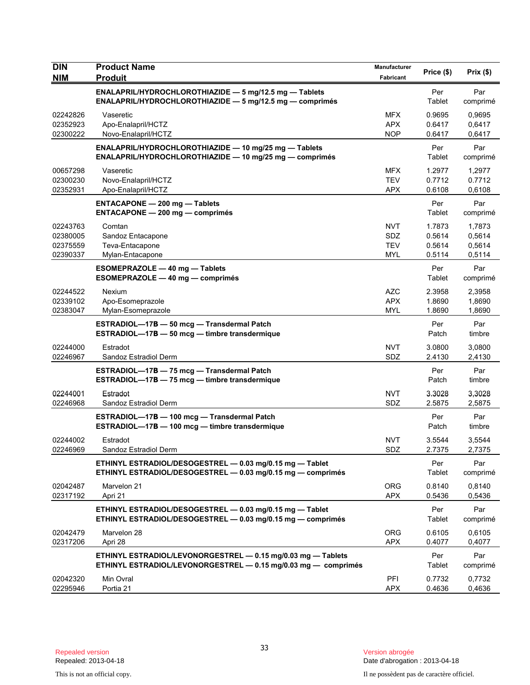| <b>DIN</b><br><b>NIM</b>                     | <b>Product Name</b><br><b>Produit</b>                                                                                          | Manufacturer<br>Fabricant              | Price (\$)                           | Prix(\$)                             |
|----------------------------------------------|--------------------------------------------------------------------------------------------------------------------------------|----------------------------------------|--------------------------------------|--------------------------------------|
|                                              | ENALAPRIL/HYDROCHLOROTHIAZIDE - 5 mg/12.5 mg - Tablets<br><b>ENALAPRIL/HYDROCHLOROTHIAZIDE — 5 mg/12.5 mg — comprimés</b>      |                                        | Per<br>Tablet                        | Par<br>comprimé                      |
| 02242826<br>02352923<br>02300222             | Vaseretic<br>Apo-Enalapril/HCTZ<br>Novo-Enalapril/HCTZ                                                                         | <b>MFX</b><br><b>APX</b><br><b>NOP</b> | 0.9695<br>0.6417<br>0.6417           | 0,9695<br>0,6417<br>0,6417           |
|                                              | ENALAPRIL/HYDROCHLOROTHIAZIDE - 10 mg/25 mg - Tablets<br>ENALAPRIL/HYDROCHLOROTHIAZIDE - 10 mg/25 mg - comprimés               |                                        | Per<br>Tablet                        | Par<br>comprimé                      |
| 00657298<br>02300230<br>02352931             | Vaseretic<br>Novo-Enalapril/HCTZ<br>Apo-Enalapril/HCTZ                                                                         | <b>MFX</b><br><b>TEV</b><br><b>APX</b> | 1.2977<br>0.7712<br>0.6108           | 1,2977<br>0.7712<br>0,6108           |
|                                              | <b>ENTACAPONE - 200 mg - Tablets</b><br><b>ENTACAPONE - 200 mg - comprimés</b>                                                 |                                        | Per<br>Tablet                        | Par<br>comprimé                      |
| 02243763<br>02380005<br>02375559<br>02390337 | Comtan<br>Sandoz Entacapone<br>Teva-Entacapone<br>Mylan-Entacapone                                                             | <b>NVT</b><br>SDZ<br><b>TEV</b><br>MYL | 1.7873<br>0.5614<br>0.5614<br>0.5114 | 1,7873<br>0,5614<br>0,5614<br>0,5114 |
|                                              | <b>ESOMEPRAZOLE - 40 mg - Tablets</b><br>ESOMEPRAZOLE - 40 mg - comprimés                                                      |                                        | Per<br>Tablet                        | Par<br>comprimé                      |
| 02244522<br>02339102<br>02383047             | Nexium<br>Apo-Esomeprazole<br>Mylan-Esomeprazole                                                                               | <b>AZC</b><br><b>APX</b><br>MYL        | 2.3958<br>1.8690<br>1.8690           | 2,3958<br>1,8690<br>1,8690           |
|                                              | ESTRADIOL-17B - 50 mcg - Transdermal Patch<br>ESTRADIOL-17B - 50 mcg - timbre transdermique                                    |                                        | Per<br>Patch                         | Par<br>timbre                        |
| 02244000<br>02246967                         | Estradot<br>Sandoz Estradiol Derm                                                                                              | <b>NVT</b><br>SDZ                      | 3.0800<br>2.4130                     | 3,0800<br>2,4130                     |
|                                              | ESTRADIOL-17B - 75 mcg - Transdermal Patch<br>ESTRADIOL-17B - 75 mcg - timbre transdermique                                    |                                        | Per<br>Patch                         | Par<br>timbre                        |
| 02244001<br>02246968                         | Estradot<br>Sandoz Estradiol Derm                                                                                              | <b>NVT</b><br>SDZ                      | 3.3028<br>2.5875                     | 3,3028<br>2,5875                     |
|                                              | ESTRADIOL-17B - 100 mcg - Transdermal Patch<br>ESTRADIOL-17B - 100 mcg - timbre transdermique                                  |                                        | Per<br>Patch                         | Par<br>timbre                        |
| 02244002<br>02246969                         | Estradot<br>Sandoz Estradiol Derm                                                                                              | NVT<br>SDZ                             | 3.5544<br>2.7375                     | 3,5544<br>2,7375                     |
|                                              | ETHINYL ESTRADIOL/DESOGESTREL - 0.03 mg/0.15 mg - Tablet<br>ETHINYL ESTRADIOL/DESOGESTREL - 0.03 mg/0.15 mg - comprimés        |                                        | Per<br>Tablet                        | Par<br>comprimé                      |
| 02042487<br>02317192                         | Marvelon 21<br>Apri 21                                                                                                         | <b>ORG</b><br><b>APX</b>               | 0.8140<br>0.5436                     | 0,8140<br>0,5436                     |
|                                              | ETHINYL ESTRADIOL/DESOGESTREL - 0.03 mg/0.15 mg - Tablet<br>ETHINYL ESTRADIOL/DESOGESTREL - 0.03 mg/0.15 mg - comprimés        |                                        | Per<br>Tablet                        | Par<br>comprimé                      |
| 02042479<br>02317206                         | Marvelon 28<br>Apri 28                                                                                                         | <b>ORG</b><br><b>APX</b>               | 0.6105<br>0.4077                     | 0,6105<br>0,4077                     |
|                                              | ETHINYL ESTRADIOL/LEVONORGESTREL - 0.15 mg/0.03 mg - Tablets<br>ETHINYL ESTRADIOL/LEVONORGESTREL - 0.15 mg/0.03 mg - comprimés |                                        | Per<br>Tablet                        | Par<br>comprimé                      |
| 02042320<br>02295946                         | Min Ovral<br>Portia 21                                                                                                         | PFI<br><b>APX</b>                      | 0.7732<br>0.4636                     | 0,7732<br>0,4636                     |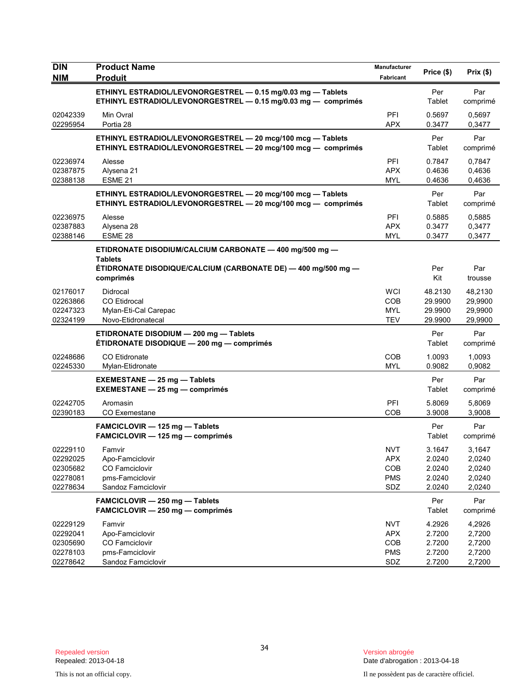| <b>DIN</b>                                               | <b>Product Name</b>                                                                                                                                     | Manufacturer                                         | Price (\$)                                     | Prix(\$)                                       |
|----------------------------------------------------------|---------------------------------------------------------------------------------------------------------------------------------------------------------|------------------------------------------------------|------------------------------------------------|------------------------------------------------|
| <b>NIM</b>                                               | <b>Produit</b>                                                                                                                                          | Fabricant                                            |                                                |                                                |
|                                                          | ETHINYL ESTRADIOL/LEVONORGESTREL - 0.15 mg/0.03 mg - Tablets<br>ETHINYL ESTRADIOL/LEVONORGESTREL - 0.15 mg/0.03 mg - comprimés                          |                                                      | Per<br>Tablet                                  | Par<br>comprimé                                |
| 02042339<br>02295954                                     | Min Ovral<br>Portia 28                                                                                                                                  | PFI<br><b>APX</b>                                    | 0.5697<br>0.3477                               | 0.5697<br>0,3477                               |
|                                                          | ETHINYL ESTRADIOL/LEVONORGESTREL - 20 mcg/100 mcg - Tablets<br>ETHINYL ESTRADIOL/LEVONORGESTREL - 20 mcg/100 mcg - comprimés                            |                                                      | Per<br>Tablet                                  | Par<br>comprimé                                |
| 02236974<br>02387875<br>02388138                         | Alesse<br>Alysena 21<br>ESME <sub>21</sub>                                                                                                              | PFI<br><b>APX</b><br><b>MYL</b>                      | 0.7847<br>0.4636<br>0.4636                     | 0,7847<br>0,4636<br>0,4636                     |
|                                                          | ETHINYL ESTRADIOL/LEVONORGESTREL - 20 mcg/100 mcg - Tablets<br>ETHINYL ESTRADIOL/LEVONORGESTREL - 20 mcg/100 mcg - comprimés                            |                                                      | Per<br>Tablet                                  | Par<br>comprimé                                |
| 02236975<br>02387883<br>02388146                         | Alesse<br>Alysena 28<br>ESME 28                                                                                                                         | PFI<br><b>APX</b><br><b>MYL</b>                      | 0.5885<br>0.3477<br>0.3477                     | 0,5885<br>0,3477<br>0,3477                     |
|                                                          | ETIDRONATE DISODIUM/CALCIUM CARBONATE - 400 mg/500 mg -<br><b>Tablets</b><br>ÉTIDRONATE DISODIQUE/CALCIUM (CARBONATE DE) — 400 mg/500 mg —<br>comprimés |                                                      | Per<br>Kit                                     | Par<br>trousse                                 |
| 02176017<br>02263866<br>02247323<br>02324199             | Didrocal<br><b>CO</b> Etidrocal<br>Mylan-Eti-Cal Carepac<br>Novo-Etidronatecal                                                                          | <b>WCI</b><br>COB<br><b>MYL</b><br><b>TEV</b>        | 48.2130<br>29.9900<br>29.9900<br>29.9900       | 48,2130<br>29,9900<br>29,9900<br>29,9900       |
|                                                          | ETIDRONATE DISODIUM - 200 mg - Tablets<br>ÉTIDRONATE DISODIQUE - 200 mg - comprimés                                                                     |                                                      | Per<br>Tablet                                  | Par<br>comprimé                                |
| 02248686<br>02245330                                     | <b>CO</b> Etidronate<br>Mylan-Etidronate                                                                                                                | COB<br><b>MYL</b>                                    | 1.0093<br>0.9082                               | 1,0093<br>0,9082                               |
|                                                          | <b>EXEMESTANE - 25 mg - Tablets</b><br><b>EXEMESTANE - 25 mg - comprimés</b>                                                                            |                                                      | Per<br>Tablet                                  | Par<br>comprimé                                |
| 02242705<br>02390183                                     | Aromasin<br><b>CO Exemestane</b>                                                                                                                        | PFI<br>COB                                           | 5.8069<br>3.9008                               | 5,8069<br>3,9008                               |
|                                                          | FAMCICLOVIR - 125 mg - Tablets<br>FAMCICLOVIR - 125 mg - comprimés                                                                                      |                                                      | Per<br>Tablet                                  | Par<br>comprimé                                |
| 02229110<br>02292025<br>02305682<br>02278081<br>02278634 | Famvir<br>Apo-Famciclovir<br>CO Famciclovir<br>pms-Famciclovir<br>Sandoz Famciclovir                                                                    | <b>NVT</b><br><b>APX</b><br>COB<br><b>PMS</b><br>SDZ | 3.1647<br>2.0240<br>2.0240<br>2.0240<br>2.0240 | 3,1647<br>2,0240<br>2,0240<br>2,0240<br>2,0240 |
|                                                          | FAMCICLOVIR - 250 mg - Tablets<br>FAMCICLOVIR - 250 mg - comprimés                                                                                      |                                                      | Per<br>Tablet                                  | Par<br>comprimé                                |
| 02229129<br>02292041<br>02305690<br>02278103<br>02278642 | Famvir<br>Apo-Famciclovir<br><b>CO Famciclovir</b><br>pms-Famciclovir<br>Sandoz Famciclovir                                                             | <b>NVT</b><br><b>APX</b><br>COB<br><b>PMS</b><br>SDZ | 4.2926<br>2.7200<br>2.7200<br>2.7200<br>2.7200 | 4,2926<br>2,7200<br>2,7200<br>2,7200<br>2,7200 |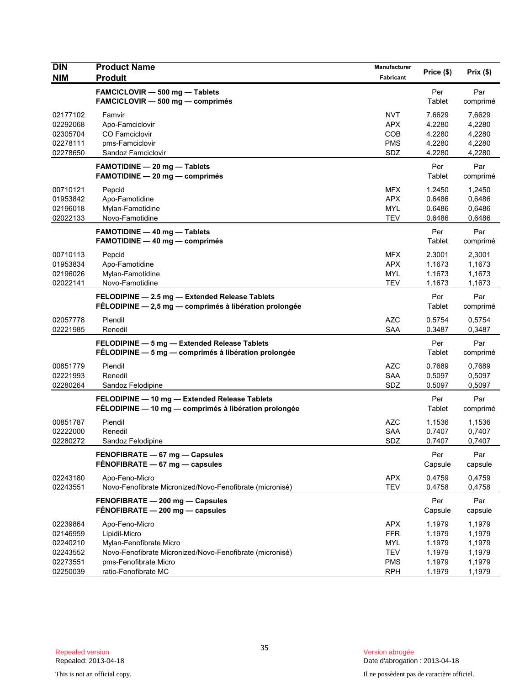| <b>DIN</b><br><b>NIM</b>                                             | <b>Product Name</b><br><b>Produit</b>                                                                                                                                   | Manufacturer<br>Fabricant                                                        | Price (\$)                                               | Prix (\$)                                                |
|----------------------------------------------------------------------|-------------------------------------------------------------------------------------------------------------------------------------------------------------------------|----------------------------------------------------------------------------------|----------------------------------------------------------|----------------------------------------------------------|
|                                                                      | FAMCICLOVIR - 500 mg - Tablets<br>FAMCICLOVIR - 500 mg - comprimés                                                                                                      |                                                                                  | Per<br>Tablet                                            | Par<br>comprimé                                          |
| 02177102<br>02292068<br>02305704<br>02278111<br>02278650             | Famvir<br>Apo-Famciclovir<br>CO Famciclovir<br>pms-Famciclovir<br>Sandoz Famciclovir                                                                                    | <b>NVT</b><br><b>APX</b><br>COB<br><b>PMS</b><br>SDZ                             | 7.6629<br>4.2280<br>4.2280<br>4.2280<br>4.2280           | 7,6629<br>4,2280<br>4,2280<br>4,2280<br>4,2280           |
|                                                                      | <b>FAMOTIDINE - 20 mg - Tablets</b><br><b>FAMOTIDINE - 20 mg - comprimés</b>                                                                                            |                                                                                  | Per<br>Tablet                                            | Par<br>comprimé                                          |
| 00710121<br>01953842<br>02196018<br>02022133                         | Pepcid<br>Apo-Famotidine<br>Mylan-Famotidine<br>Novo-Famotidine                                                                                                         | <b>MFX</b><br><b>APX</b><br><b>MYL</b><br><b>TEV</b>                             | 1.2450<br>0.6486<br>0.6486<br>0.6486                     | 1,2450<br>0,6486<br>0,6486<br>0,6486                     |
|                                                                      | <b>FAMOTIDINE - 40 mg - Tablets</b><br><b>FAMOTIDINE - 40 mg - comprimés</b>                                                                                            |                                                                                  | Per<br>Tablet                                            | Par<br>comprimé                                          |
| 00710113<br>01953834<br>02196026<br>02022141                         | Pepcid<br>Apo-Famotidine<br>Mylan-Famotidine<br>Novo-Famotidine                                                                                                         | MFX<br><b>APX</b><br><b>MYL</b><br><b>TEV</b>                                    | 2.3001<br>1.1673<br>1.1673<br>1.1673                     | 2,3001<br>1,1673<br>1,1673<br>1,1673                     |
|                                                                      | FELODIPINE - 2.5 mg - Extended Release Tablets<br>FÉLODIPINE - 2,5 mg - comprimés à libération prolongée                                                                |                                                                                  | Per<br>Tablet                                            | Par<br>comprimé                                          |
| 02057778<br>02221985                                                 | Plendil<br>Renedil                                                                                                                                                      | AZC<br><b>SAA</b>                                                                | 0.5754<br>0.3487                                         | 0,5754<br>0,3487                                         |
|                                                                      | FELODIPINE - 5 mg - Extended Release Tablets<br>FÉLODIPINE - 5 mg - comprimés à libération prolongée                                                                    |                                                                                  | Per<br>Tablet                                            | Par<br>comprimé                                          |
| 00851779<br>02221993<br>02280264                                     | Plendil<br>Renedil<br>Sandoz Felodipine                                                                                                                                 | <b>AZC</b><br><b>SAA</b><br>SDZ                                                  | 0.7689<br>0.5097<br>0.5097                               | 0,7689<br>0,5097<br>0,5097                               |
|                                                                      | FELODIPINE - 10 mg - Extended Release Tablets<br>FÉLODIPINE - 10 mg - comprimés à libération prolongée                                                                  |                                                                                  | Per<br>Tablet                                            | Par<br>comprimé                                          |
| 00851787<br>02222000<br>02280272                                     | Plendil<br>Renedil<br>Sandoz Felodipine                                                                                                                                 | <b>AZC</b><br>SAA<br>SDZ                                                         | 1.1536<br>0.7407<br>0.7407                               | 1,1536<br>0,7407<br>0,7407                               |
|                                                                      | FENOFIBRATE - 67 mg - Capsules<br>FÉNOFIBRATE - 67 mg - capsules                                                                                                        |                                                                                  | Per<br>Capsule                                           | Par<br>capsule                                           |
| 02243180<br>02243551                                                 | Apo-Feno-Micro<br>Novo-Fenofibrate Micronized/Novo-Fenofibrate (micronisé)                                                                                              | <b>APX</b><br><b>TEV</b>                                                         | 0.4759<br>0.4758                                         | 0,4759<br>0,4758                                         |
|                                                                      | FENOFIBRATE - 200 mg - Capsules<br>FÉNOFIBRATE - 200 mg - capsules                                                                                                      |                                                                                  | Per<br>Capsule                                           | Par<br>capsule                                           |
| 02239864<br>02146959<br>02240210<br>02243552<br>02273551<br>02250039 | Apo-Feno-Micro<br>Lipidil-Micro<br>Mylan-Fenofibrate Micro<br>Novo-Fenofibrate Micronized/Novo-Fenofibrate (micronisé)<br>pms-Fenofibrate Micro<br>ratio-Fenofibrate MC | <b>APX</b><br><b>FFR</b><br><b>MYL</b><br><b>TEV</b><br><b>PMS</b><br><b>RPH</b> | 1.1979<br>1.1979<br>1.1979<br>1.1979<br>1.1979<br>1.1979 | 1,1979<br>1,1979<br>1,1979<br>1,1979<br>1,1979<br>1,1979 |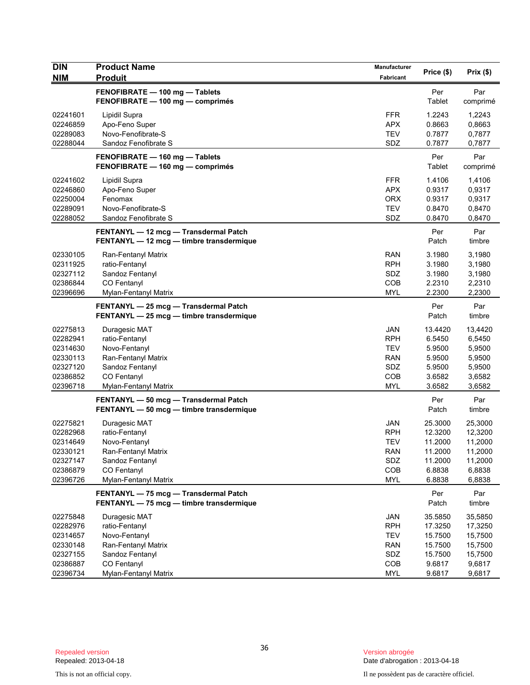| <b>DIN</b><br><b>NIM</b> | <b>Product Name</b><br><b>Produit</b>                                             | Manufacturer<br>Fabricant | Price (\$)    | Prix(\$)        |
|--------------------------|-----------------------------------------------------------------------------------|---------------------------|---------------|-----------------|
|                          | FENOFIBRATE - 100 mg - Tablets<br>FENOFIBRATE - 100 mg - comprimés                |                           | Per<br>Tablet | Par<br>comprimé |
| 02241601                 | Lipidil Supra                                                                     | <b>FFR</b>                | 1.2243        | 1,2243          |
| 02246859                 | Apo-Feno Super                                                                    | <b>APX</b>                | 0.8663        | 0,8663          |
| 02289083                 | Novo-Fenofibrate-S                                                                | <b>TEV</b>                | 0.7877        | 0,7877          |
| 02288044                 | Sandoz Fenofibrate S                                                              | SDZ                       | 0.7877        | 0,7877          |
|                          | FENOFIBRATE - 160 mg - Tablets<br>FENOFIBRATE - 160 mg - comprimés                |                           | Per<br>Tablet | Par<br>comprimé |
| 02241602                 | Lipidil Supra                                                                     | <b>FFR</b>                | 1.4106        | 1,4106          |
| 02246860                 | Apo-Feno Super                                                                    | <b>APX</b>                | 0.9317        | 0,9317          |
| 02250004                 | Fenomax                                                                           | <b>ORX</b>                | 0.9317        | 0,9317          |
| 02289091                 | Novo-Fenofibrate-S                                                                | <b>TEV</b>                | 0.8470        | 0,8470          |
| 02288052                 | Sandoz Fenofibrate S                                                              | SDZ                       | 0.8470        | 0,8470          |
|                          | FENTANYL - 12 mcg - Transdermal Patch<br>FENTANYL - 12 mcg - timbre transdermique |                           | Per<br>Patch  | Par<br>timbre   |
| 02330105                 | Ran-Fentanyl Matrix                                                               | <b>RAN</b>                | 3.1980        | 3,1980          |
| 02311925                 | ratio-Fentanyl                                                                    | <b>RPH</b>                | 3.1980        | 3,1980          |
| 02327112                 | Sandoz Fentanyl                                                                   | SDZ                       | 3.1980        | 3,1980          |
| 02386844                 | CO Fentanyl                                                                       | COB                       | 2.2310        | 2,2310          |
| 02396696                 | Mylan-Fentanyl Matrix                                                             | <b>MYL</b>                | 2.2300        | 2,2300          |
|                          | FENTANYL - 25 mcg - Transdermal Patch<br>FENTANYL - 25 mcg - timbre transdermique |                           | Per<br>Patch  | Par<br>timbre   |
| 02275813                 | Duragesic MAT                                                                     | <b>JAN</b>                | 13.4420       | 13,4420         |
| 02282941                 | ratio-Fentanyl                                                                    | <b>RPH</b>                | 6.5450        | 6,5450          |
| 02314630                 | Novo-Fentanyl                                                                     | <b>TEV</b>                | 5.9500        | 5,9500          |
| 02330113                 | Ran-Fentanyl Matrix                                                               | RAN                       | 5.9500        | 5,9500          |
| 02327120                 | Sandoz Fentanyl                                                                   | SDZ                       | 5.9500        | 5,9500          |
| 02386852                 | CO Fentanyl                                                                       | COB                       | 3.6582        | 3,6582          |
| 02396718                 | Mylan-Fentanyl Matrix                                                             | <b>MYL</b>                | 3.6582        | 3,6582          |
|                          | FENTANYL - 50 mcg - Transdermal Patch<br>FENTANYL - 50 mcg - timbre transdermique |                           | Per<br>Patch  | Par<br>timbre   |
| 02275821                 | Duragesic MAT                                                                     | <b>JAN</b>                | 25.3000       | 25,3000         |
| 02282968                 | ratio-Fentanyl                                                                    | <b>RPH</b>                | 12.3200       | 12,3200         |
| 02314649                 | Novo-Fentanyl                                                                     | <b>TEV</b>                | 11.2000       | 11,2000         |
| 02330121                 | Ran-Fentanyl Matrix                                                               | RAN                       | 11.2000       | 11,2000         |
| 02327147                 | Sandoz Fentanyl                                                                   | SDZ                       | 11.2000       | 11,2000         |
| 02386879                 | CO Fentanyl                                                                       | COB                       | 6.8838        | 6,8838          |
| 02396726                 | Mylan-Fentanyl Matrix                                                             | <b>MYL</b>                | 6.8838        | 6,8838          |
|                          | FENTANYL - 75 mcg - Transdermal Patch<br>FENTANYL - 75 mcg - timbre transdermique |                           | Per<br>Patch  | Par<br>timbre   |
| 02275848                 | Duragesic MAT                                                                     | JAN                       | 35.5850       | 35,5850         |
| 02282976                 | ratio-Fentanyl                                                                    | <b>RPH</b>                | 17.3250       | 17,3250         |
| 02314657                 | Novo-Fentanyl                                                                     | <b>TEV</b>                | 15.7500       | 15,7500         |
| 02330148                 | Ran-Fentanyl Matrix                                                               | <b>RAN</b>                | 15.7500       | 15,7500         |
| 02327155                 | Sandoz Fentanyl                                                                   | SDZ                       | 15.7500       | 15,7500         |
| 02386887                 | CO Fentanyl                                                                       | COB                       | 9.6817        | 9,6817          |
| 02396734                 | Mylan-Fentanyl Matrix                                                             | <b>MYL</b>                | 9.6817        | 9,6817          |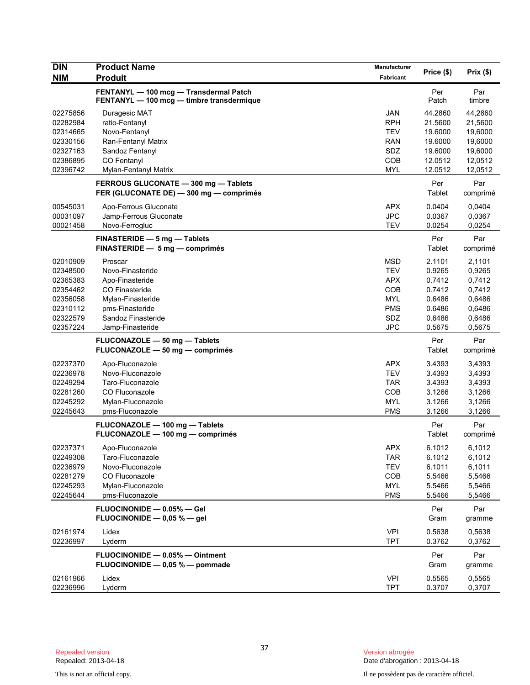| <b>DIN</b> | <b>Product Name</b>                                                                 | <b>Manufacturer</b> | Price (\$)    | Prix(\$)        |
|------------|-------------------------------------------------------------------------------------|---------------------|---------------|-----------------|
| <b>NIM</b> | <b>Produit</b>                                                                      | Fabricant           |               |                 |
|            | FENTANYL - 100 mcg - Transdermal Patch<br>FENTANYL - 100 mcg - timbre transdermique |                     | Per<br>Patch  | Par<br>timbre   |
| 02275856   | Duragesic MAT                                                                       | <b>JAN</b>          | 44.2860       | 44,2860         |
| 02282984   | ratio-Fentanyl                                                                      | <b>RPH</b>          | 21.5600       | 21,5600         |
| 02314665   | Novo-Fentanyl                                                                       | <b>TEV</b>          | 19.6000       | 19,6000         |
| 02330156   | Ran-Fentanyl Matrix                                                                 | RAN                 | 19.6000       | 19,6000         |
| 02327163   | Sandoz Fentanyl                                                                     | SDZ                 | 19.6000       | 19,6000         |
| 02386895   | <b>CO Fentanyl</b>                                                                  | COB                 | 12.0512       | 12,0512         |
| 02396742   | Mylan-Fentanyl Matrix                                                               | <b>MYL</b>          | 12.0512       | 12,0512         |
|            | FERROUS GLUCONATE - 300 mg - Tablets<br>FER (GLUCONATE DE) - 300 mg - comprimés     |                     | Per<br>Tablet | Par<br>comprimé |
| 00545031   | Apo-Ferrous Gluconate                                                               | <b>APX</b>          | 0.0404        | 0,0404          |
| 00031097   | Jamp-Ferrous Gluconate                                                              | <b>JPC</b>          | 0.0367        | 0,0367          |
| 00021458   | Novo-Ferrogluc                                                                      | <b>TEV</b>          | 0.0254        | 0,0254          |
|            | FINASTERIDE - 5 mg - Tablets<br>FINASTERIDE - 5 mg - comprimés                      |                     | Per<br>Tablet | Par<br>comprimé |
| 02010909   | Proscar                                                                             | <b>MSD</b>          | 2.1101        | 2,1101          |
| 02348500   | Novo-Finasteride                                                                    | <b>TEV</b>          | 0.9265        | 0,9265          |
| 02365383   | Apo-Finasteride                                                                     | <b>APX</b>          | 0.7412        | 0,7412          |
| 02354462   | CO Finasteride                                                                      | COB                 | 0.7412        | 0,7412          |
| 02356058   | Mylan-Finasteride                                                                   | <b>MYL</b>          | 0.6486        | 0,6486          |
| 02310112   | pms-Finasteride                                                                     | <b>PMS</b>          | 0.6486        | 0,6486          |
| 02322579   | Sandoz Finasteride                                                                  | <b>SDZ</b>          | 0.6486        | 0,6486          |
| 02357224   | Jamp-Finasteride                                                                    | <b>JPC</b>          | 0.5675        | 0,5675          |
|            | FLUCONAZOLE - 50 mg - Tablets<br>FLUCONAZOLE - 50 mg - comprimés                    |                     | Per<br>Tablet | Par<br>comprimé |
| 02237370   | Apo-Fluconazole                                                                     | <b>APX</b>          | 3.4393        | 3,4393          |
| 02236978   | Novo-Fluconazole                                                                    | <b>TEV</b>          | 3.4393        | 3,4393          |
| 02249294   | Taro-Fluconazole                                                                    | TAR                 | 3.4393        | 3,4393          |
| 02281260   | CO Fluconazole                                                                      | <b>COB</b>          | 3.1266        | 3,1266          |
| 02245292   | Mylan-Fluconazole                                                                   | <b>MYL</b>          | 3.1266        | 3,1266          |
| 02245643   | pms-Fluconazole                                                                     | <b>PMS</b>          | 3.1266        | 3,1266          |
|            | FLUCONAZOLE - 100 mg - Tablets<br>FLUCONAZOLE - 100 mg - comprimés                  |                     | Per<br>Tablet | Par<br>comprimé |
| 02237371   | Apo-Fluconazole                                                                     | APX                 | 6.1012        | 6,1012          |
| 02249308   | Taro-Fluconazole                                                                    | TAR                 | 6.1012        | 6,1012          |
| 02236979   | Novo-Fluconazole                                                                    | <b>TEV</b>          | 6.1011        | 6,1011          |
| 02281279   | CO Fluconazole                                                                      | COB                 | 5.5466        | 5,5466          |
| 02245293   | Mylan-Fluconazole                                                                   | <b>MYL</b>          | 5.5466        | 5,5466          |
| 02245644   | pms-Fluconazole                                                                     | <b>PMS</b>          | 5.5466        | 5,5466          |
|            | FLUOCINONIDE - 0.05% - Gel<br>FLUOCINONIDE - 0,05 % - gel                           |                     | Per<br>Gram   | Par<br>gramme   |
| 02161974   | Lidex                                                                               | <b>VPI</b>          | 0.5638        | 0,5638          |
| 02236997   | Lyderm                                                                              | <b>TPT</b>          | 0.3762        | 0,3762          |
|            | FLUOCINONIDE - 0.05% - Ointment                                                     |                     | Per           | Par             |
|            | FLUOCINONIDE - 0,05 % - pommade                                                     |                     | Gram          | gramme          |
| 02161966   | Lidex                                                                               | <b>VPI</b>          | 0.5565        | 0,5565          |
| 02236996   | Lyderm                                                                              | <b>TPT</b>          | 0.3707        | 0,3707          |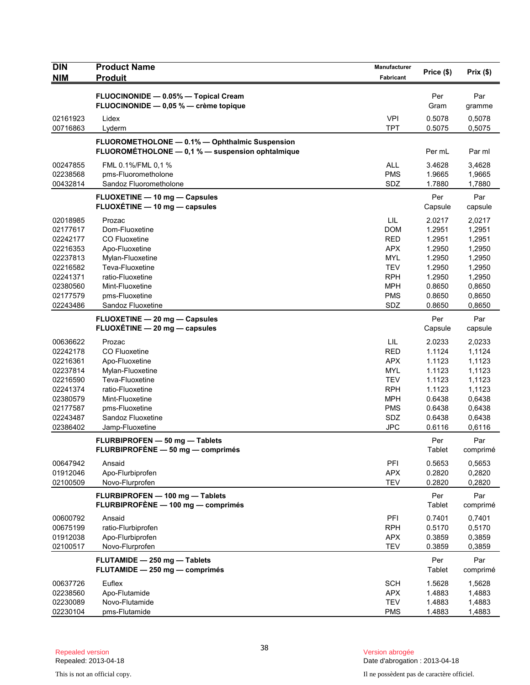| <b>DIN</b><br><b>NIM</b> | <b>Product Name</b><br><b>Produit</b>                                                              | Manufacturer<br>Fabricant | Price (\$)       | Prix(\$)         |
|--------------------------|----------------------------------------------------------------------------------------------------|---------------------------|------------------|------------------|
|                          |                                                                                                    |                           |                  |                  |
|                          | FLUOCINONIDE - 0.05% - Topical Cream<br>FLUOCINONIDE - 0,05 % - crème topique                      |                           | Per<br>Gram      | Par<br>gramme    |
| 02161923                 | Lidex                                                                                              | <b>VPI</b>                | 0.5078           | 0,5078           |
| 00716863                 | Lyderm                                                                                             | <b>TPT</b>                | 0.5075           | 0,5075           |
|                          | FLUOROMETHOLONE - 0.1% - Ophthalmic Suspension<br>FLUOROMÉTHOLONE - 0,1 % - suspension ophtalmique |                           | Per mL           | Par ml           |
| 00247855                 | FML 0.1%/FML 0,1 %                                                                                 | <b>ALL</b>                | 3.4628           | 3,4628           |
| 02238568<br>00432814     | pms-Fluorometholone<br>Sandoz Fluorometholone                                                      | <b>PMS</b><br>SDZ         | 1.9665<br>1.7880 | 1,9665<br>1,7880 |
|                          | FLUOXETINE - 10 mg - Capsules                                                                      |                           | Per              | Par              |
|                          | FLUOXÉTINE - 10 mg - capsules                                                                      |                           | Capsule          | capsule          |
| 02018985                 | Prozac                                                                                             | LIL                       | 2.0217           | 2,0217           |
| 02177617                 | Dom-Fluoxetine                                                                                     | <b>DOM</b>                | 1.2951           | 1,2951           |
| 02242177                 | <b>CO Fluoxetine</b>                                                                               | <b>RED</b>                | 1.2951           | 1,2951           |
| 02216353                 | Apo-Fluoxetine                                                                                     | <b>APX</b>                | 1.2950           | 1,2950           |
| 02237813                 | Mylan-Fluoxetine                                                                                   | <b>MYL</b>                | 1.2950           | 1,2950           |
| 02216582                 | Teva-Fluoxetine                                                                                    | <b>TEV</b>                | 1.2950           | 1,2950           |
| 02241371                 | ratio-Fluoxetine                                                                                   | <b>RPH</b>                | 1.2950           | 1,2950           |
| 02380560<br>02177579     | Mint-Fluoxetine<br>pms-Fluoxetine                                                                  | <b>MPH</b><br><b>PMS</b>  | 0.8650<br>0.8650 | 0,8650<br>0,8650 |
| 02243486                 | Sandoz Fluoxetine                                                                                  | SDZ                       | 0.8650           | 0,8650           |
|                          | FLUOXETINE - 20 mg - Capsules                                                                      |                           | Per              | Par              |
|                          | FLUOXÉTINE - 20 mg - capsules                                                                      |                           | Capsule          | capsule          |
| 00636622                 | Prozac                                                                                             | LIL                       | 2.0233           | 2,0233           |
| 02242178                 | CO Fluoxetine                                                                                      | <b>RED</b>                | 1.1124           | 1,1124           |
| 02216361                 | Apo-Fluoxetine                                                                                     | <b>APX</b>                | 1.1123           | 1,1123           |
| 02237814                 | Mylan-Fluoxetine                                                                                   | <b>MYL</b>                | 1.1123           | 1,1123           |
| 02216590                 | Teva-Fluoxetine                                                                                    | <b>TEV</b>                | 1.1123           | 1,1123           |
| 02241374                 | ratio-Fluoxetine                                                                                   | <b>RPH</b>                | 1.1123           | 1,1123           |
| 02380579                 | Mint-Fluoxetine                                                                                    | <b>MPH</b>                | 0.6438           | 0,6438           |
| 02177587                 | pms-Fluoxetine                                                                                     | <b>PMS</b>                | 0.6438           | 0,6438           |
| 02243487                 | Sandoz Fluoxetine                                                                                  | SDZ                       | 0.6438           | 0,6438           |
| 02386402                 | Jamp-Fluoxetine                                                                                    | <b>JPC</b>                | 0.6116           | 0,6116           |
|                          | FLURBIPROFEN - 50 mg - Tablets<br>FLURBIPROFÈNE - 50 mg - comprimés                                |                           | Per<br>Tablet    | Par<br>comprime  |
| 00647942                 | Ansaid                                                                                             | PFI                       | 0.5653           | 0,5653           |
| 01912046                 | Apo-Flurbiprofen                                                                                   | <b>APX</b>                | 0.2820           | 0,2820           |
| 02100509                 | Novo-Flurprofen                                                                                    | <b>TEV</b>                | 0.2820           | 0,2820           |
|                          | FLURBIPROFEN - 100 mg - Tablets<br>FLURBIPROFÈNE - 100 mg - comprimés                              |                           | Per<br>Tablet    | Par<br>comprimé  |
| 00600792                 | Ansaid                                                                                             | PFI                       | 0.7401           | 0,7401           |
| 00675199                 | ratio-Flurbiprofen                                                                                 | <b>RPH</b>                | 0.5170           | 0,5170           |
| 01912038                 | Apo-Flurbiprofen                                                                                   | <b>APX</b>                | 0.3859           | 0,3859           |
| 02100517                 | Novo-Flurprofen                                                                                    | <b>TEV</b>                | 0.3859           | 0,3859           |
|                          | FLUTAMIDE - 250 mg - Tablets<br>FLUTAMIDE - 250 mg - comprimés                                     |                           | Per<br>Tablet    | Par<br>comprimé  |
| 00637726                 | Euflex                                                                                             | <b>SCH</b>                | 1.5628           | 1,5628           |
| 02238560                 | Apo-Flutamide                                                                                      | <b>APX</b>                | 1.4883           | 1,4883           |
| 02230089                 | Novo-Flutamide                                                                                     | <b>TEV</b>                | 1.4883           | 1,4883           |
| 02230104                 | pms-Flutamide                                                                                      | <b>PMS</b>                | 1.4883           | 1,4883           |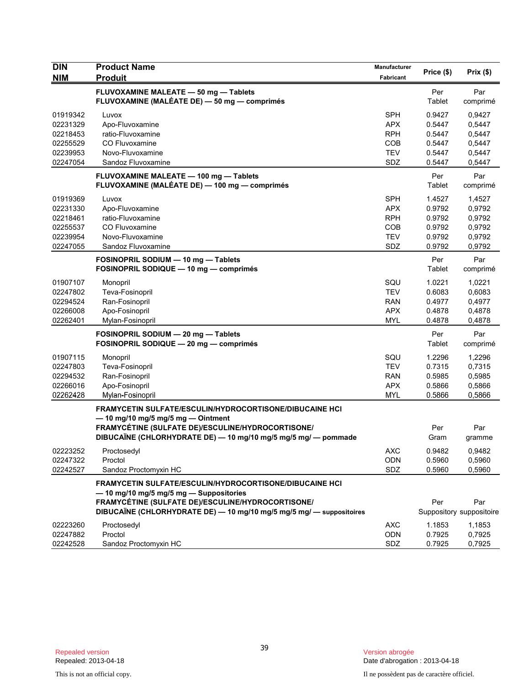| <b>DIN</b>                                                           | <b>Product Name</b>                                                                                                                                                                                                                        | Manufacturer                                                       | Price (\$)                                               | Prix(\$)                                                 |
|----------------------------------------------------------------------|--------------------------------------------------------------------------------------------------------------------------------------------------------------------------------------------------------------------------------------------|--------------------------------------------------------------------|----------------------------------------------------------|----------------------------------------------------------|
| <b>NIM</b>                                                           | <b>Produit</b>                                                                                                                                                                                                                             | Fabricant                                                          |                                                          |                                                          |
|                                                                      | FLUVOXAMINE MALEATE - 50 mg - Tablets<br>FLUVOXAMINE (MALÉATE DE) - 50 mg - comprimés                                                                                                                                                      |                                                                    | Per<br>Tablet                                            | Par<br>comprimé                                          |
| 01919342<br>02231329<br>02218453<br>02255529<br>02239953<br>02247054 | Luvox<br>Apo-Fluvoxamine<br>ratio-Fluvoxamine<br>CO Fluvoxamine<br>Novo-Fluvoxamine<br>Sandoz Fluvoxamine                                                                                                                                  | <b>SPH</b><br><b>APX</b><br><b>RPH</b><br>COB<br><b>TEV</b><br>SDZ | 0.9427<br>0.5447<br>0.5447<br>0.5447<br>0.5447<br>0.5447 | 0,9427<br>0,5447<br>0,5447<br>0,5447<br>0,5447<br>0,5447 |
|                                                                      | FLUVOXAMINE MALEATE - 100 mg - Tablets<br>FLUVOXAMINE (MALÉATE DE) — 100 mg — comprimés                                                                                                                                                    |                                                                    | Per<br>Tablet                                            | Par<br>comprimé                                          |
| 01919369<br>02231330<br>02218461<br>02255537<br>02239954<br>02247055 | Luvox<br>Apo-Fluvoxamine<br>ratio-Fluvoxamine<br>CO Fluvoxamine<br>Novo-Fluvoxamine<br>Sandoz Fluvoxamine                                                                                                                                  | <b>SPH</b><br><b>APX</b><br><b>RPH</b><br>COB<br><b>TEV</b><br>SDZ | 1.4527<br>0.9792<br>0.9792<br>0.9792<br>0.9792<br>0.9792 | 1,4527<br>0,9792<br>0,9792<br>0,9792<br>0,9792<br>0,9792 |
|                                                                      | FOSINOPRIL SODIUM - 10 mg - Tablets<br>FOSINOPRIL SODIQUE - 10 mg - comprimés                                                                                                                                                              |                                                                    | Per<br>Tablet                                            | Par<br>comprimé                                          |
| 01907107<br>02247802<br>02294524<br>02266008<br>02262401             | Monopril<br>Teva-Fosinopril<br>Ran-Fosinopril<br>Apo-Fosinopril<br>Mylan-Fosinopril                                                                                                                                                        | SQU<br><b>TEV</b><br><b>RAN</b><br>APX<br><b>MYL</b>               | 1.0221<br>0.6083<br>0.4977<br>0.4878<br>0.4878           | 1.0221<br>0,6083<br>0,4977<br>0,4878<br>0,4878           |
|                                                                      | FOSINOPRIL SODIUM - 20 mg - Tablets<br>FOSINOPRIL SODIQUE - 20 mg - comprimés                                                                                                                                                              |                                                                    | Per<br>Tablet                                            | Par<br>comprimé                                          |
| 01907115<br>02247803<br>02294532<br>02266016<br>02262428             | Monopril<br>Teva-Fosinopril<br>Ran-Fosinopril<br>Apo-Fosinopril<br>Mylan-Fosinopril                                                                                                                                                        | SQU<br>TEV<br><b>RAN</b><br><b>APX</b><br><b>MYL</b>               | 1.2296<br>0.7315<br>0.5985<br>0.5866<br>0.5866           | 1,2296<br>0,7315<br>0,5985<br>0,5866<br>0,5866           |
|                                                                      | FRAMYCETIN SULFATE/ESCULIN/HYDROCORTISONE/DIBUCAINE HCI<br>$-$ 10 mg/10 mg/5 mg/5 mg $-$ Ointment<br>FRAMYCÉTINE (SULFATE DE)/ESCULINE/HYDROCORTISONE/<br>DIBUCAÏNE (CHLORHYDRATE DE) - 10 mg/10 mg/5 mg/5 mg/ - pommade                   |                                                                    | Per<br>Gram                                              | Par<br>gramme                                            |
| 02223252<br>02247322<br>02242527                                     | Proctosedyl<br>Proctol<br>Sandoz Proctomyxin HC                                                                                                                                                                                            | AXC<br>ODN<br>SDZ                                                  | 0.9482<br>0.5960<br>0.5960                               | 0,9482<br>0,5960<br>0,5960                               |
|                                                                      | <b>FRAMYCETIN SULFATE/ESCULIN/HYDROCORTISONE/DIBUCAINE HCI</b><br>$-$ 10 mg/10 mg/5 mg/5 mg $-$ Suppositories<br>FRAMYCÉTINE (SULFATE DE)/ESCULINE/HYDROCORTISONE/<br>DIBUCAÏNE (CHLORHYDRATE DE) - 10 mg/10 mg/5 mg/5 mg/ - suppositoires |                                                                    | Per                                                      | Par<br>Suppository suppositoire                          |
| 02223260<br>02247882<br>02242528                                     | Proctosedyl<br>Proctol<br>Sandoz Proctomyxin HC                                                                                                                                                                                            | <b>AXC</b><br><b>ODN</b><br>SDZ                                    | 1.1853<br>0.7925<br>0.7925                               | 1,1853<br>0,7925<br>0,7925                               |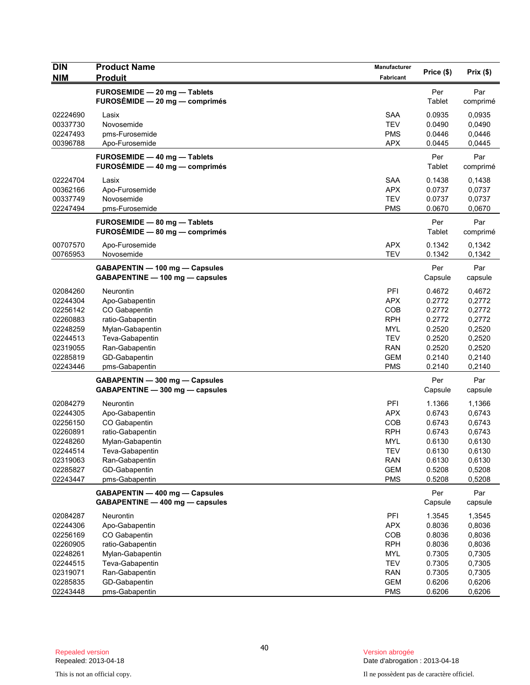| <b>DIN</b><br><b>NIM</b> | <b>Product Name</b>                                               | Manufacturer<br>Fabricant | Price (\$)       | Prix(\$)         |
|--------------------------|-------------------------------------------------------------------|---------------------------|------------------|------------------|
|                          | <b>Produit</b>                                                    |                           |                  |                  |
|                          | FUROSEMIDE - 20 mg - Tablets<br>$FUROSÉMIDE - 20 mg - comprimés$  |                           | Per<br>Tablet    | Par<br>comprimé  |
| 02224690                 | Lasix                                                             | <b>SAA</b>                | 0.0935           | 0,0935           |
| 00337730                 | Novosemide                                                        | <b>TEV</b>                | 0.0490           | 0,0490           |
| 02247493                 | pms-Furosemide                                                    | <b>PMS</b><br><b>APX</b>  | 0.0446           | 0,0446           |
| 00396788                 | Apo-Furosemide                                                    |                           | 0.0445           | 0,0445           |
|                          | FUROSEMIDE - 40 mg - Tablets<br>$FUROSÉMIDE - 40 mg - comprimés$  |                           | Per<br>Tablet    | Par<br>comprimé  |
| 02224704                 | Lasix                                                             | <b>SAA</b>                | 0.1438           | 0,1438           |
| 00362166                 | Apo-Furosemide                                                    | <b>APX</b>                | 0.0737           | 0,0737           |
| 00337749                 | Novosemide                                                        | <b>TEV</b>                | 0.0737           | 0,0737           |
| 02247494                 | pms-Furosemide                                                    | <b>PMS</b>                | 0.0670           | 0,0670           |
|                          | FUROSEMIDE - 80 mg - Tablets<br>FUROSÉMIDE - 80 mg - comprimés    |                           | Per<br>Tablet    | Par<br>comprimé  |
| 00707570                 | Apo-Furosemide                                                    | <b>APX</b>                | 0.1342           | 0,1342           |
| 00765953                 | Novosemide                                                        | <b>TEV</b>                | 0.1342           | 0,1342           |
|                          | GABAPENTIN - 100 mg - Capsules<br>GABAPENTINE - 100 mg - capsules |                           | Per<br>Capsule   | Par<br>capsule   |
| 02084260                 | Neurontin                                                         | PFI                       | 0.4672           | 0,4672           |
| 02244304                 | Apo-Gabapentin                                                    | <b>APX</b>                | 0.2772           | 0,2772           |
| 02256142                 | CO Gabapentin                                                     | COB                       | 0.2772           | 0,2772           |
| 02260883                 | ratio-Gabapentin                                                  | <b>RPH</b>                | 0.2772           | 0,2772           |
| 02248259                 | Mylan-Gabapentin                                                  | MYL                       | 0.2520           | 0,2520           |
| 02244513                 | Teva-Gabapentin                                                   | <b>TEV</b>                | 0.2520           | 0,2520           |
| 02319055                 | Ran-Gabapentin                                                    | <b>RAN</b>                | 0.2520           | 0,2520           |
| 02285819<br>02243446     | GD-Gabapentin<br>pms-Gabapentin                                   | <b>GEM</b><br><b>PMS</b>  | 0.2140<br>0.2140 | 0,2140<br>0,2140 |
|                          |                                                                   |                           |                  |                  |
|                          | GABAPENTIN - 300 mg - Capsules<br>GABAPENTINE - 300 mg - capsules |                           | Per<br>Capsule   | Par<br>capsule   |
| 02084279                 | Neurontin                                                         | PFI                       | 1.1366           | 1,1366           |
| 02244305                 | Apo-Gabapentin                                                    | <b>APX</b>                | 0.6743           | 0,6743           |
| 02256150                 | CO Gabapentin                                                     | <b>COB</b>                | 0.6743           | 0,6743           |
| 02260891<br>02248260     | ratio-Gabapentin<br>Mylan-Gabapentin                              | <b>RPH</b><br><b>MYL</b>  | 0.6743<br>0.6130 | 0,6743<br>0,6130 |
| 02244514                 | Teva-Gabapentin                                                   | TEV                       | 0.6130           | 0,6130           |
| 02319063                 | Ran-Gabapentin                                                    | <b>RAN</b>                | 0.6130           | 0,6130           |
| 02285827                 | GD-Gabapentin                                                     | <b>GEM</b>                | 0.5208           | 0,5208           |
| 02243447                 | pms-Gabapentin                                                    | <b>PMS</b>                | 0.5208           | 0,5208           |
|                          | GABAPENTIN - 400 mg - Capsules<br>GABAPENTINE - 400 mg - capsules |                           | Per<br>Capsule   | Par<br>capsule   |
| 02084287                 | Neurontin                                                         | PFI                       | 1.3545           | 1,3545           |
| 02244306                 | Apo-Gabapentin                                                    | <b>APX</b>                | 0.8036           | 0,8036           |
| 02256169                 | CO Gabapentin                                                     | COB                       | 0.8036           | 0,8036           |
| 02260905                 | ratio-Gabapentin                                                  | <b>RPH</b>                | 0.8036           | 0,8036           |
| 02248261                 | Mylan-Gabapentin                                                  | <b>MYL</b>                | 0.7305           | 0,7305           |
| 02244515                 | Teva-Gabapentin                                                   | <b>TEV</b>                | 0.7305           | 0,7305           |
| 02319071                 | Ran-Gabapentin                                                    | <b>RAN</b>                | 0.7305           | 0,7305           |
| 02285835                 | GD-Gabapentin                                                     | <b>GEM</b>                | 0.6206           | 0,6206           |
| 02243448                 | pms-Gabapentin                                                    | <b>PMS</b>                | 0.6206           | 0,6206           |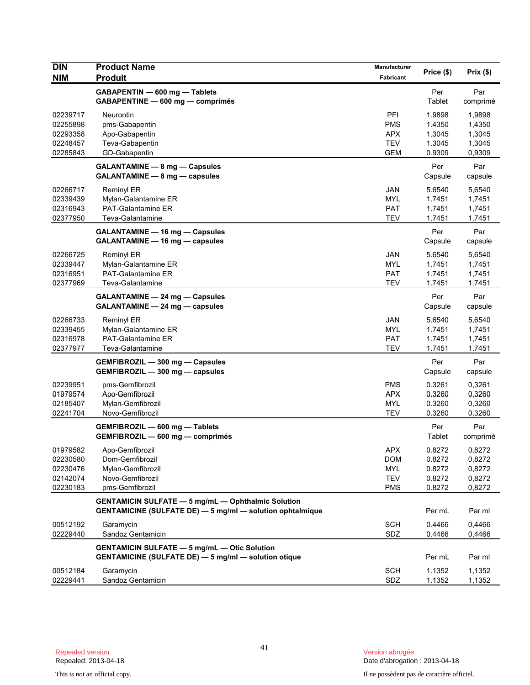| <b>DIN</b><br><b>NIM</b>                                 | <b>Product Name</b><br><b>Produit</b>                                                                                         | Manufacturer<br>Fabricant                            | Price (\$)                                     | Prix(\$)                                       |
|----------------------------------------------------------|-------------------------------------------------------------------------------------------------------------------------------|------------------------------------------------------|------------------------------------------------|------------------------------------------------|
|                                                          | GABAPENTIN - 600 mg - Tablets<br>GABAPENTINE - 600 mg - comprimés                                                             |                                                      | Per<br>Tablet                                  | Par<br>comprimé                                |
| 02239717<br>02255898<br>02293358<br>02248457<br>02285843 | Neurontin<br>pms-Gabapentin<br>Apo-Gabapentin<br>Teva-Gabapentin<br>GD-Gabapentin                                             | PFI<br><b>PMS</b><br>APX<br><b>TEV</b><br><b>GEM</b> | 1.9898<br>1.4350<br>1.3045<br>1.3045<br>0.9309 | 1,9898<br>1,4350<br>1,3045<br>1,3045<br>0,9309 |
|                                                          | GALANTAMINE - 8 mg - Capsules<br>GALANTAMINE - 8 mg - capsules                                                                |                                                      | Per<br>Capsule                                 | Par<br>capsule                                 |
| 02266717<br>02339439<br>02316943<br>02377950             | <b>Reminyl ER</b><br>Mylan-Galantamine ER<br>PAT-Galantamine ER<br>Teva-Galantamine                                           | <b>JAN</b><br><b>MYL</b><br><b>PAT</b><br><b>TEV</b> | 5.6540<br>1.7451<br>1.7451<br>1.7451           | 5,6540<br>1,7451<br>1,7451<br>1.7451           |
|                                                          | <b>GALANTAMINE - 16 mg - Capsules</b><br>GALANTAMINE - 16 mg - capsules                                                       |                                                      | Per<br>Capsule                                 | Par<br>capsule                                 |
| 02266725<br>02339447<br>02316951<br>02377969             | <b>Reminyl ER</b><br>Mylan-Galantamine ER<br><b>PAT-Galantamine ER</b><br>Teva-Galantamine                                    | <b>JAN</b><br><b>MYL</b><br><b>PAT</b><br><b>TEV</b> | 5.6540<br>1.7451<br>1.7451<br>1.7451           | 5,6540<br>1,7451<br>1,7451<br>1.7451           |
|                                                          | <b>GALANTAMINE - 24 mg - Capsules</b><br>GALANTAMINE - 24 mg - capsules                                                       |                                                      | Per<br>Capsule                                 | Par<br>capsule                                 |
| 02266733<br>02339455<br>02316978<br>02377977             | <b>Reminyl ER</b><br>Mylan-Galantamine ER<br><b>PAT-Galantamine ER</b><br>Teva-Galantamine                                    | <b>JAN</b><br><b>MYL</b><br><b>PAT</b><br><b>TEV</b> | 5.6540<br>1.7451<br>1.7451<br>1.7451           | 5,6540<br>1,7451<br>1,7451<br>1.7451           |
|                                                          | GEMFIBROZIL - 300 mg - Capsules<br>GEMFIBROZIL - 300 mg - capsules                                                            |                                                      | Per<br>Capsule                                 | Par<br>capsule                                 |
| 02239951<br>01979574<br>02185407<br>02241704             | pms-Gemfibrozil<br>Apo-Gemfibrozil<br>Mylan-Gemfibrozil<br>Novo-Gemfibrozil                                                   | <b>PMS</b><br><b>APX</b><br><b>MYL</b><br><b>TEV</b> | 0.3261<br>0.3260<br>0.3260<br>0.3260           | 0,3261<br>0,3260<br>0,3260<br>0,3260           |
|                                                          | GEMFIBROZIL - 600 mg - Tablets<br>GEMFIBROZIL - 600 mg - comprimés                                                            |                                                      | Per<br>Tablet                                  | Par<br>comprimé                                |
| 01979582<br>02230580<br>02230476<br>02142074<br>02230183 | Apo-Gemfibrozil<br>Dom-Gemfibrozil<br>Mylan-Gemfibrozil<br>Novo-Gemfibrozil<br>pms-Gemfibrozil                                | APX<br><b>DOM</b><br>MYL<br><b>TEV</b><br><b>PMS</b> | 0.8272<br>0.8272<br>0.8272<br>0.8272<br>0.8272 | 0,8272<br>0,8272<br>0,8272<br>0,8272<br>0,8272 |
|                                                          | <b>GENTAMICIN SULFATE - 5 mg/mL - Ophthalmic Solution</b><br><b>GENTAMICINE (SULFATE DE) - 5 mg/ml - solution ophtalmique</b> |                                                      | Per mL                                         | Par ml                                         |
| 00512192<br>02229440                                     | Garamycin<br>Sandoz Gentamicin                                                                                                | <b>SCH</b><br>SDZ                                    | 0.4466<br>0.4466                               | 0,4466<br>0,4466                               |
|                                                          | <b>GENTAMICIN SULFATE - 5 mg/mL - Otic Solution</b><br><b>GENTAMICINE (SULFATE DE) - 5 mg/ml - solution otique</b>            |                                                      | Per mL                                         | Par ml                                         |
| 00512184<br>02229441                                     | Garamycin<br>Sandoz Gentamicin                                                                                                | <b>SCH</b><br>SDZ                                    | 1.1352<br>1.1352                               | 1,1352<br>1,1352                               |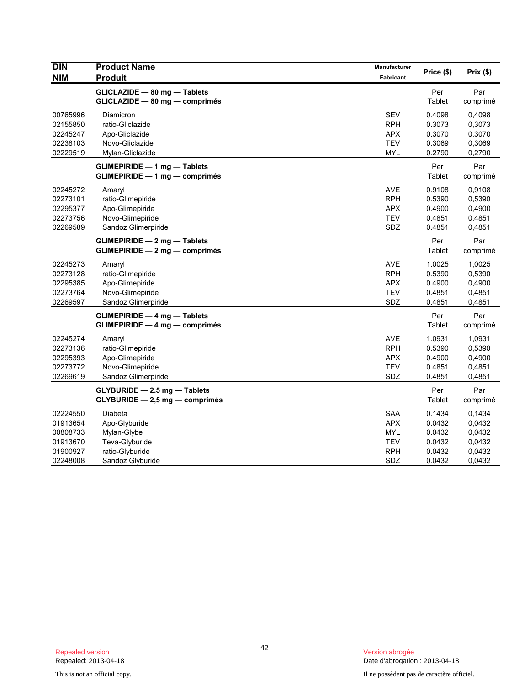| <b>DIN</b><br><b>NIM</b>                                             | <b>Product Name</b><br><b>Produit</b>                                                            | Manufacturer<br>Fabricant                                                 | Price (\$)                                               | Prix(\$)                                                 |
|----------------------------------------------------------------------|--------------------------------------------------------------------------------------------------|---------------------------------------------------------------------------|----------------------------------------------------------|----------------------------------------------------------|
|                                                                      | GLICLAZIDE - 80 mg - Tablets<br>GLICLAZIDE - 80 mg - comprimés                                   |                                                                           | Per<br>Tablet                                            | Par<br>comprimé                                          |
| 00765996<br>02155850<br>02245247<br>02238103<br>02229519             | Diamicron<br>ratio-Gliclazide<br>Apo-Gliclazide<br>Novo-Gliclazide<br>Mylan-Gliclazide           | <b>SEV</b><br><b>RPH</b><br><b>APX</b><br><b>TEV</b><br><b>MYL</b>        | 0.4098<br>0.3073<br>0.3070<br>0.3069<br>0.2790           | 0,4098<br>0,3073<br>0,3070<br>0,3069<br>0,2790           |
|                                                                      | <b>GLIMEPIRIDE - 1 mg - Tablets</b><br><b>GLIMEPIRIDE - 1 mg - comprimés</b>                     |                                                                           | Per<br>Tablet                                            | Par<br>comprimé                                          |
| 02245272<br>02273101<br>02295377<br>02273756<br>02269589             | Amaryl<br>ratio-Glimepiride<br>Apo-Glimepiride<br>Novo-Glimepiride<br>Sandoz Glimerpiride        | <b>AVE</b><br><b>RPH</b><br><b>APX</b><br><b>TEV</b><br>SDZ               | 0.9108<br>0.5390<br>0.4900<br>0.4851<br>0.4851           | 0,9108<br>0,5390<br>0,4900<br>0,4851<br>0,4851           |
|                                                                      | $GLIMEPIRIDE - 2 mg - Tables$<br>$GLIMEPIRIDE - 2 mg - comprimés$                                |                                                                           | Per<br>Tablet                                            | Par<br>comprimé                                          |
| 02245273<br>02273128<br>02295385<br>02273764<br>02269597             | Amaryl<br>ratio-Glimepiride<br>Apo-Glimepiride<br>Novo-Glimepiride<br>Sandoz Glimerpiride        | <b>AVE</b><br><b>RPH</b><br><b>APX</b><br><b>TEV</b><br>SDZ               | 1.0025<br>0.5390<br>0.4900<br>0.4851<br>0.4851           | 1,0025<br>0,5390<br>0,4900<br>0,4851<br>0,4851           |
|                                                                      | <b>GLIMEPIRIDE - 4 mg - Tablets</b><br><b>GLIMEPIRIDE - 4 mg - comprimés</b>                     |                                                                           | Per<br>Tablet                                            | Par<br>comprimé                                          |
| 02245274<br>02273136<br>02295393<br>02273772<br>02269619             | Amaryl<br>ratio-Glimepiride<br>Apo-Glimepiride<br>Novo-Glimepiride<br>Sandoz Glimerpiride        | <b>AVE</b><br><b>RPH</b><br><b>APX</b><br><b>TEV</b><br>SDZ               | 1.0931<br>0.5390<br>0.4900<br>0.4851<br>0.4851           | 1,0931<br>0,5390<br>0,4900<br>0,4851<br>0,4851           |
|                                                                      | $GLYBURIDE - 2.5 mg - Tables$<br>$GLYBURIDE - 2.5 mg - comprimés$                                |                                                                           | Per<br>Tablet                                            | Par<br>comprimé                                          |
| 02224550<br>01913654<br>00808733<br>01913670<br>01900927<br>02248008 | Diabeta<br>Apo-Glyburide<br>Mylan-Glybe<br>Teva-Glyburide<br>ratio-Glyburide<br>Sandoz Glyburide | <b>SAA</b><br><b>APX</b><br><b>MYL</b><br><b>TEV</b><br><b>RPH</b><br>SDZ | 0.1434<br>0.0432<br>0.0432<br>0.0432<br>0.0432<br>0.0432 | 0,1434<br>0,0432<br>0,0432<br>0,0432<br>0,0432<br>0,0432 |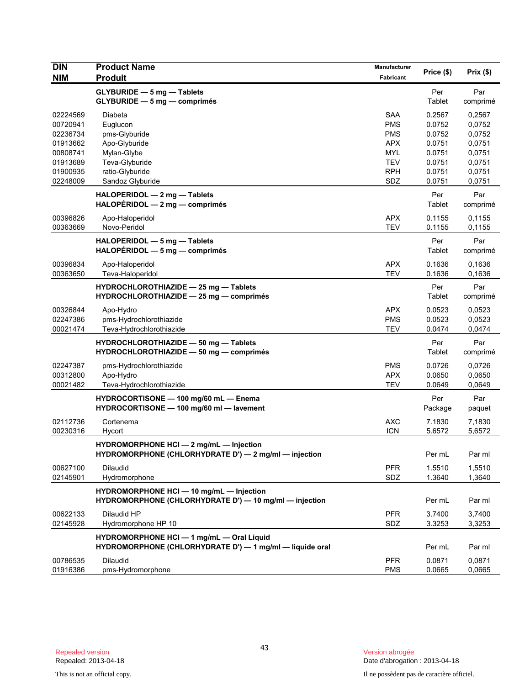| <b>DIN</b>                                                                                   | <b>Product Name</b>                                                                                                           | Manufacturer                                                                                   | Price (\$)                                                                   | Prix (\$)                                                                    |
|----------------------------------------------------------------------------------------------|-------------------------------------------------------------------------------------------------------------------------------|------------------------------------------------------------------------------------------------|------------------------------------------------------------------------------|------------------------------------------------------------------------------|
| <b>NIM</b>                                                                                   | <b>Produit</b>                                                                                                                | Fabricant                                                                                      |                                                                              |                                                                              |
|                                                                                              | <b>GLYBURIDE - 5 mg - Tablets</b><br>GLYBURIDE - 5 mg - comprimés                                                             |                                                                                                | Per<br>Tablet                                                                | Par<br>comprimé                                                              |
| 02224569<br>00720941<br>02236734<br>01913662<br>00808741<br>01913689<br>01900935<br>02248009 | Diabeta<br>Euglucon<br>pms-Glyburide<br>Apo-Glyburide<br>Mylan-Glybe<br>Teva-Glyburide<br>ratio-Glyburide<br>Sandoz Glyburide | SAA<br><b>PMS</b><br><b>PMS</b><br><b>APX</b><br><b>MYL</b><br><b>TEV</b><br><b>RPH</b><br>SDZ | 0.2567<br>0.0752<br>0.0752<br>0.0751<br>0.0751<br>0.0751<br>0.0751<br>0.0751 | 0,2567<br>0,0752<br>0,0752<br>0,0751<br>0,0751<br>0,0751<br>0,0751<br>0,0751 |
|                                                                                              | HALOPERIDOL - 2 mg - Tablets<br>HALOPÉRIDOL - 2 mg - comprimés                                                                |                                                                                                | Per<br>Tablet                                                                | Par<br>comprimé                                                              |
| 00396826<br>00363669                                                                         | Apo-Haloperidol<br>Novo-Peridol                                                                                               | <b>APX</b><br><b>TEV</b>                                                                       | 0.1155<br>0.1155                                                             | 0,1155<br>0,1155                                                             |
|                                                                                              | HALOPERIDOL - 5 mg - Tablets<br>$HALOPÉRIDOL - 5 mg - comprimés$                                                              |                                                                                                | Per<br>Tablet                                                                | Par<br>comprimé                                                              |
| 00396834<br>00363650                                                                         | Apo-Haloperidol<br>Teva-Haloperidol                                                                                           | <b>APX</b><br><b>TEV</b>                                                                       | 0.1636<br>0.1636                                                             | 0,1636<br>0,1636                                                             |
|                                                                                              | HYDROCHLOROTHIAZIDE - 25 mg - Tablets<br>HYDROCHLOROTHIAZIDE - 25 mg - comprimés                                              |                                                                                                | Per<br>Tablet                                                                | Par<br>comprimé                                                              |
| 00326844<br>02247386<br>00021474                                                             | Apo-Hydro<br>pms-Hydrochlorothiazide<br>Teva-Hydrochlorothiazide                                                              | <b>APX</b><br><b>PMS</b><br><b>TEV</b>                                                         | 0.0523<br>0.0523<br>0.0474                                                   | 0,0523<br>0,0523<br>0,0474                                                   |
|                                                                                              | HYDROCHLOROTHIAZIDE - 50 mg - Tablets<br>HYDROCHLOROTHIAZIDE - 50 mg - comprimés                                              |                                                                                                | Per<br>Tablet                                                                | Par<br>comprimé                                                              |
| 02247387<br>00312800<br>00021482                                                             | pms-Hydrochlorothiazide<br>Apo-Hydro<br>Teva-Hydrochlorothiazide                                                              | <b>PMS</b><br><b>APX</b><br><b>TEV</b>                                                         | 0.0726<br>0.0650<br>0.0649                                                   | 0,0726<br>0,0650<br>0,0649                                                   |
|                                                                                              | HYDROCORTISONE - 100 mg/60 mL - Enema<br>HYDROCORTISONE - 100 mg/60 ml - lavement                                             |                                                                                                | Per<br>Package                                                               | Par<br>paquet                                                                |
| 02112736<br>00230316                                                                         | Cortenema<br>Hycort                                                                                                           | <b>AXC</b><br><b>ICN</b>                                                                       | 7.1830<br>5.6572                                                             | 7,1830<br>5,6572                                                             |
|                                                                                              | HYDROMORPHONE HCI - 2 mg/mL - Injection<br>HYDROMORPHONE (CHLORHYDRATE D') - 2 mg/ml - injection                              |                                                                                                | Per mL                                                                       | Par ml                                                                       |
| 00627100<br>02145901                                                                         | <b>Dilaudid</b><br>Hydromorphone                                                                                              | <b>PFR</b><br>SDZ                                                                              | 1.5510<br>1.3640                                                             | 1,5510<br>1,3640                                                             |
|                                                                                              | HYDROMORPHONE HCI - 10 mg/mL - Injection<br>HYDROMORPHONE (CHLORHYDRATE D') - 10 mg/ml - injection                            |                                                                                                | Per mL                                                                       | Par ml                                                                       |
| 00622133<br>02145928                                                                         | Dilaudid HP<br>Hydromorphone HP 10                                                                                            | <b>PFR</b><br>SDZ                                                                              | 3.7400<br>3.3253                                                             | 3,7400<br>3,3253                                                             |
|                                                                                              | HYDROMORPHONE HCI - 1 mg/mL - Oral Liquid<br>HYDROMORPHONE (CHLORHYDRATE D') - 1 mg/ml - liquide oral                         |                                                                                                | Per mL                                                                       | Par ml                                                                       |
| 00786535<br>01916386                                                                         | <b>Dilaudid</b><br>pms-Hydromorphone                                                                                          | <b>PFR</b><br><b>PMS</b>                                                                       | 0.0871<br>0.0665                                                             | 0,0871<br>0,0665                                                             |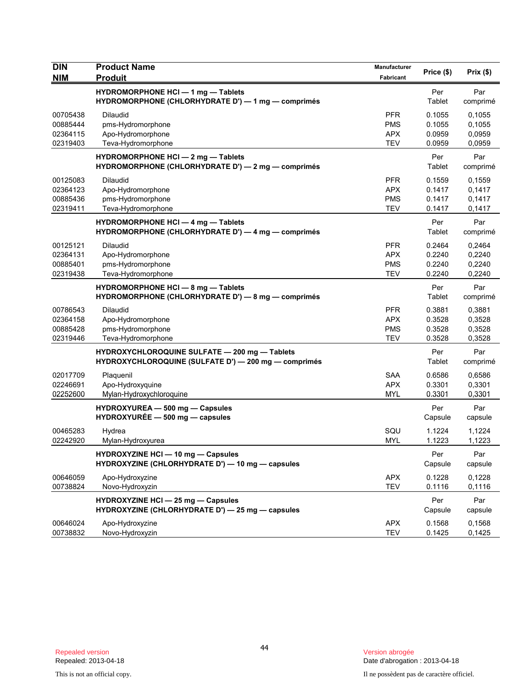| <b>DIN</b><br><b>NIM</b> | <b>Product Name</b><br><b>Produit</b>                                                                 | Manufacturer<br>Fabricant | Price (\$)     | Prix(\$)        |
|--------------------------|-------------------------------------------------------------------------------------------------------|---------------------------|----------------|-----------------|
|                          | <b>HYDROMORPHONE HCI - 1 mg - Tablets</b>                                                             |                           | Per            | Par             |
|                          | HYDROMORPHONE (CHLORHYDRATE D') - 1 mg - comprimés                                                    |                           | Tablet         | comprimé        |
| 00705438                 | <b>Dilaudid</b>                                                                                       | <b>PFR</b>                | 0.1055         | 0,1055          |
| 00885444                 | pms-Hydromorphone                                                                                     | <b>PMS</b>                | 0.1055         | 0,1055          |
| 02364115                 | Apo-Hydromorphone                                                                                     | <b>APX</b>                | 0.0959         | 0,0959          |
| 02319403                 | Teva-Hydromorphone                                                                                    | <b>TEV</b>                | 0.0959         | 0,0959          |
|                          | HYDROMORPHONE HCI - 2 mg - Tablets<br>HYDROMORPHONE (CHLORHYDRATE D') - 2 mg - comprimés              |                           | Per<br>Tablet  | Par<br>comprimé |
| 00125083                 | <b>Dilaudid</b>                                                                                       | <b>PFR</b>                | 0.1559         | 0,1559          |
| 02364123                 | Apo-Hydromorphone                                                                                     | <b>APX</b>                | 0.1417         | 0,1417          |
| 00885436                 | pms-Hydromorphone                                                                                     | <b>PMS</b>                | 0.1417         | 0,1417          |
| 02319411                 | Teva-Hydromorphone                                                                                    | <b>TEV</b>                | 0.1417         | 0,1417          |
|                          | <b>HYDROMORPHONE HCI - 4 mg - Tablets</b>                                                             |                           | Per            | Par             |
|                          | HYDROMORPHONE (CHLORHYDRATE D') - 4 mg - comprimés                                                    |                           | Tablet         | comprimé        |
| 00125121                 | <b>Dilaudid</b>                                                                                       | <b>PFR</b>                | 0.2464         | 0,2464          |
| 02364131                 | Apo-Hydromorphone                                                                                     | <b>APX</b>                | 0.2240         | 0,2240          |
| 00885401                 | pms-Hydromorphone                                                                                     | <b>PMS</b>                | 0.2240         | 0,2240          |
| 02319438                 | Teva-Hydromorphone                                                                                    | <b>TEV</b>                | 0.2240         | 0,2240          |
|                          | HYDROMORPHONE HCI - 8 mg - Tablets<br>HYDROMORPHONE (CHLORHYDRATE D') - 8 mg - comprimés              |                           | Per<br>Tablet  | Par<br>comprimé |
| 00786543                 | <b>Dilaudid</b>                                                                                       | <b>PFR</b>                | 0.3881         | 0,3881          |
| 02364158                 | Apo-Hydromorphone                                                                                     | <b>APX</b>                | 0.3528         | 0,3528          |
| 00885428                 | pms-Hydromorphone                                                                                     | <b>PMS</b>                | 0.3528         | 0,3528          |
| 02319446                 | Teva-Hydromorphone                                                                                    | <b>TEV</b>                | 0.3528         | 0,3528          |
|                          | HYDROXYCHLOROQUINE SULFATE - 200 mg - Tablets<br>HYDROXYCHLOROQUINE (SULFATE D') - 200 mg - comprimés |                           | Per<br>Tablet  | Par<br>comprimé |
| 02017709                 | Plaquenil                                                                                             | <b>SAA</b>                | 0.6586         | 0,6586          |
| 02246691                 | Apo-Hydroxyquine                                                                                      | <b>APX</b>                | 0.3301         | 0,3301          |
| 02252600                 | Mylan-Hydroxychloroquine                                                                              | <b>MYL</b>                | 0.3301         | 0,3301          |
|                          | HYDROXYUREA - 500 mg - Capsules<br>HYDROXYURÉE - 500 mg - capsules                                    |                           | Per<br>Capsule | Par<br>capsule  |
| 00465283                 | Hydrea                                                                                                | SQU                       | 1.1224         | 1,1224          |
| 02242920                 | Mylan-Hydroxyurea                                                                                     | <b>MYL</b>                | 1.1223         | 1,1223          |
|                          | <b>HYDROXYZINE HCI - 10 mg - Capsules</b><br>HYDROXYZINE (CHLORHYDRATE D') - 10 mg - capsules         |                           | Per<br>Capsule | Par<br>capsule  |
| 00646059                 | Apo-Hydroxyzine                                                                                       | <b>APX</b>                | 0.1228         | 0,1228          |
| 00738824                 | Novo-Hydroxyzin                                                                                       | <b>TEV</b>                | 0.1116         | 0,1116          |
|                          | <b>HYDROXYZINE HCI - 25 mg - Capsules</b><br>HYDROXYZINE (CHLORHYDRATE D') - 25 mg - capsules         |                           | Per<br>Capsule | Par<br>capsule  |
| 00646024                 | Apo-Hydroxyzine                                                                                       | <b>APX</b>                | 0.1568         | 0,1568          |
| 00738832                 | Novo-Hydroxyzin                                                                                       | <b>TEV</b>                | 0.1425         | 0,1425          |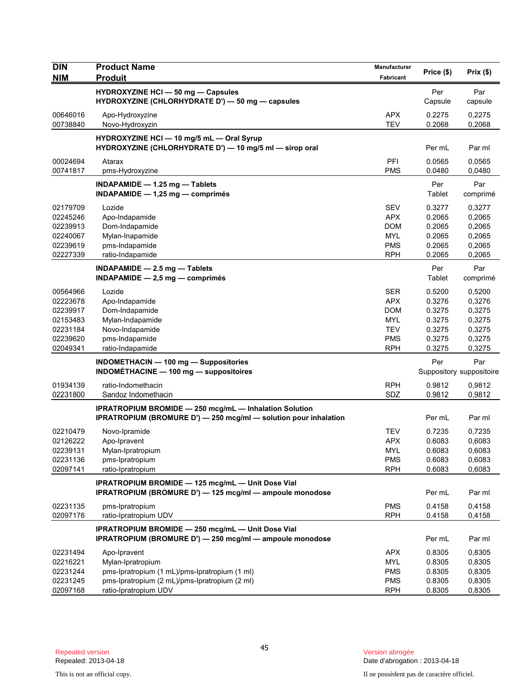| <b>DIN</b>           | <b>Product Name</b>                                                                                                                      | <b>Manufacturer</b>      | Price (\$)       | Prix(\$)                 |
|----------------------|------------------------------------------------------------------------------------------------------------------------------------------|--------------------------|------------------|--------------------------|
| <b>NIM</b>           | <b>Produit</b>                                                                                                                           | Fabricant                |                  |                          |
|                      | <b>HYDROXYZINE HCI - 50 mg - Capsules</b><br>HYDROXYZINE (CHLORHYDRATE D') — 50 mg — capsules                                            |                          | Per<br>Capsule   | Par<br>capsule           |
| 00646016<br>00738840 | Apo-Hydroxyzine<br>Novo-Hydroxyzin                                                                                                       | <b>APX</b><br><b>TEV</b> | 0.2275<br>0.2068 | 0,2275<br>0,2068         |
|                      | HYDROXYZINE HCI - 10 mg/5 mL - Oral Syrup<br>HYDROXYZINE (CHLORHYDRATE D') - 10 mg/5 ml - sirop oral                                     |                          | Per mL           | Par ml                   |
| 00024694<br>00741817 | Atarax<br>pms-Hydroxyzine                                                                                                                | PFI<br><b>PMS</b>        | 0.0565<br>0.0480 | 0,0565<br>0,0480         |
|                      | INDAPAMIDE $-$ 1.25 mg $-$ Tablets<br>INDAPAMIDE $-$ 1,25 mg $-$ comprimes                                                               |                          | Per<br>Tablet    | Par<br>comprimé          |
| 02179709             | Lozide                                                                                                                                   | <b>SEV</b>               | 0.3277           | 0,3277                   |
| 02245246             | Apo-Indapamide                                                                                                                           | <b>APX</b>               | 0.2065           | 0,2065                   |
| 02239913             | Dom-Indapamide                                                                                                                           | <b>DOM</b>               | 0.2065           | 0,2065                   |
| 02240067             | Mylan-Inapamide                                                                                                                          | <b>MYL</b>               | 0.2065           | 0,2065                   |
| 02239619<br>02227339 | pms-Indapamide<br>ratio-Indapamide                                                                                                       | <b>PMS</b><br><b>RPH</b> | 0.2065<br>0.2065 | 0,2065<br>0,2065         |
|                      |                                                                                                                                          |                          |                  |                          |
|                      | INDAPAMIDE $-2.5$ mg $-$ Tablets<br>$INDAPAMIDE - 2.5 mg - comprimés$                                                                    |                          | Per<br>Tablet    | Par<br>comprimé          |
| 00564966             | Lozide                                                                                                                                   | <b>SER</b>               | 0.5200           | 0,5200                   |
| 02223678             | Apo-Indapamide                                                                                                                           | <b>APX</b>               | 0.3276           | 0,3276                   |
| 02239917             | Dom-Indapamide                                                                                                                           | <b>DOM</b>               | 0.3275           | 0,3275                   |
| 02153483             | Mylan-Indapamide                                                                                                                         | <b>MYL</b>               | 0.3275           | 0,3275                   |
| 02231184<br>02239620 | Novo-Indapamide<br>pms-Indapamide                                                                                                        | <b>TEV</b><br><b>PMS</b> | 0.3275<br>0.3275 | 0,3275<br>0,3275         |
| 02049341             | ratio-Indapamide                                                                                                                         | <b>RPH</b>               | 0.3275           | 0,3275                   |
|                      | <b>INDOMETHACIN - 100 mg - Suppositories</b>                                                                                             |                          | Per              | Par                      |
|                      | <b>INDOMÉTHACINE - 100 mg - suppositoires</b>                                                                                            |                          |                  | Suppository suppositoire |
| 01934139             | ratio-Indomethacin                                                                                                                       | <b>RPH</b>               | 0.9812           | 0,9812                   |
| 02231800             | Sandoz Indomethacin                                                                                                                      | SDZ                      | 0.9812           | 0,9812                   |
|                      | <b>IPRATROPIUM BROMIDE - 250 mcg/mL - Inhalation Solution</b><br><b>IPRATROPIUM (BROMURE D') - 250 mcg/ml - solution pour inhalation</b> |                          | Per mL           | Par ml                   |
| 02210479             | Novo-Ipramide                                                                                                                            | TEV                      | 0.7235           | 0,7235                   |
| 02126222             | Apo-Ipravent                                                                                                                             | <b>APX</b>               | 0.6083           | 0,6083                   |
| 02239131             | Mylan-Ipratropium                                                                                                                        | <b>MYL</b>               | 0.6083           | 0,6083                   |
| 02231136             | pms-Ipratropium                                                                                                                          | <b>PMS</b>               | 0.6083           | 0,6083                   |
| 02097141             | ratio-Ipratropium                                                                                                                        | <b>RPH</b>               | 0.6083           | 0,6083                   |
|                      | IPRATROPIUM BROMIDE - 125 mcg/mL - Unit Dose Vial<br>IPRATROPIUM (BROMURE D') - 125 mcg/ml - ampoule monodose                            |                          | Per mL           | Par ml                   |
| 02231135             | pms-Ipratropium                                                                                                                          | <b>PMS</b>               | 0.4158           | 0,4158                   |
| 02097176             | ratio-Ipratropium UDV                                                                                                                    | <b>RPH</b>               | 0.4158           | 0,4158                   |
|                      | IPRATROPIUM BROMIDE - 250 mcg/mL - Unit Dose Vial<br>IPRATROPIUM (BROMURE D') - 250 mcg/ml - ampoule monodose                            |                          | Per mL           | Par ml                   |
| 02231494             | Apo-Ipravent                                                                                                                             | <b>APX</b>               | 0.8305           | 0,8305                   |
| 02216221             | Mylan-Ipratropium                                                                                                                        | MYL                      | 0.8305           | 0,8305                   |
| 02231244             | pms-Ipratropium (1 mL)/pms-Ipratropium (1 ml)                                                                                            | <b>PMS</b>               | 0.8305           | 0,8305                   |
| 02231245             | pms-Ipratropium (2 mL)/pms-Ipratropium (2 ml)                                                                                            | <b>PMS</b>               | 0.8305           | 0,8305                   |
| 02097168             | ratio-Ipratropium UDV                                                                                                                    | <b>RPH</b>               | 0.8305           | 0,8305                   |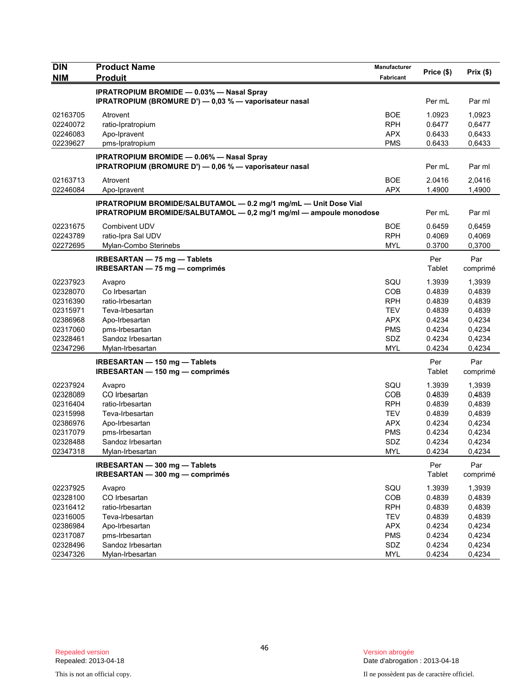| <b>DIN</b> | <b>Product Name</b>                                                                                                                    | Manufacturer |               |                 |
|------------|----------------------------------------------------------------------------------------------------------------------------------------|--------------|---------------|-----------------|
| <b>NIM</b> | <b>Produit</b>                                                                                                                         | Fabricant    | Price (\$)    | Prix(\$)        |
|            | <b>IPRATROPIUM BROMIDE - 0.03% - Nasal Spray</b>                                                                                       |              |               |                 |
|            | IPRATROPIUM (BROMURE D') — 0,03 % — vaporisateur nasal                                                                                 |              | Per mL        | Par ml          |
| 02163705   | Atrovent                                                                                                                               | <b>BOE</b>   | 1.0923        | 1,0923          |
| 02240072   | ratio-Ipratropium                                                                                                                      | <b>RPH</b>   | 0.6477        | 0,6477          |
| 02246083   | Apo-Ipravent                                                                                                                           | <b>APX</b>   | 0.6433        | 0,6433          |
| 02239627   | pms-Ipratropium                                                                                                                        | <b>PMS</b>   | 0.6433        | 0,6433          |
|            | <b>IPRATROPIUM BROMIDE - 0.06% - Nasal Spray</b>                                                                                       |              |               |                 |
|            | IPRATROPIUM (BROMURE D') - 0,06 % - vaporisateur nasal                                                                                 |              | Per mL        | Par ml          |
| 02163713   | Atrovent                                                                                                                               | <b>BOE</b>   | 2.0416        | 2,0416          |
| 02246084   | Apo-Ipravent                                                                                                                           | <b>APX</b>   | 1.4900        | 1,4900          |
|            | IPRATROPIUM BROMIDE/SALBUTAMOL - 0.2 mg/1 mg/mL - Unit Dose Vial<br>IPRATROPIUM BROMIDE/SALBUTAMOL - 0,2 mg/1 mg/ml - ampoule monodose |              | Per mL        | Par ml          |
| 02231675   | Combivent UDV                                                                                                                          | <b>BOE</b>   | 0.6459        | 0,6459          |
| 02243789   | ratio-Ipra Sal UDV                                                                                                                     | <b>RPH</b>   | 0.4069        | 0,4069          |
| 02272695   | Mylan-Combo Sterinebs                                                                                                                  | <b>MYL</b>   | 0.3700        | 0,3700          |
|            | IRBESARTAN - 75 mg - Tablets                                                                                                           |              | Per           | Par             |
|            | IRBESARTAN - 75 mg - comprimés                                                                                                         |              | Tablet        | comprimé        |
|            |                                                                                                                                        |              |               |                 |
| 02237923   | Avapro                                                                                                                                 | SQU          | 1.3939        | 1,3939          |
| 02328070   | Co Irbesartan                                                                                                                          | <b>COB</b>   | 0.4839        | 0,4839          |
| 02316390   | ratio-Irbesartan                                                                                                                       | <b>RPH</b>   | 0.4839        | 0,4839          |
| 02315971   | Teva-Irbesartan                                                                                                                        | <b>TEV</b>   | 0.4839        | 0,4839          |
| 02386968   | Apo-Irbesartan                                                                                                                         | <b>APX</b>   | 0.4234        | 0,4234          |
| 02317060   | pms-Irbesartan                                                                                                                         | <b>PMS</b>   | 0.4234        | 0,4234          |
| 02328461   | Sandoz Irbesartan                                                                                                                      | SDZ          | 0.4234        | 0,4234          |
| 02347296   | Mylan-Irbesartan                                                                                                                       | <b>MYL</b>   | 0.4234        | 0,4234          |
|            | IRBESARTAN - 150 mg - Tablets                                                                                                          |              | Per           | Par             |
|            | IRBESARTAN - 150 mg - comprimés                                                                                                        |              | Tablet        | comprimé        |
| 02237924   | Avapro                                                                                                                                 | SQU          | 1.3939        | 1,3939          |
| 02328089   | CO Irbesartan                                                                                                                          | <b>COB</b>   | 0.4839        | 0,4839          |
| 02316404   | ratio-Irbesartan                                                                                                                       | <b>RPH</b>   | 0.4839        | 0,4839          |
| 02315998   | Teva-Irbesartan                                                                                                                        | <b>TEV</b>   | 0.4839        | 0,4839          |
| 02386976   | Apo-Irbesartan                                                                                                                         | <b>APX</b>   | 0.4234        | 0,4234          |
| 02317079   | pms-Irbesartan                                                                                                                         | PMS          | 0.4234        | 0,4234          |
| 02328488   | Sandoz Irbesartan                                                                                                                      | SDZ          | 0.4234        | 0,4234          |
| 02347318   | Mylan-Irbesartan                                                                                                                       | <b>MYL</b>   | 0.4234        | 0,4234          |
|            | IRBESARTAN - 300 mg - Tablets<br>IRBESARTAN - 300 mg - comprimés                                                                       |              | Per<br>Tablet | Par<br>comprimé |
| 02237925   | Avapro                                                                                                                                 | SQU          | 1.3939        | 1,3939          |
| 02328100   | CO Irbesartan                                                                                                                          | COB          | 0.4839        | 0,4839          |
| 02316412   | ratio-Irbesartan                                                                                                                       | <b>RPH</b>   | 0.4839        | 0,4839          |
| 02316005   | Teva-Irbesartan                                                                                                                        | <b>TEV</b>   | 0.4839        | 0,4839          |
| 02386984   | Apo-Irbesartan                                                                                                                         | <b>APX</b>   | 0.4234        | 0,4234          |
| 02317087   | pms-Irbesartan                                                                                                                         | <b>PMS</b>   | 0.4234        | 0,4234          |
| 02328496   | Sandoz Irbesartan                                                                                                                      | SDZ          | 0.4234        | 0,4234          |
| 02347326   | Mylan-Irbesartan                                                                                                                       | <b>MYL</b>   | 0.4234        | 0,4234          |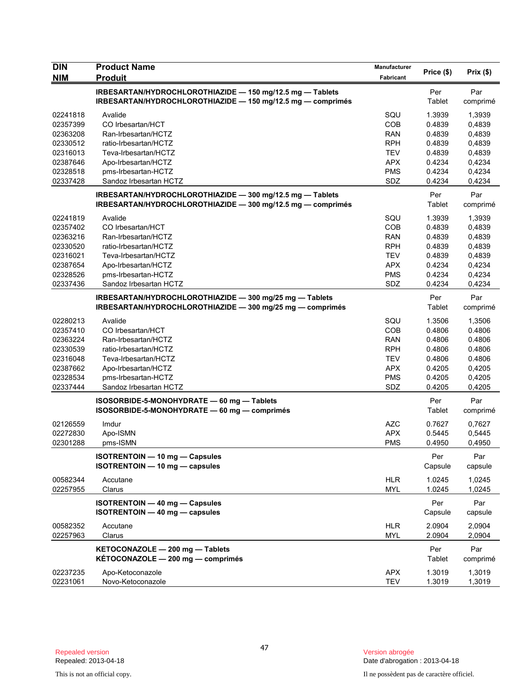| <b>DIN</b>           | <b>Product Name</b>                                                                                                      | Manufacturer             | Price (\$)       | Prix(\$)         |
|----------------------|--------------------------------------------------------------------------------------------------------------------------|--------------------------|------------------|------------------|
| NIM                  | <b>Produit</b>                                                                                                           | Fabricant                |                  |                  |
|                      | IRBESARTAN/HYDROCHLOROTHIAZIDE - 150 mg/12.5 mg - Tablets<br>IRBESARTAN/HYDROCHLOROTHIAZIDE - 150 mg/12.5 mg - comprimés |                          | Per<br>Tablet    | Par<br>comprimé  |
| 02241818             | Avalide                                                                                                                  | SQU                      | 1.3939           | 1,3939           |
| 02357399             | CO Irbesartan/HCT                                                                                                        | COB                      | 0.4839           | 0,4839           |
| 02363208             | Ran-Irbesartan/HCTZ                                                                                                      | <b>RAN</b>               | 0.4839           | 0,4839           |
| 02330512             | ratio-Irbesartan/HCTZ                                                                                                    | <b>RPH</b>               | 0.4839           | 0,4839           |
| 02316013             | Teva-Irbesartan/HCTZ                                                                                                     | <b>TEV</b>               | 0.4839           | 0,4839           |
| 02387646             | Apo-Irbesartan/HCTZ                                                                                                      | <b>APX</b>               | 0.4234           | 0,4234           |
| 02328518             | pms-Irbesartan-HCTZ                                                                                                      | <b>PMS</b>               | 0.4234           | 0,4234           |
| 02337428             | Sandoz Irbesartan HCTZ                                                                                                   | SDZ                      | 0.4234           | 0,4234           |
|                      | IRBESARTAN/HYDROCHLOROTHIAZIDE - 300 mg/12.5 mg - Tablets<br>IRBESARTAN/HYDROCHLOROTHIAZIDE - 300 mg/12.5 mg - comprimés |                          | Per<br>Tablet    | Par<br>comprimé  |
| 02241819             | Avalide                                                                                                                  | SQU                      | 1.3939           | 1,3939           |
| 02357402             | CO Irbesartan/HCT                                                                                                        | <b>COB</b>               | 0.4839           | 0,4839           |
| 02363216             | Ran-Irbesartan/HCTZ                                                                                                      | <b>RAN</b>               | 0.4839           | 0,4839           |
| 02330520             | ratio-Irbesartan/HCTZ                                                                                                    | <b>RPH</b>               | 0.4839           | 0,4839           |
| 02316021             | Teva-Irbesartan/HCTZ                                                                                                     | <b>TEV</b>               | 0.4839           | 0,4839           |
| 02387654             | Apo-Irbesartan/HCTZ                                                                                                      | APX                      | 0.4234           | 0,4234           |
| 02328526             | pms-Irbesartan-HCTZ                                                                                                      | <b>PMS</b>               | 0.4234           | 0,4234           |
| 02337436             | Sandoz Irbesartan HCTZ                                                                                                   | SDZ                      | 0.4234           | 0,4234           |
|                      | IRBESARTAN/HYDROCHLOROTHIAZIDE - 300 mg/25 mg - Tablets                                                                  |                          | Per              | Par              |
|                      | IRBESARTAN/HYDROCHLOROTHIAZIDE - 300 mg/25 mg - comprimés                                                                |                          | Tablet           | comprimé         |
| 02280213             | Avalide                                                                                                                  | SQU                      | 1.3506           | 1,3506           |
| 02357410             | CO Irbesartan/HCT                                                                                                        | <b>COB</b>               | 0.4806           | 0.4806           |
| 02363224             | Ran-Irbesartan/HCTZ                                                                                                      | <b>RAN</b>               | 0.4806           | 0.4806           |
| 02330539             | ratio-Irbesartan/HCTZ                                                                                                    | <b>RPH</b>               | 0.4806           | 0.4806           |
| 02316048             | Teva-Irbesartan/HCTZ                                                                                                     | <b>TEV</b>               | 0.4806           | 0.4806           |
| 02387662             | Apo-Irbesartan/HCTZ                                                                                                      | <b>APX</b>               | 0.4205           | 0,4205           |
| 02328534             | pms-Irbesartan-HCTZ                                                                                                      | <b>PMS</b>               | 0.4205           | 0,4205           |
| 02337444             | Sandoz Irbesartan HCTZ                                                                                                   | SDZ                      | 0.4205           | 0,4205           |
|                      | ISOSORBIDE-5-MONOHYDRATE - 60 mg - Tablets<br>ISOSORBIDE-5-MONOHYDRATE - 60 mg - comprimés                               |                          | Per<br>Tablet    | Par<br>comprimé  |
| 02126559             | Imdur                                                                                                                    | <b>AZC</b>               | 0.7627           | 0,7627           |
| 02272830             | Apo-ISMN                                                                                                                 | <b>APX</b>               | 0.5445           | 0,5445           |
| 02301288             | pms-ISMN                                                                                                                 | <b>PMS</b>               | 0.4950           | 0,4950           |
|                      | <b>ISOTRENTOIN - 10 mg - Capsules</b><br><b>ISOTRENTOIN - 10 mg - capsules</b>                                           |                          | Per<br>Capsule   | Par<br>capsule   |
| 00582344             | Accutane                                                                                                                 | <b>HLR</b>               | 1.0245           | 1,0245           |
| 02257955             | Clarus                                                                                                                   | <b>MYL</b>               | 1.0245           | 1,0245           |
|                      | <b>ISOTRENTOIN - 40 mg - Capsules</b><br>ISOTRENTOIN - 40 mg - capsules                                                  |                          | Per<br>Capsule   | Par<br>capsule   |
| 00582352<br>02257963 | Accutane<br>Clarus                                                                                                       | <b>HLR</b><br><b>MYL</b> | 2.0904<br>2.0904 | 2,0904<br>2,0904 |
|                      | KETOCONAZOLE - 200 mg - Tablets<br>KÉTOCONAZOLE - 200 mg - comprimés                                                     |                          | Per<br>Tablet    | Par<br>comprimé  |
| 02237235<br>02231061 | Apo-Ketoconazole<br>Novo-Ketoconazole                                                                                    | <b>APX</b><br><b>TEV</b> | 1.3019<br>1.3019 | 1,3019<br>1,3019 |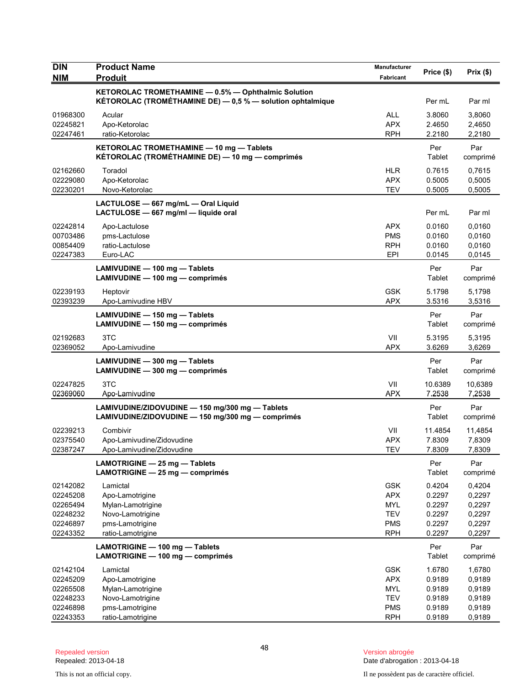| <b>DIN</b> | <b>Product Name</b>                                                                                               | Manufacturer | Price (\$)    | Prix(\$)        |
|------------|-------------------------------------------------------------------------------------------------------------------|--------------|---------------|-----------------|
| <b>NIM</b> | <b>Produit</b>                                                                                                    | Fabricant    |               |                 |
|            | KETOROLAC TROMETHAMINE - 0.5% - Ophthalmic Solution<br>KÉTOROLAC (TROMÉTHAMINE DE) - 0,5 % - solution ophtalmique |              | Per mL        | Par ml          |
| 01968300   | Acular                                                                                                            | <b>ALL</b>   | 3.8060        | 3,8060          |
| 02245821   | Apo-Ketorolac                                                                                                     | <b>APX</b>   | 2.4650        | 2,4650          |
| 02247461   | ratio-Ketorolac                                                                                                   | <b>RPH</b>   | 2.2180        | 2,2180          |
|            | KETOROLAC TROMETHAMINE - 10 mg - Tablets<br>KÉTOROLAC (TROMÉTHAMINE DE) — 10 mg — comprimés                       |              | Per<br>Tablet | Par<br>comprimé |
| 02162660   | Toradol                                                                                                           | <b>HLR</b>   | 0.7615        | 0,7615          |
| 02229080   | Apo-Ketorolac                                                                                                     | <b>APX</b>   | 0.5005        | 0,5005          |
| 02230201   | Novo-Ketorolac                                                                                                    | <b>TEV</b>   | 0.5005        | 0,5005          |
|            | LACTULOSE - 667 mg/mL - Oral Liquid<br>LACTULOSE - 667 mg/ml - liquide oral                                       |              | Per mL        | Par ml          |
| 02242814   | Apo-Lactulose                                                                                                     | <b>APX</b>   | 0.0160        | 0,0160          |
| 00703486   | pms-Lactulose                                                                                                     | <b>PMS</b>   | 0.0160        | 0,0160          |
| 00854409   | ratio-Lactulose                                                                                                   | <b>RPH</b>   | 0.0160        | 0,0160          |
| 02247383   | Euro-LAC                                                                                                          | EPI          | 0.0145        | 0,0145          |
|            | LAMIVUDINE - 100 mg - Tablets<br>LAMIVUDINE - 100 mg - comprimés                                                  |              | Per<br>Tablet | Par<br>comprimé |
| 02239193   | Heptovir                                                                                                          | <b>GSK</b>   | 5.1798        | 5,1798          |
| 02393239   | Apo-Lamivudine HBV                                                                                                | <b>APX</b>   | 3.5316        | 3,5316          |
|            | LAMIVUDINE - 150 mg - Tablets<br>LAMIVUDINE - 150 mg - comprimés                                                  |              | Per<br>Tablet | Par<br>comprimé |
| 02192683   | 3TC                                                                                                               | VII          | 5.3195        | 5,3195          |
| 02369052   | Apo-Lamivudine                                                                                                    | <b>APX</b>   | 3.6269        | 3,6269          |
|            | LAMIVUDINE - 300 mg - Tablets<br>LAMIVUDINE - 300 mg - comprimés                                                  |              | Per<br>Tablet | Par<br>comprimé |
| 02247825   | 3TC                                                                                                               | VII          | 10.6389       | 10,6389         |
| 02369060   | Apo-Lamivudine                                                                                                    | <b>APX</b>   | 7.2538        | 7,2538          |
|            | LAMIVUDINE/ZIDOVUDINE - 150 mg/300 mg - Tablets<br>LAMIVUDINE/ZIDOVUDINE - 150 mg/300 mg - comprimés              |              | Per<br>Tablet | Par<br>comprimé |
| 02239213   | Combivir                                                                                                          | VII          | 11.4854       | 11,4854         |
| 02375540   | Apo-Lamivudine/Zidovudine                                                                                         | <b>APX</b>   | 7.8309        | 7,8309          |
| 02387247   | Apo-Lamivudine/Zidovudine                                                                                         | <b>TEV</b>   | 7.8309        | 7,8309          |
|            | LAMOTRIGINE - 25 mg - Tablets<br>LAMOTRIGINE - 25 mg - comprimés                                                  |              | Per<br>Tablet | Par<br>comprimé |
| 02142082   | Lamictal                                                                                                          | <b>GSK</b>   | 0.4204        | 0,4204          |
| 02245208   | Apo-Lamotrigine                                                                                                   | <b>APX</b>   | 0.2297        | 0,2297          |
| 02265494   | Mylan-Lamotrigine                                                                                                 | <b>MYL</b>   | 0.2297        | 0,2297          |
| 02248232   | Novo-Lamotrigine                                                                                                  | <b>TEV</b>   | 0.2297        | 0,2297          |
| 02246897   | pms-Lamotrigine                                                                                                   | <b>PMS</b>   | 0.2297        | 0,2297          |
| 02243352   | ratio-Lamotrigine                                                                                                 | <b>RPH</b>   | 0.2297        | 0,2297          |
|            | LAMOTRIGINE - 100 mg - Tablets<br>LAMOTRIGINE - 100 mg - comprimés                                                |              | Per<br>Tablet | Par<br>comprimé |
| 02142104   | Lamictal                                                                                                          | <b>GSK</b>   | 1.6780        | 1,6780          |
| 02245209   | Apo-Lamotrigine                                                                                                   | <b>APX</b>   | 0.9189        | 0,9189          |
| 02265508   | Mylan-Lamotrigine                                                                                                 | MYL          | 0.9189        | 0,9189          |
| 02248233   | Novo-Lamotrigine                                                                                                  | <b>TEV</b>   | 0.9189        | 0,9189          |
| 02246898   | pms-Lamotrigine                                                                                                   | <b>PMS</b>   | 0.9189        | 0,9189          |
| 02243353   | ratio-Lamotrigine                                                                                                 | <b>RPH</b>   | 0.9189        | 0,9189          |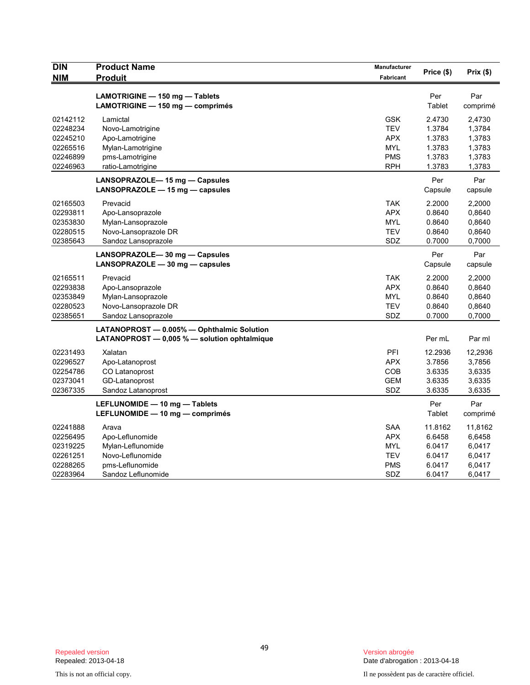| <b>DIN</b> | <b>Product Name</b>                          | <b>Manufacturer</b> | Price (\$) | Prix(\$) |
|------------|----------------------------------------------|---------------------|------------|----------|
| <b>NIM</b> | <b>Produit</b>                               | Fabricant           |            |          |
|            | LAMOTRIGINE - 150 mg - Tablets               |                     | Per        | Par      |
|            | LAMOTRIGINE - 150 mg - comprimés             |                     | Tablet     | comprimé |
| 02142112   | Lamictal                                     | <b>GSK</b>          | 2.4730     | 2,4730   |
| 02248234   | Novo-Lamotrigine                             | <b>TEV</b>          | 1.3784     | 1,3784   |
| 02245210   | Apo-Lamotrigine                              | <b>APX</b>          | 1.3783     | 1,3783   |
| 02265516   | Mylan-Lamotrigine                            | <b>MYL</b>          | 1.3783     | 1,3783   |
| 02246899   | pms-Lamotrigine                              | <b>PMS</b>          | 1.3783     | 1,3783   |
| 02246963   | ratio-Lamotrigine                            | RPH                 | 1.3783     | 1,3783   |
|            | LANSOPRAZOLE-15 mg - Capsules                |                     | Per        | Par      |
|            | LANSOPRAZOLE - 15 mg - capsules              |                     | Capsule    | capsule  |
| 02165503   | Prevacid                                     | <b>TAK</b>          | 2.2000     | 2.2000   |
| 02293811   | Apo-Lansoprazole                             | <b>APX</b>          | 0.8640     | 0,8640   |
| 02353830   | Mylan-Lansoprazole                           | <b>MYL</b>          | 0.8640     | 0,8640   |
| 02280515   | Novo-Lansoprazole DR                         | <b>TEV</b>          | 0.8640     | 0,8640   |
| 02385643   | Sandoz Lansoprazole                          | SDZ                 | 0.7000     | 0,7000   |
|            | LANSOPRAZOLE-30 mg - Capsules                |                     | Per        | Par      |
|            | $LANSOPRAZOLE - 30 mg - capsules$            |                     | Capsule    | capsule  |
| 02165511   | Prevacid                                     | TAK                 | 2.2000     | 2,2000   |
| 02293838   | Apo-Lansoprazole                             | <b>APX</b>          | 0.8640     | 0,8640   |
| 02353849   | Mylan-Lansoprazole                           | <b>MYL</b>          | 0.8640     | 0,8640   |
| 02280523   | Novo-Lansoprazole DR                         | <b>TEV</b>          | 0.8640     | 0,8640   |
| 02385651   | Sandoz Lansoprazole                          | SDZ                 | 0.7000     | 0,7000   |
|            | LATANOPROST - 0.005% - Ophthalmic Solution   |                     |            |          |
|            | LATANOPROST - 0,005 % - solution ophtalmique |                     | Per mL     | Par ml   |
| 02231493   | Xalatan                                      | PFI                 | 12.2936    | 12,2936  |
| 02296527   | Apo-Latanoprost                              | APX                 | 3.7856     | 3,7856   |
| 02254786   | CO Latanoprost                               | COB                 | 3.6335     | 3,6335   |
| 02373041   | GD-Latanoprost                               | GEM                 | 3.6335     | 3,6335   |
| 02367335   | Sandoz Latanoprost                           | SDZ                 | 3.6335     | 3,6335   |
|            | LEFLUNOMIDE - 10 mg - Tablets                |                     | Per        | Par      |
|            | LEFLUNOMIDE - 10 mg - comprimés              |                     | Tablet     | comprimé |
| 02241888   | Arava                                        | <b>SAA</b>          | 11.8162    | 11,8162  |
| 02256495   | Apo-Leflunomide                              | <b>APX</b>          | 6.6458     | 6,6458   |
| 02319225   | Mylan-Leflunomide                            | <b>MYL</b>          | 6.0417     | 6,0417   |
| 02261251   | Novo-Leflunomide                             | <b>TEV</b>          | 6.0417     | 6,0417   |
| 02288265   | pms-Leflunomide                              | PMS                 | 6.0417     | 6,0417   |
| 02283964   | Sandoz Leflunomide                           | SDZ                 | 6.0417     | 6,0417   |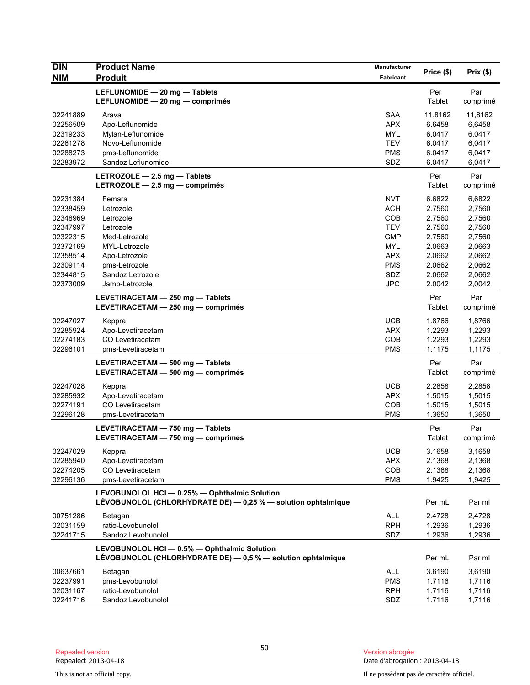| <b>DIN</b><br><b>NIM</b>                                                                                             | <b>Product Name</b><br><b>Produit</b>                                                                                                                   | Manufacturer<br>Fabricant                                                                                                  | Price (\$)                                                                                       | Prix(\$)                                                                                         |
|----------------------------------------------------------------------------------------------------------------------|---------------------------------------------------------------------------------------------------------------------------------------------------------|----------------------------------------------------------------------------------------------------------------------------|--------------------------------------------------------------------------------------------------|--------------------------------------------------------------------------------------------------|
|                                                                                                                      | LEFLUNOMIDE - 20 mg - Tablets<br>LEFLUNOMIDE - 20 mg - comprimés                                                                                        |                                                                                                                            | Per<br>Tablet                                                                                    | Par<br>comprimé                                                                                  |
| 02241889<br>02256509<br>02319233<br>02261278<br>02288273<br>02283972                                                 | Arava<br>Apo-Leflunomide<br>Mylan-Leflunomide<br>Novo-Leflunomide<br>pms-Leflunomide<br>Sandoz Leflunomide                                              | <b>SAA</b><br><b>APX</b><br><b>MYL</b><br><b>TEV</b><br>PMS<br>SDZ                                                         | 11.8162<br>6.6458<br>6.0417<br>6.0417<br>6.0417<br>6.0417                                        | 11,8162<br>6,6458<br>6,0417<br>6,0417<br>6,0417<br>6,0417                                        |
|                                                                                                                      | LETROZOLE - 2.5 mg - Tablets<br>LETROZOLE $-2.5$ mg $-$ comprimés                                                                                       |                                                                                                                            | Per<br>Tablet                                                                                    | Par<br>comprimé                                                                                  |
| 02231384<br>02338459<br>02348969<br>02347997<br>02322315<br>02372169<br>02358514<br>02309114<br>02344815<br>02373009 | Femara<br>Letrozole<br>Letrozole<br>Letrozole<br>Med-Letrozole<br>MYL-Letrozole<br>Apo-Letrozole<br>pms-Letrozole<br>Sandoz Letrozole<br>Jamp-Letrozole | <b>NVT</b><br><b>ACH</b><br>COB<br><b>TEV</b><br><b>GMP</b><br><b>MYL</b><br><b>APX</b><br><b>PMS</b><br>SDZ<br><b>JPC</b> | 6.6822<br>2.7560<br>2.7560<br>2.7560<br>2.7560<br>2.0663<br>2.0662<br>2.0662<br>2.0662<br>2.0042 | 6,6822<br>2,7560<br>2,7560<br>2,7560<br>2,7560<br>2,0663<br>2,0662<br>2,0662<br>2,0662<br>2,0042 |
|                                                                                                                      | LEVETIRACETAM - 250 mg - Tablets<br>LEVETIRACETAM - 250 mg - comprimés                                                                                  |                                                                                                                            | Per<br>Tablet                                                                                    | Par<br>comprimé                                                                                  |
| 02247027<br>02285924<br>02274183<br>02296101                                                                         | Keppra<br>Apo-Levetiracetam<br>CO Levetiracetam<br>pms-Levetiracetam                                                                                    | <b>UCB</b><br><b>APX</b><br>COB<br><b>PMS</b>                                                                              | 1.8766<br>1.2293<br>1.2293<br>1.1175                                                             | 1,8766<br>1,2293<br>1,2293<br>1,1175                                                             |
|                                                                                                                      | LEVETIRACETAM - 500 mg - Tablets<br>LEVETIRACETAM - 500 mg - comprimés                                                                                  |                                                                                                                            | Per<br>Tablet                                                                                    | Par<br>comprimé                                                                                  |
| 02247028<br>02285932<br>02274191<br>02296128                                                                         | Keppra<br>Apo-Levetiracetam<br>CO Levetiracetam<br>pms-Levetiracetam                                                                                    | <b>UCB</b><br><b>APX</b><br>COB<br><b>PMS</b>                                                                              | 2.2858<br>1.5015<br>1.5015<br>1.3650                                                             | 2,2858<br>1,5015<br>1,5015<br>1,3650                                                             |
|                                                                                                                      | LEVETIRACETAM - 750 mg - Tablets<br>LEVETIRACETAM - 750 mg - comprimés                                                                                  |                                                                                                                            | Per<br>Tablet                                                                                    | Par<br>comprimé                                                                                  |
| 02247029<br>02285940<br>02274205<br>02296136                                                                         | Keppra<br>Apo-Levetiracetam<br>CO Levetiracetam<br>pms-Levetiracetam                                                                                    | <b>UCB</b><br><b>APX</b><br><b>COB</b><br><b>PMS</b>                                                                       | 3.1658<br>2.1368<br>2.1368<br>1.9425                                                             | 3,1658<br>2,1368<br>2,1368<br>1,9425                                                             |
|                                                                                                                      | LEVOBUNOLOL HCI - 0.25% - Ophthalmic Solution<br>LÉVOBUNOLOL (CHLORHYDRATE DE) — 0,25 % — solution ophtalmique                                          |                                                                                                                            | Per mL                                                                                           | Par ml                                                                                           |
| 00751286<br>02031159<br>02241715                                                                                     | Betagan<br>ratio-Levobunolol<br>Sandoz Levobunolol                                                                                                      | <b>ALL</b><br><b>RPH</b><br>SDZ                                                                                            | 2.4728<br>1.2936<br>1.2936                                                                       | 2,4728<br>1,2936<br>1,2936                                                                       |
|                                                                                                                      | LEVOBUNOLOL HCI - 0.5% - Ophthalmic Solution<br>LÉVOBUNOLOL (CHLORHYDRATE DE) - 0,5 % - solution ophtalmique                                            |                                                                                                                            | Per mL                                                                                           | Par ml                                                                                           |
| 00637661<br>02237991<br>02031167<br>02241716                                                                         | Betagan<br>pms-Levobunolol<br>ratio-Levobunolol<br>Sandoz Levobunolol                                                                                   | <b>ALL</b><br><b>PMS</b><br><b>RPH</b><br>SDZ                                                                              | 3.6190<br>1.7116<br>1.7116<br>1.7116                                                             | 3,6190<br>1,7116<br>1,7116<br>1,7116                                                             |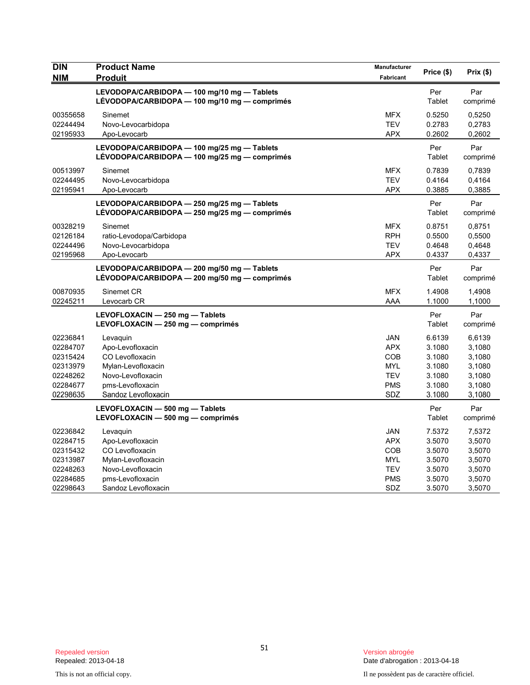| <b>DIN</b><br><b>NIM</b>                                                         | <b>Product Name</b><br><b>Produit</b>                                                                                                 | Manufacturer<br>Fabricant                                                        | Price (\$)                                                         | Prix(\$)                                                           |
|----------------------------------------------------------------------------------|---------------------------------------------------------------------------------------------------------------------------------------|----------------------------------------------------------------------------------|--------------------------------------------------------------------|--------------------------------------------------------------------|
|                                                                                  | LEVODOPA/CARBIDOPA - 100 mg/10 mg - Tablets<br>LÉVODOPA/CARBIDOPA — 100 mg/10 mg — comprimés                                          |                                                                                  | Per<br>Tablet                                                      | Par<br>comprimé                                                    |
| 00355658<br>02244494<br>02195933                                                 | Sinemet<br>Novo-Levocarbidopa<br>Apo-Levocarb                                                                                         | <b>MFX</b><br><b>TEV</b><br><b>APX</b>                                           | 0.5250<br>0.2783<br>0.2602                                         | 0,5250<br>0,2783<br>0,2602                                         |
|                                                                                  | LEVODOPA/CARBIDOPA - 100 mg/25 mg - Tablets<br>LÉVODOPA/CARBIDOPA - 100 mg/25 mg - comprimés                                          |                                                                                  | Per<br>Tablet                                                      | Par<br>comprimé                                                    |
| 00513997<br>02244495<br>02195941                                                 | Sinemet<br>Novo-Levocarbidopa<br>Apo-Levocarb                                                                                         | <b>MFX</b><br><b>TEV</b><br><b>APX</b>                                           | 0.7839<br>0.4164<br>0.3885                                         | 0,7839<br>0,4164<br>0,3885                                         |
|                                                                                  | LEVODOPA/CARBIDOPA - 250 mg/25 mg - Tablets<br>LÉVODOPA/CARBIDOPA - 250 mg/25 mg - comprimés                                          |                                                                                  | Per<br>Tablet                                                      | Par<br>comprimé                                                    |
| 00328219<br>02126184<br>02244496<br>02195968                                     | Sinemet<br>ratio-Levodopa/Carbidopa<br>Novo-Levocarbidopa<br>Apo-Levocarb                                                             | <b>MFX</b><br><b>RPH</b><br><b>TEV</b><br><b>APX</b>                             | 0.8751<br>0.5500<br>0.4648<br>0.4337                               | 0,8751<br>0,5500<br>0,4648<br>0,4337                               |
|                                                                                  | LEVODOPA/CARBIDOPA - 200 mg/50 mg - Tablets<br>LÉVODOPA/CARBIDOPA - 200 mg/50 mg - comprimés                                          |                                                                                  | Per<br>Tablet                                                      | Par<br>comprimé                                                    |
| 00870935<br>02245211                                                             | Sinemet CR<br>Levocarb CR                                                                                                             | <b>MFX</b><br>AAA                                                                | 1.4908<br>1.1000                                                   | 1,4908<br>1,1000                                                   |
|                                                                                  | LEVOFLOXACIN - 250 mg - Tablets<br>LEVOFLOXACIN - 250 mg - comprimés                                                                  |                                                                                  | Per<br>Tablet                                                      | Par<br>comprimé                                                    |
| 02236841<br>02284707<br>02315424<br>02313979<br>02248262<br>02284677<br>02298635 | Levaguin<br>Apo-Levofloxacin<br>CO Levofloxacin<br>Mylan-Levofloxacin<br>Novo-Levofloxacin<br>pms-Levofloxacin<br>Sandoz Levofloxacin | <b>JAN</b><br><b>APX</b><br>COB<br><b>MYL</b><br><b>TEV</b><br><b>PMS</b><br>SDZ | 6.6139<br>3.1080<br>3.1080<br>3.1080<br>3.1080<br>3.1080<br>3.1080 | 6,6139<br>3,1080<br>3,1080<br>3,1080<br>3,1080<br>3,1080<br>3,1080 |
|                                                                                  | LEVOFLOXACIN - 500 mg - Tablets<br>LEVOFLOXACIN - 500 mg - comprimés                                                                  |                                                                                  | Per<br>Tablet                                                      | Par<br>comprimé                                                    |
| 02236842<br>02284715<br>02315432<br>02313987<br>02248263<br>02284685             | Levaquin<br>Apo-Levofloxacin<br>CO Levofloxacin<br>Mylan-Levofloxacin<br>Novo-Levofloxacin<br>pms-Levofloxacin                        | <b>JAN</b><br><b>APX</b><br>COB<br><b>MYL</b><br><b>TEV</b><br><b>PMS</b>        | 7.5372<br>3.5070<br>3.5070<br>3.5070<br>3.5070<br>3.5070           | 7,5372<br>3,5070<br>3,5070<br>3,5070<br>3,5070<br>3,5070           |
| 02298643                                                                         | Sandoz Levofloxacin                                                                                                                   | <b>SDZ</b>                                                                       | 3.5070                                                             | 3,5070                                                             |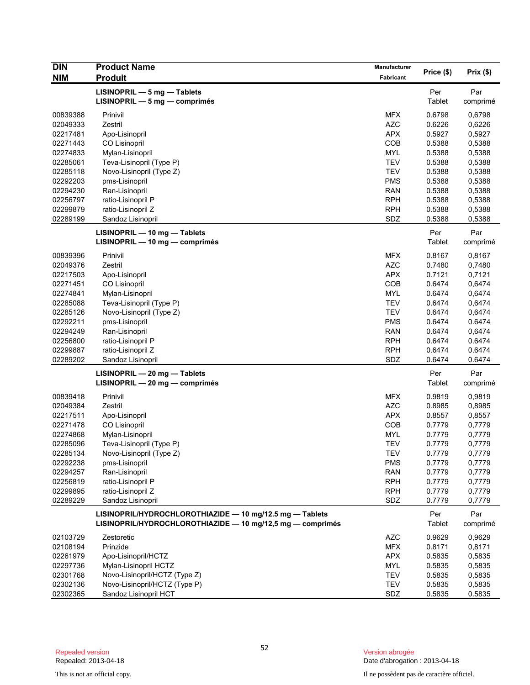| <b>DIN</b> | <b>Product Name</b>                                               | Manufacturer | Price (\$)    | Prix(\$)        |
|------------|-------------------------------------------------------------------|--------------|---------------|-----------------|
| <b>NIM</b> | <b>Produit</b>                                                    | Fabricant    |               |                 |
|            | LISINOPRIL - 5 mg - Tablets<br>$LISINOPRIL - 5 mg - comprimés$    |              | Per<br>Tablet | Par<br>comprimé |
| 00839388   | Prinivil                                                          | <b>MFX</b>   | 0.6798        | 0,6798          |
| 02049333   | Zestril                                                           | <b>AZC</b>   | 0.6226        | 0,6226          |
| 02217481   | Apo-Lisinopril                                                    | <b>APX</b>   | 0.5927        | 0,5927          |
| 02271443   | <b>CO Lisinopril</b>                                              | COB          | 0.5388        | 0,5388          |
| 02274833   | Mylan-Lisinopril                                                  | <b>MYL</b>   | 0.5388        | 0,5388          |
| 02285061   | Teva-Lisinopril (Type P)                                          | <b>TEV</b>   | 0.5388        | 0,5388          |
| 02285118   | Novo-Lisinopril (Type Z)                                          | <b>TEV</b>   | 0.5388        | 0,5388          |
| 02292203   | pms-Lisinopril                                                    | <b>PMS</b>   | 0.5388        | 0,5388          |
| 02294230   | Ran-Lisinopril                                                    | <b>RAN</b>   | 0.5388        | 0,5388          |
| 02256797   | ratio-Lisinopril P                                                | <b>RPH</b>   | 0.5388        | 0,5388          |
| 02299879   | ratio-Lisinopril Z                                                | <b>RPH</b>   | 0.5388        | 0,5388          |
| 02289199   | Sandoz Lisinopril                                                 | SDZ          | 0.5388        | 0,5388          |
|            | LISINOPRIL - 10 mg - Tablets                                      |              | Per           | Par             |
|            | LISINOPRIL - 10 mg - comprimés                                    |              | Tablet        | comprimé        |
| 00839396   | Prinivil                                                          | <b>MFX</b>   | 0.8167        | 0,8167          |
| 02049376   | Zestril                                                           | <b>AZC</b>   | 0.7480        | 0,7480          |
| 02217503   | Apo-Lisinopril                                                    | <b>APX</b>   | 0.7121        | 0,7121          |
| 02271451   | <b>CO Lisinopril</b>                                              | COB          | 0.6474        | 0,6474          |
| 02274841   | Mylan-Lisinopril                                                  | <b>MYL</b>   | 0.6474        | 0,6474          |
| 02285088   | Teva-Lisinopril (Type P)                                          | <b>TEV</b>   | 0.6474        | 0,6474          |
| 02285126   | Novo-Lisinopril (Type Z)                                          | <b>TEV</b>   | 0.6474        | 0,6474          |
| 02292211   | pms-Lisinopril                                                    | <b>PMS</b>   | 0.6474        | 0.6474          |
| 02294249   | Ran-Lisinopril                                                    | <b>RAN</b>   | 0.6474        | 0,6474          |
| 02256800   | ratio-Lisinopril P                                                | <b>RPH</b>   | 0.6474        | 0.6474          |
| 02299887   | ratio-Lisinopril Z                                                | <b>RPH</b>   | 0.6474        | 0.6474          |
| 02289202   | Sandoz Lisinopril                                                 | SDZ          | 0.6474        | 0.6474          |
|            | $LISINOPRIL - 20 mg - Tables$<br>$LISINOPRIL - 20 mg - comprimés$ |              | Per<br>Tablet | Par<br>comprimé |
| 00839418   | Prinivil                                                          | <b>MFX</b>   | 0.9819        | 0,9819          |
| 02049384   | Zestril                                                           | <b>AZC</b>   | 0.8985        | 0,8985          |
| 02217511   | Apo-Lisinopril                                                    | <b>APX</b>   | 0.8557        | 0,8557          |
| 02271478   | CO Lisinopril                                                     | COB          | 0.7779        | 0,7779          |
| 02274868   | Mylan-Lisinopril                                                  | <b>MYL</b>   | 0.7779        | 0,7779          |
| 02285096   | Teva-Lisinopril (Type P)                                          | <b>TEV</b>   | 0.7779        | 0,7779          |
| 02285134   | Novo-Lisinopril (Type Z)                                          | <b>TEV</b>   | 0.7779        | 0,7779          |
| 02292238   | pms-Lisinopril                                                    | <b>PMS</b>   | 0.7779        | 0,7779          |
| 02294257   | Ran-Lisinopril                                                    | <b>RAN</b>   | 0.7779        | 0,7779          |
| 02256819   | ratio-Lisinopril P                                                | <b>RPH</b>   | 0.7779        | 0,7779          |
| 02299895   | ratio-Lisinopril Z                                                | <b>RPH</b>   | 0.7779        | 0,7779          |
| 02289229   | Sandoz Lisinopril                                                 | SDZ          | 0.7779        | 0,7779          |
|            | LISINOPRIL/HYDROCHLOROTHIAZIDE $-$ 10 mg/12.5 mg $-$ Tablets      |              | Per           | Par             |
|            | LISINOPRIL/HYDROCHLOROTHIAZIDE - 10 mg/12,5 mg - comprimés        |              | Tablet        | comprimé        |
| 02103729   | Zestoretic                                                        | <b>AZC</b>   | 0.9629        | 0,9629          |
| 02108194   | Prinzide                                                          | <b>MFX</b>   | 0.8171        | 0,8171          |
| 02261979   | Apo-Lisinopril/HCTZ                                               | <b>APX</b>   | 0.5835        | 0,5835          |
| 02297736   | Mylan-Lisinopril HCTZ                                             | <b>MYL</b>   | 0.5835        | 0,5835          |
| 02301768   | Novo-Lisinopril/HCTZ (Type Z)                                     | <b>TEV</b>   | 0.5835        | 0,5835          |
| 02302136   | Novo-Lisinopril/HCTZ (Type P)                                     | <b>TEV</b>   | 0.5835        | 0,5835          |
| 02302365   | Sandoz Lisinopril HCT                                             | SDZ          | 0.5835        | 0.5835          |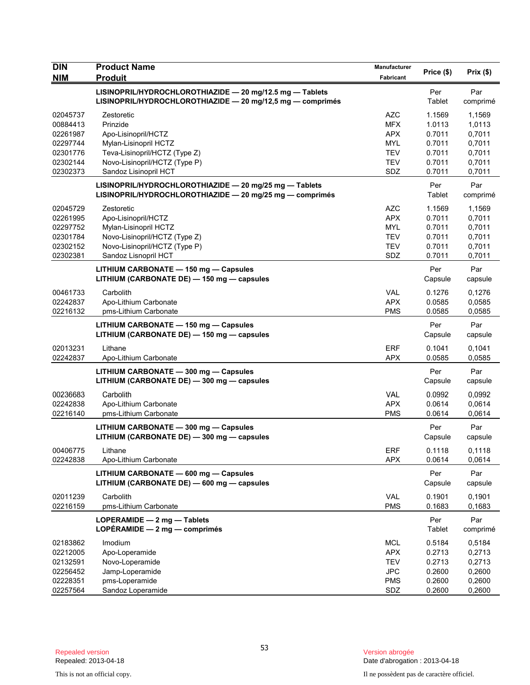| <b>DIN</b>           | <b>Product Name</b>                                                                                                    | Manufacturer             | Price (\$)       | Prix(\$)         |
|----------------------|------------------------------------------------------------------------------------------------------------------------|--------------------------|------------------|------------------|
| <b>NIM</b>           | <b>Produit</b>                                                                                                         | Fabricant                |                  |                  |
|                      | LISINOPRIL/HYDROCHLOROTHIAZIDE - 20 mg/12.5 mg - Tablets<br>LISINOPRIL/HYDROCHLOROTHIAZIDE - 20 mg/12,5 mg - comprimés |                          | Per<br>Tablet    | Par<br>comprimé  |
| 02045737             | Zestoretic                                                                                                             | <b>AZC</b>               | 1.1569           | 1,1569           |
| 00884413             | Prinzide                                                                                                               | <b>MFX</b>               | 1.0113           | 1,0113           |
| 02261987             | Apo-Lisinopril/HCTZ                                                                                                    | <b>APX</b>               | 0.7011           | 0,7011           |
| 02297744             | Mylan-Lisinopril HCTZ                                                                                                  | <b>MYL</b>               | 0.7011           | 0,7011           |
| 02301776             | Teva-Lisinopril/HCTZ (Type Z)                                                                                          | <b>TEV</b>               | 0.7011           | 0,7011           |
| 02302144             | Novo-Lisinopril/HCTZ (Type P)                                                                                          | <b>TEV</b>               | 0.7011           | 0,7011           |
| 02302373             | Sandoz Lisinopril HCT                                                                                                  | SDZ                      | 0.7011           | 0,7011           |
|                      | LISINOPRIL/HYDROCHLOROTHIAZIDE - 20 mg/25 mg - Tablets<br>LISINOPRIL/HYDROCHLOROTHIAZIDE - 20 mg/25 mg - comprimés     |                          | Per<br>Tablet    | Par<br>comprimé  |
| 02045729             | Zestoretic                                                                                                             | <b>AZC</b>               | 1.1569           | 1,1569           |
| 02261995             | Apo-Lisinopril/HCTZ                                                                                                    | <b>APX</b>               | 0.7011           | 0,7011           |
| 02297752             | Mylan-Lisinopril HCTZ                                                                                                  | <b>MYL</b>               | 0.7011           | 0,7011           |
| 02301784             | Novo-Lisinopril/HCTZ (Type Z)                                                                                          | <b>TEV</b>               | 0.7011           | 0,7011           |
| 02302152             | Novo-Lisinopril/HCTZ (Type P)                                                                                          | <b>TEV</b>               | 0.7011           | 0,7011           |
| 02302381             | Sandoz Lisnopril HCT                                                                                                   | SDZ                      | 0.7011           | 0,7011           |
|                      | LITHIUM CARBONATE - 150 mg - Capsules<br>LITHIUM (CARBONATE DE) - 150 mg - capsules                                    |                          | Per<br>Capsule   | Par<br>capsule   |
| 00461733             | Carbolith                                                                                                              | <b>VAL</b>               | 0.1276           | 0,1276           |
| 02242837             | Apo-Lithium Carbonate                                                                                                  | <b>APX</b>               | 0.0585           | 0.0585           |
| 02216132             | pms-Lithium Carbonate                                                                                                  | <b>PMS</b>               | 0.0585           | 0,0585           |
|                      | LITHIUM CARBONATE - 150 mg - Capsules<br>LITHIUM (CARBONATE DE) - 150 mg - capsules                                    |                          | Per<br>Capsule   | Par<br>capsule   |
| 02013231<br>02242837 | Lithane<br>Apo-Lithium Carbonate                                                                                       | <b>ERF</b><br><b>APX</b> | 0.1041<br>0.0585 | 0,1041<br>0,0585 |
|                      | LITHIUM CARBONATE - 300 mg - Capsules                                                                                  |                          | Per              | Par              |
|                      | LITHIUM (CARBONATE DE) - 300 mg - capsules                                                                             |                          | Capsule          | capsule          |
| 00236683             | Carbolith                                                                                                              | VAL                      | 0.0992           | 0.0992           |
| 02242838             | Apo-Lithium Carbonate                                                                                                  | <b>APX</b>               | 0.0614           | 0,0614           |
| 02216140             | pms-Lithium Carbonate                                                                                                  | <b>PMS</b>               | 0.0614           | 0,0614           |
|                      | LITHIUM CARBONATE - 300 mg - Capsules<br>LITHIUM (CARBONATE DE) - 300 mg - capsules                                    |                          | Per<br>Capsule   | Par<br>capsule   |
| 00406775             | Lithane                                                                                                                | <b>ERF</b>               | 0.1118           | 0,1118           |
| 02242838             | Apo-Lithium Carbonate                                                                                                  | <b>APX</b>               | 0.0614           | 0,0614           |
|                      | LITHIUM CARBONATE - 600 mg - Capsules<br>LITHIUM (CARBONATE DE) - 600 mg - capsules                                    |                          | Per<br>Capsule   | Par<br>capsule   |
| 02011239<br>02216159 | Carbolith<br>pms-Lithium Carbonate                                                                                     | <b>VAL</b><br><b>PMS</b> | 0.1901<br>0.1683 | 0,1901<br>0,1683 |
|                      | LOPERAMIDE $-2$ mg $-$ Tablets<br>LOPÉRAMIDE $-2$ mg $-$ comprimés                                                     |                          | Per<br>Tablet    | Par<br>comprimé  |
| 02183862             | Imodium                                                                                                                | <b>MCL</b>               | 0.5184           | 0,5184           |
| 02212005             | Apo-Loperamide                                                                                                         | <b>APX</b>               | 0.2713           | 0,2713           |
| 02132591             | Novo-Loperamide                                                                                                        | <b>TEV</b>               | 0.2713           | 0,2713           |
| 02256452             | Jamp-Loperamide                                                                                                        | <b>JPC</b>               | 0.2600           | 0,2600           |
| 02228351             | pms-Loperamide                                                                                                         | <b>PMS</b>               | 0.2600           | 0,2600           |
| 02257564             | Sandoz Loperamide                                                                                                      | SDZ                      | 0.2600           | 0,2600           |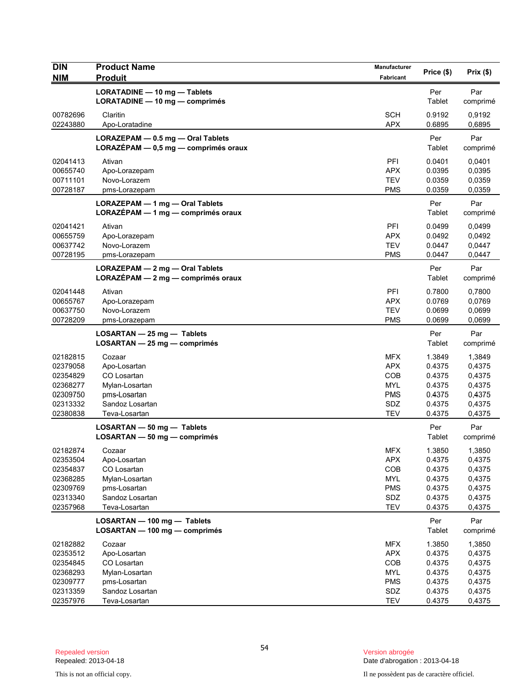| <b>DIN</b><br><b>NIM</b>                                                         | <b>Product Name</b><br><b>Produit</b>                                                                       | Manufacturer<br>Fabricant                                                        | Price (\$)                                                         | Prix(\$)                                                           |
|----------------------------------------------------------------------------------|-------------------------------------------------------------------------------------------------------------|----------------------------------------------------------------------------------|--------------------------------------------------------------------|--------------------------------------------------------------------|
|                                                                                  | LORATADINE - 10 mg - Tablets<br>LORATADINE - 10 mg - comprimés                                              |                                                                                  | Per<br>Tablet                                                      | Par<br>comprimé                                                    |
| 00782696<br>02243880                                                             | Claritin<br>Apo-Loratadine                                                                                  | <b>SCH</b><br><b>APX</b>                                                         | 0.9192<br>0.6895                                                   | 0,9192<br>0.6895                                                   |
|                                                                                  | LORAZEPAM - 0.5 mg - Oral Tablets<br>LORAZÉPAM - 0,5 mg - comprimés oraux                                   |                                                                                  | Per<br>Tablet                                                      | Par<br>comprimé                                                    |
| 02041413<br>00655740<br>00711101<br>00728187                                     | Ativan<br>Apo-Lorazepam<br>Novo-Lorazem<br>pms-Lorazepam                                                    | PFI<br><b>APX</b><br><b>TEV</b><br><b>PMS</b>                                    | 0.0401<br>0.0395<br>0.0359<br>0.0359                               | 0,0401<br>0,0395<br>0,0359<br>0,0359                               |
|                                                                                  | LORAZEPAM - 1 mg - Oral Tablets<br>LORAZÉPAM - 1 mg - comprimés oraux                                       |                                                                                  | Per<br>Tablet                                                      | Par<br>comprimé                                                    |
| 02041421<br>00655759<br>00637742<br>00728195                                     | Ativan<br>Apo-Lorazepam<br>Novo-Lorazem<br>pms-Lorazepam                                                    | PFI<br><b>APX</b><br><b>TEV</b><br><b>PMS</b>                                    | 0.0499<br>0.0492<br>0.0447<br>0.0447                               | 0,0499<br>0,0492<br>0,0447<br>0,0447                               |
|                                                                                  | LORAZEPAM - 2 mg - Oral Tablets<br>$LORAZEPAM - 2 mg - comprimés oraux$                                     |                                                                                  | Per<br>Tablet                                                      | Par<br>comprimé                                                    |
| 02041448<br>00655767<br>00637750<br>00728209                                     | Ativan<br>Apo-Lorazepam<br>Novo-Lorazem<br>pms-Lorazepam                                                    | PFI<br><b>APX</b><br><b>TEV</b><br><b>PMS</b>                                    | 0.7800<br>0.0769<br>0.0699<br>0.0699                               | 0.7800<br>0,0769<br>0,0699<br>0,0699                               |
|                                                                                  | $LOSARTAN - 25 mg - Tables$<br>$LOSARTAN - 25 mg - comprimés$                                               |                                                                                  | Per<br>Tablet                                                      | Par<br>comprimé                                                    |
| 02182815<br>02379058<br>02354829<br>02368277<br>02309750<br>02313332<br>02380838 | Cozaar<br>Apo-Losartan<br>CO Losartan<br>Mylan-Losartan<br>pms-Losartan<br>Sandoz Losartan<br>Teva-Losartan | <b>MFX</b><br><b>APX</b><br>COB<br><b>MYL</b><br><b>PMS</b><br>SDZ<br><b>TEV</b> | 1.3849<br>0.4375<br>0.4375<br>0.4375<br>0.4375<br>0.4375<br>0.4375 | 1,3849<br>0,4375<br>0,4375<br>0,4375<br>0,4375<br>0,4375<br>0,4375 |
|                                                                                  | LOSARTAN - 50 mg - Tablets<br>LOSARTAN - 50 mg - comprimés                                                  |                                                                                  | Per<br>Tablet                                                      | Par<br>comprimé                                                    |
| 02182874<br>02353504<br>02354837<br>02368285<br>02309769<br>02313340<br>02357968 | Cozaar<br>Apo-Losartan<br>CO Losartan<br>Mylan-Losartan<br>pms-Losartan<br>Sandoz Losartan<br>Teva-Losartan | <b>MFX</b><br><b>APX</b><br>COB<br><b>MYL</b><br><b>PMS</b><br>SDZ<br><b>TEV</b> | 1.3850<br>0.4375<br>0.4375<br>0.4375<br>0.4375<br>0.4375<br>0.4375 | 1,3850<br>0,4375<br>0,4375<br>0,4375<br>0,4375<br>0,4375<br>0,4375 |
|                                                                                  | LOSARTAN - 100 mg - Tablets<br>LOSARTAN - 100 mg - comprimés                                                |                                                                                  | Per<br>Tablet                                                      | Par<br>comprimé                                                    |
| 02182882<br>02353512<br>02354845<br>02368293<br>02309777<br>02313359<br>02357976 | Cozaar<br>Apo-Losartan<br>CO Losartan<br>Mylan-Losartan<br>pms-Losartan<br>Sandoz Losartan<br>Teva-Losartan | <b>MFX</b><br><b>APX</b><br>COB<br><b>MYL</b><br><b>PMS</b><br>SDZ<br><b>TEV</b> | 1.3850<br>0.4375<br>0.4375<br>0.4375<br>0.4375<br>0.4375<br>0.4375 | 1,3850<br>0,4375<br>0,4375<br>0,4375<br>0,4375<br>0,4375<br>0,4375 |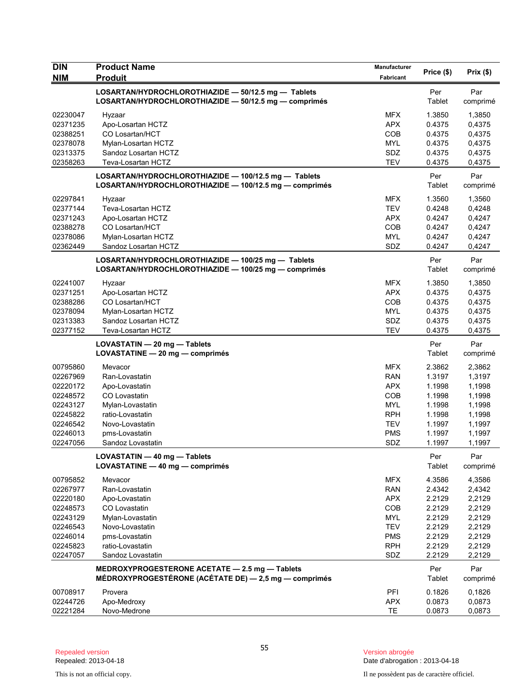| <b>DIN</b> | <b>Product Name</b>                                                                                            | <b>Manufacturer</b> | Price (\$)    | Prix(\$)        |
|------------|----------------------------------------------------------------------------------------------------------------|---------------------|---------------|-----------------|
| <b>NIM</b> | <b>Produit</b>                                                                                                 | Fabricant           |               |                 |
|            | LOSARTAN/HYDROCHLOROTHIAZIDE - 50/12.5 mg - Tablets<br>LOSARTAN/HYDROCHLOROTHIAZIDE - 50/12.5 mg - comprimés   |                     | Per<br>Tablet | Par<br>comprimé |
| 02230047   | Hyzaar                                                                                                         | <b>MFX</b>          | 1.3850        | 1,3850          |
| 02371235   | Apo-Losartan HCTZ                                                                                              | <b>APX</b>          | 0.4375        | 0,4375          |
| 02388251   | CO Losartan/HCT                                                                                                | COB                 | 0.4375        | 0,4375          |
| 02378078   | Mylan-Losartan HCTZ                                                                                            | <b>MYL</b>          | 0.4375        | 0,4375          |
| 02313375   | Sandoz Losartan HCTZ                                                                                           | SDZ                 | 0.4375        | 0,4375          |
| 02358263   | Teva-Losartan HCTZ                                                                                             | <b>TEV</b>          | 0.4375        | 0,4375          |
|            | LOSARTAN/HYDROCHLOROTHIAZIDE - 100/12.5 mg - Tablets<br>LOSARTAN/HYDROCHLOROTHIAZIDE - 100/12.5 mg - comprimés |                     | Per<br>Tablet | Par<br>comprimé |
| 02297841   | Hyzaar                                                                                                         | <b>MFX</b>          | 1.3560        | 1,3560          |
| 02377144   | Teva-Losartan HCTZ                                                                                             | <b>TEV</b>          | 0.4248        | 0,4248          |
| 02371243   | Apo-Losartan HCTZ                                                                                              | <b>APX</b>          | 0.4247        | 0,4247          |
| 02388278   | <b>CO Losartan/HCT</b>                                                                                         | COB                 | 0.4247        | 0,4247          |
| 02378086   | Mylan-Losartan HCTZ                                                                                            | <b>MYL</b>          | 0.4247        | 0,4247          |
| 02362449   | Sandoz Losartan HCTZ                                                                                           | SDZ                 | 0.4247        | 0,4247          |
|            | LOSARTAN/HYDROCHLOROTHIAZIDE - 100/25 mg - Tablets<br>LOSARTAN/HYDROCHLOROTHIAZIDE - 100/25 mg - comprimés     |                     | Per<br>Tablet | Par<br>comprimé |
| 02241007   | Hyzaar                                                                                                         | <b>MFX</b>          | 1.3850        | 1,3850          |
| 02371251   | Apo-Losartan HCTZ                                                                                              | <b>APX</b>          | 0.4375        | 0,4375          |
| 02388286   | CO Losartan/HCT                                                                                                | COB                 | 0.4375        | 0,4375          |
| 02378094   | Mylan-Losartan HCTZ                                                                                            | <b>MYL</b>          | 0.4375        | 0,4375          |
| 02313383   | Sandoz Losartan HCTZ                                                                                           | SDZ                 | 0.4375        | 0,4375          |
| 02377152   | Teva-Losartan HCTZ                                                                                             | <b>TEV</b>          | 0.4375        | 0,4375          |
|            | LOVASTATIN - 20 mg - Tablets<br>LOVASTATINE - 20 mg - comprimés                                                |                     | Per<br>Tablet | Par<br>comprimé |
| 00795860   | Mevacor                                                                                                        | <b>MFX</b>          | 2.3862        | 2,3862          |
| 02267969   | Ran-Lovastatin                                                                                                 | <b>RAN</b>          | 1.3197        | 1,3197          |
| 02220172   | Apo-Lovastatin                                                                                                 | <b>APX</b>          | 1.1998        | 1,1998          |
| 02248572   | CO Lovastatin                                                                                                  | COB                 | 1.1998        | 1,1998          |
| 02243127   | Mylan-Lovastatin                                                                                               | <b>MYL</b>          | 1.1998        | 1,1998          |
| 02245822   | ratio-Lovastatin                                                                                               | <b>RPH</b>          | 1.1998        | 1,1998          |
| 02246542   | Novo-Lovastatin                                                                                                | <b>TEV</b>          | 1.1997        | 1,1997          |
| 02246013   | pms-Lovastatin                                                                                                 | <b>PMS</b>          | 1.1997        | 1,1997          |
| 02247056   | Sandoz Lovastatin                                                                                              | SDZ                 | 1.1997        | 1,1997          |
|            | LOVASTATIN - 40 mg - Tablets<br>LOVASTATINE - 40 mg - comprimés                                                |                     | Per<br>Tablet | Par<br>comprimé |
| 00795852   | Mevacor                                                                                                        | <b>MFX</b>          | 4.3586        | 4,3586          |
| 02267977   | Ran-Lovastatin                                                                                                 | <b>RAN</b>          | 2.4342        | 2,4342          |
| 02220180   | Apo-Lovastatin                                                                                                 | <b>APX</b>          | 2.2129        | 2,2129          |
| 02248573   | CO Lovastatin                                                                                                  | COB                 | 2.2129        | 2,2129          |
| 02243129   | Mylan-Lovastatin                                                                                               | <b>MYL</b>          | 2.2129        | 2,2129          |
| 02246543   | Novo-Lovastatin                                                                                                | <b>TEV</b>          | 2.2129        | 2,2129          |
| 02246014   | pms-Lovastatin                                                                                                 | <b>PMS</b>          | 2.2129        | 2,2129          |
| 02245823   | ratio-Lovastatin                                                                                               | <b>RPH</b>          | 2.2129        | 2,2129          |
| 02247057   | Sandoz Lovastatin                                                                                              | SDZ                 | 2.2129        | 2,2129          |
|            | MEDROXYPROGESTERONE ACETATE - 2.5 mg - Tablets<br>MÉDROXYPROGESTÉRONE (ACÉTATE DE) - 2,5 mg - comprimés        |                     | Per<br>Tablet | Par<br>comprimé |
| 00708917   | Provera                                                                                                        | PFI                 | 0.1826        | 0,1826          |
| 02244726   | Apo-Medroxy                                                                                                    | <b>APX</b>          | 0.0873        | 0,0873          |
| 02221284   | Novo-Medrone                                                                                                   | TE                  | 0.0873        | 0,0873          |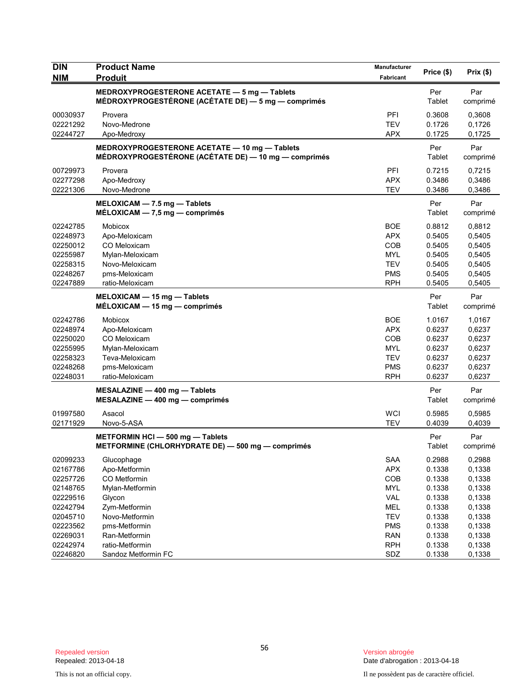| <b>NIM</b><br><b>Produit</b><br>Fabricant<br>MEDROXYPROGESTERONE ACETATE - 5 mg - Tablets<br>Par<br>Per<br>MÉDROXYPROGESTÉRONE (ACÉTATE DE) — 5 mg — comprimés<br>Tablet<br>comprimé<br>00030937<br>PFI<br>0.3608<br>Provera<br>0,3608<br>02221292<br>Novo-Medrone<br><b>TEV</b><br>0.1726<br>0,1726<br>02244727<br>Apo-Medroxy<br><b>APX</b><br>0.1725<br>0,1725<br>MEDROXYPROGESTERONE ACETATE - 10 mg - Tablets<br>Per<br>Par<br>MÉDROXYPROGESTÉRONE (ACÉTATE DE) — 10 mg — comprimés<br>Tablet<br>comprimé<br>00729973<br>PFI<br>0.7215<br>0,7215<br>Provera<br>02277298<br>Apo-Medroxy<br><b>APX</b><br>0.3486<br>0,3486<br>02221306<br><b>TEV</b><br>Novo-Medrone<br>0.3486<br>0,3486<br>Per<br>Par<br>MELOXICAM - 7.5 mg - Tablets<br>$MÉLOXICAM - 7.5 mg - comprimés$<br>Tablet<br>comprimé<br><b>BOE</b><br>02242785<br>Mobicox<br>0.8812<br>0,8812<br><b>APX</b><br>0,5405<br>02248973<br>Apo-Meloxicam<br>0.5405<br>COB<br>0.5405<br>0,5405<br>02250012<br>CO Meloxicam<br><b>MYL</b><br>0.5405<br>0,5405<br>02255987<br>Mylan-Meloxicam<br><b>TEV</b><br>0.5405<br>02258315<br>Novo-Meloxicam<br>0,5405<br>02248267<br>pms-Meloxicam<br><b>PMS</b><br>0.5405<br>0,5405<br>02247889<br><b>RPH</b><br>ratio-Meloxicam<br>0.5405<br>0,5405<br>MELOXICAM - 15 mg - Tablets<br>Per<br>Par<br>$MÉLOXICAM - 15 mg - comprimés$<br>Tablet<br>comprimé<br><b>BOE</b><br>02242786<br>Mobicox<br>1.0167<br>1,0167<br>02248974<br><b>APX</b><br>0.6237<br>0,6237<br>Apo-Meloxicam<br>COB<br>0.6237<br>0,6237<br>02250020<br>CO Meloxicam<br><b>MYL</b><br>0.6237<br>0,6237<br>02255995<br>Mylan-Meloxicam<br><b>TEV</b><br>0.6237<br>0,6237<br>02258323<br>Teva-Meloxicam<br>02248268<br>pms-Meloxicam<br><b>PMS</b><br>0.6237<br>0,6237<br>02248031<br><b>RPH</b><br>0.6237<br>0,6237<br>ratio-Meloxicam<br>MESALAZINE - 400 mg - Tablets<br>Per<br>Par<br>$MESALAZINE - 400 mg - comprimés$<br>Tablet<br>comprimé<br>01997580<br><b>WCI</b><br>0.5985<br>Asacol<br>0,5985<br>02171929<br><b>TEV</b><br>0.4039<br>Novo-5-ASA<br>0,4039 |
|-----------------------------------------------------------------------------------------------------------------------------------------------------------------------------------------------------------------------------------------------------------------------------------------------------------------------------------------------------------------------------------------------------------------------------------------------------------------------------------------------------------------------------------------------------------------------------------------------------------------------------------------------------------------------------------------------------------------------------------------------------------------------------------------------------------------------------------------------------------------------------------------------------------------------------------------------------------------------------------------------------------------------------------------------------------------------------------------------------------------------------------------------------------------------------------------------------------------------------------------------------------------------------------------------------------------------------------------------------------------------------------------------------------------------------------------------------------------------------------------------------------------------------------------------------------------------------------------------------------------------------------------------------------------------------------------------------------------------------------------------------------------------------------------------------------------------------------------------------------------------------------------------------------------------------------------------------------------------------------------------------------------------------------------|
|                                                                                                                                                                                                                                                                                                                                                                                                                                                                                                                                                                                                                                                                                                                                                                                                                                                                                                                                                                                                                                                                                                                                                                                                                                                                                                                                                                                                                                                                                                                                                                                                                                                                                                                                                                                                                                                                                                                                                                                                                                         |
|                                                                                                                                                                                                                                                                                                                                                                                                                                                                                                                                                                                                                                                                                                                                                                                                                                                                                                                                                                                                                                                                                                                                                                                                                                                                                                                                                                                                                                                                                                                                                                                                                                                                                                                                                                                                                                                                                                                                                                                                                                         |
|                                                                                                                                                                                                                                                                                                                                                                                                                                                                                                                                                                                                                                                                                                                                                                                                                                                                                                                                                                                                                                                                                                                                                                                                                                                                                                                                                                                                                                                                                                                                                                                                                                                                                                                                                                                                                                                                                                                                                                                                                                         |
|                                                                                                                                                                                                                                                                                                                                                                                                                                                                                                                                                                                                                                                                                                                                                                                                                                                                                                                                                                                                                                                                                                                                                                                                                                                                                                                                                                                                                                                                                                                                                                                                                                                                                                                                                                                                                                                                                                                                                                                                                                         |
|                                                                                                                                                                                                                                                                                                                                                                                                                                                                                                                                                                                                                                                                                                                                                                                                                                                                                                                                                                                                                                                                                                                                                                                                                                                                                                                                                                                                                                                                                                                                                                                                                                                                                                                                                                                                                                                                                                                                                                                                                                         |
|                                                                                                                                                                                                                                                                                                                                                                                                                                                                                                                                                                                                                                                                                                                                                                                                                                                                                                                                                                                                                                                                                                                                                                                                                                                                                                                                                                                                                                                                                                                                                                                                                                                                                                                                                                                                                                                                                                                                                                                                                                         |
|                                                                                                                                                                                                                                                                                                                                                                                                                                                                                                                                                                                                                                                                                                                                                                                                                                                                                                                                                                                                                                                                                                                                                                                                                                                                                                                                                                                                                                                                                                                                                                                                                                                                                                                                                                                                                                                                                                                                                                                                                                         |
|                                                                                                                                                                                                                                                                                                                                                                                                                                                                                                                                                                                                                                                                                                                                                                                                                                                                                                                                                                                                                                                                                                                                                                                                                                                                                                                                                                                                                                                                                                                                                                                                                                                                                                                                                                                                                                                                                                                                                                                                                                         |
|                                                                                                                                                                                                                                                                                                                                                                                                                                                                                                                                                                                                                                                                                                                                                                                                                                                                                                                                                                                                                                                                                                                                                                                                                                                                                                                                                                                                                                                                                                                                                                                                                                                                                                                                                                                                                                                                                                                                                                                                                                         |
|                                                                                                                                                                                                                                                                                                                                                                                                                                                                                                                                                                                                                                                                                                                                                                                                                                                                                                                                                                                                                                                                                                                                                                                                                                                                                                                                                                                                                                                                                                                                                                                                                                                                                                                                                                                                                                                                                                                                                                                                                                         |
|                                                                                                                                                                                                                                                                                                                                                                                                                                                                                                                                                                                                                                                                                                                                                                                                                                                                                                                                                                                                                                                                                                                                                                                                                                                                                                                                                                                                                                                                                                                                                                                                                                                                                                                                                                                                                                                                                                                                                                                                                                         |
|                                                                                                                                                                                                                                                                                                                                                                                                                                                                                                                                                                                                                                                                                                                                                                                                                                                                                                                                                                                                                                                                                                                                                                                                                                                                                                                                                                                                                                                                                                                                                                                                                                                                                                                                                                                                                                                                                                                                                                                                                                         |
|                                                                                                                                                                                                                                                                                                                                                                                                                                                                                                                                                                                                                                                                                                                                                                                                                                                                                                                                                                                                                                                                                                                                                                                                                                                                                                                                                                                                                                                                                                                                                                                                                                                                                                                                                                                                                                                                                                                                                                                                                                         |
|                                                                                                                                                                                                                                                                                                                                                                                                                                                                                                                                                                                                                                                                                                                                                                                                                                                                                                                                                                                                                                                                                                                                                                                                                                                                                                                                                                                                                                                                                                                                                                                                                                                                                                                                                                                                                                                                                                                                                                                                                                         |
|                                                                                                                                                                                                                                                                                                                                                                                                                                                                                                                                                                                                                                                                                                                                                                                                                                                                                                                                                                                                                                                                                                                                                                                                                                                                                                                                                                                                                                                                                                                                                                                                                                                                                                                                                                                                                                                                                                                                                                                                                                         |
|                                                                                                                                                                                                                                                                                                                                                                                                                                                                                                                                                                                                                                                                                                                                                                                                                                                                                                                                                                                                                                                                                                                                                                                                                                                                                                                                                                                                                                                                                                                                                                                                                                                                                                                                                                                                                                                                                                                                                                                                                                         |
|                                                                                                                                                                                                                                                                                                                                                                                                                                                                                                                                                                                                                                                                                                                                                                                                                                                                                                                                                                                                                                                                                                                                                                                                                                                                                                                                                                                                                                                                                                                                                                                                                                                                                                                                                                                                                                                                                                                                                                                                                                         |
|                                                                                                                                                                                                                                                                                                                                                                                                                                                                                                                                                                                                                                                                                                                                                                                                                                                                                                                                                                                                                                                                                                                                                                                                                                                                                                                                                                                                                                                                                                                                                                                                                                                                                                                                                                                                                                                                                                                                                                                                                                         |
|                                                                                                                                                                                                                                                                                                                                                                                                                                                                                                                                                                                                                                                                                                                                                                                                                                                                                                                                                                                                                                                                                                                                                                                                                                                                                                                                                                                                                                                                                                                                                                                                                                                                                                                                                                                                                                                                                                                                                                                                                                         |
|                                                                                                                                                                                                                                                                                                                                                                                                                                                                                                                                                                                                                                                                                                                                                                                                                                                                                                                                                                                                                                                                                                                                                                                                                                                                                                                                                                                                                                                                                                                                                                                                                                                                                                                                                                                                                                                                                                                                                                                                                                         |
|                                                                                                                                                                                                                                                                                                                                                                                                                                                                                                                                                                                                                                                                                                                                                                                                                                                                                                                                                                                                                                                                                                                                                                                                                                                                                                                                                                                                                                                                                                                                                                                                                                                                                                                                                                                                                                                                                                                                                                                                                                         |
|                                                                                                                                                                                                                                                                                                                                                                                                                                                                                                                                                                                                                                                                                                                                                                                                                                                                                                                                                                                                                                                                                                                                                                                                                                                                                                                                                                                                                                                                                                                                                                                                                                                                                                                                                                                                                                                                                                                                                                                                                                         |
|                                                                                                                                                                                                                                                                                                                                                                                                                                                                                                                                                                                                                                                                                                                                                                                                                                                                                                                                                                                                                                                                                                                                                                                                                                                                                                                                                                                                                                                                                                                                                                                                                                                                                                                                                                                                                                                                                                                                                                                                                                         |
|                                                                                                                                                                                                                                                                                                                                                                                                                                                                                                                                                                                                                                                                                                                                                                                                                                                                                                                                                                                                                                                                                                                                                                                                                                                                                                                                                                                                                                                                                                                                                                                                                                                                                                                                                                                                                                                                                                                                                                                                                                         |
|                                                                                                                                                                                                                                                                                                                                                                                                                                                                                                                                                                                                                                                                                                                                                                                                                                                                                                                                                                                                                                                                                                                                                                                                                                                                                                                                                                                                                                                                                                                                                                                                                                                                                                                                                                                                                                                                                                                                                                                                                                         |
|                                                                                                                                                                                                                                                                                                                                                                                                                                                                                                                                                                                                                                                                                                                                                                                                                                                                                                                                                                                                                                                                                                                                                                                                                                                                                                                                                                                                                                                                                                                                                                                                                                                                                                                                                                                                                                                                                                                                                                                                                                         |
|                                                                                                                                                                                                                                                                                                                                                                                                                                                                                                                                                                                                                                                                                                                                                                                                                                                                                                                                                                                                                                                                                                                                                                                                                                                                                                                                                                                                                                                                                                                                                                                                                                                                                                                                                                                                                                                                                                                                                                                                                                         |
| Per<br>Par<br>METFORMIN HCI-500 mg-Tablets<br>METFORMINE (CHLORHYDRATE DE) - 500 mg - comprimés<br>Tablet<br>comprimé                                                                                                                                                                                                                                                                                                                                                                                                                                                                                                                                                                                                                                                                                                                                                                                                                                                                                                                                                                                                                                                                                                                                                                                                                                                                                                                                                                                                                                                                                                                                                                                                                                                                                                                                                                                                                                                                                                                   |
| <b>SAA</b><br>0.2988<br>0,2988<br>02099233<br>Glucophage                                                                                                                                                                                                                                                                                                                                                                                                                                                                                                                                                                                                                                                                                                                                                                                                                                                                                                                                                                                                                                                                                                                                                                                                                                                                                                                                                                                                                                                                                                                                                                                                                                                                                                                                                                                                                                                                                                                                                                                |
| APX<br>02167786<br>Apo-Metformin<br>0.1338<br>0,1338                                                                                                                                                                                                                                                                                                                                                                                                                                                                                                                                                                                                                                                                                                                                                                                                                                                                                                                                                                                                                                                                                                                                                                                                                                                                                                                                                                                                                                                                                                                                                                                                                                                                                                                                                                                                                                                                                                                                                                                    |
| COB<br>02257726<br>CO Metformin<br>0.1338<br>0,1338                                                                                                                                                                                                                                                                                                                                                                                                                                                                                                                                                                                                                                                                                                                                                                                                                                                                                                                                                                                                                                                                                                                                                                                                                                                                                                                                                                                                                                                                                                                                                                                                                                                                                                                                                                                                                                                                                                                                                                                     |
| 02148765<br>Mylan-Metformin<br><b>MYL</b><br>0.1338<br>0,1338                                                                                                                                                                                                                                                                                                                                                                                                                                                                                                                                                                                                                                                                                                                                                                                                                                                                                                                                                                                                                                                                                                                                                                                                                                                                                                                                                                                                                                                                                                                                                                                                                                                                                                                                                                                                                                                                                                                                                                           |
| 02229516<br>VAL<br>0.1338<br>0,1338<br>Glycon                                                                                                                                                                                                                                                                                                                                                                                                                                                                                                                                                                                                                                                                                                                                                                                                                                                                                                                                                                                                                                                                                                                                                                                                                                                                                                                                                                                                                                                                                                                                                                                                                                                                                                                                                                                                                                                                                                                                                                                           |
| 02242794<br>Zym-Metformin<br><b>MEL</b><br>0.1338<br>0,1338                                                                                                                                                                                                                                                                                                                                                                                                                                                                                                                                                                                                                                                                                                                                                                                                                                                                                                                                                                                                                                                                                                                                                                                                                                                                                                                                                                                                                                                                                                                                                                                                                                                                                                                                                                                                                                                                                                                                                                             |
| 02045710<br>Novo-Metformin<br><b>TEV</b><br>0.1338<br>0,1338                                                                                                                                                                                                                                                                                                                                                                                                                                                                                                                                                                                                                                                                                                                                                                                                                                                                                                                                                                                                                                                                                                                                                                                                                                                                                                                                                                                                                                                                                                                                                                                                                                                                                                                                                                                                                                                                                                                                                                            |
| 02223562<br>pms-Metformin<br><b>PMS</b><br>0.1338<br>0,1338                                                                                                                                                                                                                                                                                                                                                                                                                                                                                                                                                                                                                                                                                                                                                                                                                                                                                                                                                                                                                                                                                                                                                                                                                                                                                                                                                                                                                                                                                                                                                                                                                                                                                                                                                                                                                                                                                                                                                                             |
| 02269031<br>Ran-Metformin<br><b>RAN</b><br>0.1338<br>0,1338<br><b>RPH</b><br>ratio-Metformin                                                                                                                                                                                                                                                                                                                                                                                                                                                                                                                                                                                                                                                                                                                                                                                                                                                                                                                                                                                                                                                                                                                                                                                                                                                                                                                                                                                                                                                                                                                                                                                                                                                                                                                                                                                                                                                                                                                                            |
| 02242974<br>0.1338<br>0,1338<br>02246820<br>Sandoz Metformin FC<br>SDZ<br>0.1338<br>0,1338                                                                                                                                                                                                                                                                                                                                                                                                                                                                                                                                                                                                                                                                                                                                                                                                                                                                                                                                                                                                                                                                                                                                                                                                                                                                                                                                                                                                                                                                                                                                                                                                                                                                                                                                                                                                                                                                                                                                              |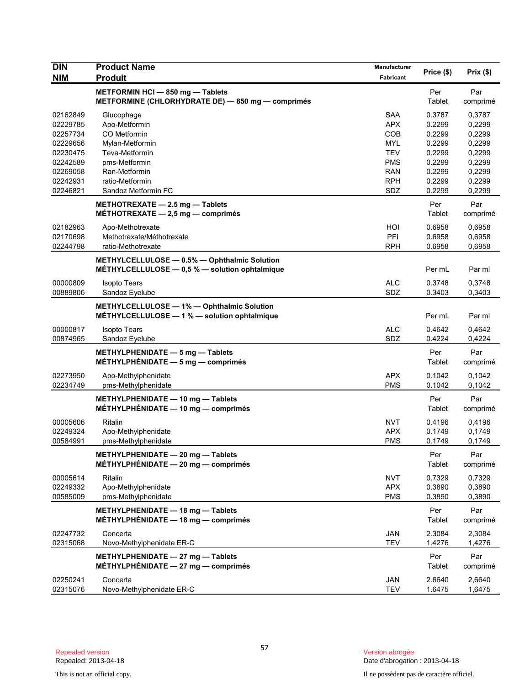| <b>DIN</b><br><b>NIM</b> | <b>Product Name</b><br><b>Produit</b>                                                              | <b>Manufacturer</b><br>Fabricant | Price (\$)    | Prix(\$)        |
|--------------------------|----------------------------------------------------------------------------------------------------|----------------------------------|---------------|-----------------|
|                          | METFORMIN HCI-850 mg-Tablets<br>METFORMINE (CHLORHYDRATE DE) - 850 mg - comprimés                  |                                  | Per<br>Tablet | Par<br>comprimé |
| 02162849                 | Glucophage                                                                                         | <b>SAA</b>                       | 0.3787        | 0,3787          |
| 02229785                 | Apo-Metformin                                                                                      | <b>APX</b>                       | 0.2299        | 0,2299          |
| 02257734                 | CO Metformin                                                                                       | <b>COB</b>                       | 0.2299        | 0,2299          |
| 02229656                 | Mylan-Metformin                                                                                    | <b>MYL</b>                       | 0.2299        | 0,2299          |
| 02230475                 | Teva-Metformin                                                                                     | <b>TEV</b>                       | 0.2299        | 0,2299          |
| 02242589                 | pms-Metformin                                                                                      | <b>PMS</b>                       | 0.2299        | 0,2299          |
| 02269058                 | Ran-Metformin                                                                                      | <b>RAN</b>                       | 0.2299        | 0,2299          |
| 02242931                 | ratio-Metformin                                                                                    | <b>RPH</b>                       | 0.2299        | 0,2299          |
| 02246821                 | Sandoz Metformin FC                                                                                | SDZ                              | 0.2299        | 0,2299          |
|                          | METHOTREXATE - 2.5 mg - Tablets<br>MÉTHOTREXATE $-2,5$ mg $-$ comprimés                            |                                  | Per<br>Tablet | Par<br>comprimé |
| 02182963                 | Apo-Methotrexate                                                                                   | HOI                              | 0.6958        | 0,6958          |
| 02170698                 | Methotrexate/Méthotrexate                                                                          | PFI                              | 0.6958        | 0,6958          |
| 02244798                 | ratio-Methotrexate                                                                                 | <b>RPH</b>                       | 0.6958        | 0,6958          |
|                          | METHYLCELLULOSE - 0.5% - Ophthalmic Solution<br>MÉTHYLCELLULOSE $-$ 0.5 % $-$ solution ophtalmique |                                  | Per mL        | Par ml          |
| 00000809                 | <b>Isopto Tears</b>                                                                                | <b>ALC</b>                       | 0.3748        | 0,3748          |
| 00889806                 | Sandoz Eyelube                                                                                     | SDZ                              | 0.3403        | 0,3403          |
|                          | METHYLCELLULOSE - 1% - Ophthalmic Solution<br>MÉTHYLCELLULOSE - 1 % - solution ophtalmique         |                                  | Per mL        | Par ml          |
| 00000817                 | <b>Isopto Tears</b>                                                                                | <b>ALC</b>                       | 0.4642        | 0,4642          |
| 00874965                 | Sandoz Eyelube                                                                                     | SDZ                              | 0.4224        | 0,4224          |
|                          | METHYLPHENIDATE $-5$ mg $-$ Tablets<br>MÉTHYLPHÉNIDATE $-5$ mg $-$ comprimés                       |                                  | Per<br>Tablet | Par<br>comprimé |
| 02273950                 | Apo-Methylphenidate                                                                                | <b>APX</b>                       | 0.1042        | 0,1042          |
| 02234749                 | pms-Methylphenidate                                                                                | <b>PMS</b>                       | 0.1042        | 0,1042          |
|                          | METHYLPHENIDATE - 10 mg - Tablets<br>MÉTHYLPHÉNIDATE $-$ 10 mg $-$ comprimés                       |                                  | Per<br>Tablet | Par<br>comprimé |
| 00005606                 | Ritalin                                                                                            | <b>NVT</b>                       | 0.4196        | 0,4196          |
| 02249324                 | Apo-Methylphenidate                                                                                | <b>APX</b>                       | 0.1749        | 0,1749          |
| 00584991                 | pms-Methylphenidate                                                                                | <b>PMS</b>                       | 0.1749        | 0,1749          |
|                          | METHYLPHENIDATE - 20 mg - Tablets<br>MÉTHYLPHÉNIDATE $-20$ mg $-$ comprimés                        |                                  | Per<br>Tablet | Par<br>comprimé |
| 00005614                 | Ritalin                                                                                            | <b>NVT</b>                       | 0.7329        | 0,7329          |
| 02249332                 | Apo-Methylphenidate                                                                                | <b>APX</b>                       | 0.3890        | 0,3890          |
| 00585009                 | pms-Methylphenidate                                                                                | <b>PMS</b>                       | 0.3890        | 0,3890          |
|                          | METHYLPHENIDATE - 18 mg - Tablets<br>MÉTHYLPHÉNIDATE - 18 mg - comprimés                           |                                  | Per<br>Tablet | Par<br>comprimé |
| 02247732                 | Concerta                                                                                           | <b>JAN</b>                       | 2.3084        | 2,3084          |
| 02315068                 | Novo-Methylphenidate ER-C                                                                          | <b>TEV</b>                       | 1.4276        | 1,4276          |
|                          | METHYLPHENIDATE $-27$ mg $-$ Tablets<br>$MÉTHYLPHÉNIDATE - 27 mg - comprimés$                      |                                  | Per<br>Tablet | Par<br>comprimé |
| 02250241                 | Concerta                                                                                           | JAN                              | 2.6640        | 2,6640          |
| 02315076                 | Novo-Methylphenidate ER-C                                                                          | <b>TEV</b>                       | 1.6475        | 1,6475          |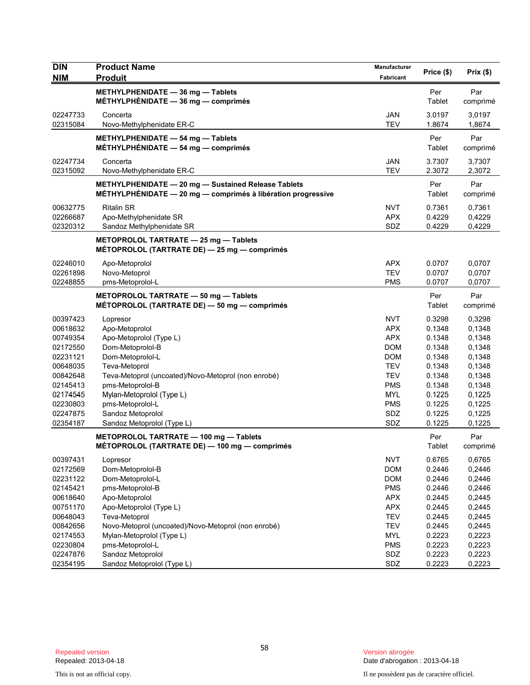| <b>DIN</b>           | <b>Product Name</b>                                                                                                   | Manufacturer | Price (\$)       | Prix(\$)         |
|----------------------|-----------------------------------------------------------------------------------------------------------------------|--------------|------------------|------------------|
| <b>NIM</b>           | <b>Produit</b>                                                                                                        | Fabricant    |                  |                  |
|                      | METHYLPHENIDATE - 36 mg - Tablets<br>MÉTHYLPHÉNIDATE - 36 mg - comprimés                                              |              | Per<br>Tablet    | Par              |
|                      |                                                                                                                       |              |                  | comprimé         |
| 02247733             | Concerta                                                                                                              | <b>JAN</b>   | 3.0197           | 3,0197           |
| 02315084             | Novo-Methylphenidate ER-C                                                                                             | <b>TEV</b>   | 1.8674           | 1,8674           |
|                      | METHYLPHENIDATE $-$ 54 mg $-$ Tablets                                                                                 |              | Per<br>Tablet    | Par              |
|                      | MÉTHYLPHÉNIDATE $-$ 54 mg $-$ comprimés                                                                               |              |                  | comprimé         |
| 02247734             | Concerta                                                                                                              | JAN          | 3.7307           | 3,7307           |
| 02315092             | Novo-Methylphenidate ER-C                                                                                             | <b>TEV</b>   | 2.3072           | 2,3072           |
|                      | METHYLPHENIDATE - 20 mg - Sustained Release Tablets<br>$MÉTHYLPHÉNIDATE - 20 mg - comprimés à libération progressive$ |              | Per<br>Tablet    | Par<br>comprimé  |
| 00632775             | <b>Ritalin SR</b>                                                                                                     | <b>NVT</b>   | 0.7361           | 0,7361           |
| 02266687             | Apo-Methylphenidate SR                                                                                                | <b>APX</b>   | 0.4229           | 0,4229           |
| 02320312             | Sandoz Methylphenidate SR                                                                                             | SDZ          | 0.4229           | 0,4229           |
|                      | METOPROLOL TARTRATE - 25 mg - Tablets<br>MÉTOPROLOL (TARTRATE DE) - 25 mg - comprimés                                 |              |                  |                  |
|                      |                                                                                                                       |              |                  |                  |
| 02246010             | Apo-Metoprolol                                                                                                        | <b>APX</b>   | 0.0707           | 0,0707           |
| 02261898             | Novo-Metoprol                                                                                                         | <b>TEV</b>   | 0.0707           | 0,0707           |
| 02248855             | pms-Metoprolol-L                                                                                                      | <b>PMS</b>   | 0.0707           | 0,0707           |
|                      | METOPROLOL TARTRATE - 50 mg - Tablets<br>MÉTOPROLOL (TARTRATE DE) - 50 mg - comprimés                                 |              | Per<br>Tablet    | Par<br>comprimé  |
| 00397423             | Lopresor                                                                                                              | <b>NVT</b>   | 0.3298           | 0,3298           |
| 00618632             | Apo-Metoprolol                                                                                                        | <b>APX</b>   | 0.1348           | 0,1348           |
| 00749354             | Apo-Metoprolol (Type L)                                                                                               | <b>APX</b>   | 0.1348           | 0,1348           |
| 02172550             | Dom-Metoprolol-B                                                                                                      | <b>DOM</b>   | 0.1348           | 0,1348           |
| 02231121             | Dom-Metoprolol-L                                                                                                      | <b>DOM</b>   | 0.1348           | 0,1348           |
| 00648035             | Teva-Metoprol                                                                                                         | TEV          | 0.1348           | 0,1348           |
| 00842648             | Teva-Metoprol (uncoated)/Novo-Metoprol (non enrobé)                                                                   | <b>TEV</b>   | 0.1348           | 0,1348           |
| 02145413             | pms-Metoprolol-B                                                                                                      | <b>PMS</b>   | 0.1348           | 0,1348           |
| 02174545             | Mylan-Metoprolol (Type L)                                                                                             | <b>MYL</b>   | 0.1225           | 0,1225           |
| 02230803             | pms-Metoprolol-L                                                                                                      | PMS          | 0.1225           | 0,1225           |
| 02247875<br>02354187 | Sandoz Metoprolol<br>Sandoz Metoprolol (Type L)                                                                       | SDZ<br>SDZ   | 0.1225<br>0.1225 | 0,1225<br>0,1225 |
|                      |                                                                                                                       |              |                  |                  |
|                      | METOPROLOL TARTRATE - 100 mg - Tablets<br>MÉTOPROLOL (TARTRATE DE) — 100 mg — comprimés                               |              | Per<br>Tablet    | Par<br>comprimé  |
| 00397431             | Lopresor                                                                                                              | <b>NVT</b>   | 0.6765           | 0,6765           |
| 02172569             | Dom-Metoprolol-B                                                                                                      | <b>DOM</b>   | 0.2446           | 0,2446           |
| 02231122             | Dom-Metoprolol-L                                                                                                      | <b>DOM</b>   | 0.2446           | 0,2446           |
| 02145421             | pms-Metoprolol-B                                                                                                      | <b>PMS</b>   | 0.2446           | 0,2446           |
| 00618640             | Apo-Metoprolol                                                                                                        | <b>APX</b>   | 0.2445           | 0,2445           |
| 00751170             | Apo-Metoprolol (Type L)                                                                                               | <b>APX</b>   | 0.2445           | 0,2445           |
| 00648043             | Teva-Metoprol                                                                                                         | <b>TEV</b>   | 0.2445           | 0,2445           |
| 00842656             | Novo-Metoprol (uncoated)/Novo-Metoprol (non enrobé)                                                                   | <b>TEV</b>   | 0.2445           | 0,2445           |
| 02174553             | Mylan-Metoprolol (Type L)                                                                                             | <b>MYL</b>   | 0.2223           | 0,2223           |
| 02230804             | pms-Metoprolol-L                                                                                                      | <b>PMS</b>   | 0.2223           | 0,2223           |
| 02247876             | Sandoz Metoprolol                                                                                                     | SDZ          | 0.2223           | 0,2223           |
| 02354195             | Sandoz Metoprolol (Type L)                                                                                            | SDZ          | 0.2223           | 0,2223           |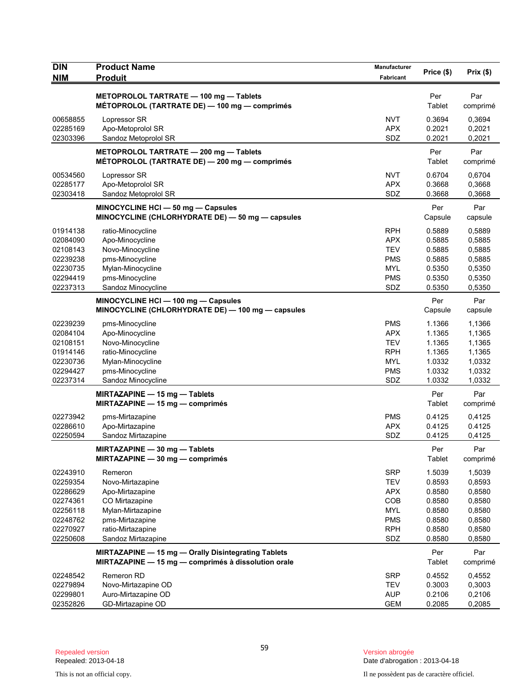| <b>DIN</b><br><b>NIM</b>                                                                     | <b>Product Name</b><br><b>Produit</b>                                                                                                               | <b>Manufacturer</b><br>Fabricant                                                               | Price (\$)                                                                   | Prix(\$)                                                                     |
|----------------------------------------------------------------------------------------------|-----------------------------------------------------------------------------------------------------------------------------------------------------|------------------------------------------------------------------------------------------------|------------------------------------------------------------------------------|------------------------------------------------------------------------------|
|                                                                                              | METOPROLOL TARTRATE - 100 mg - Tablets<br>MÉTOPROLOL (TARTRATE DE) - 100 mg - comprimés                                                             |                                                                                                | Per<br>Tablet                                                                | Par<br>comprimé                                                              |
| 00658855<br>02285169<br>02303396                                                             | Lopressor SR<br>Apo-Metoprolol SR<br>Sandoz Metoprolol SR                                                                                           | <b>NVT</b><br><b>APX</b><br>SDZ                                                                | 0.3694<br>0.2021<br>0.2021                                                   | 0,3694<br>0,2021<br>0,2021                                                   |
|                                                                                              | METOPROLOL TARTRATE - 200 mg - Tablets<br>MÉTOPROLOL (TARTRATE DE) — 200 mg — comprimés                                                             |                                                                                                | Per<br>Tablet                                                                | Par<br>comprimé                                                              |
| 00534560<br>02285177<br>02303418                                                             | Lopressor SR<br>Apo-Metoprolol SR<br>Sandoz Metoprolol SR                                                                                           | <b>NVT</b><br><b>APX</b><br>SDZ                                                                | 0.6704<br>0.3668<br>0.3668                                                   | 0,6704<br>0,3668<br>0,3668                                                   |
|                                                                                              | MINOCYCLINE HCI - 50 mg - Capsules<br>MINOCYCLINE (CHLORHYDRATE DE) - 50 mg - capsules                                                              |                                                                                                | Per<br>Capsule                                                               | Par<br>capsule                                                               |
| 01914138<br>02084090<br>02108143<br>02239238<br>02230735<br>02294419<br>02237313             | ratio-Minocycline<br>Apo-Minocycline<br>Novo-Minocycline<br>pms-Minocycline<br>Mylan-Minocycline<br>pms-Minocycline<br>Sandoz Minocycline           | <b>RPH</b><br><b>APX</b><br><b>TEV</b><br><b>PMS</b><br><b>MYL</b><br><b>PMS</b><br>SDZ        | 0.5889<br>0.5885<br>0.5885<br>0.5885<br>0.5350<br>0.5350<br>0.5350           | 0,5889<br>0,5885<br>0,5885<br>0,5885<br>0,5350<br>0,5350<br>0,5350           |
|                                                                                              | MINOCYCLINE HCI - 100 mg - Capsules<br>MINOCYCLINE (CHLORHYDRATE DE) - 100 mg - capsules                                                            |                                                                                                | Per<br>Capsule                                                               | Par<br>capsule                                                               |
| 02239239<br>02084104<br>02108151<br>01914146<br>02230736<br>02294427<br>02237314             | pms-Minocycline<br>Apo-Minocycline<br>Novo-Minocycline<br>ratio-Minocycline<br>Mylan-Minocycline<br>pms-Minocycline<br>Sandoz Minocycline           | <b>PMS</b><br><b>APX</b><br><b>TEV</b><br><b>RPH</b><br><b>MYL</b><br><b>PMS</b><br>SDZ        | 1.1366<br>1.1365<br>1.1365<br>1.1365<br>1.0332<br>1.0332<br>1.0332           | 1,1366<br>1,1365<br>1,1365<br>1,1365<br>1,0332<br>1,0332<br>1,0332           |
|                                                                                              | MIRTAZAPINE $-$ 15 mg $-$ Tablets<br>MIRTAZAPINE $-$ 15 mg $-$ comprimés                                                                            |                                                                                                | Per<br>Tablet                                                                | Par<br>comprimé                                                              |
| 02273942<br>02286610<br>02250594                                                             | pms-Mirtazapine<br>Apo-Mirtazapine<br>Sandoz Mirtazapine                                                                                            | <b>PMS</b><br><b>APX</b><br>SDZ                                                                | 0.4125<br>0.4125<br>0.4125                                                   | 0,4125<br>0.4125<br>0,4125                                                   |
|                                                                                              | MIRTAZAPINE - 30 mg - Tablets<br>MIRTAZAPINE - 30 mg - comprimés                                                                                    |                                                                                                | Per<br>Tablet                                                                | Par<br>comprimé                                                              |
| 02243910<br>02259354<br>02286629<br>02274361<br>02256118<br>02248762<br>02270927<br>02250608 | Remeron<br>Novo-Mirtazapine<br>Apo-Mirtazapine<br>CO Mirtazapine<br>Mylan-Mirtazapine<br>pms-Mirtazapine<br>ratio-Mirtazapine<br>Sandoz Mirtazapine | <b>SRP</b><br><b>TEV</b><br><b>APX</b><br>COB<br><b>MYL</b><br><b>PMS</b><br><b>RPH</b><br>SDZ | 1.5039<br>0.8593<br>0.8580<br>0.8580<br>0.8580<br>0.8580<br>0.8580<br>0.8580 | 1,5039<br>0,8593<br>0,8580<br>0,8580<br>0,8580<br>0,8580<br>0,8580<br>0,8580 |
|                                                                                              | MIRTAZAPINE - 15 mg - Orally Disintegrating Tablets<br>MIRTAZAPINE - 15 mg - comprimés à dissolution orale                                          |                                                                                                | Per<br>Tablet                                                                | Par<br>comprimé                                                              |
| 02248542<br>02279894<br>02299801<br>02352826                                                 | Remeron RD<br>Novo-Mirtazapine OD<br>Auro-Mirtazapine OD<br>GD-Mirtazapine OD                                                                       | <b>SRP</b><br><b>TEV</b><br><b>AUP</b><br><b>GEM</b>                                           | 0.4552<br>0.3003<br>0.2106<br>0.2085                                         | 0,4552<br>0,3003<br>0,2106<br>0,2085                                         |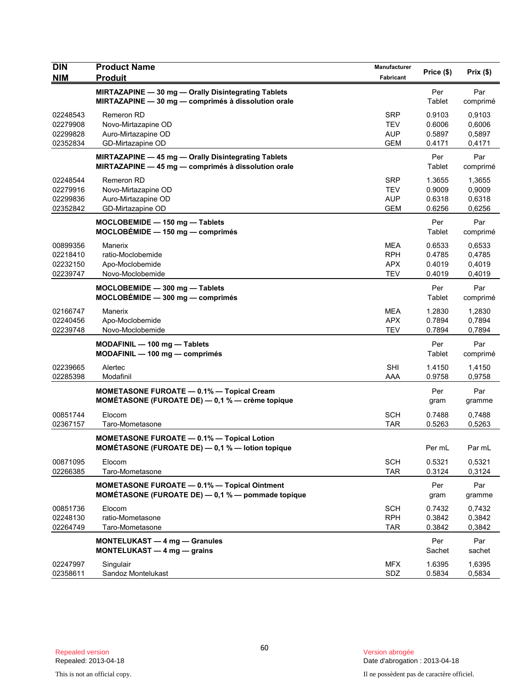| <b>DIN</b>                                   | <b>Product Name</b>                                                                                        | <b>Manufacturer</b>                           | Price (\$)                           | Prix(\$)                             |
|----------------------------------------------|------------------------------------------------------------------------------------------------------------|-----------------------------------------------|--------------------------------------|--------------------------------------|
| <b>NIM</b>                                   | <b>Produit</b>                                                                                             | Fabricant                                     |                                      |                                      |
|                                              | MIRTAZAPINE - 30 mg - Orally Disintegrating Tablets<br>MIRTAZAPINE - 30 mg - comprimés à dissolution orale |                                               | Per<br>Tablet                        | Par<br>comprimé                      |
| 02248543<br>02279908<br>02299828<br>02352834 | Remeron RD<br>Novo-Mirtazapine OD<br>Auro-Mirtazapine OD<br>GD-Mirtazapine OD                              | <b>SRP</b><br>TEV<br>AUP<br><b>GEM</b>        | 0.9103<br>0.6006<br>0.5897<br>0.4171 | 0,9103<br>0,6006<br>0,5897<br>0,4171 |
|                                              | MIRTAZAPINE - 45 mg - Orally Disintegrating Tablets<br>MIRTAZAPINE - 45 mg - comprimés à dissolution orale |                                               | Per<br>Tablet                        | Par<br>comprimé                      |
| 02248544<br>02279916<br>02299836<br>02352842 | Remeron RD<br>Novo-Mirtazapine OD<br>Auro-Mirtazapine OD<br>GD-Mirtazapine OD                              | <b>SRP</b><br>TEV<br><b>AUP</b><br><b>GEM</b> | 1.3655<br>0.9009<br>0.6318<br>0.6256 | 1,3655<br>0,9009<br>0,6318<br>0,6256 |
|                                              | MOCLOBEMIDE - 150 mg - Tablets<br>$MOCLOBEMIDE - 150 mg - comprimés$                                       |                                               | Per<br>Tablet                        | Par<br>comprimé                      |
| 00899356<br>02218410<br>02232150<br>02239747 | Manerix<br>ratio-Moclobemide<br>Apo-Moclobemide<br>Novo-Moclobemide                                        | MEA<br><b>RPH</b><br><b>APX</b><br><b>TEV</b> | 0.6533<br>0.4785<br>0.4019<br>0.4019 | 0,6533<br>0,4785<br>0,4019<br>0,4019 |
|                                              | MOCLOBEMIDE - 300 mg - Tablets<br>MOCLOBÉMIDE - 300 mg - comprimés                                         |                                               | Per<br>Tablet                        | Par<br>comprimé                      |
| 02166747<br>02240456<br>02239748             | Manerix<br>Apo-Moclobemide<br>Novo-Moclobemide                                                             | MEA<br><b>APX</b><br><b>TEV</b>               | 1.2830<br>0.7894<br>0.7894           | 1,2830<br>0,7894<br>0,7894           |
|                                              | $MODAFINIL - 100 mg - Tables$<br>MODAFINIL - 100 mg - comprimés                                            |                                               | Per<br>Tablet                        | Par<br>comprimé                      |
| 02239665<br>02285398                         | Alertec<br>Modafinil                                                                                       | <b>SHI</b><br>AAA                             | 1.4150<br>0.9758                     | 1,4150<br>0,9758                     |
|                                              | MOMETASONE FUROATE - 0.1% - Topical Cream<br><b>MOMÉTASONE (FUROATE DE)</b> $-$ 0,1 % $-$ crème topique    |                                               | Per<br>gram                          | Par<br>gramme                        |
| 00851744<br>02367157                         | Elocom<br>Taro-Mometasone                                                                                  | <b>SCH</b><br><b>TAR</b>                      | 0.7488<br>0.5263                     | 0,7488<br>0,5263                     |
|                                              | <b>MOMETASONE FUROATE - 0.1% - Topical Lotion</b><br>MOMÉTASONE (FUROATE DE) - 0,1 % - lotion topique      |                                               | Per mL                               | Par mL                               |
| 00871095<br>02266385                         | Elocom<br>Taro-Mometasone                                                                                  | <b>SCH</b><br><b>TAR</b>                      | 0.5321<br>0.3124                     | 0,5321<br>0,3124                     |
|                                              | MOMETASONE FUROATE - 0.1% - Topical Ointment<br>MOMÉTASONE (FUROATE DE) - 0,1 % - pommade topique          |                                               | Per<br>gram                          | Par<br>gramme                        |
| 00851736<br>02248130<br>02264749             | Elocom<br>ratio-Mometasone<br>Taro-Mometasone                                                              | <b>SCH</b><br><b>RPH</b><br><b>TAR</b>        | 0.7432<br>0.3842<br>0.3842           | 0,7432<br>0,3842<br>0,3842           |
|                                              | <b>MONTELUKAST - 4 mg - Granules</b><br>MONTELUKAST - 4 mg - grains                                        |                                               | Per<br>Sachet                        | Par<br>sachet                        |
| 02247997<br>02358611                         | Singulair<br>Sandoz Montelukast                                                                            | <b>MFX</b><br>SDZ                             | 1.6395<br>0.5834                     | 1,6395<br>0,5834                     |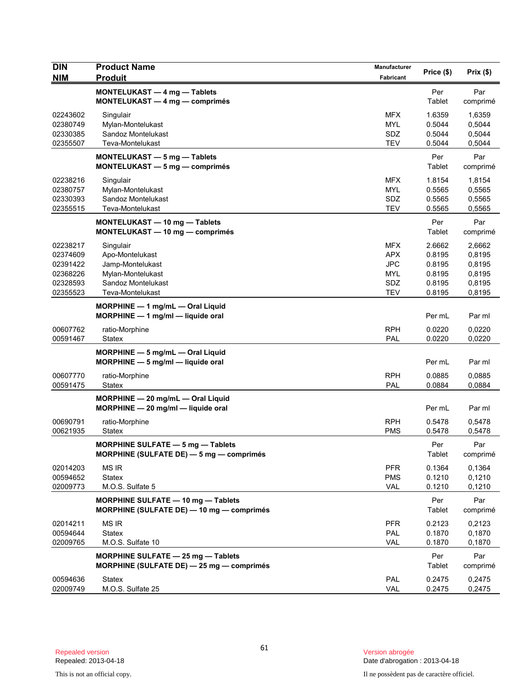| <b>DIN</b><br><b>NIM</b> | <b>Product Name</b><br><b>Produit</b>                                             | Manufacturer<br>Fabricant | Price (\$)       | Prix(\$)         |
|--------------------------|-----------------------------------------------------------------------------------|---------------------------|------------------|------------------|
|                          | MONTELUKAST - 4 mg - Tablets                                                      |                           | Per              | Par              |
|                          | MONTELUKAST - 4 mg - comprimés                                                    |                           | Tablet           | comprimé         |
| 02243602                 | Singulair                                                                         | <b>MFX</b>                | 1.6359           | 1,6359           |
| 02380749<br>02330385     | Mylan-Montelukast<br>Sandoz Montelukast                                           | <b>MYL</b><br>SDZ         | 0.5044<br>0.5044 | 0,5044<br>0,5044 |
| 02355507                 | Teva-Montelukast                                                                  | <b>TEV</b>                | 0.5044           | 0,5044           |
|                          | MONTELUKAST - 5 mg - Tablets<br>MONTELUKAST - 5 mg - comprimés                    |                           | Per<br>Tablet    | Par<br>comprimé  |
| 02238216                 | Singulair                                                                         | <b>MFX</b>                | 1.8154           | 1,8154           |
| 02380757                 | Mylan-Montelukast                                                                 | <b>MYL</b>                | 0.5565           | 0,5565           |
| 02330393<br>02355515     | Sandoz Montelukast<br>Teva-Montelukast                                            | SDZ<br><b>TEV</b>         | 0.5565<br>0.5565 | 0,5565<br>0,5565 |
|                          | MONTELUKAST - 10 mg - Tablets<br>MONTELUKAST - 10 mg - comprimés                  |                           | Per<br>Tablet    | Par<br>comprimé  |
| 02238217                 | Singulair                                                                         | <b>MFX</b>                | 2.6662           | 2,6662           |
| 02374609                 | Apo-Montelukast                                                                   | <b>APX</b>                | 0.8195           | 0,8195           |
| 02391422                 | Jamp-Montelukast                                                                  | <b>JPC</b>                | 0.8195           | 0,8195           |
| 02368226<br>02328593     | Mylan-Montelukast<br>Sandoz Montelukast                                           | MYL<br>SDZ                | 0.8195<br>0.8195 | 0,8195<br>0,8195 |
| 02355523                 | Teva-Montelukast                                                                  | <b>TEV</b>                | 0.8195           | 0,8195           |
|                          | MORPHINE $-1$ mg/mL $-$ Oral Liquid<br>MORPHINE - 1 mg/ml - liquide oral          |                           | Per mL           | Par ml           |
| 00607762                 | ratio-Morphine                                                                    | <b>RPH</b>                | 0.0220           | 0,0220           |
| 00591467                 | Statex                                                                            | <b>PAL</b>                | 0.0220           | 0,0220           |
|                          | MORPHINE - 5 mg/mL - Oral Liquid<br>$MORPHINE - 5$ mg/ml $-$ liquide oral         |                           | Per mL           | Par ml           |
| 00607770                 | ratio-Morphine                                                                    | <b>RPH</b>                | 0.0885           | 0,0885           |
| 00591475                 | <b>Statex</b>                                                                     | PAL                       | 0.0884           | 0,0884           |
|                          | MORPHINE - 20 mg/mL - Oral Liquid<br>$MORPHINE - 20$ mg/ml - liquide oral         |                           | Per mL           | Par ml           |
| 00690791                 | ratio-Morphine                                                                    | <b>RPH</b>                | 0.5478           | 0,5478           |
| 00621935                 | <b>Statex</b>                                                                     | <b>PMS</b>                | 0.5478           | 0,5478           |
|                          | MORPHINE SULFATE - 5 mg - Tablets<br>MORPHINE (SULFATE DE) $-$ 5 mg $-$ comprimes |                           | Per<br>Tablet    | Par<br>comprimé  |
| 02014203<br>00594652     | <b>MS IR</b><br><b>Statex</b>                                                     | <b>PFR</b><br><b>PMS</b>  | 0.1364<br>0.1210 | 0.1364<br>0,1210 |
| 02009773                 | M.O.S. Sulfate 5                                                                  | <b>VAL</b>                | 0.1210           | 0,1210           |
|                          | MORPHINE SULFATE - 10 mg - Tablets<br>MORPHINE (SULFATE DE) - 10 mg - comprimés   |                           | Per<br>Tablet    | Par<br>comprimé  |
| 02014211                 | <b>MS IR</b>                                                                      | <b>PFR</b>                | 0.2123           | 0,2123           |
| 00594644<br>02009765     | Statex                                                                            | PAL<br>VAL                | 0.1870           | 0,1870<br>0,1870 |
|                          | M.O.S. Sulfate 10                                                                 |                           | 0.1870           |                  |
|                          | MORPHINE SULFATE - 25 mg - Tablets<br>MORPHINE (SULFATE DE) - 25 mg - comprimés   |                           | Per<br>Tablet    | Par<br>comprimé  |
| 00594636<br>02009749     | <b>Statex</b><br>M.O.S. Sulfate 25                                                | PAL<br>VAL                | 0.2475           | 0,2475           |
|                          |                                                                                   |                           | 0.2475           | 0,2475           |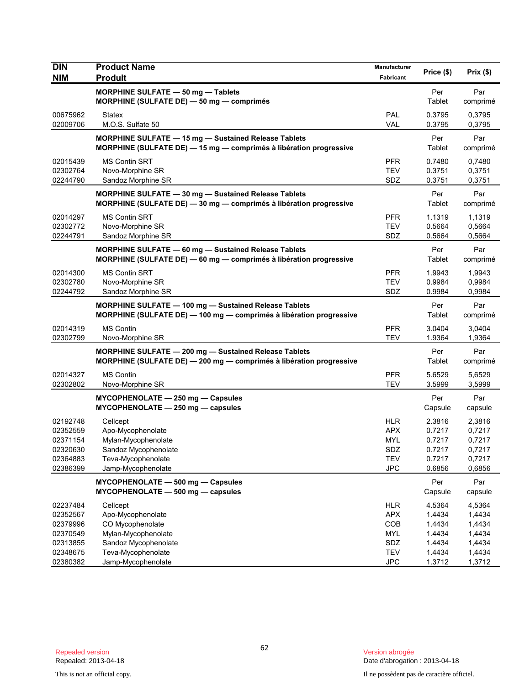| <b>DIN</b>           | <b>Product Name</b>                                                                                                          | <b>Manufacturer</b> | Price (\$)       | Prix(\$)         |
|----------------------|------------------------------------------------------------------------------------------------------------------------------|---------------------|------------------|------------------|
| <b>NIM</b>           | <b>Produit</b>                                                                                                               | Fabricant           |                  |                  |
|                      | MORPHINE SULFATE - 50 mg - Tablets                                                                                           |                     | Per              | Par              |
|                      | MORPHINE (SULFATE DE) - 50 mg - comprimés                                                                                    |                     | Tablet           | comprimé         |
| 00675962             | Statex                                                                                                                       | <b>PAL</b>          | 0.3795           | 0,3795           |
| 02009706             | M.O.S. Sulfate 50                                                                                                            | <b>VAL</b>          | 0.3795           | 0,3795           |
|                      | MORPHINE SULFATE - 15 mg - Sustained Release Tablets<br>MORPHINE (SULFATE DE) - 15 mg - comprimés à libération progressive   |                     | Per<br>Tablet    | Par<br>comprimé  |
| 02015439             |                                                                                                                              | <b>PFR</b>          | 0.7480           |                  |
| 02302764             | MS Contin SRT<br>Novo-Morphine SR                                                                                            | <b>TEV</b>          | 0.3751           | 0,7480<br>0,3751 |
| 02244790             | Sandoz Morphine SR                                                                                                           | SDZ                 | 0.3751           | 0,3751           |
|                      | MORPHINE SULFATE - 30 mg - Sustained Release Tablets                                                                         |                     | Per              | Par              |
|                      | MORPHINE (SULFATE DE) - 30 mg - comprimés à libération progressive                                                           |                     | Tablet           | comprimé         |
| 02014297             | MS Contin SRT                                                                                                                | <b>PFR</b>          | 1.1319           | 1,1319           |
| 02302772             | Novo-Morphine SR                                                                                                             | <b>TEV</b>          | 0.5664           | 0,5664           |
| 02244791             | Sandoz Morphine SR                                                                                                           | SDZ                 | 0.5664           | 0,5664           |
|                      | <b>MORPHINE SULFATE - 60 mg - Sustained Release Tablets</b>                                                                  |                     | Per              | Par              |
|                      | MORPHINE (SULFATE DE) - 60 mg - comprimés à libération progressive                                                           |                     | Tablet           | comprimé         |
| 02014300             | <b>MS Contin SRT</b>                                                                                                         | <b>PFR</b>          | 1.9943           | 1,9943           |
| 02302780             | Novo-Morphine SR                                                                                                             | <b>TEV</b>          | 0.9984           | 0,9984           |
| 02244792             | Sandoz Morphine SR                                                                                                           | SDZ                 | 0.9984           | 0,9984           |
|                      | MORPHINE SULFATE - 100 mg - Sustained Release Tablets<br>MORPHINE (SULFATE DE) - 100 mg - comprimés à libération progressive |                     | Per<br>Tablet    | Par<br>comprimé  |
| 02014319             | <b>MS Contin</b>                                                                                                             | <b>PFR</b>          | 3.0404           | 3,0404           |
| 02302799             | Novo-Morphine SR                                                                                                             | <b>TEV</b>          | 1.9364           | 1,9364           |
|                      | MORPHINE SULFATE - 200 mg - Sustained Release Tablets                                                                        |                     | Per              | Par              |
|                      | MORPHINE (SULFATE DE) - 200 mg - comprimés à libération progressive                                                          |                     | Tablet           | comprimé         |
| 02014327             | <b>MS Contin</b>                                                                                                             | <b>PFR</b>          | 5.6529           | 5,6529           |
| 02302802             | Novo-Morphine SR                                                                                                             | <b>TEV</b>          | 3.5999           | 3,5999           |
|                      | MYCOPHENOLATE - 250 mg - Capsules                                                                                            |                     | Per              | Par              |
|                      | $MYCOPHENOLATE - 250 mg - capsules$                                                                                          |                     | Capsule          | capsule          |
| 02192748             | Cellcept                                                                                                                     | <b>HLR</b>          | 2.3816           | 2,3816           |
| 02352559             | Apo-Mycophenolate                                                                                                            | <b>APX</b>          | 0.7217           | 0,7217           |
| 02371154             | Mylan-Mycophenolate                                                                                                          | MYL                 | 0.7217           | 0,7217           |
| 02320630             | Sandoz Mycophenolate                                                                                                         | SDZ                 | 0.7217           | 0,7217           |
| 02364883<br>02386399 | Teva-Mycophenolate<br>Jamp-Mycophenolate                                                                                     | TEV<br><b>JPC</b>   | 0.7217<br>0.6856 | 0,7217<br>0,6856 |
|                      |                                                                                                                              |                     |                  | Par              |
|                      | MYCOPHENOLATE - 500 mg - Capsules<br>$MYCOPHENOLATE - 500 mg - capsules$                                                     |                     | Per<br>Capsule   | capsule          |
| 02237484             | Cellcept                                                                                                                     | <b>HLR</b>          | 4.5364           | 4,5364           |
| 02352567             | Apo-Mycophenolate                                                                                                            | <b>APX</b>          | 1.4434           | 1,4434           |
| 02379996             | CO Mycophenolate                                                                                                             | COB                 | 1.4434           | 1,4434           |
| 02370549             | Mylan-Mycophenolate                                                                                                          | MYL                 | 1.4434           | 1,4434           |
| 02313855             | Sandoz Mycophenolate                                                                                                         | SDZ                 | 1.4434           | 1,4434           |
| 02348675             | Teva-Mycophenolate                                                                                                           | <b>TEV</b>          | 1.4434           | 1,4434           |
| 02380382             | Jamp-Mycophenolate                                                                                                           | <b>JPC</b>          | 1.3712           | 1,3712           |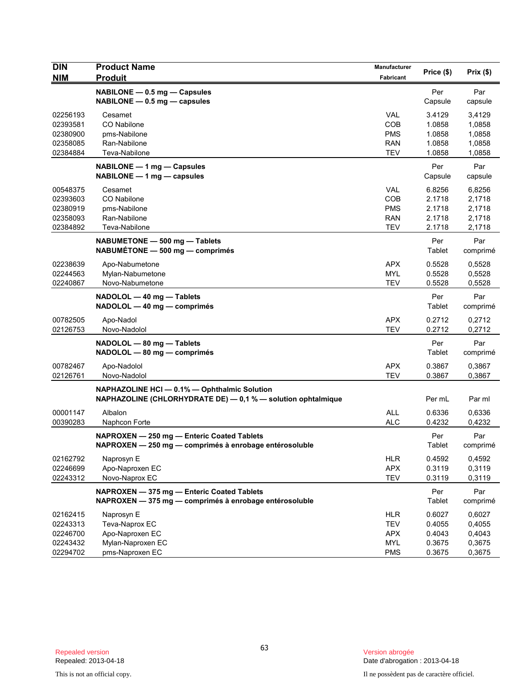| <b>DIN</b><br><b>NIM</b> | <b>Product Name</b><br><b>Produit</b>                                                                        | Manufacturer<br>Fabricant | Price (\$)     | Prix(\$)        |
|--------------------------|--------------------------------------------------------------------------------------------------------------|---------------------------|----------------|-----------------|
|                          |                                                                                                              |                           |                |                 |
|                          | NABILONE - 0.5 mg - Capsules<br>$NABILITY - 0.5$ mg $-$ capsules                                             |                           | Per<br>Capsule | Par<br>capsule  |
| 02256193                 | Cesamet                                                                                                      | <b>VAL</b>                | 3.4129         | 3,4129          |
| 02393581                 | CO Nabilone                                                                                                  | COB                       | 1.0858         | 1,0858          |
| 02380900                 | pms-Nabilone                                                                                                 | <b>PMS</b>                | 1.0858         | 1,0858          |
| 02358085                 | Ran-Nabilone                                                                                                 | <b>RAN</b>                | 1.0858         | 1,0858          |
| 02384884                 | Teva-Nabilone                                                                                                | <b>TEV</b>                | 1.0858         | 1,0858          |
|                          | NABILONE - 1 mg - Capsules<br>NABILONE - 1 mg - capsules                                                     |                           | Per<br>Capsule | Par<br>capsule  |
| 00548375                 | Cesamet                                                                                                      | <b>VAL</b>                | 6.8256         | 6,8256          |
| 02393603                 | CO Nabilone                                                                                                  | <b>COB</b>                | 2.1718         | 2,1718          |
| 02380919                 | pms-Nabilone                                                                                                 | <b>PMS</b>                | 2.1718         | 2,1718          |
| 02358093                 | Ran-Nabilone                                                                                                 | <b>RAN</b>                | 2.1718         | 2,1718          |
| 02384892                 | Teva-Nabilone                                                                                                | <b>TEV</b>                | 2.1718         | 2,1718          |
|                          | NABUMETONE - 500 mg - Tablets<br>NABUMÉTONE - 500 mg - comprimés                                             |                           | Per<br>Tablet  | Par<br>comprimé |
| 02238639                 | Apo-Nabumetone                                                                                               | <b>APX</b>                | 0.5528         | 0.5528          |
| 02244563                 | Mylan-Nabumetone                                                                                             | <b>MYL</b>                | 0.5528         | 0,5528          |
| 02240867                 | Novo-Nabumetone                                                                                              | <b>TEV</b>                | 0.5528         | 0,5528          |
|                          | NADOLOL - 40 mg - Tablets<br>NADOLOL - 40 mg - comprimés                                                     |                           | Per<br>Tablet  | Par<br>comprimé |
| 00782505                 | Apo-Nadol                                                                                                    | <b>APX</b>                | 0.2712         | 0,2712          |
| 02126753                 | Novo-Nadolol                                                                                                 | <b>TEV</b>                | 0.2712         | 0,2712          |
|                          | NADOLOL - 80 mg - Tablets<br>NADOLOL - 80 mg - comprimés                                                     |                           | Per<br>Tablet  | Par<br>comprimé |
| 00782467                 | Apo-Nadolol                                                                                                  | <b>APX</b>                | 0.3867         | 0,3867          |
| 02126761                 | Novo-Nadolol                                                                                                 | <b>TEV</b>                | 0.3867         | 0,3867          |
|                          | NAPHAZOLINE HCI - 0.1% - Ophthalmic Solution<br>NAPHAZOLINE (CHLORHYDRATE DE) - 0,1 % - solution ophtalmique |                           | Per mL         | Par ml          |
| 00001147                 | Albalon                                                                                                      | <b>ALL</b>                | 0.6336         | 0,6336          |
| 00390283                 | Naphcon Forte                                                                                                | <b>ALC</b>                | 0.4232         | 0,4232          |
|                          | NAPROXEN - 250 mg - Enteric Coated Tablets<br>NAPROXEN — 250 mg — comprimés à enrobage entérosoluble         |                           | Per<br>Tablet  | Par<br>comprimé |
| 02162792                 | Naprosyn E                                                                                                   | <b>HLR</b>                | 0.4592         | 0,4592          |
| 02246699                 | Apo-Naproxen EC                                                                                              | APX                       | 0.3119         | 0,3119          |
| 02243312                 | Novo-Naprox EC                                                                                               | <b>TEV</b>                | 0.3119         | 0,3119          |
|                          | NAPROXEN - 375 mg - Enteric Coated Tablets<br>NAPROXEN - 375 mg - comprimés à enrobage entérosoluble         |                           | Per<br>Tablet  | Par<br>comprimé |
| 02162415                 | Naprosyn E                                                                                                   | <b>HLR</b>                | 0.6027         | 0,6027          |
| 02243313                 | Teva-Naprox EC                                                                                               | <b>TEV</b>                | 0.4055         | 0,4055          |
| 02246700                 | Apo-Naproxen EC                                                                                              | <b>APX</b>                | 0.4043         | 0,4043          |
| 02243432                 | Mylan-Naproxen EC                                                                                            | <b>MYL</b>                | 0.3675         | 0,3675          |
| 02294702                 | pms-Naproxen EC                                                                                              | <b>PMS</b>                | 0.3675         | 0,3675          |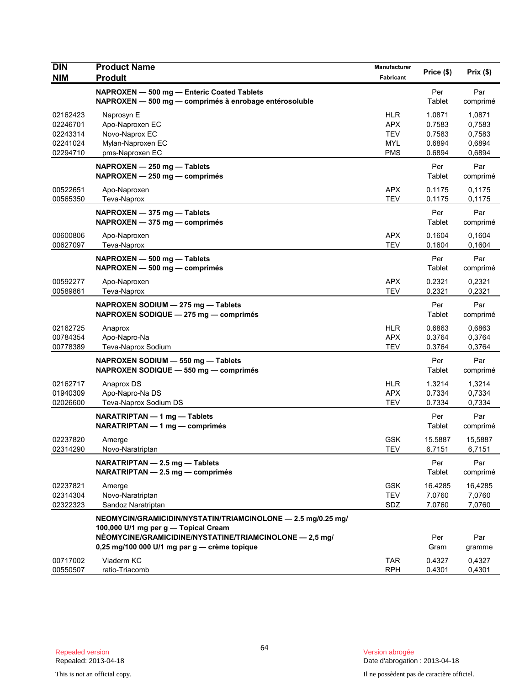| <b>DIN</b><br><b>NIM</b>                                 | <b>Product Name</b><br><b>Produit</b>                                                                                                                                                                           | Manufacturer<br>Fabricant                                          | Price (\$)                                     | Prix (\$)                                      |
|----------------------------------------------------------|-----------------------------------------------------------------------------------------------------------------------------------------------------------------------------------------------------------------|--------------------------------------------------------------------|------------------------------------------------|------------------------------------------------|
|                                                          | NAPROXEN - 500 mg - Enteric Coated Tablets<br>NAPROXEN - 500 mg - comprimés à enrobage entérosoluble                                                                                                            |                                                                    | Per<br>Tablet                                  | Par<br>comprimé                                |
| 02162423<br>02246701<br>02243314<br>02241024<br>02294710 | Naprosyn E<br>Apo-Naproxen EC<br>Novo-Naprox EC<br>Mylan-Naproxen EC<br>pms-Naproxen EC                                                                                                                         | <b>HLR</b><br><b>APX</b><br><b>TEV</b><br><b>MYL</b><br><b>PMS</b> | 1.0871<br>0.7583<br>0.7583<br>0.6894<br>0.6894 | 1,0871<br>0,7583<br>0,7583<br>0,6894<br>0,6894 |
|                                                          | NAPROXEN - 250 mg - Tablets<br>NAPROXEN - 250 mg - comprimés                                                                                                                                                    |                                                                    | Per<br>Tablet                                  | Par<br>comprimé                                |
| 00522651<br>00565350                                     | Apo-Naproxen<br>Teva-Naprox                                                                                                                                                                                     | <b>APX</b><br><b>TEV</b>                                           | 0.1175<br>0.1175                               | 0,1175<br>0,1175                               |
|                                                          | NAPROXEN - 375 mg - Tablets<br>$NAPROXEN - 375 mg - comprimés$                                                                                                                                                  |                                                                    | Per<br>Tablet                                  | Par<br>comprimé                                |
| 00600806<br>00627097                                     | Apo-Naproxen<br>Teva-Naprox                                                                                                                                                                                     | <b>APX</b><br><b>TEV</b>                                           | 0.1604<br>0.1604                               | 0,1604<br>0,1604                               |
|                                                          | NAPROXEN - 500 mg - Tablets<br>NAPROXEN - 500 mg - comprimés                                                                                                                                                    |                                                                    | Per<br>Tablet                                  | Par<br>comprimé                                |
| 00592277<br>00589861                                     | Apo-Naproxen<br>Teva-Naprox                                                                                                                                                                                     | <b>APX</b><br><b>TEV</b>                                           | 0.2321<br>0.2321                               | 0,2321<br>0,2321                               |
|                                                          | NAPROXEN SODIUM - 275 mg - Tablets<br>NAPROXEN SODIQUE - 275 mg - comprimés                                                                                                                                     |                                                                    | Per<br>Tablet                                  | Par<br>comprimé                                |
| 02162725<br>00784354<br>00778389                         | Anaprox<br>Apo-Napro-Na<br>Teva-Naprox Sodium                                                                                                                                                                   | <b>HLR</b><br><b>APX</b><br><b>TEV</b>                             | 0.6863<br>0.3764<br>0.3764                     | 0,6863<br>0,3764<br>0,3764                     |
|                                                          | NAPROXEN SODIUM - 550 mg - Tablets<br>NAPROXEN SODIQUE - 550 mg - comprimés                                                                                                                                     |                                                                    | Per<br>Tablet                                  | Par<br>comprimé                                |
| 02162717<br>01940309<br>02026600                         | Anaprox DS<br>Apo-Napro-Na DS<br>Teva-Naprox Sodium DS                                                                                                                                                          | <b>HLR</b><br><b>APX</b><br><b>TEV</b>                             | 1.3214<br>0.7334<br>0.7334                     | 1,3214<br>0,7334<br>0,7334                     |
|                                                          | NARATRIPTAN - 1 mg - Tablets<br>NARATRIPTAN — 1 mg — comprimés                                                                                                                                                  |                                                                    | Per<br>Tablet                                  | Par<br>comprimé                                |
| 02237820<br>02314290                                     | Amerge<br>Novo-Naratriptan                                                                                                                                                                                      | <b>GSK</b><br><b>TEV</b>                                           | 15.5887<br>6.7151                              | 15,5887<br>6,7151                              |
|                                                          | NARATRIPTAN - 2.5 mg - Tablets<br>NARATRIPTAN - 2.5 mg - comprimés                                                                                                                                              |                                                                    | Per<br>Tablet                                  | Par<br>comprimé                                |
| 02237821<br>02314304<br>02322323                         | Amerge<br>Novo-Naratriptan<br>Sandoz Naratriptan                                                                                                                                                                | <b>GSK</b><br><b>TEV</b><br>SDZ                                    | 16.4285<br>7.0760<br>7.0760                    | 16,4285<br>7,0760<br>7,0760                    |
|                                                          | NEOMYCIN/GRAMICIDIN/NYSTATIN/TRIAMCINOLONE - 2.5 mg/0.25 mg/<br>100,000 U/1 mg per g - Topical Cream<br>NÉOMYCINE/GRAMICIDINE/NYSTATINE/TRIAMCINOLONE - 2,5 mg/<br>0,25 mg/100 000 U/1 mg par g - crème topique |                                                                    | Per<br>Gram                                    | Par<br>gramme                                  |
| 00717002<br>00550507                                     | Viaderm KC<br>ratio-Triacomb                                                                                                                                                                                    | <b>TAR</b><br><b>RPH</b>                                           | 0.4327<br>0.4301                               | 0,4327<br>0,4301                               |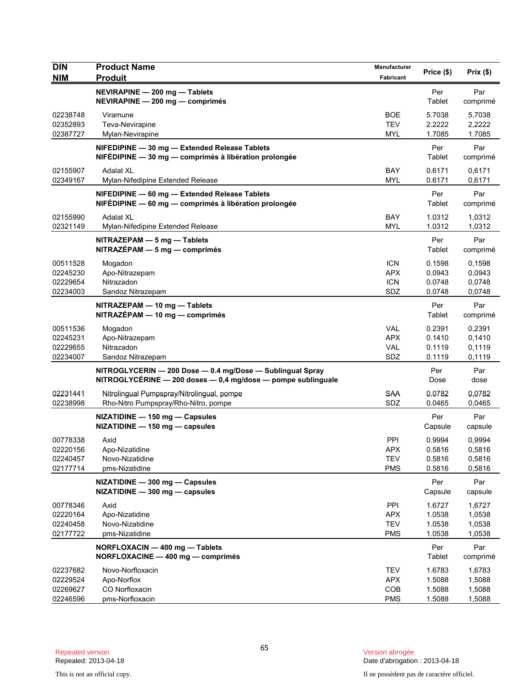| <b>DIN</b><br><b>NIM</b>                     | <b>Product Name</b><br><b>Produit</b>                                                                                     | Manufacturer<br>Fabricant                     | Price (\$)                           | Prix(\$)                             |
|----------------------------------------------|---------------------------------------------------------------------------------------------------------------------------|-----------------------------------------------|--------------------------------------|--------------------------------------|
|                                              | NEVIRAPINE - 200 mg - Tablets<br>NEVIRAPINE - 200 mg - comprimés                                                          |                                               | Per<br>Tablet                        | Par<br>comprimé                      |
| 02238748<br>02352893<br>02387727             | Viramune<br>Teva-Nevirapine<br>Mylan-Nevirapine                                                                           | <b>BOE</b><br><b>TEV</b><br><b>MYL</b>        | 5.7038<br>2.2222<br>1.7085           | 5,7038<br>2,2222<br>1.7085           |
|                                              | NIFEDIPINE - 30 mg - Extended Release Tablets<br>NIFÉDIPINE - 30 mg - comprimés à libération prolongée                    |                                               | Per<br>Tablet                        | Par<br>comprimé                      |
| 02155907<br>02349167                         | <b>Adalat XL</b><br>Mylan-Nifedipine Extended Release                                                                     | BAY<br><b>MYL</b>                             | 0.6171<br>0.6171                     | 0,6171<br>0,6171                     |
|                                              | NIFEDIPINE - 60 mg - Extended Release Tablets<br>NIFÉDIPINE — 60 mg — comprimés à libération prolongée                    |                                               | Per<br>Tablet                        | Par<br>comprimé                      |
| 02155990<br>02321149                         | <b>Adalat XL</b><br>Mylan-Nifedipine Extended Release                                                                     | BAY<br><b>MYL</b>                             | 1.0312<br>1.0312                     | 1,0312<br>1,0312                     |
|                                              | $NITRAZEPAM - 5 mg - Tables$<br>NITRAZÉPAM - 5 mg - comprimés                                                             |                                               | Per<br>Tablet                        | Par<br>comprimé                      |
| 00511528<br>02245230<br>02229654<br>02234003 | Mogadon<br>Apo-Nitrazepam<br>Nitrazadon<br>Sandoz Nitrazepam                                                              | <b>ICN</b><br><b>APX</b><br><b>ICN</b><br>SDZ | 0.1598<br>0.0943<br>0.0748<br>0.0748 | 0,1598<br>0,0943<br>0,0748<br>0,0748 |
|                                              | NITRAZEPAM - 10 mg - Tablets<br>NITRAZÉPAM - 10 mg - comprimés                                                            |                                               | Per<br>Tablet                        | Par<br>comprimé                      |
| 00511536<br>02245231<br>02229655<br>02234007 | Mogadon<br>Apo-Nitrazepam<br>Nitrazadon<br>Sandoz Nitrazepam                                                              | <b>VAL</b><br><b>APX</b><br><b>VAL</b><br>SDZ | 0.2391<br>0.1410<br>0.1119<br>0.1119 | 0,2391<br>0,1410<br>0,1119<br>0,1119 |
|                                              | NITROGLYCERIN - 200 Dose - 0.4 mg/Dose - Sublingual Spray<br>NITROGLYCÉRINE - 200 doses - 0,4 mg/dose - pompe sublinguale |                                               | Per<br>Dose                          | Par<br>dose                          |
| 02231441<br>02238998                         | Nitrolingual Pumpspray/Nitrolingual, pompe<br>Rho-Nitro Pumpspray/Rho-Nitro, pompe                                        | <b>SAA</b><br>SDZ                             | 0.0782<br>0.0465                     | 0,0782<br>0,0465                     |
|                                              | NIZATIDINE - 150 mg - Capsules<br>NIZATIDINE - 150 mg - capsules                                                          |                                               | Per<br>Capsule                       | Par<br>capsule                       |
| 00778338<br>02220156<br>02240457<br>02177714 | Axid<br>Apo-Nizatidine<br>Novo-Nizatidine<br>pms-Nizatidine                                                               | PPI<br><b>APX</b><br><b>TEV</b><br><b>PMS</b> | 0.9994<br>0.5816<br>0.5816<br>0.5816 | 0,9994<br>0,5816<br>0,5816<br>0,5816 |
|                                              | NIZATIDINE - 300 mg - Capsules<br>NIZATIDINE - 300 mg - capsules                                                          |                                               | Per<br>Capsule                       | Par<br>capsule                       |
| 00778346<br>02220164<br>02240458<br>02177722 | Axid<br>Apo-Nizatidine<br>Novo-Nizatidine<br>pms-Nizatidine                                                               | PPI<br><b>APX</b><br><b>TEV</b><br><b>PMS</b> | 1.6727<br>1.0538<br>1.0538<br>1.0538 | 1,6727<br>1,0538<br>1,0538<br>1,0538 |
|                                              | NORFLOXACIN - 400 mg - Tablets<br>NORFLOXACINE - 400 mg - comprimés                                                       |                                               | Per<br>Tablet                        | Par<br>comprimé                      |
| 02237682<br>02229524<br>02269627<br>02246596 | Novo-Norfloxacin<br>Apo-Norflox<br>CO Norfloxacin<br>pms-Norfloxacin                                                      | <b>TEV</b><br><b>APX</b><br>COB<br><b>PMS</b> | 1.6783<br>1.5088<br>1.5088<br>1.5088 | 1,6783<br>1,5088<br>1,5088<br>1,5088 |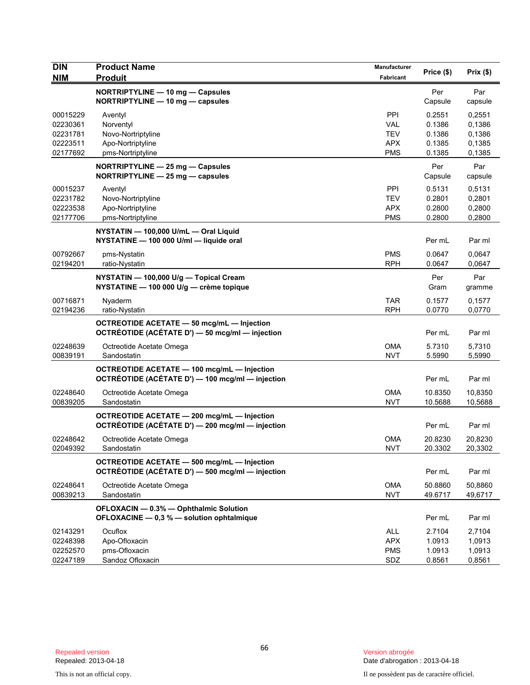| <b>DIN</b><br><b>NIM</b>                                 | <b>Product Name</b><br><b>Produit</b>                                                                  | Manufacturer<br>Fabricant                                   | Price (\$)                                     | Prix(\$)                                       |
|----------------------------------------------------------|--------------------------------------------------------------------------------------------------------|-------------------------------------------------------------|------------------------------------------------|------------------------------------------------|
|                                                          | NORTRIPTYLINE - 10 mg - Capsules<br>NORTRIPTYLINE - 10 mg - capsules                                   |                                                             | Per<br>Capsule                                 | Par<br>capsule                                 |
| 00015229<br>02230361<br>02231781<br>02223511<br>02177692 | Aventyl<br>Norventyl<br>Novo-Nortriptyline<br>Apo-Nortriptyline<br>pms-Nortriptyline                   | PPI<br><b>VAL</b><br><b>TEV</b><br><b>APX</b><br><b>PMS</b> | 0.2551<br>0.1386<br>0.1386<br>0.1385<br>0.1385 | 0,2551<br>0.1386<br>0,1386<br>0,1385<br>0.1385 |
|                                                          | NORTRIPTYLINE - 25 mg - Capsules<br>NORTRIPTYLINE $-$ 25 mg $-$ capsules                               |                                                             | Per<br>Capsule                                 | Par<br>capsule                                 |
| 00015237<br>02231782<br>02223538<br>02177706             | Aventyl<br>Novo-Nortriptyline<br>Apo-Nortriptyline<br>pms-Nortriptyline                                | PPI<br><b>TEV</b><br><b>APX</b><br><b>PMS</b>               | 0.5131<br>0.2801<br>0.2800<br>0.2800           | 0,5131<br>0,2801<br>0,2800<br>0,2800           |
|                                                          | NYSTATIN - 100,000 U/mL - Oral Liquid<br>NYSTATINE - 100 000 U/ml - liquide oral                       |                                                             | Per mL                                         | Par ml                                         |
| 00792667<br>02194201                                     | pms-Nystatin<br>ratio-Nystatin                                                                         | <b>PMS</b><br><b>RPH</b>                                    | 0.0647<br>0.0647                               | 0,0647<br>0,0647                               |
|                                                          | NYSTATIN - 100,000 U/g - Topical Cream<br>NYSTATINE - 100 000 U/g - crème topique                      |                                                             | Per<br>Gram                                    | Par<br>gramme                                  |
| 00716871<br>02194236                                     | Nyaderm<br>ratio-Nystatin                                                                              | <b>TAR</b><br><b>RPH</b>                                    | 0.1577<br>0.0770                               | 0,1577<br>0,0770                               |
|                                                          | <b>OCTREOTIDE ACETATE - 50 mcg/mL - Injection</b><br>OCTRÉOTIDE (ACÉTATE D') - 50 mcg/ml - injection   |                                                             | Per mL                                         | Par ml                                         |
| 02248639<br>00839191                                     | Octreotide Acetate Omega<br>Sandostatin                                                                | <b>OMA</b><br><b>NVT</b>                                    | 5.7310<br>5.5990                               | 5,7310<br>5,5990                               |
|                                                          | OCTREOTIDE ACETATE - 100 mcg/mL - Injection<br>OCTRÉOTIDE (ACÉTATE D') — 100 mcg/ml — injection        |                                                             | Per mL                                         | Par ml                                         |
| 02248640<br>00839205                                     | Octreotide Acetate Omega<br>Sandostatin                                                                | <b>OMA</b><br><b>NVT</b>                                    | 10.8350<br>10.5688                             | 10,8350<br>10,5688                             |
|                                                          | OCTREOTIDE ACETATE - 200 mcg/mL - Injection<br>OCTRÉOTIDE (ACÉTATE D') - 200 mcg/ml - injection        |                                                             | Per mL                                         | Par ml                                         |
| 02248642<br>02049392                                     | Octreotide Acetate Omega<br>Sandostatin                                                                | <b>OMA</b><br><b>NVT</b>                                    | 20.8230<br>20.3302                             | 20,8230<br>20,3302                             |
|                                                          | <b>OCTREOTIDE ACETATE - 500 mcg/mL - Injection</b><br>OCTRÉOTIDE (ACÉTATE D') - 500 mcg/ml - injection |                                                             | Per mL                                         | Par ml                                         |
| 02248641<br>00839213                                     | Octreotide Acetate Omega<br>Sandostatin                                                                | <b>OMA</b><br><b>NVT</b>                                    | 50.8860<br>49.6717                             | 50,8860<br>49,6717                             |
|                                                          | OFLOXACIN - 0.3% - Ophthalmic Solution<br>OFLOXACINE - 0,3 % - solution ophtalmique                    |                                                             | Per mL                                         | Par ml                                         |
| 02143291<br>02248398<br>02252570<br>02247189             | Ocuflox<br>Apo-Ofloxacin<br>pms-Ofloxacin<br>Sandoz Ofloxacin                                          | ALL<br><b>APX</b><br><b>PMS</b><br>SDZ                      | 2.7104<br>1.0913<br>1.0913<br>0.8561           | 2,7104<br>1,0913<br>1,0913<br>0,8561           |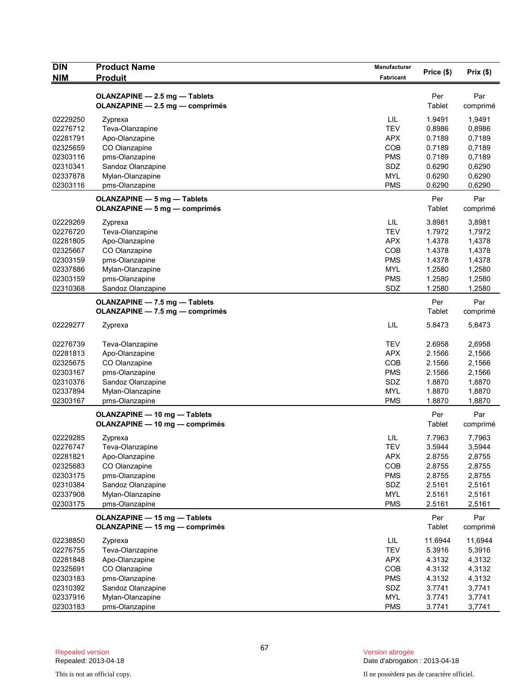| <b>DIN</b> | <b>Product Name</b>                                              | Manufacturer | Price (\$)    | Prix(\$)        |
|------------|------------------------------------------------------------------|--------------|---------------|-----------------|
| <b>NIM</b> | <b>Produit</b>                                                   | Fabricant    |               |                 |
|            | OLANZAPINE - 2.5 mg - Tablets                                    |              | Per           | Par             |
|            | OLANZAPINE - 2.5 mg - comprimés                                  |              | Tablet        | comprimé        |
| 02229250   | Zyprexa                                                          | LIL          | 1.9491        | 1,9491          |
| 02276712   | Teva-Olanzapine                                                  | <b>TEV</b>   | 0.8986        | 0,8986          |
| 02281791   | Apo-Olanzapine                                                   | <b>APX</b>   | 0.7189        | 0,7189          |
| 02325659   | CO Olanzapine                                                    | COB          | 0.7189        | 0,7189          |
| 02303116   | pms-Olanzapine                                                   | <b>PMS</b>   | 0.7189        | 0,7189          |
| 02310341   | Sandoz Olanzapine                                                | SDZ          | 0.6290        | 0,6290          |
| 02337878   | Mylan-Olanzapine                                                 | <b>MYL</b>   | 0.6290        | 0,6290          |
| 02303116   | pms-Olanzapine                                                   | <b>PMS</b>   | 0.6290        | 0,6290          |
|            | OLANZAPINE - 5 mg - Tablets                                      |              | Per           | Par             |
|            | OLANZAPINE - 5 mg - comprimés                                    |              | Tablet        | comprimé        |
| 02229269   | Zyprexa                                                          | LIL          | 3.8981        | 3,8981          |
| 02276720   | Teva-Olanzapine                                                  | <b>TEV</b>   | 1.7972        | 1,7972          |
| 02281805   | Apo-Olanzapine                                                   | <b>APX</b>   | 1.4378        | 1,4378          |
| 02325667   | CO Olanzapine                                                    | COB          | 1.4378        | 1,4378          |
| 02303159   | pms-Olanzapine                                                   | <b>PMS</b>   | 1.4378        | 1,4378          |
| 02337886   | Mylan-Olanzapine                                                 | <b>MYL</b>   | 1.2580        | 1,2580          |
| 02303159   | pms-Olanzapine                                                   | <b>PMS</b>   | 1.2580        | 1,2580          |
| 02310368   | Sandoz Olanzapine                                                | SDZ          | 1.2580        | 1,2580          |
|            | OLANZAPINE - 7.5 mg - Tablets<br>OLANZAPINE - 7.5 mg - comprimés |              | Per<br>Tablet | Par<br>comprimé |
| 02229277   | Zyprexa                                                          | LIL          | 5.8473        | 5,8473          |
| 02276739   | Teva-Olanzapine                                                  | <b>TEV</b>   | 2.6958        | 2,6958          |
| 02281813   | Apo-Olanzapine                                                   | <b>APX</b>   | 2.1566        | 2,1566          |
| 02325675   | CO Olanzapine                                                    | COB          | 2.1566        | 2,1566          |
| 02303167   | pms-Olanzapine                                                   | <b>PMS</b>   | 2.1566        | 2,1566          |
| 02310376   | Sandoz Olanzapine                                                | SDZ          | 1.8870        | 1,8870          |
| 02337894   | Mylan-Olanzapine                                                 | <b>MYL</b>   | 1.8870        | 1,8870          |
| 02303167   | pms-Olanzapine                                                   | <b>PMS</b>   | 1.8870        | 1,8870          |
|            | OLANZAPINE - 10 mg - Tablets                                     |              | Per           | Par             |
|            | OLANZAPINE - 10 mg - comprimés                                   |              | Tablet        | comprimé        |
| 02229285   | Zyprexa                                                          | LIL          | 7.7963        | 7,7963          |
| 02276747   | Teva-Olanzapine                                                  | <b>TEV</b>   | 3.5944        | 3,5944          |
| 02281821   | Apo-Olanzapine                                                   | <b>APX</b>   | 2.8755        | 2,8755          |
| 02325683   | CO Olanzapine                                                    | COB          | 2.8755        | 2,8755          |
| 02303175   | pms-Olanzapine                                                   | <b>PMS</b>   | 2.8755        | 2,8755          |
| 02310384   | Sandoz Olanzapine                                                | SDZ          | 2.5161        | 2,5161          |
| 02337908   | Mylan-Olanzapine                                                 | <b>MYL</b>   | 2.5161        | 2,5161          |
| 02303175   | pms-Olanzapine                                                   | <b>PMS</b>   | 2.5161        | 2,5161          |
|            | OLANZAPINE - 15 mg - Tablets                                     |              | Per           | Par             |
|            | OLANZAPINE - 15 mg - comprimés                                   |              | Tablet        | comprimé        |
| 02238850   | Zyprexa                                                          | LIL          | 11.6944       | 11,6944         |
| 02276755   | Teva-Olanzapine                                                  | <b>TEV</b>   | 5.3916        | 5,3916          |
| 02281848   | Apo-Olanzapine                                                   | <b>APX</b>   | 4.3132        | 4,3132          |
| 02325691   | CO Olanzapine                                                    | COB          | 4.3132        | 4,3132          |
| 02303183   | pms-Olanzapine                                                   | <b>PMS</b>   | 4.3132        | 4,3132          |
| 02310392   | Sandoz Olanzapine                                                | SDZ          | 3.7741        | 3,7741          |
| 02337916   | Mylan-Olanzapine                                                 | <b>MYL</b>   | 3.7741        | 3,7741          |
| 02303183   | pms-Olanzapine                                                   | <b>PMS</b>   | 3.7741        | 3,7741          |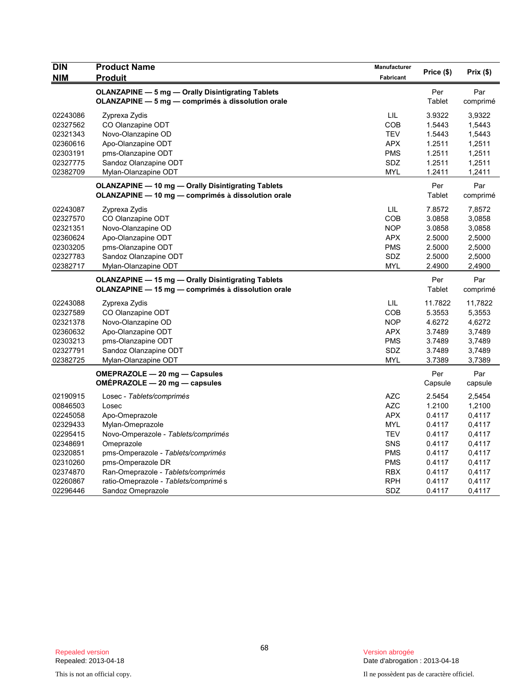| <b>DIN</b><br><b>NIM</b> | <b>Product Name</b><br><b>Produit</b>                     | Manufacturer<br>Fabricant | Price (\$)    | Prix(\$) |
|--------------------------|-----------------------------------------------------------|---------------------------|---------------|----------|
|                          | <b>OLANZAPINE - 5 mg - Orally Disintigrating Tablets</b>  |                           | Per           | Par      |
|                          | OLANZAPINE - 5 mg - comprimés à dissolution orale         |                           | <b>Tablet</b> | comprimé |
| 02243086                 | Zyprexa Zydis                                             | LIL                       | 3.9322        | 3,9322   |
| 02327562                 | CO Olanzapine ODT                                         | <b>COB</b>                | 1.5443        | 1,5443   |
| 02321343                 | Novo-Olanzapine OD                                        | <b>TEV</b>                | 1.5443        | 1,5443   |
| 02360616                 | Apo-Olanzapine ODT                                        | <b>APX</b>                | 1.2511        | 1,2511   |
| 02303191                 | pms-Olanzapine ODT                                        | <b>PMS</b>                | 1.2511        | 1,2511   |
| 02327775                 | Sandoz Olanzapine ODT                                     | SDZ                       | 1.2511        | 1,2511   |
| 02382709                 | Mylan-Olanzapine ODT                                      | <b>MYL</b>                | 1.2411        | 1,2411   |
|                          | <b>OLANZAPINE - 10 mg - Orally Disintigrating Tablets</b> |                           | Per           | Par      |
|                          | OLANZAPINE - 10 mg - comprimés à dissolution orale        |                           | Tablet        | comprimé |
| 02243087                 | Zyprexa Zydis                                             | LIL                       | 7.8572        | 7,8572   |
| 02327570                 | CO Olanzapine ODT                                         | COB                       | 3.0858        | 3,0858   |
| 02321351                 | Novo-Olanzapine OD                                        | <b>NOP</b>                | 3.0858        | 3,0858   |
| 02360624                 | Apo-Olanzapine ODT                                        | <b>APX</b>                | 2.5000        | 2,5000   |
| 02303205                 | pms-Olanzapine ODT                                        | <b>PMS</b>                | 2.5000        | 2,5000   |
| 02327783                 | Sandoz Olanzapine ODT                                     | SDZ                       | 2.5000        | 2,5000   |
| 02382717                 | Mylan-Olanzapine ODT                                      | MYL                       | 2.4900        | 2,4900   |
|                          | <b>OLANZAPINE - 15 mg - Orally Disintigrating Tablets</b> |                           | Per           | Par      |
|                          | OLANZAPINE - 15 mg - comprimés à dissolution orale        |                           | Tablet        | comprimé |
| 02243088                 | Zyprexa Zydis                                             | LIL                       | 11.7822       | 11,7822  |
| 02327589                 | CO Olanzapine ODT                                         | COB                       | 5.3553        | 5,3553   |
| 02321378                 | Novo-Olanzapine OD                                        | <b>NOP</b>                | 4.6272        | 4,6272   |
| 02360632                 | Apo-Olanzapine ODT                                        | <b>APX</b>                | 3.7489        | 3,7489   |
| 02303213                 | pms-Olanzapine ODT                                        | <b>PMS</b>                | 3.7489        | 3,7489   |
| 02327791                 | Sandoz Olanzapine ODT                                     | SDZ                       | 3.7489        | 3,7489   |
| 02382725                 | Mylan-Olanzapine ODT                                      | <b>MYL</b>                | 3.7389        | 3,7389   |
|                          | OMEPRAZOLE - 20 mg - Capsules                             |                           | Per           | Par      |
|                          | OMEPRAZOLE $-$ 20 mg $-$ capsules                         |                           | Capsule       | capsule  |
| 02190915                 | Losec - Tablets/comprimés                                 | <b>AZC</b>                | 2.5454        | 2,5454   |
| 00846503                 | Losec                                                     | <b>AZC</b>                | 1.2100        | 1,2100   |
| 02245058                 | Apo-Omeprazole                                            | <b>APX</b>                | 0.4117        | 0,4117   |
| 02329433                 | Mylan-Omeprazole                                          | <b>MYL</b>                | 0.4117        | 0,4117   |
| 02295415                 | Novo-Omperazole - Tablets/comprimés                       | <b>TEV</b>                | 0.4117        | 0,4117   |
| 02348691                 | Omeprazole                                                | <b>SNS</b>                | 0.4117        | 0,4117   |
| 02320851                 | pms-Omperazole - Tablets/comprimés                        | <b>PMS</b>                | 0.4117        | 0,4117   |
| 02310260                 | pms-Omperazole DR                                         | <b>PMS</b>                | 0.4117        | 0,4117   |
| 02374870                 | Ran-Omeprazole - Tablets/comprimés                        | <b>RBX</b>                | 0.4117        | 0,4117   |
| 02260867                 | ratio-Omeprazole - Tablets/comprimé s                     | <b>RPH</b>                | 0.4117        | 0,4117   |
| 02296446                 | Sandoz Omeprazole                                         | SDZ                       | 0.4117        | 0,4117   |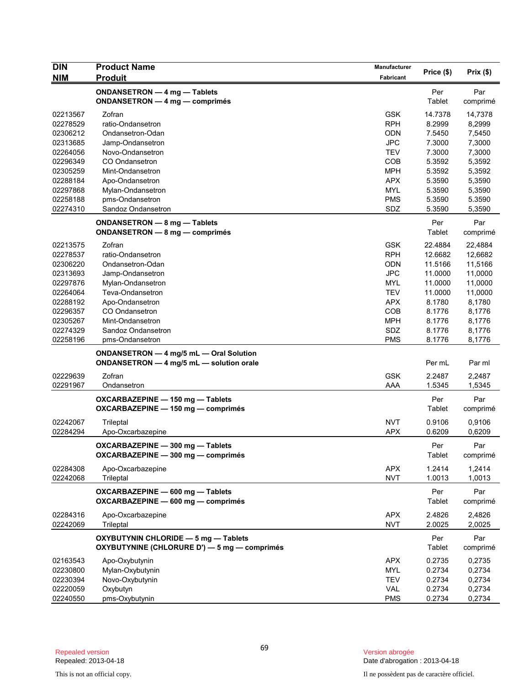| <b>DIN</b> | <b>Product Name</b>                          | <b>Manufacturer</b> | Price (\$) | Prix(\$) |
|------------|----------------------------------------------|---------------------|------------|----------|
| <b>NIM</b> | <b>Produit</b>                               | Fabricant           |            |          |
|            | ONDANSETRON - 4 mg - Tablets                 |                     | Per        | Par      |
|            | ONDANSETRON - 4 mg - comprimés               |                     | Tablet     | comprimé |
| 02213567   | Zofran                                       | <b>GSK</b>          | 14.7378    | 14,7378  |
| 02278529   | ratio-Ondansetron                            | <b>RPH</b>          | 8.2999     | 8,2999   |
| 02306212   | Ondansetron-Odan                             | <b>ODN</b>          | 7.5450     | 7,5450   |
| 02313685   | Jamp-Ondansetron                             | <b>JPC</b>          | 7.3000     | 7,3000   |
| 02264056   | Novo-Ondansetron                             | <b>TEV</b>          | 7.3000     | 7,3000   |
| 02296349   | CO Ondansetron                               | COB                 | 5.3592     | 5,3592   |
| 02305259   | Mint-Ondansetron                             | <b>MPH</b>          | 5.3592     | 5,3592   |
| 02288184   | Apo-Ondansetron                              | <b>APX</b>          | 5.3590     | 5,3590   |
| 02297868   | Mylan-Ondansetron                            | <b>MYL</b>          | 5.3590     | 5,3590   |
| 02258188   | pms-Ondansetron                              | <b>PMS</b>          | 5.3590     | 5.3590   |
| 02274310   | Sandoz Ondansetron                           | SDZ                 | 5.3590     | 5,3590   |
|            | ONDANSETRON - 8 mg - Tablets                 |                     | Per        | Par      |
|            | ONDANSETRON - 8 mg - comprimés               |                     | Tablet     | comprimé |
| 02213575   | Zofran                                       | <b>GSK</b>          | 22.4884    | 22,4884  |
| 02278537   | ratio-Ondansetron                            | <b>RPH</b>          | 12.6682    | 12,6682  |
| 02306220   | Ondansetron-Odan                             | <b>ODN</b>          | 11.5166    | 11,5166  |
| 02313693   | Jamp-Ondansetron                             | <b>JPC</b>          | 11.0000    | 11,0000  |
| 02297876   | Mylan-Ondansetron                            | <b>MYL</b>          | 11.0000    | 11,0000  |
| 02264064   | Teva-Ondansetron                             | <b>TEV</b>          | 11.0000    | 11,0000  |
| 02288192   | Apo-Ondansetron                              | <b>APX</b>          | 8.1780     | 8,1780   |
| 02296357   | CO Ondansetron                               | COB                 | 8.1776     | 8,1776   |
| 02305267   | Mint-Ondansetron                             | <b>MPH</b>          | 8.1776     | 8,1776   |
| 02274329   | Sandoz Ondansetron                           | SDZ                 | 8.1776     | 8,1776   |
| 02258196   | pms-Ondansetron                              | <b>PMS</b>          | 8.1776     | 8,1776   |
|            | ONDANSETRON - 4 mg/5 mL - Oral Solution      |                     |            |          |
|            | ONDANSETRON - 4 mg/5 mL - solution orale     |                     | Per mL     | Par ml   |
| 02229639   | Zofran                                       | <b>GSK</b>          | 2.2487     | 2,2487   |
| 02291967   | Ondansetron                                  | AAA                 | 1.5345     | 1,5345   |
|            | OXCARBAZEPINE - 150 mg - Tablets             |                     | Per        | Par      |
|            | OXCARBAZEPINE - 150 mg - comprimés           |                     | Tablet     | comprimé |
|            |                                              |                     |            |          |
| 02242067   | Trileptal                                    | <b>NVT</b>          | 0.9106     | 0,9106   |
| 02284294   | Apo-Oxcarbazepine                            | <b>APX</b>          | 0.6209     | 0,6209   |
|            | OXCARBAZEPINE - 300 mg - Tablets             |                     | Per        | Par      |
|            | OXCARBAZEPINE - 300 mg - comprimés           |                     | Tablet     | comprimé |
| 02284308   | Apo-Oxcarbazepine                            | <b>APX</b>          | 1.2414     | 1,2414   |
| 02242068   | Trileptal                                    | <b>NVT</b>          | 1.0013     | 1,0013   |
|            | OXCARBAZEPINE - 600 mg - Tablets             |                     | Per        | Par      |
|            | OXCARBAZEPINE - 600 mg - comprimés           |                     | Tablet     | comprimé |
|            |                                              |                     |            |          |
| 02284316   | Apo-Oxcarbazepine                            | <b>APX</b>          | 2.4826     | 2,4826   |
| 02242069   | Trileptal                                    | <b>NVT</b>          | 2.0025     | 2,0025   |
|            | OXYBUTYNIN CHLORIDE - 5 mg - Tablets         |                     | Per        | Par      |
|            | OXYBUTYNINE (CHLORURE D') - 5 mg - comprimés |                     | Tablet     | comprimé |
| 02163543   | Apo-Oxybutynin                               | <b>APX</b>          | 0.2735     | 0,2735   |
| 02230800   | Mylan-Oxybutynin                             | <b>MYL</b>          | 0.2734     | 0,2734   |
| 02230394   | Novo-Oxybutynin                              | <b>TEV</b>          | 0.2734     | 0,2734   |
| 02220059   | Oxybutyn                                     | VAL                 | 0.2734     | 0,2734   |
| 02240550   | pms-Oxybutynin                               | <b>PMS</b>          | 0.2734     | 0,2734   |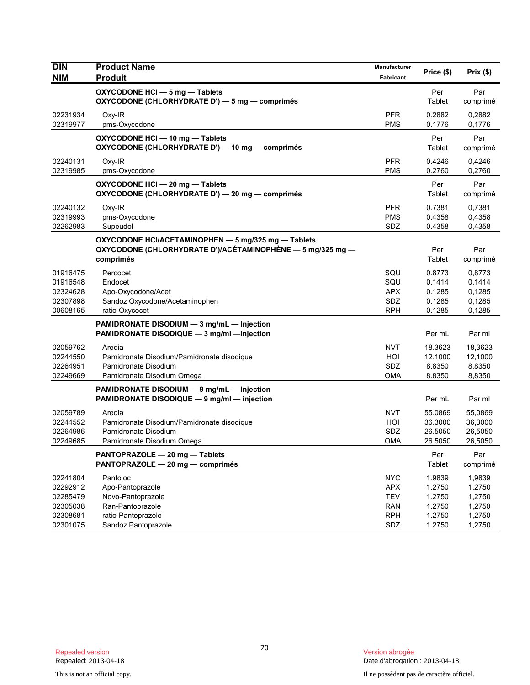| <b>DIN</b><br><b>NIM</b>                                             | <b>Product Name</b><br><b>Produit</b>                                                                                          | Manufacturer<br>Fabricant                                                 | Price (\$)                                               | Prix(\$)                                                 |
|----------------------------------------------------------------------|--------------------------------------------------------------------------------------------------------------------------------|---------------------------------------------------------------------------|----------------------------------------------------------|----------------------------------------------------------|
|                                                                      | OXYCODONE HCI - 5 mg - Tablets<br>OXYCODONE (CHLORHYDRATE D') - 5 mg - comprimés                                               |                                                                           | Per<br>Tablet                                            | Par<br>comprimé                                          |
| 02231934<br>02319977                                                 | Oxy-IR<br>pms-Oxycodone                                                                                                        | <b>PFR</b><br><b>PMS</b>                                                  | 0.2882<br>0.1776                                         | 0,2882<br>0,1776                                         |
|                                                                      | OXYCODONE HCI - 10 mg - Tablets<br>OXYCODONE (CHLORHYDRATE D') - 10 mg - comprimés                                             |                                                                           | Per<br>Tablet                                            | Par<br>comprimé                                          |
| 02240131<br>02319985                                                 | Oxy-IR<br>pms-Oxycodone                                                                                                        | <b>PFR</b><br>PMS                                                         | 0.4246<br>0.2760                                         | 0,4246<br>0,2760                                         |
|                                                                      | OXYCODONE HCI-20 mg-Tablets<br>OXYCODONE (CHLORHYDRATE D') - 20 mg - comprimés                                                 |                                                                           | Per<br>Tablet                                            | Par<br>comprimé                                          |
| 02240132<br>02319993<br>02262983                                     | Oxy-IR<br>pms-Oxycodone<br>Supeudol                                                                                            | <b>PFR</b><br><b>PMS</b><br>SDZ                                           | 0.7381<br>0.4358<br>0.4358                               | 0,7381<br>0,4358<br>0,4358                               |
|                                                                      | OXYCODONE HCI/ACETAMINOPHEN - 5 mg/325 mg - Tablets<br>OXYCODONE (CHLORHYDRATE D')/ACÉTAMINOPHÈNE — 5 mg/325 mg —<br>comprimés |                                                                           | Per<br>Tablet                                            | Par<br>comprimé                                          |
| 01916475<br>01916548<br>02324628<br>02307898<br>00608165             | Percocet<br>Endocet<br>Apo-Oxycodone/Acet<br>Sandoz Oxycodone/Acetaminophen<br>ratio-Oxycocet                                  | SQU<br>SQU<br><b>APX</b><br>SDZ<br><b>RPH</b>                             | 0.8773<br>0.1414<br>0.1285<br>0.1285<br>0.1285           | 0,8773<br>0,1414<br>0,1285<br>0,1285<br>0,1285           |
|                                                                      | PAMIDRONATE DISODIUM - 3 mg/mL - Injection<br>PAMIDRONATE DISODIQUE - 3 mg/ml -injection                                       |                                                                           | Per mL                                                   | Par ml                                                   |
| 02059762<br>02244550<br>02264951<br>02249669                         | Aredia<br>Pamidronate Disodium/Pamidronate disodique<br>Pamidronate Disodium<br>Pamidronate Disodium Omega                     | <b>NVT</b><br>HOI<br>SDZ<br><b>OMA</b>                                    | 18.3623<br>12.1000<br>8.8350<br>8.8350                   | 18,3623<br>12,1000<br>8,8350<br>8,8350                   |
|                                                                      | PAMIDRONATE DISODIUM - 9 mg/mL - Injection<br>PAMIDRONATE DISODIQUE - 9 mg/ml - injection                                      |                                                                           | Per mL                                                   | Par ml                                                   |
| 02059789<br>02244552<br>02264986<br>02249685                         | Aredia<br>Pamidronate Disodium/Pamidronate disodique<br>Pamidronate Disodium<br>Pamidronate Disodium Omega                     | <b>NVT</b><br>HOI<br>SDZ<br>OMA                                           | 55.0869<br>36.3000<br>26.5050<br>26.5050                 | 55,0869<br>36,3000<br>26,5050<br>26,5050                 |
|                                                                      | PANTOPRAZOLE - 20 mg - Tablets<br>PANTOPRAZOLE - 20 mg - comprimés                                                             |                                                                           | Per<br>Tablet                                            | Par<br>comprimé                                          |
| 02241804<br>02292912<br>02285479<br>02305038<br>02308681<br>02301075 | Pantoloc<br>Apo-Pantoprazole<br>Novo-Pantoprazole<br>Ran-Pantoprazole<br>ratio-Pantoprazole<br>Sandoz Pantoprazole             | <b>NYC</b><br><b>APX</b><br><b>TEV</b><br><b>RAN</b><br><b>RPH</b><br>SDZ | 1.9839<br>1.2750<br>1.2750<br>1.2750<br>1.2750<br>1.2750 | 1,9839<br>1,2750<br>1,2750<br>1,2750<br>1,2750<br>1,2750 |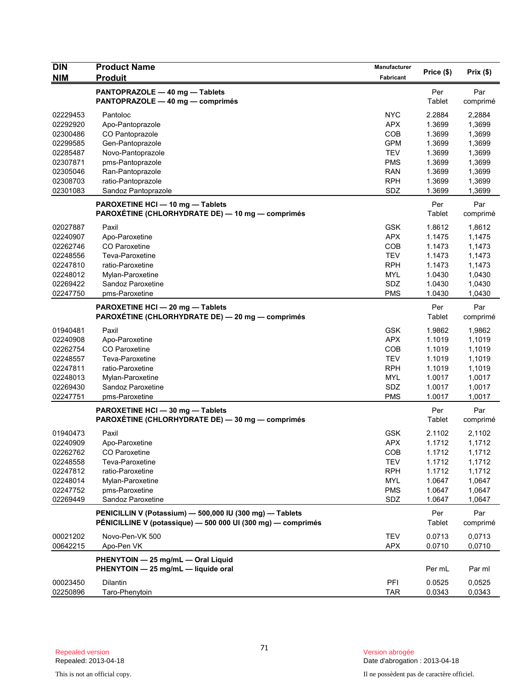| <b>DIN</b>           | <b>Product Name</b>                                                                                                      | Manufacturer             | Price (\$)       | Prix(\$)         |
|----------------------|--------------------------------------------------------------------------------------------------------------------------|--------------------------|------------------|------------------|
| <b>NIM</b>           | <b>Produit</b>                                                                                                           | <b>Fabricant</b>         |                  |                  |
|                      | PANTOPRAZOLE - 40 mg - Tablets<br>PANTOPRAZOLE - 40 mg - comprimés                                                       |                          | Per<br>Tablet    | Par<br>comprimé  |
| 02229453             | Pantoloc                                                                                                                 | <b>NYC</b>               | 2.2884           | 2,2884           |
| 02292920             | Apo-Pantoprazole                                                                                                         | <b>APX</b>               | 1.3699           | 1,3699           |
| 02300486             | CO Pantoprazole                                                                                                          | COB                      | 1.3699           | 1,3699           |
| 02299585             | Gen-Pantoprazole                                                                                                         | <b>GPM</b>               | 1.3699           | 1,3699           |
| 02285487             | Novo-Pantoprazole                                                                                                        | <b>TEV</b>               | 1.3699           | 1,3699           |
| 02307871             | pms-Pantoprazole                                                                                                         | <b>PMS</b>               | 1.3699           | 1,3699           |
| 02305046             | Ran-Pantoprazole                                                                                                         | <b>RAN</b>               | 1.3699           | 1,3699           |
| 02308703             | ratio-Pantoprazole                                                                                                       | <b>RPH</b>               | 1.3699           | 1,3699           |
| 02301083             | Sandoz Pantoprazole                                                                                                      | SDZ                      | 1.3699           | 1,3699           |
|                      | PAROXETINE HCI - 10 mg - Tablets<br>PAROXÉTINE (CHLORHYDRATE DE) — 10 mg — comprimés                                     |                          | Per<br>Tablet    | Par<br>comprimé  |
| 02027887             | Paxil                                                                                                                    | <b>GSK</b>               | 1.8612           | 1,8612           |
| 02240907             | Apo-Paroxetine                                                                                                           | <b>APX</b>               | 1.1475           | 1,1475           |
| 02262746             | CO Paroxetine                                                                                                            | COB                      | 1.1473           | 1,1473           |
| 02248556             | Teva-Paroxetine                                                                                                          | <b>TEV</b>               | 1.1473           | 1,1473           |
| 02247810             | ratio-Paroxetine                                                                                                         | <b>RPH</b>               | 1.1473           | 1,1473           |
| 02248012             | Mylan-Paroxetine                                                                                                         | <b>MYL</b>               | 1.0430           | 1,0430           |
| 02269422             | Sandoz Paroxetine                                                                                                        | SDZ                      | 1.0430           | 1,0430           |
| 02247750             | pms-Paroxetine                                                                                                           | <b>PMS</b>               | 1.0430           | 1,0430           |
|                      | PAROXETINE HCI-20 mg-Tablets<br>PAROXÉTINE (CHLORHYDRATE DE) - 20 mg - comprimés                                         |                          | Per<br>Tablet    | Par<br>comprimé  |
| 01940481             | Paxil                                                                                                                    | <b>GSK</b>               | 1.9862           | 1,9862           |
| 02240908             | Apo-Paroxetine                                                                                                           | <b>APX</b>               | 1.1019           | 1,1019           |
| 02262754             | <b>CO</b> Paroxetine                                                                                                     | COB                      | 1.1019           | 1,1019           |
| 02248557             | Teva-Paroxetine                                                                                                          | <b>TEV</b>               | 1.1019           | 1,1019           |
| 02247811             | ratio-Paroxetine                                                                                                         | <b>RPH</b>               | 1.1019           | 1,1019           |
| 02248013             | Mylan-Paroxetine                                                                                                         | <b>MYL</b>               | 1.0017           | 1,0017           |
| 02269430             | Sandoz Paroxetine                                                                                                        | SDZ                      | 1.0017           | 1,0017           |
| 02247751             | pms-Paroxetine                                                                                                           | <b>PMS</b>               | 1.0017           | 1,0017           |
|                      | PAROXETINE HCI - 30 mg - Tablets                                                                                         |                          | Per              | Par              |
|                      | PAROXÉTINE (CHLORHYDRATE DE) - 30 mg - comprimés                                                                         |                          | Tablet           | comprimé         |
| 01940473             | Paxil                                                                                                                    | <b>GSK</b>               | 2.1102           | 2,1102           |
| 02240909             | Apo-Paroxetine                                                                                                           | <b>APX</b>               | 1.1712           | 1,1712           |
| 02262762             | CO Paroxetine                                                                                                            | COB                      | 1.1712           | 1,1712           |
| 02248558             | Teva-Paroxetine                                                                                                          | <b>TEV</b>               | 1.1712           | 1,1712           |
| 02247812             | ratio-Paroxetine                                                                                                         | <b>RPH</b>               | 1.1712           | 1,1712           |
| 02248014             | Mylan-Paroxetine                                                                                                         | <b>MYL</b>               | 1.0647           | 1,0647           |
| 02247752             | pms-Paroxetine                                                                                                           | <b>PMS</b>               | 1.0647           | 1,0647           |
| 02269449             | Sandoz Paroxetine                                                                                                        | SDZ                      | 1.0647           | 1,0647           |
|                      | PENICILLIN V (Potassium) - 500,000 IU (300 mg) - Tablets<br>PÉNICILLINE V (potassique) — 500 000 UI (300 mg) — comprimés |                          | Per<br>Tablet    | Par<br>comprimé  |
| 00021202<br>00642215 | Novo-Pen-VK 500<br>Apo-Pen VK                                                                                            | <b>TEV</b><br><b>APX</b> | 0.0713<br>0.0710 | 0,0713<br>0,0710 |
|                      | PHENYTOIN - 25 mg/mL - Oral Liquid                                                                                       |                          |                  |                  |
|                      | PHENYTOIN - 25 mg/mL - liquide oral                                                                                      |                          | Per mL           | Par ml           |
| 00023450             | <b>Dilantin</b>                                                                                                          | <b>PFI</b>               | 0.0525           | 0,0525           |
| 02250896             | Taro-Phenytoin                                                                                                           | <b>TAR</b>               | 0.0343           | 0,0343           |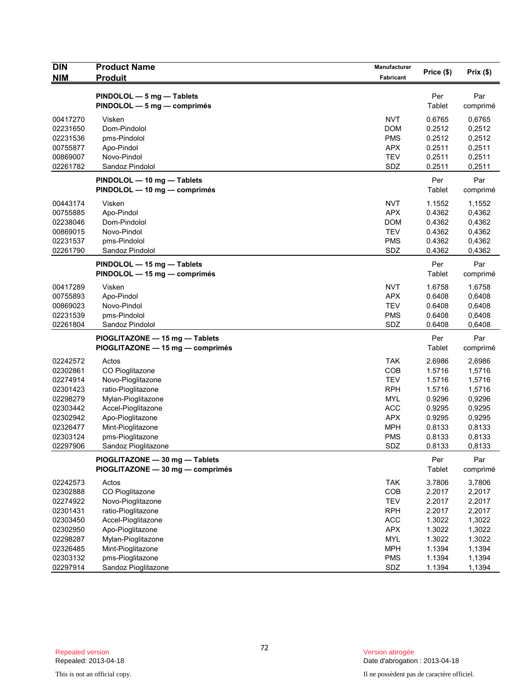| <b>DIN</b>                                                           | <b>Product Name</b>                                                                                                          | <b>Manufacturer</b>                                                       | Price (\$)                                               | Prix(\$)                                                 |
|----------------------------------------------------------------------|------------------------------------------------------------------------------------------------------------------------------|---------------------------------------------------------------------------|----------------------------------------------------------|----------------------------------------------------------|
| <b>NIM</b>                                                           | <b>Produit</b>                                                                                                               | Fabricant                                                                 |                                                          |                                                          |
|                                                                      | PINDOLOL - 5 mg - Tablets<br>PINDOLOL - 5 mg - comprimés                                                                     |                                                                           | Per<br>Tablet                                            | Par<br>comprimé                                          |
| 00417270<br>02231650<br>02231536<br>00755877                         | Visken<br>Dom-Pindolol<br>pms-Pindolol<br>Apo-Pindol                                                                         | <b>NVT</b><br><b>DOM</b><br><b>PMS</b><br><b>APX</b>                      | 0.6765<br>0.2512<br>0.2512<br>0.2511                     | 0,6765<br>0,2512<br>0,2512<br>0,2511                     |
| 00869007<br>02261782                                                 | Novo-Pindol<br>Sandoz Pindolol                                                                                               | <b>TEV</b><br>SDZ                                                         | 0.2511<br>0.2511                                         | 0,2511<br>0,2511                                         |
|                                                                      | PINDOLOL - 10 mg - Tablets<br>PINDOLOL - 10 mg - comprimés                                                                   |                                                                           | Per<br><b>Tablet</b>                                     | Par<br>comprimé                                          |
| 00443174<br>00755885<br>02238046<br>00869015<br>02231537<br>02261790 | Visken<br>Apo-Pindol<br>Dom-Pindolol<br>Novo-Pindol<br>pms-Pindolol<br>Sandoz Pindolol                                       | <b>NVT</b><br><b>APX</b><br><b>DOM</b><br><b>TEV</b><br><b>PMS</b><br>SDZ | 1.1552<br>0.4362<br>0.4362<br>0.4362<br>0.4362<br>0.4362 | 1,1552<br>0,4362<br>0,4362<br>0,4362<br>0,4362<br>0,4362 |
|                                                                      | PINDOLOL - 15 mg - Tablets<br>PINDOLOL - 15 mg - comprimés                                                                   |                                                                           | Per<br>Tablet                                            | Par<br>comprimé                                          |
| 00417289<br>00755893<br>00869023<br>02231539<br>02261804             | Visken<br>Apo-Pindol<br>Novo-Pindol<br>pms-Pindolol<br>Sandoz Pindolol                                                       | <b>NVT</b><br><b>APX</b><br><b>TEV</b><br><b>PMS</b><br>SDZ               | 1.6758<br>0.6408<br>0.6408<br>0.6408<br>0.6408           | 1,6758<br>0,6408<br>0,6408<br>0,6408<br>0,6408           |
|                                                                      | PIOGLITAZONE - 15 mg - Tablets<br>PIOGLITAZONE - 15 mg - comprimés                                                           |                                                                           | Per<br>Tablet                                            | Par<br>comprimé                                          |
| 02242572<br>02302861<br>02274914<br>02301423<br>02298279             | Actos<br>CO Pioglitazone<br>Novo-Pioglitazone<br>ratio-Pioglitazone                                                          | <b>TAK</b><br>COB<br><b>TEV</b><br><b>RPH</b><br>MYL                      | 2.6986<br>1.5716<br>1.5716<br>1.5716<br>0.9296           | 2,6986<br>1,5716<br>1,5716<br>1,5716<br>0,9296           |
| 02303442<br>02302942<br>02326477<br>02303124<br>02297906             | Mylan-Pioglitazone<br>Accel-Pioglitazone<br>Apo-Pioglitazone<br>Mint-Pioglitazone<br>pms-Pioglitazone<br>Sandoz Pioglitazone | <b>ACC</b><br><b>APX</b><br><b>MPH</b><br><b>PMS</b><br>SDZ               | 0.9295<br>0.9295<br>0.8133<br>0.8133<br>0.8133           | 0,9295<br>0,9295<br>0,8133<br>0,8133<br>0,8133           |
|                                                                      | PIOGLITAZONE - 30 mg - Tablets<br>PIOGLITAZONE - 30 mg - comprimés                                                           |                                                                           | Per<br>Tablet                                            | Par<br>comprimé                                          |
| 02242573<br>02302888<br>02274922<br>02301431<br>02303450             | Actos<br>CO Pioglitazone<br>Novo-Pioglitazone<br>ratio-Pioglitazone<br>Accel-Pioglitazone                                    | <b>TAK</b><br>COB<br><b>TEV</b><br><b>RPH</b><br>ACC                      | 3.7806<br>2.2017<br>2.2017<br>2.2017<br>1.3022           | 3,7806<br>2,2017<br>2,2017<br>2,2017<br>1,3022           |
| 02302950<br>02298287<br>02326485<br>02303132<br>02297914             | Apo-Pioglitazone<br>Mylan-Pioglitazone<br>Mint-Pioglitazone<br>pms-Pioglitazone<br>Sandoz Pioglitazone                       | <b>APX</b><br><b>MYL</b><br><b>MPH</b><br><b>PMS</b><br>SDZ               | 1.3022<br>1.3022<br>1.1394<br>1.1394<br>1.1394           | 1,3022<br>1,3022<br>1,1394<br>1,1394<br>1,1394           |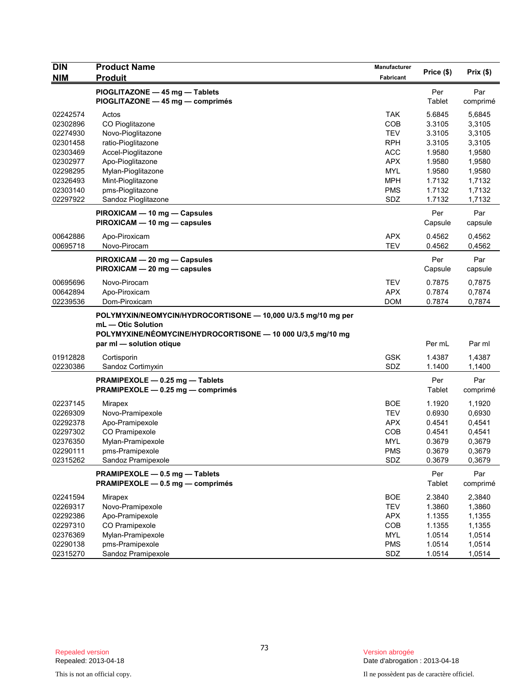| <b>DIN</b> | <b>Product Name</b>                                           | Manufacturer |            |          |
|------------|---------------------------------------------------------------|--------------|------------|----------|
| <b>NIM</b> | <b>Produit</b>                                                | Fabricant    | Price (\$) | Prix(\$) |
|            | PIOGLITAZONE - 45 mg - Tablets                                |              | Per        | Par      |
|            | PIOGLITAZONE - 45 mg - comprimés                              |              | Tablet     | comprimé |
| 02242574   | Actos                                                         | <b>TAK</b>   | 5.6845     | 5,6845   |
| 02302896   | CO Pioglitazone                                               | COB          | 3.3105     | 3,3105   |
| 02274930   | Novo-Pioglitazone                                             | <b>TEV</b>   | 3.3105     | 3,3105   |
| 02301458   | ratio-Pioglitazone                                            | <b>RPH</b>   | 3.3105     | 3,3105   |
| 02303469   | Accel-Pioglitazone                                            | <b>ACC</b>   | 1.9580     | 1,9580   |
| 02302977   | Apo-Pioglitazone                                              | <b>APX</b>   | 1.9580     | 1,9580   |
| 02298295   | Mylan-Pioglitazone                                            | <b>MYL</b>   | 1.9580     | 1,9580   |
| 02326493   | Mint-Pioglitazone                                             | <b>MPH</b>   | 1.7132     | 1,7132   |
| 02303140   | pms-Pioglitazone                                              | <b>PMS</b>   | 1.7132     | 1,7132   |
| 02297922   | Sandoz Pioglitazone                                           | SDZ          | 1.7132     | 1,7132   |
|            | PIROXICAM - 10 mg - Capsules                                  |              | Per        | Par      |
|            | PIROXICAM - 10 mg - capsules                                  |              | Capsule    | capsule  |
| 00642886   | Apo-Piroxicam                                                 | <b>APX</b>   | 0.4562     | 0,4562   |
| 00695718   | Novo-Pirocam                                                  | <b>TEV</b>   | 0.4562     | 0,4562   |
|            | PIROXICAM - 20 mg - Capsules                                  |              | Per        | Par      |
|            | PIROXICAM - 20 mg - capsules                                  |              | Capsule    | capsule  |
| 00695696   | Novo-Pirocam                                                  | <b>TEV</b>   | 0.7875     | 0,7875   |
| 00642894   | Apo-Piroxicam                                                 | <b>APX</b>   | 0.7874     | 0,7874   |
| 02239536   | Dom-Piroxicam                                                 | <b>DOM</b>   | 0.7874     | 0,7874   |
|            | POLYMYXIN/NEOMYCIN/HYDROCORTISONE - 10,000 U/3.5 mg/10 mg per |              |            |          |
|            | mL - Otic Solution                                            |              |            |          |
|            | POLYMYXINE/NÉOMYCINE/HYDROCORTISONE - 10 000 U/3,5 mg/10 mg   |              |            |          |
|            | par ml - solution otique                                      |              | Per mL     | Par ml   |
| 01912828   | Cortisporin                                                   | <b>GSK</b>   | 1.4387     | 1,4387   |
| 02230386   | Sandoz Cortimyxin                                             | SDZ          | 1.1400     | 1,1400   |
|            | PRAMIPEXOLE - 0.25 mg - Tablets                               |              | Per        | Par      |
|            | PRAMIPEXOLE - 0.25 mg - comprimés                             |              | Tablet     | comprimé |
| 02237145   | Mirapex                                                       | <b>BOE</b>   | 1.1920     | 1,1920   |
| 02269309   | Novo-Pramipexole                                              | <b>TEV</b>   | 0.6930     | 0,6930   |
| 02292378   | Apo-Pramipexole                                               | <b>APX</b>   | 0.4541     | 0,4541   |
| 02297302   | CO Pramipexole                                                | COB          | 0.4541     | 0,4541   |
| 02376350   | Mylan-Pramipexole                                             | MYL          | 0.3679     | 0,3679   |
| 02290111   | pms-Pramipexole                                               | <b>PMS</b>   | 0.3679     | 0,3679   |
| 02315262   | Sandoz Pramipexole                                            | SDZ          | 0.3679     | 0,3679   |
|            | PRAMIPEXOLE - 0.5 mg - Tablets                                |              | Per        | Par      |
|            | PRAMIPEXOLE - 0.5 mg - comprimés                              |              | Tablet     | comprimé |
| 02241594   | <b>Mirapex</b>                                                | <b>BOE</b>   | 2.3840     | 2,3840   |
| 02269317   | Novo-Pramipexole                                              | <b>TEV</b>   | 1.3860     | 1,3860   |
| 02292386   | Apo-Pramipexole                                               | <b>APX</b>   | 1.1355     | 1,1355   |
| 02297310   | CO Pramipexole                                                | COB          | 1.1355     | 1,1355   |
| 02376369   | Mylan-Pramipexole                                             | <b>MYL</b>   | 1.0514     | 1,0514   |
| 02290138   | pms-Pramipexole                                               | <b>PMS</b>   | 1.0514     | 1,0514   |
| 02315270   | Sandoz Pramipexole                                            | SDZ          | 1.0514     | 1,0514   |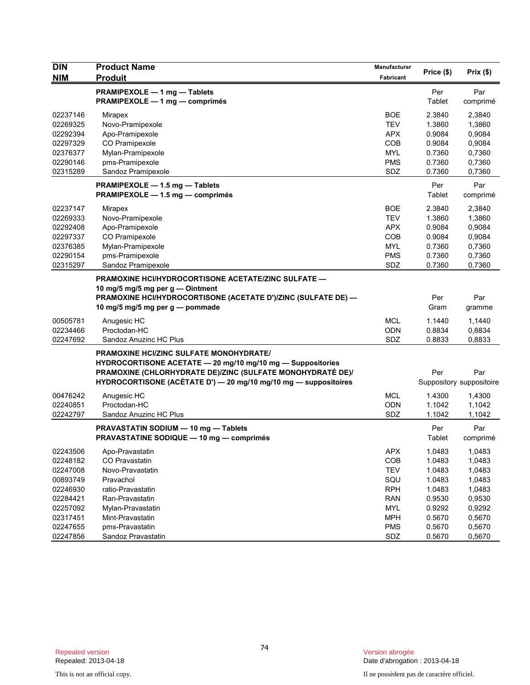| <b>DIN</b>           | <b>Product Name</b>                                             | Manufacturer      | Price (\$)       | Prix(\$)                 |
|----------------------|-----------------------------------------------------------------|-------------------|------------------|--------------------------|
| <b>NIM</b>           | <b>Produit</b><br>PRAMIPEXOLE - 1 mg - Tablets                  | Fabricant         | Per              | Par                      |
|                      | PRAMIPEXOLE - 1 mg - comprimés                                  |                   | Tablet           | comprimé                 |
| 02237146             | Mirapex                                                         | <b>BOE</b>        | 2.3840           | 2,3840                   |
| 02269325             | Novo-Pramipexole                                                | <b>TEV</b>        | 1.3860           | 1,3860                   |
| 02292394             | Apo-Pramipexole                                                 | <b>APX</b>        | 0.9084           | 0,9084                   |
| 02297329             | CO Pramipexole                                                  | <b>COB</b>        | 0.9084           | 0,9084                   |
| 02376377             | Mylan-Pramipexole                                               | <b>MYL</b>        | 0.7360           | 0,7360                   |
| 02290146<br>02315289 | pms-Pramipexole<br>Sandoz Pramipexole                           | <b>PMS</b><br>SDZ | 0.7360<br>0.7360 | 0,7360<br>0,7360         |
|                      | PRAMIPEXOLE - 1.5 mg - Tablets                                  |                   | Per              | Par                      |
|                      | PRAMIPEXOLE - 1.5 mg - comprimés                                |                   | Tablet           | comprimé                 |
| 02237147             | Mirapex                                                         | <b>BOE</b>        | 2.3840           | 2,3840                   |
| 02269333             | Novo-Pramipexole                                                | <b>TEV</b>        | 1.3860           | 1,3860                   |
| 02292408             | Apo-Pramipexole                                                 | <b>APX</b>        | 0.9084           | 0,9084                   |
| 02297337             | CO Pramipexole                                                  | <b>COB</b>        | 0.9084           | 0,9084                   |
| 02376385             | Mylan-Pramipexole                                               | <b>MYL</b>        | 0.7360           | 0,7360                   |
| 02290154             | pms-Pramipexole                                                 | <b>PMS</b>        | 0.7360           | 0,7360                   |
| 02315297             | Sandoz Pramipexole                                              | SDZ               | 0.7360           | 0,7360                   |
|                      | PRAMOXINE HCI/HYDROCORTISONE ACETATE/ZINC SULFATE -             |                   |                  |                          |
|                      | 10 mg/5 mg/5 mg per g - Ointment                                |                   |                  |                          |
|                      | PRAMOXINE HCI/HYDROCORTISONE (ACETATE D')/ZINC (SULFATE DE) -   |                   | Per              | Par                      |
|                      | 10 mg/5 mg/5 mg per g — pommade                                 |                   | Gram             | gramme                   |
| 00505781             | Anugesic HC                                                     | <b>MCL</b>        | 1.1440           | 1,1440                   |
| 02234466             | Proctodan-HC                                                    | ODN               | 0.8834           | 0,8834                   |
| 02247692             | Sandoz Anuzinc HC Plus                                          | SDZ               | 0.8833           | 0,8833                   |
|                      | PRAMOXINE HCI/ZINC SULFATE MONOHYDRATE/                         |                   |                  |                          |
|                      | HYDROCORTISONE ACETATE - 20 mg/10 mg/10 mg - Suppositories      |                   |                  |                          |
|                      | PRAMOXINE (CHLORHYDRATE DE)/ZINC (SULFATE MONOHYDRATÉ DE)/      |                   | Per              | Par                      |
|                      | HYDROCORTISONE (ACÉTATE D') - 20 mg/10 mg/10 mg - suppositoires |                   |                  | Suppository suppositoire |
| 00476242             | Anugesic HC                                                     | <b>MCL</b>        | 1.4300           | 1,4300                   |
| 02240851             | Proctodan-HC                                                    | <b>ODN</b>        | 1.1042           | 1,1042                   |
| 02242797             | Sandoz Anuzinc HC Plus                                          | SDZ               | 1.1042           | 1,1042                   |
|                      | PRAVASTATIN SODIUM - 10 mg - Tablets                            |                   | Per              | Par                      |
|                      | <b>PRAVASTATINE SODIQUE - 10 mg - comprimés</b>                 |                   | Tablet           | comprimé                 |
| 02243506             | Apo-Pravastatin                                                 | APX               | 1.0483           | 1,0483                   |
| 02248182             | CO Pravastatin                                                  | COB               | 1.0483           | 1,0483                   |
| 02247008             | Novo-Pravastatin                                                | <b>TEV</b>        | 1.0483           | 1,0483                   |
| 00893749             | Pravachol                                                       | SQU               | 1.0483           | 1,0483                   |
| 02246930             | ratio-Pravastatin                                               | <b>RPH</b>        | 1.0483           | 1,0483                   |
| 02284421             | Ran-Pravastatin                                                 | <b>RAN</b>        | 0.9530           | 0,9530                   |
| 02257092             | Mylan-Pravastatin                                               | <b>MYL</b>        | 0.9292           | 0,9292                   |
| 02317451             | Mint-Pravastatin                                                | <b>MPH</b>        | 0.5670           | 0,5670                   |
| 02247655             | pms-Pravastatin                                                 | <b>PMS</b>        | 0.5670           | 0,5670                   |
| 02247856             | Sandoz Pravastatin                                              | SDZ               | 0.5670           | 0,5670                   |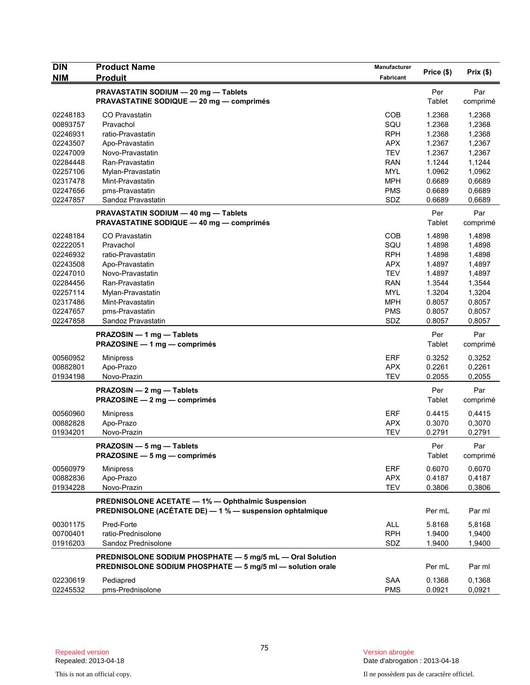| <b>DIN</b> | <b>Product Name</b>                                        | Manufacturer             | Price (\$)       | Prix(\$) |
|------------|------------------------------------------------------------|--------------------------|------------------|----------|
| NIM        | <b>Produit</b>                                             | Fabricant                |                  |          |
|            | PRAVASTATIN SODIUM - 20 mg - Tablets                       |                          | Per              | Par      |
|            | <b>PRAVASTATINE SODIQUE - 20 mg - comprimés</b>            |                          | Tablet           | comprimé |
| 02248183   | CO Pravastatin                                             | <b>COB</b>               | 1.2368           | 1,2368   |
| 00893757   | Pravachol                                                  | SQU                      | 1.2368           | 1,2368   |
| 02246931   | ratio-Pravastatin                                          | <b>RPH</b>               | 1.2368           | 1,2368   |
| 02243507   | Apo-Pravastatin                                            | <b>APX</b>               | 1.2367           | 1,2367   |
| 02247009   | Novo-Pravastatin                                           | <b>TEV</b>               | 1.2367           | 1,2367   |
| 02284448   | Ran-Pravastatin                                            | <b>RAN</b>               | 1.1244           | 1,1244   |
| 02257106   | Mylan-Pravastatin                                          | <b>MYL</b>               | 1.0962           | 1,0962   |
| 02317478   | Mint-Pravastatin                                           | <b>MPH</b>               | 0.6689           | 0,6689   |
| 02247656   | pms-Pravastatin                                            | <b>PMS</b>               | 0.6689           | 0,6689   |
| 02247857   | Sandoz Pravastatin                                         | SDZ                      | 0.6689           | 0,6689   |
|            | PRAVASTATIN SODIUM - 40 mg - Tablets                       |                          | Per              | Par      |
|            | <b>PRAVASTATINE SODIQUE - 40 mg - comprimés</b>            |                          | Tablet           | comprimé |
| 02248184   | CO Pravastatin                                             | COB                      | 1.4898           | 1,4898   |
| 02222051   | Pravachol                                                  | SQU                      | 1.4898           | 1,4898   |
| 02246932   | ratio-Pravastatin                                          | <b>RPH</b>               | 1.4898           | 1,4898   |
| 02243508   | Apo-Pravastatin                                            | <b>APX</b>               | 1.4897           | 1,4897   |
| 02247010   | Novo-Pravastatin                                           | <b>TEV</b>               | 1.4897           | 1,4897   |
| 02284456   | Ran-Pravastatin                                            | <b>RAN</b>               | 1.3544           | 1,3544   |
| 02257114   | Mylan-Pravastatin                                          | <b>MYL</b>               | 1.3204           | 1,3204   |
| 02317486   | Mint-Pravastatin                                           | <b>MPH</b>               | 0.8057           | 0,8057   |
| 02247657   | pms-Pravastatin                                            | <b>PMS</b>               | 0.8057           | 0,8057   |
| 02247858   | Sandoz Pravastatin                                         | SDZ                      | 0.8057           | 0,8057   |
|            | PRAZOSIN - 1 mg - Tablets                                  |                          | Per              | Par      |
|            | PRAZOSINE - 1 mg - comprimés                               |                          | Tablet           | comprimé |
| 00560952   | <b>Minipress</b>                                           | ERF                      | 0.3252           | 0,3252   |
| 00882801   | Apo-Prazo                                                  | <b>APX</b>               | 0.2261           | 0,2261   |
| 01934198   | Novo-Prazin                                                | <b>TEV</b>               | 0.2055           | 0,2055   |
|            | PRAZOSIN - 2 mg - Tablets                                  |                          | Per              | Par      |
|            | PRAZOSINE - 2 mg - comprimés                               |                          | Tablet           | comprimé |
| 00560960   |                                                            | <b>ERF</b>               | 0.4415           | 0,4415   |
| 00882828   | <b>Minipress</b><br>Apo-Prazo                              | <b>APX</b>               | 0.3070           | 0,3070   |
| 01934201   | Novo-Prazin                                                | <b>TEV</b>               | 0.2791           | 0,2791   |
|            |                                                            |                          |                  |          |
|            | PRAZOSIN - 5 mg - Tablets                                  |                          | Per              | Par      |
|            | PRAZOSINE - 5 mg - comprimés                               |                          | Tablet           | comprimé |
| 00560979   | <b>Minipress</b>                                           | <b>ERF</b>               | 0.6070           | 0,6070   |
| 00882836   | Apo-Prazo                                                  | <b>APX</b>               | 0.4187           | 0,4187   |
| 01934228   | Novo-Prazin                                                | <b>TEV</b>               | 0.3806           | 0,3806   |
|            | PREDNISOLONE ACETATE - 1% - Ophthalmic Suspension          |                          |                  |          |
|            | PREDNISOLONE (ACÉTATE DE) - 1 % - suspension ophtalmique   |                          | Per mL           | Par ml   |
| 00301175   | Pred-Forte                                                 | <b>ALL</b>               | 5.8168           | 5,8168   |
| 00700401   | ratio-Prednisolone                                         | <b>RPH</b>               | 1.9400           | 1,9400   |
| 01916203   | Sandoz Prednisolone                                        | SDZ                      | 1.9400           | 1,9400   |
|            | PREDNISOLONE SODIUM PHOSPHATE - 5 mg/5 mL - Oral Solution  |                          |                  |          |
|            | PREDNISOLONE SODIUM PHOSPHATE - 5 mg/5 ml - solution orale |                          | Per mL           | Par ml   |
|            |                                                            |                          |                  |          |
| 02230619   | Pediapred                                                  | <b>SAA</b><br><b>PMS</b> | 0.1368<br>0.0921 | 0,1368   |
| 02245532   | pms-Prednisolone                                           |                          |                  | 0,0921   |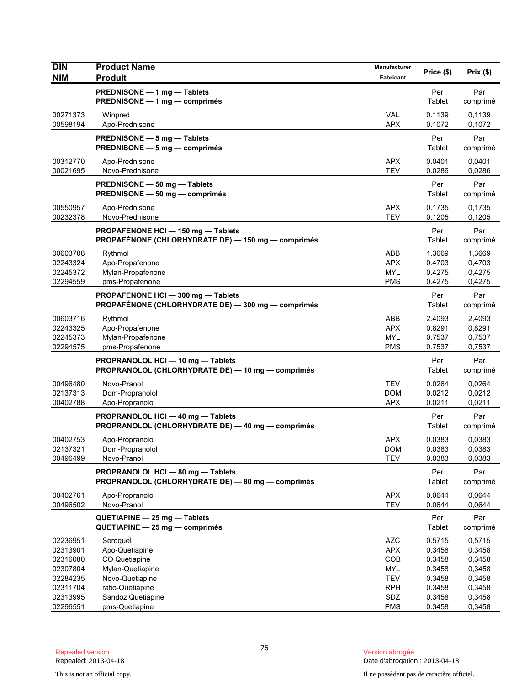| <b>DIN</b>                                                                       | <b>Product Name</b>                                                                                                         | Manufacturer                                                                     | Price (\$)                                                         | Prix(\$)                                                           |
|----------------------------------------------------------------------------------|-----------------------------------------------------------------------------------------------------------------------------|----------------------------------------------------------------------------------|--------------------------------------------------------------------|--------------------------------------------------------------------|
| <b>NIM</b>                                                                       | <b>Produit</b><br>PREDNISONE - 1 mg - Tablets                                                                               | Fabricant                                                                        | Per                                                                | Par                                                                |
|                                                                                  | PREDNISONE - 1 mg - comprimés                                                                                               |                                                                                  | Tablet                                                             | comprimé                                                           |
| 00271373<br>00598194                                                             | Winpred<br>Apo-Prednisone                                                                                                   | <b>VAL</b><br><b>APX</b>                                                         | 0.1139<br>0.1072                                                   | 0,1139<br>0,1072                                                   |
|                                                                                  | PREDNISONE - 5 mg - Tablets<br>PREDNISONE - 5 mg - comprimés                                                                |                                                                                  | Per<br>Tablet                                                      | Par<br>comprimé                                                    |
| 00312770<br>00021695                                                             | Apo-Prednisone<br>Novo-Prednisone                                                                                           | <b>APX</b><br><b>TEV</b>                                                         | 0.0401<br>0.0286                                                   | 0.0401<br>0,0286                                                   |
|                                                                                  | PREDNISONE - 50 mg - Tablets<br>PREDNISONE - 50 mg - comprimés                                                              |                                                                                  | Per<br>Tablet                                                      | Par<br>comprimé                                                    |
| 00550957<br>00232378                                                             | Apo-Prednisone<br>Novo-Prednisone                                                                                           | <b>APX</b><br><b>TEV</b>                                                         | 0.1735<br>0.1205                                                   | 0,1735<br>0,1205                                                   |
|                                                                                  | PROPAFENONE HCI - 150 mg - Tablets<br>PROPAFÉNONE (CHLORHYDRATE DE) - 150 mg - comprimés                                    |                                                                                  | Per<br>Tablet                                                      | Par<br>comprimé                                                    |
| 00603708<br>02243324<br>02245372<br>02294559                                     | Rythmol<br>Apo-Propafenone<br>Mylan-Propafenone<br>pms-Propafenone                                                          | ABB<br><b>APX</b><br><b>MYL</b><br><b>PMS</b>                                    | 1.3669<br>0.4703<br>0.4275<br>0.4275                               | 1,3669<br>0,4703<br>0,4275<br>0,4275                               |
|                                                                                  | PROPAFENONE HCI-300 mg-Tablets<br>PROPAFÉNONE (CHLORHYDRATE DE) - 300 mg - comprimés                                        |                                                                                  | Per<br>Tablet                                                      | Par<br>comprimé                                                    |
| 00603716<br>02243325<br>02245373<br>02294575                                     | Rythmol<br>Apo-Propafenone<br>Mylan-Propafenone<br>pms-Propafenone                                                          | ABB<br><b>APX</b><br><b>MYL</b><br><b>PMS</b>                                    | 2.4093<br>0.8291<br>0.7537<br>0.7537                               | 2,4093<br>0,8291<br>0,7537<br>0,7537                               |
|                                                                                  | PROPRANOLOL HCI-10 mg-Tablets<br>PROPRANOLOL (CHLORHYDRATE DE) - 10 mg - comprimés                                          |                                                                                  | Per<br>Tablet                                                      | Par<br>comprimé                                                    |
| 00496480<br>02137313<br>00402788                                                 | Novo-Pranol<br>Dom-Propranolol<br>Apo-Propranolol                                                                           | <b>TEV</b><br><b>DOM</b><br><b>APX</b>                                           | 0.0264<br>0.0212<br>0.0211                                         | 0,0264<br>0,0212<br>0,0211                                         |
|                                                                                  | PROPRANOLOL HCI - 40 mg - Tablets<br>PROPRANOLOL (CHLORHYDRATE DE) - 40 mg - comprimés                                      |                                                                                  | Per<br>Tablet                                                      | Par<br>comprimé                                                    |
| 00402753<br>02137321<br>00496499                                                 | Apo-Propranolol<br>Dom-Propranolol<br>Novo-Pranol                                                                           | <b>APX</b><br><b>DOM</b><br><b>TEV</b>                                           | 0.0383<br>0.0383<br>0.0383                                         | 0.0383<br>0,0383<br>0,0383                                         |
|                                                                                  | PROPRANOLOL HCI-80 mg-Tablets<br>PROPRANOLOL (CHLORHYDRATE DE) - 80 mg - comprimés                                          |                                                                                  | Per<br>Tablet                                                      | Par<br>comprimé                                                    |
| 00402761<br>00496502                                                             | Apo-Propranolol<br>Novo-Pranol                                                                                              | <b>APX</b><br><b>TEV</b>                                                         | 0.0644<br>0.0644                                                   | 0,0644<br>0,0644                                                   |
|                                                                                  | QUETIAPINE - 25 mg - Tablets<br>QUETIAPINE - 25 mg - comprimés                                                              |                                                                                  | Per<br>Tablet                                                      | Par<br>comprimé                                                    |
| 02236951<br>02313901<br>02316080<br>02307804<br>02284235<br>02311704<br>02313995 | Seroquel<br>Apo-Quetiapine<br>CO Quetiapine<br>Mylan-Quetiapine<br>Novo-Quetiapine<br>ratio-Quetiapine<br>Sandoz Quetiapine | <b>AZC</b><br><b>APX</b><br>COB<br><b>MYL</b><br><b>TEV</b><br><b>RPH</b><br>SDZ | 0.5715<br>0.3458<br>0.3458<br>0.3458<br>0.3458<br>0.3458<br>0.3458 | 0,5715<br>0,3458<br>0,3458<br>0,3458<br>0,3458<br>0,3458<br>0,3458 |
| 02296551                                                                         | pms-Quetiapine                                                                                                              | <b>PMS</b>                                                                       | 0.3458                                                             | 0,3458                                                             |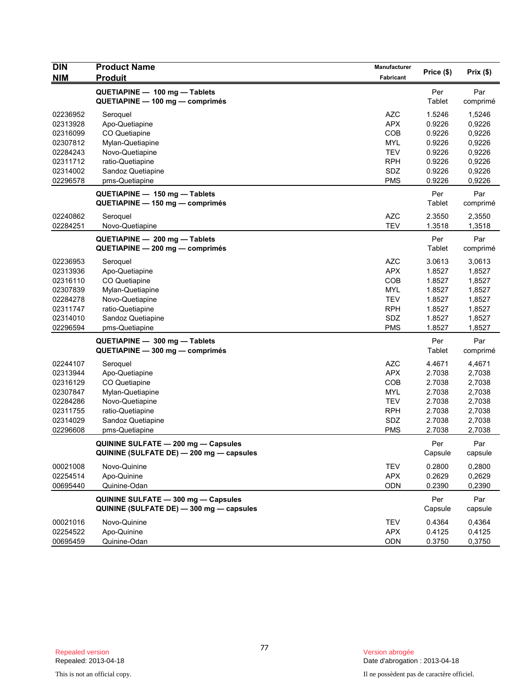| <b>DIN</b> | <b>Product Name</b>                      | <b>Manufacturer</b> |               |          |
|------------|------------------------------------------|---------------------|---------------|----------|
| <b>NIM</b> | <b>Produit</b>                           | Fabricant           | Price (\$)    | Prix(\$) |
|            | QUETIAPINE - 100 mg - Tablets            |                     | Per           | Par      |
|            | QUETIAPINE - 100 mg - comprimés          |                     | Tablet        | comprimé |
| 02236952   | Seroquel                                 | <b>AZC</b>          | 1.5246        | 1,5246   |
| 02313928   | Apo-Quetiapine                           | <b>APX</b>          | 0.9226        | 0,9226   |
| 02316099   | CO Quetiapine                            | COB                 | 0.9226        | 0,9226   |
| 02307812   | Mylan-Quetiapine                         | <b>MYL</b>          | 0.9226        | 0,9226   |
| 02284243   | Novo-Quetiapine                          | <b>TEV</b>          | 0.9226        | 0,9226   |
| 02311712   | ratio-Quetiapine                         | <b>RPH</b>          | 0.9226        | 0,9226   |
| 02314002   | Sandoz Quetiapine                        | SDZ                 | 0.9226        | 0,9226   |
| 02296578   | pms-Quetiapine                           | <b>PMS</b>          | 0.9226        | 0,9226   |
|            | QUETIAPINE - 150 mg - Tablets            |                     | Per           | Par      |
|            | QUETIAPINE - 150 mg - comprimés          |                     | Tablet        | comprimé |
| 02240862   | Seroquel                                 | <b>AZC</b>          | 2.3550        | 2,3550   |
| 02284251   | Novo-Quetiapine                          | <b>TEV</b>          | 1.3518        | 1,3518   |
|            | QUETIAPINE - 200 mg - Tablets            |                     | Per           | Par      |
|            | QUETIAPINE - 200 mg - comprimés          |                     | <b>Tablet</b> | comprimé |
| 02236953   | Seroquel                                 | <b>AZC</b>          | 3.0613        | 3,0613   |
| 02313936   | Apo-Quetiapine                           | <b>APX</b>          | 1.8527        | 1,8527   |
| 02316110   | CO Quetiapine                            | COB                 | 1.8527        | 1,8527   |
| 02307839   | Mylan-Quetiapine                         | <b>MYL</b>          | 1.8527        | 1,8527   |
| 02284278   | Novo-Quetiapine                          | <b>TEV</b>          | 1.8527        | 1,8527   |
| 02311747   | ratio-Quetiapine                         | <b>RPH</b>          | 1.8527        | 1,8527   |
| 02314010   | Sandoz Quetiapine                        | SDZ                 | 1.8527        | 1,8527   |
| 02296594   | pms-Quetiapine                           | <b>PMS</b>          | 1.8527        | 1,8527   |
|            | QUETIAPINE - 300 mg - Tablets            |                     | Per           | Par      |
|            | QUETIAPINE - 300 mg - comprimés          |                     | Tablet        | comprimé |
| 02244107   | Seroquel                                 | <b>AZC</b>          | 4.4671        | 4,4671   |
| 02313944   | Apo-Quetiapine                           | <b>APX</b>          | 2.7038        | 2,7038   |
| 02316129   | CO Quetiapine                            | COB                 | 2.7038        | 2,7038   |
| 02307847   | Mylan-Quetiapine                         | <b>MYL</b>          | 2.7038        | 2,7038   |
| 02284286   | Novo-Quetiapine                          | <b>TEV</b>          | 2.7038        | 2,7038   |
| 02311755   | ratio-Quetiapine                         | <b>RPH</b>          | 2.7038        | 2,7038   |
| 02314029   | Sandoz Quetiapine                        | SDZ                 | 2.7038        | 2,7038   |
| 02296608   | pms-Quetiapine                           | <b>PMS</b>          | 2.7038        | 2,7038   |
|            | QUININE SULFATE - 200 mg - Capsules      |                     | Per           | Par      |
|            | QUININE (SULFATE DE) - 200 mg - capsules |                     | Capsule       | capsule  |
| 00021008   | Novo-Quinine                             | <b>TEV</b>          | 0.2800        | 0,2800   |
| 02254514   | Apo-Quinine                              | <b>APX</b>          | 0.2629        | 0,2629   |
| 00695440   | Quinine-Odan                             | ODN                 | 0.2390        | 0,2390   |
|            | QUININE SULFATE - 300 mg - Capsules      |                     | Per           | Par      |
|            | QUININE (SULFATE DE) - 300 mg - capsules |                     | Capsule       | capsule  |
| 00021016   | Novo-Quinine                             | <b>TEV</b>          | 0.4364        | 0,4364   |
| 02254522   | Apo-Quinine                              | <b>APX</b>          | 0.4125        | 0,4125   |
| 00695459   | Quinine-Odan                             | ODN                 | 0.3750        | 0,3750   |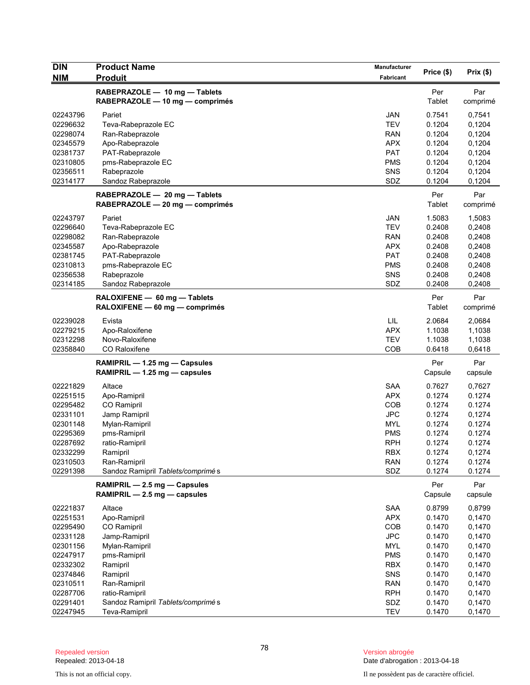| <b>DIN</b> | <b>Product Name</b>                                              | <b>Manufacturer</b> | Price (\$)    | Prix(\$)        |
|------------|------------------------------------------------------------------|---------------------|---------------|-----------------|
| <b>NIM</b> | <b>Produit</b>                                                   | Fabricant           |               |                 |
|            | RABEPRAZOLE - 10 mg - Tablets<br>RABEPRAZOLE - 10 mg - comprimés |                     | Per<br>Tablet | Par<br>comprimé |
| 02243796   | Pariet                                                           | JAN                 | 0.7541        | 0,7541          |
| 02296632   | Teva-Rabeprazole EC                                              | <b>TEV</b>          | 0.1204        | 0,1204          |
| 02298074   | Ran-Rabeprazole                                                  | RAN                 | 0.1204        | 0,1204          |
| 02345579   | Apo-Rabeprazole                                                  | <b>APX</b>          | 0.1204        | 0,1204          |
| 02381737   | PAT-Rabeprazole                                                  | <b>PAT</b>          | 0.1204        | 0,1204          |
| 02310805   | pms-Rabeprazole EC                                               | <b>PMS</b>          | 0.1204        | 0,1204          |
| 02356511   | Rabeprazole                                                      | SNS                 | 0.1204        | 0,1204          |
| 02314177   | Sandoz Rabeprazole                                               | SDZ                 | 0.1204        | 0,1204          |
|            | RABEPRAZOLE - 20 mg - Tablets                                    |                     | Per           | Par             |
|            | RABEPRAZOLE - 20 mg - comprimés                                  |                     | Tablet        | comprimé        |
| 02243797   | Pariet                                                           | JAN                 | 1.5083        | 1,5083          |
| 02296640   | Teva-Rabeprazole EC                                              | <b>TEV</b>          | 0.2408        | 0,2408          |
| 02298082   | Ran-Rabeprazole                                                  | <b>RAN</b>          | 0.2408        | 0,2408          |
| 02345587   | Apo-Rabeprazole                                                  | <b>APX</b>          | 0.2408        | 0,2408          |
| 02381745   | PAT-Rabeprazole                                                  | <b>PAT</b>          | 0.2408        | 0,2408          |
| 02310813   | pms-Rabeprazole EC                                               | <b>PMS</b>          | 0.2408        | 0,2408          |
| 02356538   | Rabeprazole                                                      | SNS                 | 0.2408        | 0,2408          |
| 02314185   | Sandoz Rabeprazole                                               | SDZ                 | 0.2408        | 0,2408          |
|            | RALOXIFENE - 60 mg - Tablets                                     |                     | Per           | Par             |
|            | RALOXIFENE - 60 mg - comprimés                                   |                     | Tablet        | comprimé        |
| 02239028   | Evista                                                           | LIL                 | 2.0684        | 2,0684          |
| 02279215   | Apo-Raloxifene                                                   | <b>APX</b>          | 1.1038        | 1,1038          |
| 02312298   | Novo-Raloxifene                                                  | <b>TEV</b>          | 1.1038        | 1,1038          |
| 02358840   | CO Raloxifene                                                    | COB                 | 0.6418        | 0,6418          |
|            | RAMIPRIL - 1.25 mg - Capsules                                    |                     | Per           | Par             |
|            | RAMIPRIL - 1.25 mg - capsules                                    |                     | Capsule       | capsule         |
| 02221829   | Altace                                                           | <b>SAA</b>          | 0.7627        | 0,7627          |
| 02251515   | Apo-Ramipril                                                     | APX.                | 0.1274        | 0.1274          |
| 02295482   | CO Ramipril                                                      | COB                 | 0.1274        | 0.1274          |
| 02331101   | Jamp Ramipril                                                    | <b>JPC</b>          | 0.1274        | 0,1274          |
| 02301148   | Mylan-Ramipril                                                   | <b>MYL</b>          | 0.1274        | 0.1274          |
| 02295369   | pms-Ramipril                                                     | <b>PMS</b>          | 0.1274        | 0.1274          |
| 02287692   | ratio-Ramipril                                                   | <b>RPH</b>          | 0.1274        | 0.1274          |
| 02332299   | Ramipril                                                         | <b>RBX</b>          | 0.1274        | 0,1274          |
| 02310503   | Ran-Ramipril                                                     | <b>RAN</b>          | 0.1274        | 0.1274          |
| 02291398   | Sandoz Ramipril Tablets/comprimés                                | SDZ                 | 0.1274        | 0.1274          |
|            | RAMIPRIL - 2.5 mg - Capsules                                     |                     | Per           | Par             |
|            | RAMIPRIL - 2.5 mg - capsules                                     |                     | Capsule       | capsule         |
| 02221837   | Altace                                                           | <b>SAA</b>          | 0.8799        | 0,8799          |
| 02251531   | Apo-Ramipril                                                     | <b>APX</b>          | 0.1470        | 0,1470          |
| 02295490   | CO Ramipril                                                      | COB                 | 0.1470        | 0,1470          |
| 02331128   | Jamp-Ramipril                                                    | <b>JPC</b>          | 0.1470        | 0,1470          |
| 02301156   | Mylan-Ramipril                                                   | <b>MYL</b>          | 0.1470        | 0,1470          |
| 02247917   | pms-Ramipril                                                     | <b>PMS</b>          | 0.1470        | 0,1470          |
| 02332302   | Ramipril                                                         | <b>RBX</b>          | 0.1470        | 0,1470          |
| 02374846   | Ramipril                                                         | SNS                 | 0.1470        | 0,1470          |
| 02310511   | Ran-Ramipril                                                     | <b>RAN</b>          | 0.1470        | 0,1470          |
| 02287706   | ratio-Ramipril                                                   | <b>RPH</b>          | 0.1470        | 0,1470          |
| 02291401   | Sandoz Ramipril Tablets/comprimés                                | SDZ                 | 0.1470        | 0,1470          |
| 02247945   | Teva-Ramipril                                                    | <b>TEV</b>          | 0.1470        | 0,1470          |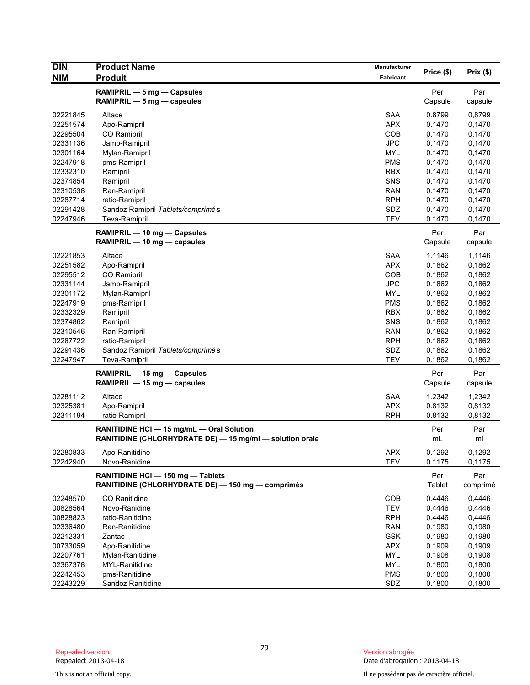| <b>DIN</b> | <b>Product Name</b>                                                                | Manufacturer |               |          |
|------------|------------------------------------------------------------------------------------|--------------|---------------|----------|
| <b>NIM</b> | <b>Produit</b>                                                                     | Fabricant    | Price (\$)    | Prix(\$) |
|            | RAMIPRIL - 5 mg - Capsules                                                         |              | Per           | Par      |
|            | RAMIPRIL $-5$ mg $-$ capsules                                                      |              | Capsule       | capsule  |
|            |                                                                                    |              |               |          |
| 02221845   | Altace                                                                             | <b>SAA</b>   | 0.8799        | 0,8799   |
| 02251574   | Apo-Ramipril                                                                       | <b>APX</b>   | 0.1470        | 0,1470   |
| 02295504   | CO Ramipril                                                                        | <b>COB</b>   | 0.1470        | 0,1470   |
| 02331136   | Jamp-Ramipril                                                                      | <b>JPC</b>   | 0.1470        | 0,1470   |
| 02301164   | Mylan-Ramipril                                                                     | <b>MYL</b>   | 0.1470        | 0,1470   |
| 02247918   | pms-Ramipril                                                                       | <b>PMS</b>   | 0.1470        | 0,1470   |
| 02332310   | Ramipril                                                                           | <b>RBX</b>   | 0.1470        | 0,1470   |
| 02374854   | Ramipril                                                                           | <b>SNS</b>   | 0.1470        | 0,1470   |
| 02310538   | Ran-Ramipril                                                                       | <b>RAN</b>   | 0.1470        | 0,1470   |
| 02287714   | ratio-Ramipril                                                                     | <b>RPH</b>   | 0.1470        | 0,1470   |
| 02291428   | Sandoz Ramipril Tablets/comprimés                                                  | SDZ          | 0.1470        | 0,1470   |
| 02247946   | Teva-Ramipril                                                                      | <b>TEV</b>   | 0.1470        | 0,1470   |
|            | RAMIPRIL - 10 mg - Capsules                                                        |              | Per           | Par      |
|            | RAMIPRIL - 10 mg - capsules                                                        |              | Capsule       | capsule  |
| 02221853   | Altace                                                                             | <b>SAA</b>   | 1.1146        | 1,1146   |
| 02251582   | Apo-Ramipril                                                                       | <b>APX</b>   | 0.1862        | 0,1862   |
| 02295512   | <b>CO</b> Ramipril                                                                 | <b>COB</b>   | 0.1862        | 0,1862   |
| 02331144   | Jamp-Ramipril                                                                      | <b>JPC</b>   | 0.1862        | 0,1862   |
| 02301172   | Mylan-Ramipril                                                                     | <b>MYL</b>   | 0.1862        | 0,1862   |
| 02247919   | pms-Ramipril                                                                       | <b>PMS</b>   | 0.1862        | 0,1862   |
| 02332329   | Ramipril                                                                           | <b>RBX</b>   | 0.1862        | 0,1862   |
| 02374862   | Ramipril                                                                           | SNS          | 0.1862        | 0,1862   |
| 02310546   | Ran-Ramipril                                                                       | RAN          | 0.1862        | 0,1862   |
| 02287722   | ratio-Ramipril                                                                     | <b>RPH</b>   | 0.1862        | 0,1862   |
| 02291436   | Sandoz Ramipril Tablets/comprimés                                                  | SDZ          | 0.1862        | 0,1862   |
| 02247947   | Teva-Ramipril                                                                      | <b>TEV</b>   | 0.1862        | 0,1862   |
|            | RAMIPRIL - 15 mg - Capsules                                                        |              | Per           | Par      |
|            | RAMIPRIL - 15 mg - capsules                                                        |              | Capsule       | capsule  |
|            |                                                                                    |              |               |          |
| 02281112   | Altace                                                                             | <b>SAA</b>   | 1.2342        | 1,2342   |
| 02325381   | Apo-Ramipril                                                                       | <b>APX</b>   | 0.8132        | 0,8132   |
| 02311194   | ratio-Ramipril                                                                     | <b>RPH</b>   | 0.8132        | 0,8132   |
|            | RANITIDINE HCI - 15 mg/mL - Oral Solution                                          |              | Per           | Par      |
|            | RANITIDINE (CHLORHYDRATE DE) - 15 mg/ml - solution orale                           |              | mL            | ml       |
| 02280833   | Apo-Ranitidine                                                                     | APX          | 0.1292        | 0,1292   |
| 02242940   | Novo-Ranidine                                                                      | <b>TEV</b>   | 0.1175        | 0,1175   |
|            |                                                                                    |              |               |          |
|            | RANITIDINE HCI-150 mg-Tablets<br>RANITIDINE (CHLORHYDRATE DE) - 150 mg - comprimés |              | Per<br>Tablet | Par      |
|            |                                                                                    |              |               | comprimé |
| 02248570   | CO Ranitidine                                                                      | COB          | 0.4446        | 0,4446   |
| 00828564   | Novo-Ranidine                                                                      | <b>TEV</b>   | 0.4446        | 0,4446   |
| 00828823   | ratio-Ranitidine                                                                   | <b>RPH</b>   | 0.4446        | 0,4446   |
| 02336480   | Ran-Ranitidine                                                                     | <b>RAN</b>   | 0.1980        | 0,1980   |
| 02212331   | Zantac                                                                             | <b>GSK</b>   | 0.1980        | 0,1980   |
| 00733059   | Apo-Ranitidine                                                                     | <b>APX</b>   | 0.1909        | 0,1909   |
| 02207761   | Mylan-Ranitidine                                                                   | <b>MYL</b>   | 0.1908        | 0,1908   |
| 02367378   | MYL-Ranitidine                                                                     | <b>MYL</b>   | 0.1800        | 0,1800   |
| 02242453   | pms-Ranitidine                                                                     | <b>PMS</b>   | 0.1800        | 0,1800   |
| 02243229   | Sandoz Ranitidine                                                                  | SDZ          | 0.1800        | 0,1800   |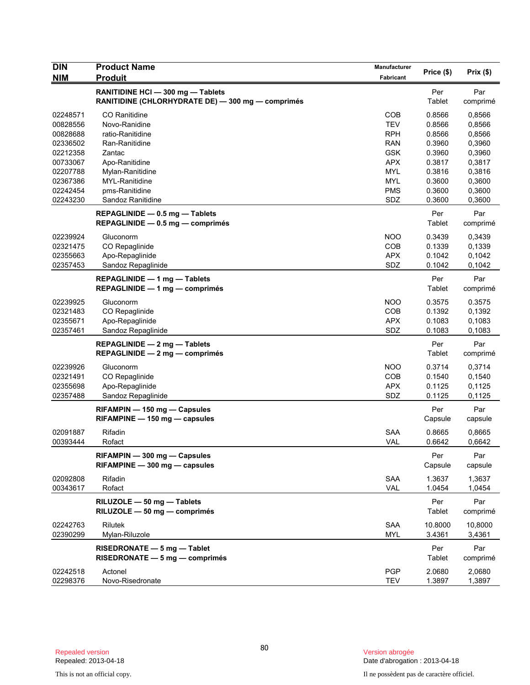| <b>DIN</b>           | <b>Product Name</b>                                                                    | Manufacturer             | Price (\$)       | Prix(\$)         |
|----------------------|----------------------------------------------------------------------------------------|--------------------------|------------------|------------------|
| <b>NIM</b>           | <b>Produit</b>                                                                         | Fabricant                |                  |                  |
|                      | RANITIDINE HCI - 300 mg - Tablets<br>RANITIDINE (CHLORHYDRATE DE) - 300 mg - comprimés |                          | Per<br>Tablet    | Par<br>comprimé  |
| 02248571             | CO Ranitidine                                                                          | <b>COB</b><br><b>TEV</b> | 0.8566           | 0,8566<br>0,8566 |
| 00828556<br>00828688 | Novo-Ranidine<br>ratio-Ranitidine                                                      | <b>RPH</b>               | 0.8566<br>0.8566 | 0,8566           |
| 02336502             | Ran-Ranitidine                                                                         | <b>RAN</b>               | 0.3960           | 0,3960           |
| 02212358             | Zantac                                                                                 | <b>GSK</b>               | 0.3960           | 0,3960           |
| 00733067             | Apo-Ranitidine                                                                         | <b>APX</b>               | 0.3817           | 0,3817           |
| 02207788             | Mylan-Ranitidine                                                                       | <b>MYL</b>               | 0.3816           | 0,3816           |
| 02367386             | MYL-Ranitidine                                                                         | <b>MYL</b>               | 0.3600           | 0,3600           |
| 02242454             | pms-Ranitidine                                                                         | <b>PMS</b>               | 0.3600           | 0,3600           |
| 02243230             | Sandoz Ranitidine                                                                      | SDZ                      | 0.3600           | 0,3600           |
|                      | REPAGLINIDE - 0.5 mg - Tablets<br>REPAGLINIDE $-$ 0.5 mg $-$ comprimes                 |                          | Per<br>Tablet    | Par<br>comprimé  |
|                      |                                                                                        |                          |                  |                  |
| 02239924             | Gluconorm                                                                              | <b>NOO</b>               | 0.3439           | 0,3439           |
| 02321475<br>02355663 | CO Repaglinide                                                                         | COB<br><b>APX</b>        | 0.1339<br>0.1042 | 0,1339           |
| 02357453             | Apo-Repaglinide<br>Sandoz Repaglinide                                                  | SDZ                      | 0.1042           | 0,1042<br>0,1042 |
|                      |                                                                                        |                          |                  |                  |
|                      | REPAGLINIDE - 1 mg - Tablets<br>$REPAGLINIDE - 1 mg - comprimés$                       |                          | Per<br>Tablet    | Par<br>comprimé  |
| 02239925             | Gluconorm                                                                              | <b>NOO</b>               | 0.3575           | 0.3575           |
| 02321483             | CO Repaglinide                                                                         | COB                      | 0.1392           | 0,1392           |
| 02355671             | Apo-Repaglinide                                                                        | <b>APX</b>               | 0.1083           | 0,1083           |
| 02357461             | Sandoz Repaglinide                                                                     | SDZ                      | 0.1083           | 0,1083           |
|                      | REPAGLINIDE - 2 mg - Tablets<br>$REPAGLINIDE - 2 mg - comprimés$                       |                          | Per<br>Tablet    | Par<br>comprimé  |
| 02239926             | Gluconorm                                                                              | <b>NOO</b>               | 0.3714           | 0,3714           |
| 02321491             | CO Repaglinide                                                                         | <b>COB</b>               | 0.1540           | 0,1540           |
| 02355698             | Apo-Repaglinide                                                                        | <b>APX</b>               | 0.1125           | 0,1125           |
| 02357488             | Sandoz Repaglinide                                                                     | SDZ                      | 0.1125           | 0,1125           |
|                      | RIFAMPIN - 150 mg - Capsules                                                           |                          | Per              | Par              |
|                      | $RIFAMPINE - 150 mg - capsules$                                                        |                          | Capsule          | capsule          |
| 02091887             | Rifadin                                                                                | <b>SAA</b>               | 0.8665           | 0,8665           |
| 00393444             | Rofact                                                                                 | <b>VAL</b>               | 0.6642           | 0,6642           |
|                      | RIFAMPIN - 300 mg - Capsules<br>RIFAMPINE - 300 mg - capsules                          |                          | Per<br>Capsule   | Par<br>capsule   |
| 02092808             | Rifadin                                                                                | <b>SAA</b>               | 1.3637           | 1,3637           |
| 00343617             | Rofact                                                                                 | <b>VAL</b>               | 1.0454           | 1,0454           |
|                      | RILUZOLE - 50 mg - Tablets<br>RILUZOLE - 50 mg - comprimés                             |                          | Per<br>Tablet    | Par<br>comprimé  |
| 02242763             | Rilutek                                                                                | <b>SAA</b>               | 10.8000          | 10,8000          |
| 02390299             | Mylan-Riluzole                                                                         | <b>MYL</b>               | 3.4361           | 3,4361           |
|                      | RISEDRONATE - 5 mg - Tablet<br>RISEDRONATE - 5 mg - comprimés                          |                          | Per<br>Tablet    | Par<br>comprimé  |
| 02242518             | Actonel                                                                                | <b>PGP</b>               | 2.0680           | 2,0680           |
| 02298376             | Novo-Risedronate                                                                       | <b>TEV</b>               | 1.3897           | 1,3897           |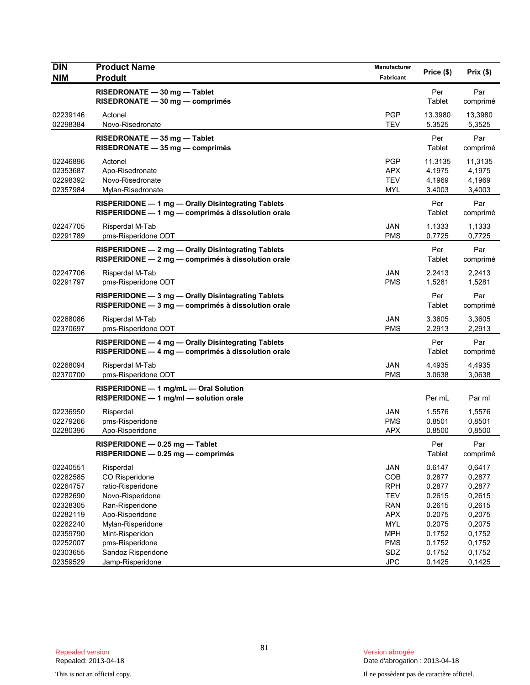| <b>DIN</b><br><b>NIM</b>                                 | <b>Product Name</b><br><b>Produit</b>                                                                    | Manufacturer                                                | Price (\$)                                     | Prix (\$)                                      |
|----------------------------------------------------------|----------------------------------------------------------------------------------------------------------|-------------------------------------------------------------|------------------------------------------------|------------------------------------------------|
|                                                          |                                                                                                          | Fabricant                                                   |                                                |                                                |
|                                                          | RISEDRONATE - 30 mg - Tablet<br>RISEDRONATE - 30 mg - comprimés                                          |                                                             | Per<br>Tablet                                  | Par<br>comprimé                                |
| 02239146<br>02298384                                     | Actonel<br>Novo-Risedronate                                                                              | <b>PGP</b><br><b>TEV</b>                                    | 13.3980<br>5.3525                              | 13,3980<br>5,3525                              |
|                                                          | RISEDRONATE - 35 mg - Tablet<br>RISEDRONATE - 35 mg - comprimés                                          |                                                             | Per<br>Tablet                                  | Par<br>comprimé                                |
| 02246896<br>02353687<br>02298392<br>02357984             | Actonel<br>Apo-Risedronate<br>Novo-Risedronate<br>Mylan-Risedronate                                      | <b>PGP</b><br><b>APX</b><br><b>TEV</b><br><b>MYL</b>        | 11.3135<br>4.1975<br>4.1969<br>3.4003          | 11,3135<br>4,1975<br>4,1969<br>3,4003          |
|                                                          | RISPERIDONE - 1 mg - Orally Disintegrating Tablets<br>RISPERIDONE - 1 mg - comprimés à dissolution orale |                                                             | Per<br>Tablet                                  | Par<br>comprimé                                |
| 02247705<br>02291789                                     | Risperdal M-Tab<br>pms-Risperidone ODT                                                                   | <b>JAN</b><br><b>PMS</b>                                    | 1.1333<br>0.7725                               | 1,1333<br>0,7725                               |
|                                                          | RISPERIDONE - 2 mg - Orally Disintegrating Tablets<br>RISPERIDONE - 2 mg - comprimés à dissolution orale |                                                             | Per<br>Tablet                                  | Par<br>comprimé                                |
| 02247706<br>02291797                                     | Risperdal M-Tab<br>pms-Risperidone ODT                                                                   | <b>JAN</b><br><b>PMS</b>                                    | 2.2413<br>1.5281                               | 2,2413<br>1,5281                               |
|                                                          | RISPERIDONE - 3 mg - Orally Disintegrating Tablets<br>RISPERIDONE - 3 mg - comprimés à dissolution orale |                                                             | Per<br>Tablet                                  | Par<br>comprimé                                |
| 02268086<br>02370697                                     | Risperdal M-Tab<br>pms-Risperidone ODT                                                                   | <b>JAN</b><br><b>PMS</b>                                    | 3.3605<br>2.2913                               | 3,3605<br>2,2913                               |
|                                                          | RISPERIDONE - 4 mg - Orally Disintegrating Tablets<br>RISPERIDONE - 4 mg - comprimés à dissolution orale |                                                             | Per<br>Tablet                                  | Par<br>comprimé                                |
| 02268094<br>02370700                                     | Risperdal M-Tab<br>pms-Risperidone ODT                                                                   | <b>JAN</b><br><b>PMS</b>                                    | 4.4935<br>3.0638                               | 4,4935<br>3,0638                               |
|                                                          | RISPERIDONE - 1 mg/mL - Oral Solution<br>RISPERIDONE - 1 mg/ml - solution orale                          |                                                             | Per mL                                         | Par ml                                         |
| 02236950<br>02279266<br>02280396                         | Risperdal<br>pms-Risperidone<br>Apo-Risperidone                                                          | JAN<br><b>PMS</b><br><b>APX</b>                             | 1.5576<br>0.8501<br>0.8500                     | 1,5576<br>0,8501<br>0,8500                     |
|                                                          | RISPERIDONE - 0.25 mg - Tablet<br>RISPERIDONE - 0.25 mg - comprimés                                      |                                                             | Per<br>Tablet                                  | Par<br>comprimé                                |
| 02240551<br>02282585<br>02264757<br>02282690<br>02328305 | Risperdal<br>CO Risperidone<br>ratio-Risperidone<br>Novo-Risperidone<br>Ran-Risperidone                  | JAN<br>COB<br><b>RPH</b><br><b>TEV</b><br><b>RAN</b>        | 0.6147<br>0.2877<br>0.2877<br>0.2615<br>0.2615 | 0,6417<br>0,2877<br>0,2877<br>0,2615<br>0,2615 |
| 02282119<br>02282240<br>02359790<br>02252007<br>02303655 | Apo-Risperidone<br>Mylan-Risperidone<br>Mint-Risperidon<br>pms-Risperidone<br>Sandoz Risperidone         | <b>APX</b><br><b>MYL</b><br><b>MPH</b><br><b>PMS</b><br>SDZ | 0.2075<br>0.2075<br>0.1752<br>0.1752<br>0.1752 | 0,2075<br>0,2075<br>0,1752<br>0,1752<br>0,1752 |
| 02359529                                                 | Jamp-Risperidone                                                                                         | <b>JPC</b>                                                  | 0.1425                                         | 0,1425                                         |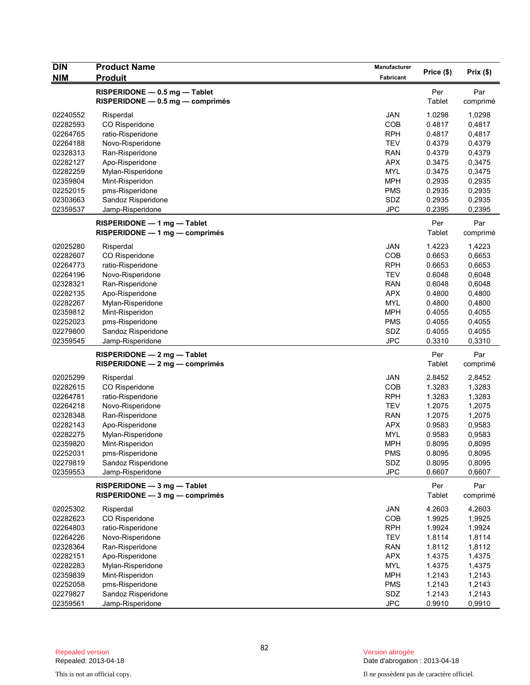| <b>DIN</b>           | <b>Product Name</b>                    | <b>Manufacturer</b>      | Price (\$)       | $Prix($ \$)      |
|----------------------|----------------------------------------|--------------------------|------------------|------------------|
| <b>NIM</b>           | <b>Produit</b>                         | Fabricant                |                  |                  |
|                      | RISPERIDONE - 0.5 mg - Tablet          |                          | Per              | Par              |
|                      | $RISPERIDONE - 0.5 mg - comprimés$     |                          | Tablet           | comprimé         |
| 02240552             | Risperdal                              | <b>JAN</b>               | 1.0298           | 1,0298           |
| 02282593             | CO Risperidone                         | COB                      | 0.4817           | 0,4817           |
| 02264765             | ratio-Risperidone                      | <b>RPH</b>               | 0.4817           | 0,4817           |
| 02264188             | Novo-Risperidone                       | <b>TEV</b>               | 0.4379           | 0,4379           |
| 02328313             | Ran-Risperidone                        | <b>RAN</b>               | 0.4379           | 0,4379           |
| 02282127             | Apo-Risperidone                        | <b>APX</b>               | 0.3475           | 0,3475           |
| 02282259             | Mylan-Risperidone                      | <b>MYL</b>               | 0.3475           | 0,3475           |
| 02359804             | Mint-Risperidon                        | <b>MPH</b>               | 0.2935           | 0,2935           |
| 02252015             | pms-Risperidone                        | <b>PMS</b>               | 0.2935           | 0,2935           |
| 02303663             | Sandoz Risperidone                     | SDZ                      | 0.2935           | 0,2935           |
| 02359537             | Jamp-Risperidone                       | <b>JPC</b>               | 0.2395           | 0,2395           |
|                      | RISPERIDONE - 1 mg - Tablet            |                          | Per              | Par              |
|                      | RISPERIDONE - 1 mg - comprimés         |                          | <b>Tablet</b>    | comprimé         |
|                      |                                        |                          |                  |                  |
| 02025280             | Risperdal                              | <b>JAN</b>               | 1.4223           | 1,4223           |
| 02282607             | CO Risperidone                         | COB                      | 0.6653           | 0,6653           |
| 02264773             | ratio-Risperidone                      | <b>RPH</b>               | 0.6653           | 0,6653           |
| 02264196<br>02328321 | Novo-Risperidone                       | <b>TEV</b>               | 0.6048           | 0,6048           |
|                      | Ran-Risperidone                        | <b>RAN</b><br><b>APX</b> | 0.6048<br>0.4800 | 0,6048           |
| 02282135<br>02282267 | Apo-Risperidone                        | <b>MYL</b>               | 0.4800           | 0,4800<br>0,4800 |
| 02359812             | Mylan-Risperidone                      | <b>MPH</b>               | 0.4055           |                  |
| 02252023             | Mint-Risperidon                        | <b>PMS</b>               |                  | 0,4055           |
|                      | pms-Risperidone                        |                          | 0.4055           | 0,4055           |
| 02279800<br>02359545 | Sandoz Risperidone<br>Jamp-Risperidone | SDZ<br><b>JPC</b>        | 0.4055<br>0.3310 | 0,4055<br>0,3310 |
|                      |                                        |                          |                  |                  |
|                      | $RISPERIDONE - 2 mg - Tablet$          |                          | Per              | Par              |
|                      | RISPERIDONE - 2 mg - comprimés         |                          | Tablet           | comprimé         |
| 02025299             | Risperdal                              | <b>JAN</b>               | 2.8452           | 2,8452           |
| 02282615             | CO Risperidone                         | COB                      | 1.3283           | 1,3283           |
| 02264781             | ratio-Risperidone                      | <b>RPH</b>               | 1.3283           | 1,3283           |
| 02264218             | Novo-Risperidone                       | <b>TEV</b>               | 1.2075           | 1,2075           |
| 02328348             | Ran-Risperidone                        | <b>RAN</b>               | 1.2075           | 1,2075           |
| 02282143             | Apo-Risperidone                        | <b>APX</b>               | 0.9583           | 0,9583           |
| 02282275             | Mylan-Risperidone                      | <b>MYL</b>               | 0.9583           | 0,9583           |
| 02359820             | Mint-Risperidon                        | <b>MPH</b>               | 0.8095           | 0,8095           |
| 02252031             | pms-Risperidone                        | <b>PMS</b>               | 0.8095           | 0,8095           |
| 02279819             | Sandoz Risperidone                     | SDZ                      | 0.8095           | 0,8095           |
| 02359553             | Jamp-Risperidone                       | <b>JPC</b>               | 0.6607           | 0,6607           |
|                      | RISPERIDONE - 3 mg - Tablet            |                          | Per              | Par              |
|                      | RISPERIDONE - 3 mg - comprimés         |                          | Tablet           | comprimé         |
| 02025302             | Risperdal                              | JAN                      | 4.2603           | 4,2603           |
| 02282623             | CO Risperidone                         | COB                      | 1.9925           | 1,9925           |
| 02264803             | ratio-Risperidone                      | <b>RPH</b>               | 1.9924           | 1,9924           |
| 02264226             | Novo-Risperidone                       | <b>TEV</b>               | 1.8114           | 1,8114           |
| 02328364             | Ran-Risperidone                        | <b>RAN</b>               | 1.8112           | 1,8112           |
| 02282151             | Apo-Risperidone                        | <b>APX</b>               | 1.4375           | 1,4375           |
| 02282283             | Mylan-Risperidone                      | <b>MYL</b>               | 1.4375           | 1,4375           |
| 02359839             | Mint-Risperidon                        | <b>MPH</b>               | 1.2143           | 1,2143           |
| 02252058             | pms-Risperidone                        | <b>PMS</b>               | 1.2143           | 1,2143           |
| 02279827             | Sandoz Risperidone                     | SDZ                      | 1.2143           | 1,2143           |
| 02359561             | Jamp-Risperidone                       | <b>JPC</b>               | 0.9910           | 0,9910           |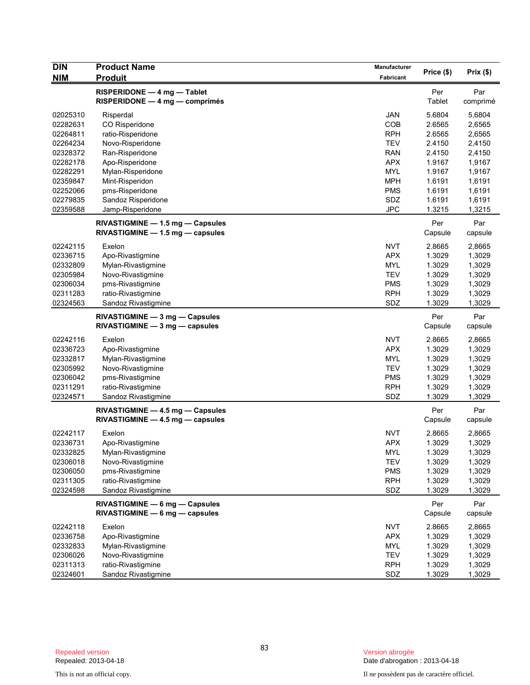| <b>DIN</b>           | <b>Product Name</b>                                                    | Manufacturer      |                  |                  |
|----------------------|------------------------------------------------------------------------|-------------------|------------------|------------------|
| <b>NIM</b>           | <b>Produit</b>                                                         | Fabricant         | Price (\$)       | Prix(\$)         |
|                      | RISPERIDONE - 4 mg - Tablet<br>$RISPERIDONE - 4 mg - comprimés$        |                   | Per<br>Tablet    | Par<br>comprimé  |
| 02025310<br>02282631 | Risperdal<br>CO Risperidone                                            | <b>JAN</b><br>COB | 5.6804<br>2.6565 | 5,6804<br>2,6565 |
| 02264811             | ratio-Risperidone                                                      | <b>RPH</b>        | 2.6565           | 2,6565           |
| 02264234             | Novo-Risperidone                                                       | <b>TEV</b>        | 2.4150           | 2,4150           |
| 02328372             | Ran-Risperidone                                                        | <b>RAN</b>        | 2.4150           | 2,4150           |
| 02282178             | Apo-Risperidone                                                        | <b>APX</b>        | 1.9167           | 1,9167           |
| 02282291             | Mylan-Risperidone                                                      | <b>MYL</b>        | 1.9167           | 1,9167           |
| 02359847             | Mint-Risperidon                                                        | <b>MPH</b>        | 1.6191           | 1,6191           |
| 02252066             | pms-Risperidone                                                        | <b>PMS</b>        | 1.6191           | 1,6191           |
| 02279835             | Sandoz Risperidone                                                     | SDZ               | 1.6191           | 1,6191           |
|                      |                                                                        | <b>JPC</b>        |                  |                  |
| 02359588             | Jamp-Risperidone<br>RIVASTIGMINE - 1.5 mg - Capsules                   |                   | 1.3215<br>Per    | 1,3215<br>Par    |
|                      | RIVASTIGMINE - 1.5 mg - capsules                                       |                   | Capsule          | capsule          |
| 02242115             | Exelon                                                                 | <b>NVT</b>        | 2.8665           | 2,8665           |
| 02336715             | Apo-Rivastigmine                                                       | <b>APX</b>        | 1.3029           | 1,3029           |
| 02332809             | Mylan-Rivastigmine                                                     | <b>MYL</b>        | 1.3029           | 1,3029           |
| 02305984             | Novo-Rivastigmine                                                      | <b>TEV</b>        | 1.3029           | 1,3029           |
| 02306034             | pms-Rivastigmine                                                       | <b>PMS</b>        | 1.3029           | 1,3029           |
| 02311283             | ratio-Rivastigmine                                                     | <b>RPH</b>        | 1.3029           | 1,3029           |
| 02324563             | Sandoz Rivastigmine                                                    | SDZ               | 1.3029           | 1,3029           |
|                      |                                                                        |                   |                  |                  |
|                      | RIVASTIGMINE - 3 mg - Capsules<br>$RIVASTIGMINE - 3 mg - capsules$     |                   | Per<br>Capsule   | Par<br>capsule   |
| 02242116             | Exelon                                                                 | <b>NVT</b>        | 2.8665           | 2,8665           |
| 02336723             | Apo-Rivastigmine                                                       | <b>APX</b>        | 1.3029           | 1,3029           |
| 02332817             | Mylan-Rivastigmine                                                     | <b>MYL</b>        | 1.3029           | 1,3029           |
| 02305992             | Novo-Rivastigmine                                                      | <b>TEV</b>        | 1.3029           | 1,3029           |
| 02306042             | pms-Rivastigmine                                                       | <b>PMS</b>        | 1.3029           | 1,3029           |
| 02311291             | ratio-Rivastigmine                                                     | <b>RPH</b>        | 1.3029           | 1,3029           |
| 02324571             | Sandoz Rivastigmine                                                    | SDZ               | 1.3029           | 1,3029           |
|                      | RIVASTIGMINE - 4.5 mg - Capsules<br>$RIVASTIGMINE - 4.5 mg - capsules$ |                   | Per<br>Capsule   | Par<br>capsule   |
| 02242117             | Exelon                                                                 | <b>NVT</b>        | 2.8665           | 2,8665           |
| 02336731             | Apo-Rivastigmine                                                       | <b>APX</b>        | 1.3029           | 1,3029           |
| 02332825             | Mylan-Rivastigmine                                                     | <b>MYL</b>        | 1.3029           | 1,3029           |
| 02306018             |                                                                        |                   |                  |                  |
|                      | Novo-Rivastigmine                                                      | <b>TEV</b>        | 1.3029           | 1,3029           |
| 02306050             | pms-Rivastigmine                                                       | <b>PMS</b>        | 1.3029           | 1,3029           |
| 02311305<br>02324598 | ratio-Rivastigmine<br>Sandoz Rivastigmine                              | <b>RPH</b><br>SDZ | 1.3029<br>1.3029 | 1,3029<br>1,3029 |
|                      | RIVASTIGMINE - 6 mg - Capsules                                         |                   | Per              | Par              |
|                      | $RIVASTIGMINE - 6 mg - capsules$                                       |                   | Capsule          | capsule          |
| 02242118             | Exelon                                                                 | <b>NVT</b>        | 2.8665           | 2,8665           |
| 02336758             | Apo-Rivastigmine                                                       | <b>APX</b>        | 1.3029           | 1,3029           |
| 02332833             | Mylan-Rivastigmine                                                     | <b>MYL</b>        | 1.3029           | 1,3029           |
| 02306026             | Novo-Rivastigmine                                                      | <b>TEV</b>        | 1.3029           | 1,3029           |
| 02311313             | ratio-Rivastigmine                                                     | <b>RPH</b>        | 1.3029           | 1,3029           |
| 02324601             | Sandoz Rivastigmine                                                    | SDZ               | 1.3029           | 1,3029           |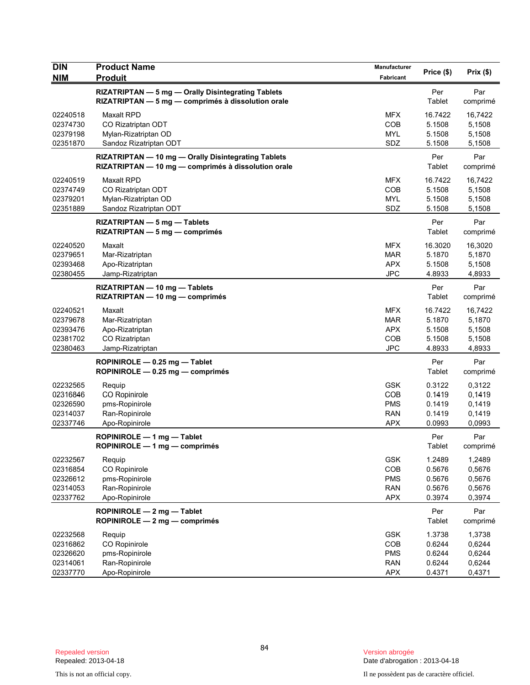| <b>DIN</b>                                               | <b>Product Name</b>                                                                                        | Manufacturer                                                | Price (\$)                                      | Prix(\$)                                        |
|----------------------------------------------------------|------------------------------------------------------------------------------------------------------------|-------------------------------------------------------------|-------------------------------------------------|-------------------------------------------------|
| <b>NIM</b>                                               | <b>Produit</b>                                                                                             | Fabricant                                                   |                                                 |                                                 |
|                                                          | RIZATRIPTAN - 5 mg - Orally Disintegrating Tablets<br>RIZATRIPTAN - 5 mg - comprimés à dissolution orale   |                                                             | Per<br>Tablet                                   | Par<br>comprimé                                 |
| 02240518<br>02374730<br>02379198<br>02351870             | <b>Maxalt RPD</b><br>CO Rizatriptan ODT<br>Mylan-Rizatriptan OD<br>Sandoz Rizatriptan ODT                  | <b>MFX</b><br>COB<br><b>MYL</b><br>SDZ                      | 16.7422<br>5.1508<br>5.1508<br>5.1508           | 16,7422<br>5,1508<br>5,1508<br>5,1508           |
|                                                          | RIZATRIPTAN - 10 mg - Orally Disintegrating Tablets<br>RIZATRIPTAN - 10 mg - comprimés à dissolution orale |                                                             | Per<br>Tablet                                   | Par<br>comprimé                                 |
| 02240519<br>02374749<br>02379201<br>02351889             | <b>Maxalt RPD</b><br>CO Rizatriptan ODT<br>Mylan-Rizatriptan OD<br>Sandoz Rizatriptan ODT                  | <b>MFX</b><br>COB<br><b>MYL</b><br>SDZ                      | 16.7422<br>5.1508<br>5.1508<br>5.1508           | 16,7422<br>5,1508<br>5,1508<br>5,1508           |
|                                                          | RIZATRIPTAN - 5 mg - Tablets<br>$RIZATRIPTAN - 5$ mg — comprimés                                           |                                                             | Per<br>Tablet                                   | Par<br>comprimé                                 |
| 02240520<br>02379651<br>02393468<br>02380455             | Maxalt<br>Mar-Rizatriptan<br>Apo-Rizatriptan<br>Jamp-Rizatriptan                                           | <b>MFX</b><br>MAR<br><b>APX</b><br><b>JPC</b>               | 16.3020<br>5.1870<br>5.1508<br>4.8933           | 16,3020<br>5,1870<br>5,1508<br>4,8933           |
|                                                          | RIZATRIPTAN - 10 mg - Tablets<br>RIZATRIPTAN - 10 mg - comprimés                                           |                                                             | Per<br>Tablet                                   | Par<br>comprimé                                 |
| 02240521<br>02379678<br>02393476<br>02381702<br>02380463 | Maxalt<br>Mar-Rizatriptan<br>Apo-Rizatriptan<br>CO Rizatriptan<br>Jamp-Rizatriptan                         | <b>MFX</b><br><b>MAR</b><br><b>APX</b><br>COB<br><b>JPC</b> | 16.7422<br>5.1870<br>5.1508<br>5.1508<br>4.8933 | 16,7422<br>5,1870<br>5,1508<br>5,1508<br>4,8933 |
|                                                          | ROPINIROLE $-$ 0.25 mg $-$ Tablet<br>ROPINIROLE - 0.25 mg - comprimés                                      |                                                             | Per<br>Tablet                                   | Par<br>comprimé                                 |
| 02232565<br>02316846<br>02326590<br>02314037<br>02337746 | Requip<br>CO Ropinirole<br>pms-Ropinirole<br>Ran-Ropinirole<br>Apo-Ropinirole                              | <b>GSK</b><br>COB<br><b>PMS</b><br><b>RAN</b><br><b>APX</b> | 0.3122<br>0.1419<br>0.1419<br>0.1419<br>0.0993  | 0,3122<br>0,1419<br>0,1419<br>0,1419<br>0,0993  |
|                                                          | ROPINIROLE - 1 mg - Tablet<br>ROPINIROLE — 1 ma — comprimés                                                |                                                             | Per<br>Tablet                                   | Par<br>comprimé                                 |
| 02232567<br>02316854<br>02326612<br>02314053<br>02337762 | Requip<br>CO Ropinirole<br>pms-Ropinirole<br>Ran-Ropinirole<br>Apo-Ropinirole                              | <b>GSK</b><br>COB<br><b>PMS</b><br><b>RAN</b><br>APX        | 1.2489<br>0.5676<br>0.5676<br>0.5676<br>0.3974  | 1,2489<br>0,5676<br>0,5676<br>0,5676<br>0,3974  |
|                                                          | ROPINIROLE - 2 mg - Tablet<br>ROPINIROLE - 2 mg - comprimés                                                |                                                             | Per<br>Tablet                                   | Par<br>comprimé                                 |
| 02232568<br>02316862<br>02326620<br>02314061<br>02337770 | Requip<br>CO Ropinirole<br>pms-Ropinirole<br>Ran-Ropinirole<br>Apo-Ropinirole                              | <b>GSK</b><br>COB<br><b>PMS</b><br><b>RAN</b><br>APX        | 1.3738<br>0.6244<br>0.6244<br>0.6244<br>0.4371  | 1,3738<br>0,6244<br>0,6244<br>0,6244<br>0,4371  |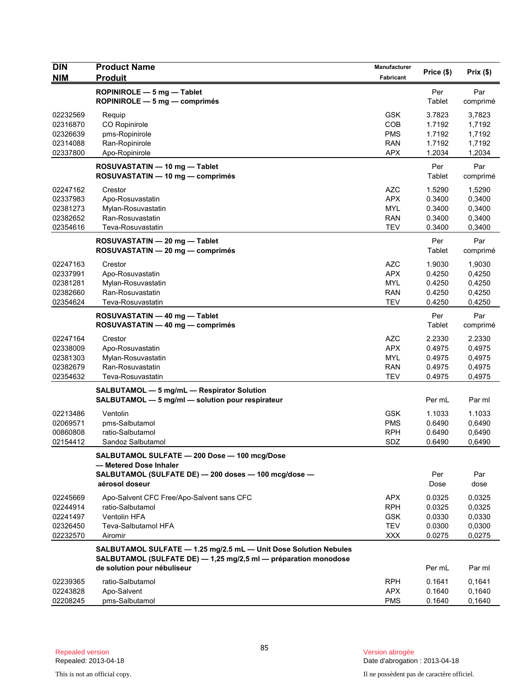| <b>DIN</b> | <b>Product Name</b>                                              | Manufacturer |            |          |
|------------|------------------------------------------------------------------|--------------|------------|----------|
| <b>NIM</b> | <b>Produit</b>                                                   | Fabricant    | Price (\$) | Prix(\$) |
|            | ROPINIROLE - 5 mg - Tablet                                       |              | Per        | Par      |
|            | ROPINIROLE $-5$ mg $-$ comprimés                                 |              | Tablet     | comprimé |
| 02232569   | Requip                                                           | <b>GSK</b>   | 3.7823     | 3,7823   |
| 02316870   | <b>CO Ropinirole</b>                                             | COB          | 1.7192     | 1,7192   |
| 02326639   | pms-Ropinirole                                                   | <b>PMS</b>   | 1.7192     | 1,7192   |
| 02314088   | Ran-Ropinirole                                                   | <b>RAN</b>   | 1.7192     | 1,7192   |
| 02337800   | Apo-Ropinirole                                                   | <b>APX</b>   | 1.2034     | 1,2034   |
|            | ROSUVASTATIN - 10 mg - Tablet                                    |              | Per        | Par      |
|            | ROSUVASTATIN - 10 mg - comprimés                                 |              | Tablet     | comprimé |
| 02247162   | Crestor                                                          | <b>AZC</b>   | 1.5290     | 1,5290   |
| 02337983   | Apo-Rosuvastatin                                                 | APX          | 0.3400     | 0,3400   |
| 02381273   | Mylan-Rosuvastatin                                               | <b>MYL</b>   | 0.3400     | 0,3400   |
| 02382652   | Ran-Rosuvastatin                                                 | <b>RAN</b>   | 0.3400     | 0,3400   |
| 02354616   | Teva-Rosuvastatin                                                | <b>TEV</b>   | 0.3400     | 0,3400   |
|            | ROSUVASTATIN - 20 mg - Tablet                                    |              | Per        | Par      |
|            | ROSUVASTATIN - 20 mg - comprimés                                 |              | Tablet     | comprimé |
| 02247163   | Crestor                                                          | <b>AZC</b>   | 1.9030     | 1,9030   |
| 02337991   | Apo-Rosuvastatin                                                 | <b>APX</b>   | 0.4250     | 0,4250   |
| 02381281   | Mylan-Rosuvastatin                                               | <b>MYL</b>   | 0.4250     | 0,4250   |
| 02382660   | Ran-Rosuvastatin                                                 | <b>RAN</b>   | 0.4250     | 0,4250   |
| 02354624   | Teva-Rosuvastatin                                                | <b>TEV</b>   | 0.4250     | 0,4250   |
|            | ROSUVASTATIN - 40 mg - Tablet                                    |              | Per        | Par      |
|            | ROSUVASTATIN - 40 mg - comprimés                                 |              | Tablet     | comprimé |
| 02247164   | Crestor                                                          | <b>AZC</b>   | 2.2330     | 2.2330   |
| 02338009   | Apo-Rosuvastatin                                                 | <b>APX</b>   | 0.4975     | 0,4975   |
| 02381303   | Mylan-Rosuvastatin                                               | <b>MYL</b>   | 0.4975     | 0,4975   |
| 02382679   | Ran-Rosuvastatin                                                 | <b>RAN</b>   | 0.4975     | 0,4975   |
| 02354632   | Teva-Rosuvastatin                                                | <b>TEV</b>   | 0.4975     | 0,4975   |
|            | SALBUTAMOL - 5 mg/mL - Respirator Solution                       |              |            |          |
|            | SALBUTAMOL - 5 mg/ml - solution pour respirateur                 |              | Per mL     | Par ml   |
| 02213486   | Ventolin                                                         | <b>GSK</b>   | 1.1033     | 1.1033   |
| 02069571   | pms-Salbutamol                                                   | <b>PMS</b>   | 0.6490     | 0,6490   |
| 00860808   | ratio-Salbutamol                                                 | <b>RPH</b>   | 0.6490     | 0,6490   |
| 02154412   | Sandoz Salbutamol                                                | SDZ          | 0.6490     | 0,6490   |
|            | SALBUTAMOL SULFATE - 200 Dose - 100 mcg/Dose                     |              |            |          |
|            | - Metered Dose Inhaler                                           |              |            |          |
|            | SALBUTAMOL (SULFATE DE) - 200 doses - 100 mcg/dose -             |              | Per        | Par      |
|            | aérosol doseur                                                   |              | Dose       | dose     |
| 02245669   | Apo-Salvent CFC Free/Apo-Salvent sans CFC                        | <b>APX</b>   | 0.0325     | 0,0325   |
| 02244914   | ratio-Salbutamol                                                 | <b>RPH</b>   | 0.0325     | 0,0325   |
| 02241497   | Ventolin HFA                                                     | <b>GSK</b>   | 0.0330     | 0,0330   |
| 02326450   | Teva-Salbutamol HFA                                              | <b>TEV</b>   | 0.0300     | 0,0300   |
| 02232570   | Airomir                                                          | <b>XXX</b>   | 0.0275     | 0,0275   |
|            | SALBUTAMOL SULFATE - 1.25 mg/2.5 mL - Unit Dose Solution Nebules |              |            |          |
|            | SALBUTAMOL (SULFATE DE) - 1,25 mg/2,5 ml - préparation monodose  |              |            |          |
|            | de solution pour nébuliseur                                      |              | Per mL     | Par ml   |
| 02239365   | ratio-Salbutamol                                                 | <b>RPH</b>   | 0.1641     | 0,1641   |
| 02243828   | Apo-Salvent                                                      | <b>APX</b>   | 0.1640     | 0,1640   |
| 02208245   | pms-Salbutamol                                                   | <b>PMS</b>   | 0.1640     | 0,1640   |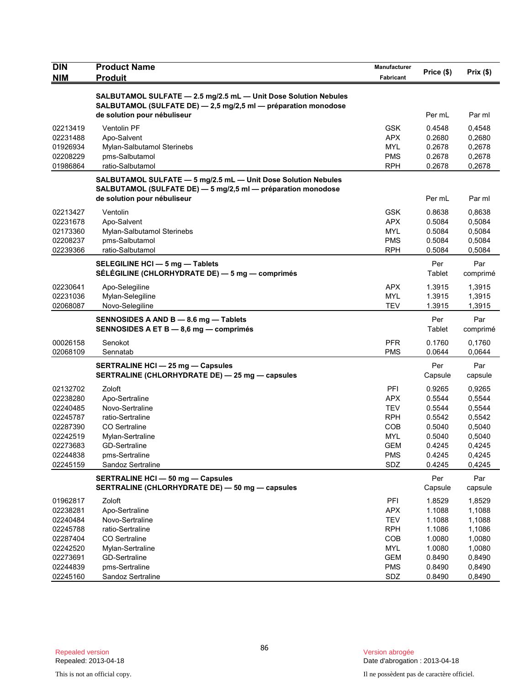| <b>DIN</b>           | <b>Product Name</b>                                                                         | Manufacturer             | Price (\$)       | Prix(\$)         |
|----------------------|---------------------------------------------------------------------------------------------|--------------------------|------------------|------------------|
| <b>NIM</b>           | <b>Produit</b>                                                                              | Fabricant                |                  |                  |
|                      | SALBUTAMOL SULFATE - 2.5 mg/2.5 mL - Unit Dose Solution Nebules                             |                          |                  |                  |
|                      | SALBUTAMOL (SULFATE DE) - 2,5 mg/2,5 ml - préparation monodose                              |                          |                  |                  |
|                      | de solution pour nébuliseur                                                                 |                          | Per mL           | Par ml           |
| 02213419             | Ventolin PF                                                                                 | <b>GSK</b>               | 0.4548           | 0,4548           |
| 02231488             | Apo-Salvent                                                                                 | <b>APX</b>               | 0.2680           | 0,2680           |
| 01926934             | Mylan-Salbutamol Sterinebs                                                                  | <b>MYL</b>               | 0.2678           | 0,2678           |
| 02208229<br>01986864 | pms-Salbutamol<br>ratio-Salbutamol                                                          | <b>PMS</b><br><b>RPH</b> | 0.2678<br>0.2678 | 0,2678<br>0,2678 |
|                      |                                                                                             |                          |                  |                  |
|                      | SALBUTAMOL SULFATE - 5 mg/2.5 mL - Unit Dose Solution Nebules                               |                          |                  |                  |
|                      | SALBUTAMOL (SULFATE DE) - 5 mg/2,5 ml - préparation monodose<br>de solution pour nébuliseur |                          | Per mL           | Par ml           |
|                      |                                                                                             |                          |                  |                  |
| 02213427<br>02231678 | Ventolin<br>Apo-Salvent                                                                     | <b>GSK</b><br><b>APX</b> | 0.8638<br>0.5084 | 0,8638<br>0,5084 |
| 02173360             | Mylan-Salbutamol Sterinebs                                                                  | <b>MYL</b>               | 0.5084           | 0,5084           |
| 02208237             | pms-Salbutamol                                                                              | <b>PMS</b>               | 0.5084           | 0,5084           |
| 02239366             | ratio-Salbutamol                                                                            | <b>RPH</b>               | 0.5084           | 0,5084           |
|                      | SELEGILINE HCI - 5 mg - Tablets                                                             |                          | Per              | Par              |
|                      | SÉLÉGILINE (CHLORHYDRATE DE) — 5 mg — comprimés                                             |                          | Tablet           | comprimé         |
| 02230641             | Apo-Selegiline                                                                              | <b>APX</b>               | 1.3915           | 1,3915           |
| 02231036             | Mylan-Selegiline                                                                            | <b>MYL</b>               | 1.3915           | 1,3915           |
| 02068087             | Novo-Selegiline                                                                             | <b>TEV</b>               | 1.3915           | 1,3915           |
|                      | SENNOSIDES A AND B - 8.6 mg - Tablets                                                       |                          | Per              | Par              |
|                      | SENNOSIDES A ET B - 8,6 mg - comprimés                                                      |                          | Tablet           | comprimé         |
| 00026158             | Senokot                                                                                     | <b>PFR</b>               | 0.1760           | 0,1760           |
| 02068109             | Sennatab                                                                                    | <b>PMS</b>               | 0.0644           | 0,0644           |
|                      | <b>SERTRALINE HCI - 25 mg - Capsules</b>                                                    |                          | Per              | Par              |
|                      | SERTRALINE (CHLORHYDRATE DE) - 25 mg - capsules                                             |                          | Capsule          | capsule          |
| 02132702             | Zoloft                                                                                      | <b>PFI</b>               | 0.9265           | 0,9265           |
| 02238280             | Apo-Sertraline                                                                              | <b>APX</b>               | 0.5544           | 0,5544           |
| 02240485             | Novo-Sertraline                                                                             | <b>TEV</b>               | 0.5544           | 0,5544           |
| 02245787             | ratio-Sertraline                                                                            | <b>RPH</b>               | 0.5542           | 0,5542           |
| 02287390<br>02242519 | <b>CO</b> Sertraline<br>Mylan-Sertraline                                                    | <b>COB</b><br><b>MYL</b> | 0.5040<br>0.5040 | 0,5040<br>0,5040 |
| 02273683             | <b>GD-Sertraline</b>                                                                        | <b>GEM</b>               | 0.4245           | 0,4245           |
| 02244838             | pms-Sertraline                                                                              | <b>PMS</b>               | 0.4245           | 0,4245           |
| 02245159             | Sandoz Sertraline                                                                           | SDZ                      | 0.4245           | 0,4245           |
|                      | <b>SERTRALINE HCI - 50 mg - Capsules</b>                                                    |                          | Per              | Par              |
|                      | SERTRALINE (CHLORHYDRATE DE) - 50 mg - capsules                                             |                          | Capsule          | capsule          |
| 01962817             | Zoloft                                                                                      | PFI                      | 1.8529           | 1,8529           |
| 02238281             | Apo-Sertraline                                                                              | <b>APX</b>               | 1.1088           | 1,1088           |
| 02240484             | Novo-Sertraline                                                                             | <b>TEV</b>               | 1.1088           | 1,1088           |
| 02245788             | ratio-Sertraline                                                                            | <b>RPH</b>               | 1.1086           | 1,1086           |
| 02287404             | <b>CO</b> Sertraline                                                                        | COB                      | 1.0080           | 1,0080           |
| 02242520<br>02273691 | Mylan-Sertraline<br><b>GD-Sertraline</b>                                                    | <b>MYL</b><br><b>GEM</b> | 1.0080<br>0.8490 | 1,0080<br>0,8490 |
| 02244839             | pms-Sertraline                                                                              | <b>PMS</b>               | 0.8490           | 0,8490           |
| 02245160             | Sandoz Sertraline                                                                           | SDZ                      | 0.8490           | 0,8490           |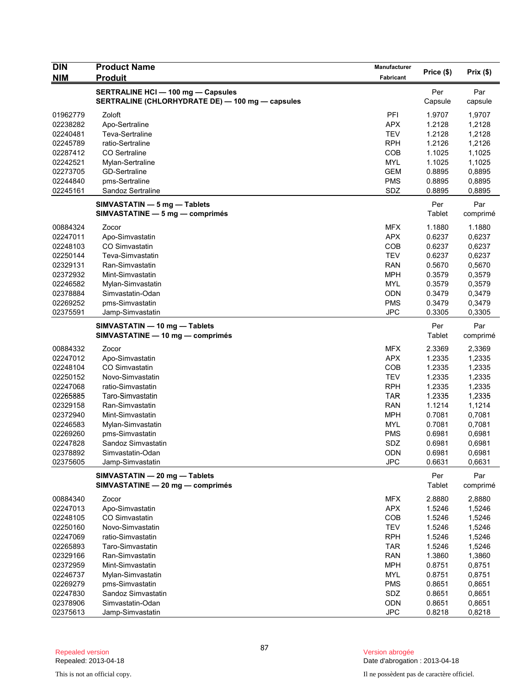| <b>DIN</b>           | <b>Product Name</b>                                               | Manufacturer             | Price (\$)       | Prix(\$)         |
|----------------------|-------------------------------------------------------------------|--------------------------|------------------|------------------|
| NIM                  | <b>Produit</b>                                                    | <b>Fabricant</b>         |                  |                  |
|                      | <b>SERTRALINE HCI - 100 mg - Capsules</b>                         |                          | Per              | Par              |
|                      | SERTRALINE (CHLORHYDRATE DE) - 100 mg - capsules                  |                          | Capsule          | capsule          |
| 01962779             | Zoloft                                                            | PFI                      | 1.9707           | 1,9707           |
| 02238282             | Apo-Sertraline                                                    | <b>APX</b>               | 1.2128           | 1,2128           |
| 02240481             | Teva-Sertraline                                                   | <b>TEV</b>               | 1.2128           | 1,2128           |
| 02245789             | ratio-Sertraline                                                  | <b>RPH</b>               | 1.2126           | 1,2126           |
| 02287412             | CO Sertraline                                                     | <b>COB</b>               | 1.1025           | 1,1025           |
| 02242521             | Mylan-Sertraline                                                  | <b>MYL</b>               | 1.1025           | 1,1025           |
| 02273705             | <b>GD-Sertraline</b>                                              | <b>GEM</b>               | 0.8895           | 0,8895           |
| 02244840<br>02245161 | pms-Sertraline                                                    | <b>PMS</b><br>SDZ        | 0.8895<br>0.8895 | 0,8895<br>0,8895 |
|                      | Sandoz Sertraline                                                 |                          |                  |                  |
|                      | SIMVASTATIN - 5 mg - Tablets                                      |                          | Per              | Par              |
|                      | SIMVASTATINE - 5 mg - comprimés                                   |                          | Tablet           | comprimé         |
| 00884324             | Zocor                                                             | MFX                      | 1.1880           | 1.1880           |
| 02247011             | Apo-Simvastatin                                                   | <b>APX</b>               | 0.6237           | 0,6237           |
| 02248103             | CO Simvastatin                                                    | <b>COB</b>               | 0.6237           | 0,6237           |
| 02250144             | Teva-Simvastatin                                                  | <b>TEV</b>               | 0.6237           | 0,6237           |
| 02329131             | Ran-Simvastatin                                                   | <b>RAN</b>               | 0.5670           | 0,5670           |
| 02372932             | Mint-Simvastatin                                                  | <b>MPH</b>               | 0.3579           | 0,3579           |
| 02246582             | Mylan-Simvastatin                                                 | <b>MYL</b>               | 0.3579           | 0,3579           |
| 02378884<br>02269252 | Simvastatin-Odan<br>pms-Simvastatin                               | <b>ODN</b><br><b>PMS</b> | 0.3479<br>0.3479 | 0,3479<br>0,3479 |
| 02375591             | Jamp-Simvastatin                                                  | <b>JPC</b>               | 0.3305           | 0,3305           |
|                      |                                                                   |                          |                  |                  |
|                      | SIMVASTATIN - 10 mg - Tablets<br>SIMVASTATINE - 10 mg - comprimés |                          | Per<br>Tablet    | Par<br>comprimé  |
| 00884332             | Zocor                                                             | <b>MFX</b>               | 2.3369           | 2,3369           |
| 02247012             | Apo-Simvastatin                                                   | <b>APX</b>               | 1.2335           | 1,2335           |
| 02248104             | <b>CO Simvastatin</b>                                             | <b>COB</b>               | 1.2335           | 1,2335           |
| 02250152             | Novo-Simvastatin                                                  | <b>TEV</b>               | 1.2335           | 1,2335           |
| 02247068             | ratio-Simvastatin                                                 | <b>RPH</b>               | 1.2335           | 1,2335           |
| 02265885             | Taro-Simvastatin                                                  | <b>TAR</b>               | 1.2335           | 1,2335           |
| 02329158             | Ran-Simvastatin                                                   | <b>RAN</b>               | 1.1214           | 1,1214           |
| 02372940             | Mint-Simvastatin                                                  | <b>MPH</b>               | 0.7081           | 0,7081           |
| 02246583             | Mylan-Simvastatin                                                 | <b>MYL</b>               | 0.7081           | 0,7081           |
| 02269260             | pms-Simvastatin<br>Sandoz Simvastatin                             | <b>PMS</b><br>SDZ        | 0.6981<br>0.6981 | 0,6981           |
| 02247828<br>02378892 | Simvastatin-Odan                                                  | ODN                      | 0.6981           | 0,6981<br>0,6981 |
| 02375605             | Jamp-Simvastatin                                                  | <b>JPC</b>               | 0.6631           | 0,6631           |
|                      |                                                                   |                          |                  |                  |
|                      | SIMVASTATIN - 20 mg - Tablets<br>SIMVASTATINE - 20 mg - comprimés |                          | Per<br>Tablet    | Par<br>comprimé  |
| 00884340             | Zocor                                                             | <b>MFX</b>               | 2.8880           | 2,8880           |
| 02247013             | Apo-Simvastatin                                                   | <b>APX</b>               | 1.5246           | 1,5246           |
| 02248105             | CO Simvastatin                                                    | COB                      | 1.5246           | 1,5246           |
| 02250160             | Novo-Simvastatin                                                  | <b>TEV</b>               | 1.5246           | 1,5246           |
| 02247069             | ratio-Simvastatin                                                 | <b>RPH</b>               | 1.5246           | 1,5246           |
| 02265893             | Taro-Simvastatin                                                  | <b>TAR</b>               | 1.5246           | 1,5246           |
| 02329166             | Ran-Simvastatin                                                   | <b>RAN</b>               | 1.3860           | 1,3860           |
| 02372959             | Mint-Simvastatin                                                  | <b>MPH</b>               | 0.8751           | 0,8751           |
| 02246737             | Mylan-Simvastatin                                                 | <b>MYL</b>               | 0.8751           | 0,8751           |
| 02269279             | pms-Simvastatin                                                   | <b>PMS</b>               | 0.8651           | 0,8651           |
| 02247830<br>02378906 | Sandoz Simvastatin<br>Simvastatin-Odan                            | SDZ<br>ODN               | 0.8651<br>0.8651 | 0,8651<br>0,8651 |
| 02375613             | Jamp-Simvastatin                                                  | <b>JPC</b>               | 0.8218           | 0,8218           |
|                      |                                                                   |                          |                  |                  |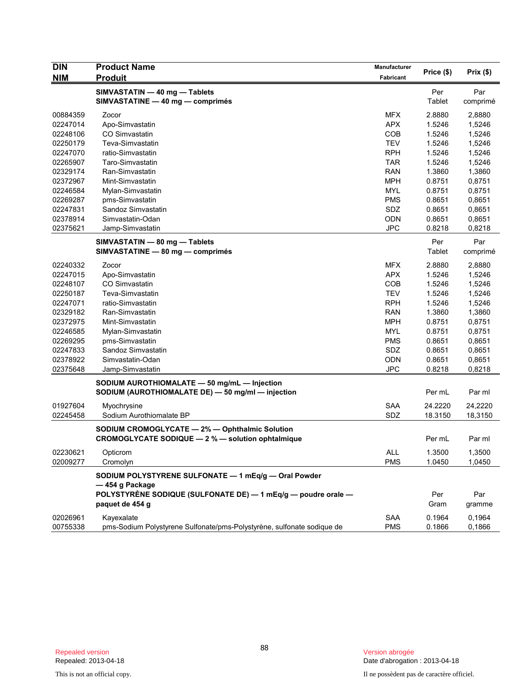| <b>DIN</b> | <b>Product Name</b>                                                    | Manufacturer | Price (\$) | Prix(\$) |
|------------|------------------------------------------------------------------------|--------------|------------|----------|
| <b>NIM</b> | <b>Produit</b>                                                         | Fabricant    |            |          |
|            | SIMVASTATIN - 40 mg - Tablets                                          |              | Per        | Par      |
|            | SIMVASTATINE - 40 mg - comprimés                                       |              | Tablet     | comprimé |
| 00884359   | Zocor                                                                  | <b>MFX</b>   | 2.8880     | 2,8880   |
| 02247014   | Apo-Simvastatin                                                        | <b>APX</b>   | 1.5246     | 1,5246   |
| 02248106   | CO Simvastatin                                                         | COB          | 1.5246     | 1,5246   |
| 02250179   | Teva-Simvastatin                                                       | <b>TEV</b>   | 1.5246     | 1,5246   |
| 02247070   | ratio-Simvastatin                                                      | <b>RPH</b>   | 1.5246     | 1,5246   |
| 02265907   | Taro-Simvastatin                                                       | <b>TAR</b>   | 1.5246     | 1,5246   |
| 02329174   | Ran-Simvastatin                                                        | <b>RAN</b>   | 1.3860     | 1,3860   |
| 02372967   | Mint-Simvastatin                                                       | <b>MPH</b>   | 0.8751     | 0,8751   |
| 02246584   | Mylan-Simvastatin                                                      | <b>MYL</b>   | 0.8751     | 0,8751   |
| 02269287   | pms-Simvastatin                                                        | <b>PMS</b>   | 0.8651     | 0,8651   |
| 02247831   | Sandoz Simvastatin                                                     | SDZ          | 0.8651     | 0,8651   |
| 02378914   | Simvastatin-Odan                                                       | <b>ODN</b>   | 0.8651     | 0,8651   |
| 02375621   | Jamp-Simvastatin                                                       | <b>JPC</b>   | 0.8218     | 0,8218   |
|            | SIMVASTATIN - 80 mg - Tablets                                          |              | Per        | Par      |
|            | SIMVASTATINE - 80 mg - comprimés                                       |              | Tablet     | comprimé |
| 02240332   | Zocor                                                                  | <b>MFX</b>   | 2.8880     | 2,8880   |
| 02247015   | Apo-Simvastatin                                                        | <b>APX</b>   | 1.5246     | 1,5246   |
| 02248107   | CO Simvastatin                                                         | COB          | 1.5246     | 1,5246   |
| 02250187   | Teva-Simvastatin                                                       | <b>TEV</b>   | 1.5246     | 1,5246   |
| 02247071   | ratio-Simvastatin                                                      | <b>RPH</b>   | 1.5246     | 1,5246   |
| 02329182   | Ran-Simvastatin                                                        | <b>RAN</b>   | 1.3860     | 1,3860   |
| 02372975   | Mint-Simvastatin                                                       | <b>MPH</b>   | 0.8751     | 0,8751   |
| 02246585   | Mylan-Simvastatin                                                      | MYL          | 0.8751     | 0,8751   |
| 02269295   | pms-Simvastatin                                                        | <b>PMS</b>   | 0.8651     | 0,8651   |
| 02247833   | Sandoz Simvastatin                                                     | SDZ          | 0.8651     | 0,8651   |
| 02378922   | Simvastatin-Odan                                                       | <b>ODN</b>   | 0.8651     | 0,8651   |
| 02375648   | Jamp-Simvastatin                                                       | <b>JPC</b>   | 0.8218     | 0,8218   |
|            | SODIUM AUROTHIOMALATE - 50 mg/mL - Injection                           |              |            |          |
|            | SODIUM (AUROTHIOMALATE DE) - 50 mg/ml - injection                      |              | Per mL     | Par ml   |
| 01927604   | Myochrysine                                                            | SAA          | 24.2220    | 24,2220  |
| 02245458   | Sodium Aurothiomalate BP                                               | SDZ          | 18.3150    | 18,3150  |
|            | SODIUM CROMOGLYCATE - 2% - Ophthalmic Solution                         |              |            |          |
|            | CROMOGLYCATE SODIQUE - 2 % - solution ophtalmique                      |              | Per mL     | Par ml   |
| 02230621   | Opticrom                                                               | <b>ALL</b>   | 1.3500     | 1,3500   |
| 02009277   | Cromolyn                                                               | <b>PMS</b>   | 1.0450     | 1,0450   |
|            | SODIUM POLYSTYRENE SULFONATE - 1 mEq/g - Oral Powder                   |              |            |          |
|            | -454 g Package                                                         |              |            |          |
|            | POLYSTYRÈNE SODIQUE (SULFONATE DE) - 1 mEq/g - poudre orale -          |              | Per        | Par      |
|            | paquet de 454 g                                                        |              | Gram       | gramme   |
| 02026961   | Kayexalate                                                             | SAA          | 0.1964     | 0,1964   |
| 00755338   | pms-Sodium Polystyrene Sulfonate/pms-Polystyrène, sulfonate sodique de | <b>PMS</b>   | 0.1866     | 0,1866   |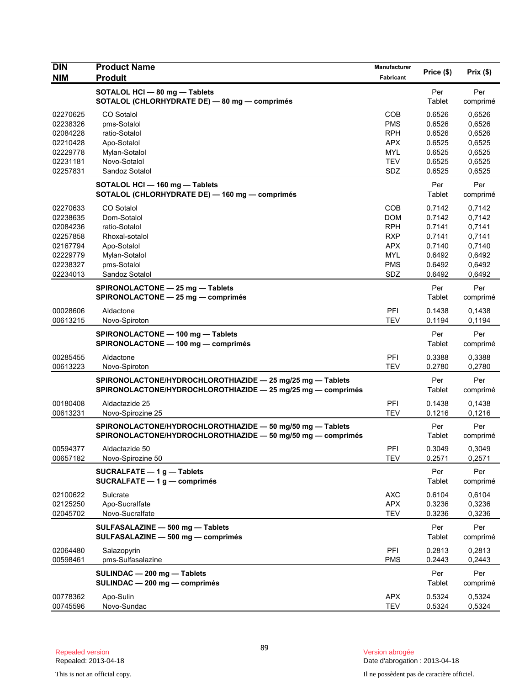| <b>DIN</b><br><b>NIM</b>                                                                     | <b>Product Name</b><br><b>Produit</b>                                                                                         | <b>Manufacturer</b><br>Fabricant                                                               | Price (\$)                                                                   | Prix(\$)                                                                     |
|----------------------------------------------------------------------------------------------|-------------------------------------------------------------------------------------------------------------------------------|------------------------------------------------------------------------------------------------|------------------------------------------------------------------------------|------------------------------------------------------------------------------|
|                                                                                              | SOTALOL HCI - 80 mg - Tablets<br>SOTALOL (CHLORHYDRATE DE) - 80 mg - comprimés                                                |                                                                                                | Per<br>Tablet                                                                | Per<br>comprimé                                                              |
| 02270625<br>02238326<br>02084228<br>02210428<br>02229778<br>02231181<br>02257831             | CO Sotalol<br>pms-Sotalol<br>ratio-Sotalol<br>Apo-Sotalol<br>Mylan-Sotalol<br>Novo-Sotalol<br>Sandoz Sotalol                  | COB<br><b>PMS</b><br><b>RPH</b><br><b>APX</b><br><b>MYL</b><br><b>TEV</b><br>SDZ               | 0.6526<br>0.6526<br>0.6526<br>0.6525<br>0.6525<br>0.6525<br>0.6525           | 0,6526<br>0,6526<br>0,6526<br>0,6525<br>0,6525<br>0,6525<br>0,6525           |
|                                                                                              | SOTALOL HCI-160 mg-Tablets<br>SOTALOL (CHLORHYDRATE DE) - 160 mg - comprimés                                                  |                                                                                                | Per<br>Tablet                                                                | Per<br>comprimé                                                              |
| 02270633<br>02238635<br>02084236<br>02257858<br>02167794<br>02229779<br>02238327<br>02234013 | CO Sotalol<br>Dom-Sotalol<br>ratio-Sotalol<br>Rhoxal-sotalol<br>Apo-Sotalol<br>Mylan-Sotalol<br>pms-Sotalol<br>Sandoz Sotalol | COB<br><b>DOM</b><br><b>RPH</b><br><b>RXP</b><br><b>APX</b><br><b>MYL</b><br><b>PMS</b><br>SDZ | 0.7142<br>0.7142<br>0.7141<br>0.7141<br>0.7140<br>0.6492<br>0.6492<br>0.6492 | 0,7142<br>0,7142<br>0,7141<br>0,7141<br>0,7140<br>0,6492<br>0,6492<br>0,6492 |
|                                                                                              | SPIRONOLACTONE - 25 mg - Tablets<br>SPIRONOLACTONE - 25 mg - comprimés                                                        |                                                                                                | Per<br>Tablet                                                                | Per<br>comprimé                                                              |
| 00028606<br>00613215                                                                         | Aldactone<br>Novo-Spiroton                                                                                                    | PFI<br><b>TEV</b>                                                                              | 0.1438<br>0.1194                                                             | 0,1438<br>0,1194                                                             |
|                                                                                              | SPIRONOLACTONE - 100 mg - Tablets<br>SPIRONOLACTONE - 100 mg - comprimés                                                      |                                                                                                | Per<br>Tablet                                                                | Per<br>comprimé                                                              |
| 00285455<br>00613223                                                                         | Aldactone<br>Novo-Spiroton                                                                                                    | PFI<br><b>TEV</b>                                                                              | 0.3388<br>0.2780                                                             | 0,3388<br>0,2780                                                             |
|                                                                                              | SPIRONOLACTONE/HYDROCHLOROTHIAZIDE - 25 mg/25 mg - Tablets<br>SPIRONOLACTONE/HYDROCHLOROTHIAZIDE - 25 mg/25 mg - comprimés    |                                                                                                | Per<br>Tablet                                                                | Per<br>comprimé                                                              |
| 00180408<br>00613231                                                                         | Aldactazide 25<br>Novo-Spirozine 25                                                                                           | PFI<br><b>TEV</b>                                                                              | 0.1438<br>0.1216                                                             | 0,1438<br>0,1216                                                             |
|                                                                                              | SPIRONOLACTONE/HYDROCHLOROTHIAZIDE - 50 mg/50 mg - Tablets<br>SPIRONOLACTONE/HYDROCHLOROTHIAZIDE - 50 mg/50 mg - comprimés    |                                                                                                | Per<br>Tablet                                                                | Per<br>comprimé                                                              |
| 00594377<br>00657182                                                                         | Aldactazide 50<br>Novo-Spirozine 50                                                                                           | PFI<br>TEV                                                                                     | 0.3049<br>0.2571                                                             | 0,3049<br>0,2571                                                             |
|                                                                                              | SUCRALFATE $-1$ g $-$ Tablets<br>SUCRALFATE $-1$ g $-$ comprimés                                                              |                                                                                                | Per<br><b>Tablet</b>                                                         | Per<br>comprimé                                                              |
| 02100622<br>02125250<br>02045702                                                             | Sulcrate<br>Apo-Sucralfate<br>Novo-Sucralfate                                                                                 | <b>AXC</b><br><b>APX</b><br><b>TEV</b>                                                         | 0.6104<br>0.3236<br>0.3236                                                   | 0,6104<br>0,3236<br>0,3236                                                   |
|                                                                                              | SULFASALAZINE - 500 mg - Tablets<br>SULFASALAZINE - 500 mg - comprimés                                                        |                                                                                                | Per<br>Tablet                                                                | Per<br>comprimé                                                              |
| 02064480<br>00598461                                                                         | Salazopyrin<br>pms-Sulfasalazine                                                                                              | PFI<br><b>PMS</b>                                                                              | 0.2813<br>0.2443                                                             | 0,2813<br>0,2443                                                             |
|                                                                                              | SULINDAC - 200 mg - Tablets<br>SULINDAC - 200 mg - comprimés                                                                  |                                                                                                | Per<br><b>Tablet</b>                                                         | Per<br>comprimé                                                              |
| 00778362<br>00745596                                                                         | Apo-Sulin<br>Novo-Sundac                                                                                                      | <b>APX</b><br><b>TEV</b>                                                                       | 0.5324<br>0.5324                                                             | 0,5324<br>0,5324                                                             |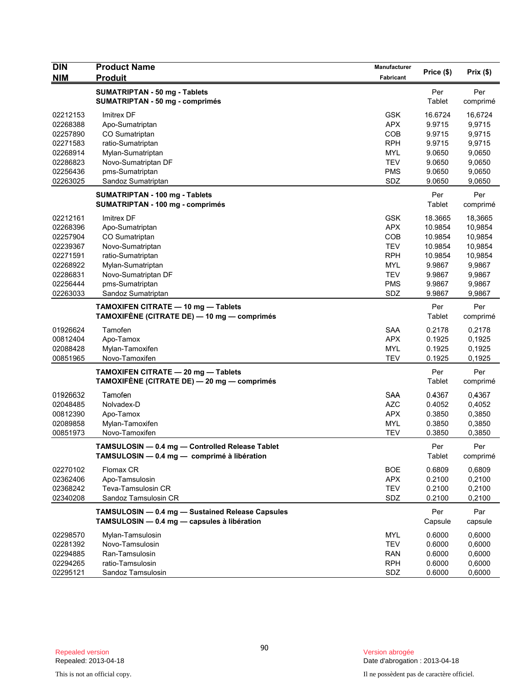| <b>DIN</b>                                                                                               | <b>Product Name</b>                                                                                                                                                           | <b>Manufacturer</b>                                                                                   | Price (\$)                                                                                  | Prix(\$)                                                                                    |
|----------------------------------------------------------------------------------------------------------|-------------------------------------------------------------------------------------------------------------------------------------------------------------------------------|-------------------------------------------------------------------------------------------------------|---------------------------------------------------------------------------------------------|---------------------------------------------------------------------------------------------|
| <b>NIM</b>                                                                                               | <b>Produit</b>                                                                                                                                                                | <b>Fabricant</b>                                                                                      |                                                                                             |                                                                                             |
|                                                                                                          | <b>SUMATRIPTAN - 50 mg - Tablets</b><br><b>SUMATRIPTAN - 50 mg - comprimés</b>                                                                                                |                                                                                                       | Per<br>Tablet                                                                               | Per<br>comprimé                                                                             |
| 02212153<br>02268388<br>02257890<br>02271583                                                             | Imitrex DF<br>Apo-Sumatriptan<br>CO Sumatriptan<br>ratio-Sumatriptan                                                                                                          | <b>GSK</b><br><b>APX</b><br>COB<br><b>RPH</b>                                                         | 16.6724<br>9.9715<br>9.9715<br>9.9715                                                       | 16,6724<br>9,9715<br>9,9715<br>9,9715                                                       |
| 02268914<br>02286823<br>02256436<br>02263025                                                             | Mylan-Sumatriptan<br>Novo-Sumatriptan DF<br>pms-Sumatriptan<br>Sandoz Sumatriptan                                                                                             | MYL<br><b>TEV</b><br><b>PMS</b><br>SDZ                                                                | 9.0650<br>9.0650<br>9.0650<br>9.0650                                                        | 9,0650<br>9,0650<br>9,0650<br>9,0650                                                        |
|                                                                                                          | SUMATRIPTAN - 100 mg - Tablets<br>SUMATRIPTAN - 100 mg - comprimés                                                                                                            |                                                                                                       | Per<br>Tablet                                                                               | Per<br>comprimé                                                                             |
| 02212161<br>02268396<br>02257904<br>02239367<br>02271591<br>02268922<br>02286831<br>02256444<br>02263033 | Imitrex DF<br>Apo-Sumatriptan<br>CO Sumatriptan<br>Novo-Sumatriptan<br>ratio-Sumatriptan<br>Mylan-Sumatriptan<br>Novo-Sumatriptan DF<br>pms-Sumatriptan<br>Sandoz Sumatriptan | <b>GSK</b><br><b>APX</b><br>COB<br><b>TEV</b><br><b>RPH</b><br><b>MYL</b><br>TEV<br><b>PMS</b><br>SDZ | 18.3665<br>10.9854<br>10.9854<br>10.9854<br>10.9854<br>9.9867<br>9.9867<br>9.9867<br>9.9867 | 18,3665<br>10,9854<br>10,9854<br>10,9854<br>10,9854<br>9,9867<br>9,9867<br>9,9867<br>9,9867 |
|                                                                                                          | TAMOXIFEN CITRATE - 10 mg - Tablets<br>TAMOXIFÈNE (CITRATE DE) — 10 mg — comprimés                                                                                            |                                                                                                       | Per<br>Tablet                                                                               | Per<br>comprimé                                                                             |
| 01926624<br>00812404<br>02088428<br>00851965                                                             | Tamofen<br>Apo-Tamox<br>Mylan-Tamoxifen<br>Novo-Tamoxifen                                                                                                                     | <b>SAA</b><br><b>APX</b><br><b>MYL</b><br>TEV                                                         | 0.2178<br>0.1925<br>0.1925<br>0.1925                                                        | 0,2178<br>0,1925<br>0,1925<br>0,1925                                                        |
|                                                                                                          | TAMOXIFEN CITRATE - 20 mg - Tablets<br>TAMOXIFÈNE (CITRATE DE) - 20 mg - comprimés                                                                                            |                                                                                                       | Per<br>Tablet                                                                               | Per<br>comprimé                                                                             |
| 01926632<br>02048485<br>00812390<br>02089858<br>00851973                                                 | Tamofen<br>Nolvadex-D<br>Apo-Tamox<br>Mylan-Tamoxifen<br>Novo-Tamoxifen                                                                                                       | <b>SAA</b><br><b>AZC</b><br><b>APX</b><br><b>MYL</b><br><b>TEV</b>                                    | 0.4367<br>0.4052<br>0.3850<br>0.3850<br>0.3850                                              | 0,4367<br>0,4052<br>0,3850<br>0,3850<br>0,3850                                              |
|                                                                                                          | TAMSULOSIN — 0.4 mg — Controlled Release Tablet<br>TAMSULOSIN - 0.4 mg - comprimé à libération                                                                                |                                                                                                       | Per<br>Tablet                                                                               | Per<br>comprimé                                                                             |
| 02270102<br>02362406<br>02368242<br>02340208                                                             | Flomax CR<br>Apo-Tamsulosin<br>Teva-Tamsulosin CR<br>Sandoz Tamsulosin CR                                                                                                     | <b>BOE</b><br><b>APX</b><br><b>TEV</b><br>SDZ                                                         | 0.6809<br>0.2100<br>0.2100<br>0.2100                                                        | 0,6809<br>0,2100<br>0,2100<br>0,2100                                                        |
|                                                                                                          | TAMSULOSIN - 0.4 mg - Sustained Release Capsules<br>TAMSULOSIN - 0.4 mg - capsules à libération                                                                               |                                                                                                       | Per<br>Capsule                                                                              | Par<br>capsule                                                                              |
| 02298570<br>02281392<br>02294885<br>02294265<br>02295121                                                 | Mylan-Tamsulosin<br>Novo-Tamsulosin<br>Ran-Tamsulosin<br>ratio-Tamsulosin<br>Sandoz Tamsulosin                                                                                | MYL<br><b>TEV</b><br><b>RAN</b><br><b>RPH</b><br>SDZ                                                  | 0.6000<br>0.6000<br>0.6000<br>0.6000<br>0.6000                                              | 0,6000<br>0,6000<br>0,6000<br>0,6000<br>0,6000                                              |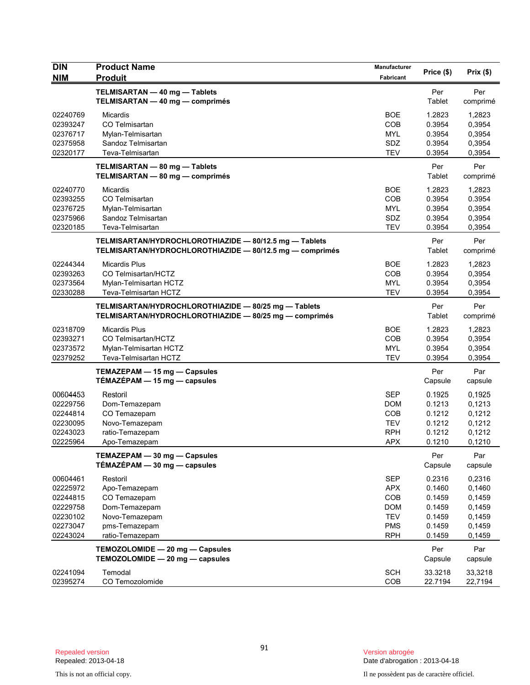| <b>DIN</b>                                                                       | <b>Product Name</b>                                                                                                | Manufacturer                                                                            | Price (\$)                                                         | Prix(\$)                                                           |
|----------------------------------------------------------------------------------|--------------------------------------------------------------------------------------------------------------------|-----------------------------------------------------------------------------------------|--------------------------------------------------------------------|--------------------------------------------------------------------|
| <b>NIM</b>                                                                       | <b>Produit</b>                                                                                                     | Fabricant                                                                               |                                                                    |                                                                    |
|                                                                                  | TELMISARTAN - 40 mg - Tablets<br>TELMISARTAN - 40 mg - comprimés                                                   |                                                                                         | Per<br>Tablet                                                      | Per<br>comprimé                                                    |
| 02240769<br>02393247<br>02376717<br>02375958<br>02320177                         | <b>Micardis</b><br>CO Telmisartan<br>Mylan-Telmisartan<br>Sandoz Telmisartan<br>Teva-Telmisartan                   | <b>BOE</b><br><b>COB</b><br><b>MYL</b><br>SDZ<br><b>TEV</b>                             | 1.2823<br>0.3954<br>0.3954<br>0.3954<br>0.3954                     | 1,2823<br>0,3954<br>0,3954<br>0,3954<br>0,3954                     |
|                                                                                  | TELMISARTAN - 80 mg - Tablets<br>TELMISARTAN - 80 mg - comprimés                                                   |                                                                                         | Per<br>Tablet                                                      | Per<br>comprimé                                                    |
| 02240770<br>02393255<br>02376725<br>02375966<br>02320185                         | Micardis<br>CO Telmisartan<br>Mylan-Telmisartan<br>Sandoz Telmisartan<br>Teva-Telmisartan                          | <b>BOE</b><br><b>COB</b><br><b>MYL</b><br>SDZ<br><b>TEV</b>                             | 1.2823<br>0.3954<br>0.3954<br>0.3954<br>0.3954                     | 1,2823<br>0.3954<br>0,3954<br>0,3954<br>0,3954                     |
|                                                                                  | TELMISARTAN/HYDROCHLOROTHIAZIDE - 80/12.5 mg - Tablets<br>TELMISARTAN/HYDROCHLOROTHIAZIDE - 80/12.5 mg - comprimés |                                                                                         | Per<br>Tablet                                                      | Per<br>comprimé                                                    |
| 02244344<br>02393263<br>02373564<br>02330288                                     | <b>Micardis Plus</b><br>CO Telmisartan/HCTZ<br>Mylan-Telmisartan HCTZ<br>Teva-Telmisartan HCTZ                     | <b>BOE</b><br>COB<br><b>MYL</b><br><b>TEV</b>                                           | 1.2823<br>0.3954<br>0.3954<br>0.3954                               | 1,2823<br>0,3954<br>0,3954<br>0,3954                               |
|                                                                                  | TELMISARTAN/HYDROCHLOROTHIAZIDE - 80/25 mg - Tablets<br>TELMISARTAN/HYDROCHLOROTHIAZIDE - 80/25 mg - comprimés     |                                                                                         | Per<br>Tablet                                                      | Per<br>comprimé                                                    |
| 02318709<br>02393271<br>02373572<br>02379252                                     | <b>Micardis Plus</b><br>CO Telmisartan/HCTZ<br>Mylan-Telmisartan HCTZ<br>Teva-Telmisartan HCTZ                     | BOE<br>COB<br><b>MYL</b><br><b>TEV</b>                                                  | 1.2823<br>0.3954<br>0.3954<br>0.3954                               | 1,2823<br>0,3954<br>0,3954<br>0,3954                               |
|                                                                                  | TEMAZEPAM - 15 mg - Capsules<br>$TÉMAZÉPAM - 15 mg - capsules$                                                     |                                                                                         | Per<br>Capsule                                                     | Par<br>capsule                                                     |
| 00604453<br>02229756<br>02244814<br>02230095<br>02243023<br>02225964             | Restoril<br>Dom-Temazepam<br>CO Temazepam<br>Novo-Temazepam<br>ratio-Temazepam<br>Apo-Temazepam                    | <b>SEP</b><br><b>DOM</b><br>COB<br><b>TEV</b><br><b>RPH</b><br>APX                      | 0.1925<br>0.1213<br>0.1212<br>0.1212<br>0.1212<br>0.1210           | 0,1925<br>0,1213<br>0,1212<br>0,1212<br>0,1212<br>0,1210           |
|                                                                                  | TEMAZEPAM - 30 mg - Capsules<br>TÉMAZÉPAM - 30 mg - capsules                                                       |                                                                                         | Per<br>Capsule                                                     | Par<br>capsule                                                     |
| 00604461<br>02225972<br>02244815<br>02229758<br>02230102<br>02273047<br>02243024 | Restoril<br>Apo-Temazepam<br>CO Temazepam<br>Dom-Temazepam<br>Novo-Temazepam<br>pms-Temazepam<br>ratio-Temazepam   | <b>SEP</b><br><b>APX</b><br>COB<br><b>DOM</b><br><b>TEV</b><br><b>PMS</b><br><b>RPH</b> | 0.2316<br>0.1460<br>0.1459<br>0.1459<br>0.1459<br>0.1459<br>0.1459 | 0,2316<br>0,1460<br>0,1459<br>0,1459<br>0,1459<br>0,1459<br>0,1459 |
|                                                                                  | TEMOZOLOMIDE - 20 mg - Capsules<br>TEMOZOLOMIDE - 20 mg - capsules                                                 |                                                                                         | Per<br>Capsule                                                     | Par<br>capsule                                                     |
| 02241094<br>02395274                                                             | Temodal<br>CO Temozolomide                                                                                         | <b>SCH</b><br>COB                                                                       | 33.3218<br>22.7194                                                 | 33,3218<br>22,7194                                                 |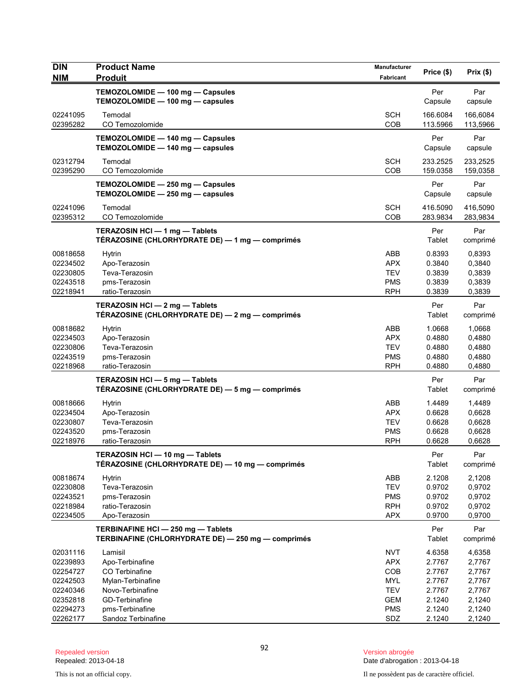| <b>DIN</b><br><b>NIM</b> | <b>Product Name</b><br><b>Produit</b>                                                    | Manufacturer<br><b>Fabricant</b> | Price (\$)           | Prix(\$)             |
|--------------------------|------------------------------------------------------------------------------------------|----------------------------------|----------------------|----------------------|
|                          |                                                                                          |                                  |                      |                      |
|                          | TEMOZOLOMIDE - 100 mg - Capsules<br>TEMOZOLOMIDE - 100 mg - capsules                     |                                  | Per<br>Capsule       | Par<br>capsule       |
| 02241095<br>02395282     | Temodal<br>CO Temozolomide                                                               | <b>SCH</b><br>COB                | 166.6084<br>113.5966 | 166,6084<br>113,5966 |
|                          |                                                                                          |                                  | Per                  | Par                  |
|                          | TEMOZOLOMIDE - 140 mg - Capsules<br>TEMOZOLOMIDE - 140 mg - capsules                     |                                  | Capsule              | capsule              |
| 02312794<br>02395290     | Temodal<br>CO Temozolomide                                                               | <b>SCH</b><br>COB                | 233.2525<br>159.0358 | 233,2525<br>159,0358 |
|                          | TEMOZOLOMIDE - 250 mg - Capsules<br>TEMOZOLOMIDE - 250 mg - capsules                     |                                  | Per<br>Capsule       | Par<br>capsule       |
| 02241096<br>02395312     | Temodal<br>CO Temozolomide                                                               | <b>SCH</b><br>COB                | 416.5090<br>283.9834 | 416,5090<br>283,9834 |
|                          |                                                                                          |                                  | Per                  | Par                  |
|                          | TERAZOSIN HCI - 1 mg - Tablets<br>TÉRAZOSINE (CHLORHYDRATE DE) — 1 mg — comprimés        |                                  | Tablet               | comprimé             |
| 00818658                 | <b>Hytrin</b>                                                                            | ABB                              | 0.8393               | 0,8393               |
| 02234502                 | Apo-Terazosin                                                                            | <b>APX</b>                       | 0.3840               | 0,3840               |
| 02230805<br>02243518     | Teva-Terazosin<br>pms-Terazosin                                                          | <b>TEV</b><br><b>PMS</b>         | 0.3839<br>0.3839     | 0,3839               |
| 02218941                 | ratio-Terazosin                                                                          | <b>RPH</b>                       | 0.3839               | 0,3839<br>0,3839     |
|                          | TERAZOSIN HCI - 2 mg - Tablets                                                           |                                  | Per                  | Par                  |
|                          | TÉRAZOSINE (CHLORHYDRATE DE) — 2 mg — comprimés                                          |                                  | Tablet               | comprimé             |
| 00818682                 | <b>Hytrin</b>                                                                            | ABB                              | 1.0668               | 1,0668               |
| 02234503                 | Apo-Terazosin                                                                            | <b>APX</b>                       | 0.4880               | 0,4880               |
| 02230806                 | Teva-Terazosin                                                                           | <b>TEV</b>                       | 0.4880               | 0,4880               |
| 02243519<br>02218968     | pms-Terazosin<br>ratio-Terazosin                                                         | <b>PMS</b><br><b>RPH</b>         | 0.4880<br>0.4880     | 0,4880<br>0,4880     |
|                          | TERAZOSIN HCI - 5 mg - Tablets                                                           |                                  | Per                  | Par                  |
|                          | TÉRAZOSINE (CHLORHYDRATE DE) - 5 mg - comprimés                                          |                                  | Tablet               | comprimé             |
| 00818666                 | <b>Hytrin</b>                                                                            | <b>ABB</b>                       | 1.4489               | 1,4489               |
| 02234504                 | Apo-Terazosin                                                                            | <b>APX</b>                       | 0.6628               | 0,6628               |
| 02230807                 | Teva-Terazosin                                                                           | <b>TEV</b>                       | 0.6628               | 0,6628               |
| 02243520<br>02218976     | pms-Terazosin<br>ratio-Terazosin                                                         | <b>PMS</b><br>RPH                | 0.6628<br>0.6628     | 0,6628<br>0,6628     |
|                          |                                                                                          |                                  |                      |                      |
|                          | TERAZOSIN HCI - 10 mg - Tablets<br>TÉRAZOSINE (CHLORHYDRATE DE) - 10 mg - comprimés      |                                  | Per<br>Tablet        | Par<br>comprimé      |
| 00818674                 | <b>Hytrin</b>                                                                            | ABB                              | 2.1208               | 2,1208               |
| 02230808                 | Teva-Terazosin                                                                           | <b>TEV</b>                       | 0.9702               | 0,9702               |
| 02243521                 | pms-Terazosin                                                                            | <b>PMS</b>                       | 0.9702               | 0,9702               |
| 02218984                 | ratio-Terazosin                                                                          | <b>RPH</b>                       | 0.9702               | 0,9702               |
| 02234505                 | Apo-Terazosin                                                                            | <b>APX</b>                       | 0.9700               | 0,9700               |
|                          | TERBINAFINE HCI - 250 mg - Tablets<br>TERBINAFINE (CHLORHYDRATE DE) - 250 mg - comprimés |                                  | Per<br>Tablet        | Par<br>comprimé      |
| 02031116                 | Lamisil                                                                                  | <b>NVT</b>                       | 4.6358               | 4,6358               |
| 02239893                 | Apo-Terbinafine                                                                          | <b>APX</b>                       | 2.7767               | 2,7767               |
| 02254727                 | CO Terbinafine                                                                           | COB                              | 2.7767               | 2,7767               |
| 02242503                 | Mylan-Terbinafine                                                                        | <b>MYL</b>                       | 2.7767               | 2,7767               |
| 02240346                 | Novo-Terbinafine                                                                         | <b>TEV</b>                       | 2.7767               | 2,7767               |
| 02352818                 | GD-Terbinafine                                                                           | <b>GEM</b>                       | 2.1240               | 2,1240               |
| 02294273                 | pms-Terbinafine                                                                          | <b>PMS</b>                       | 2.1240               | 2,1240               |
| 02262177                 | Sandoz Terbinafine                                                                       | SDZ                              | 2.1240               | 2,1240               |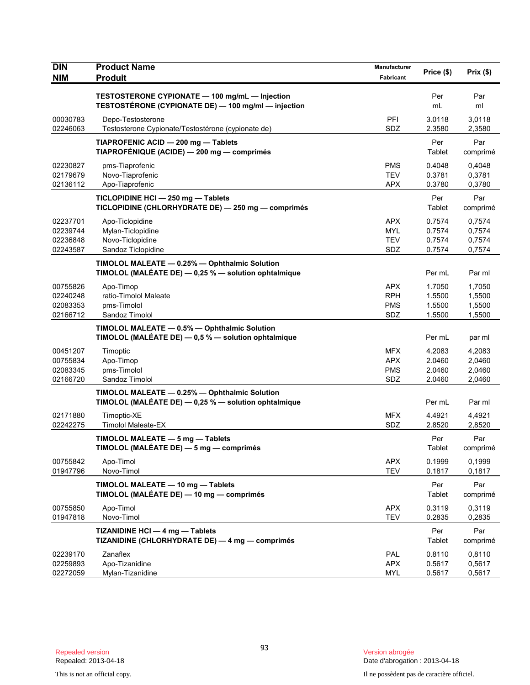| <b>DIN</b>                                   | <b>Product Name</b>                                                                                   | Manufacturer                                  | Price (\$)                           | Prix(\$)                             |
|----------------------------------------------|-------------------------------------------------------------------------------------------------------|-----------------------------------------------|--------------------------------------|--------------------------------------|
| <b>NIM</b>                                   | <b>Produit</b>                                                                                        | Fabricant                                     |                                      |                                      |
|                                              | TESTOSTERONE CYPIONATE - 100 mg/mL - Injection<br>TESTOSTÉRONE (CYPIONATE DE) - 100 mg/ml - injection |                                               | Per<br>mL                            | Par<br>ml                            |
| 00030783<br>02246063                         | Depo-Testosterone<br>Testosterone Cypionate/Testostérone (cypionate de)                               | PFI<br>SDZ                                    | 3.0118<br>2.3580                     | 3,0118<br>2,3580                     |
|                                              | TIAPROFENIC ACID - 200 mg - Tablets<br>TIAPROFÉNIQUE (ACIDE) - 200 mg - comprimés                     |                                               | Per<br>Tablet                        | Par<br>comprimé                      |
| 02230827<br>02179679<br>02136112             | pms-Tiaprofenic<br>Novo-Tiaprofenic<br>Apo-Tiaprofenic                                                | <b>PMS</b><br><b>TEV</b><br><b>APX</b>        | 0.4048<br>0.3781<br>0.3780           | 0,4048<br>0,3781<br>0,3780           |
|                                              | TICLOPIDINE HCI - 250 mg - Tablets<br>TICLOPIDINE (CHLORHYDRATE DE) - 250 mg - comprimés              |                                               | Per<br>Tablet                        | Par<br>comprimé                      |
| 02237701<br>02239744<br>02236848<br>02243587 | Apo-Ticlopidine<br>Mylan-Ticlopidine<br>Novo-Ticlopidine<br>Sandoz Ticlopidine                        | <b>APX</b><br><b>MYL</b><br><b>TEV</b><br>SDZ | 0.7574<br>0.7574<br>0.7574<br>0.7574 | 0,7574<br>0,7574<br>0,7574<br>0,7574 |
|                                              | TIMOLOL MALEATE - 0.25% - Ophthalmic Solution<br>TIMOLOL (MALÉATE DE) - 0,25 % - solution ophtalmique |                                               | Per mL                               | Par ml                               |
| 00755826<br>02240248<br>02083353<br>02166712 | Apo-Timop<br>ratio-Timolol Maleate<br>pms-Timolol<br>Sandoz Timolol                                   | <b>APX</b><br><b>RPH</b><br><b>PMS</b><br>SDZ | 1.7050<br>1.5500<br>1.5500<br>1.5500 | 1,7050<br>1,5500<br>1,5500<br>1,5500 |
|                                              | TIMOLOL MALEATE - 0.5% - Ophthalmic Solution<br>TIMOLOL (MALÉATE DE) - 0,5 % - solution ophtalmique   |                                               | Per mL                               | par ml                               |
| 00451207<br>00755834<br>02083345<br>02166720 | Timoptic<br>Apo-Timop<br>pms-Timolol<br>Sandoz Timolol                                                | <b>MFX</b><br><b>APX</b><br><b>PMS</b><br>SDZ | 4.2083<br>2.0460<br>2.0460<br>2.0460 | 4,2083<br>2,0460<br>2,0460<br>2,0460 |
|                                              | TIMOLOL MALEATE - 0.25% - Ophthalmic Solution<br>TIMOLOL (MALÉATE DE) - 0,25 % - solution ophtalmique |                                               | Per mL                               | Par ml                               |
| 02171880<br>02242275                         | Timoptic-XE<br><b>Timolol Maleate-EX</b>                                                              | <b>MFX</b><br>SDZ                             | 4.4921<br>2.8520                     | 4,4921<br>2,8520                     |
|                                              | TIMOLOL MALEATE - 5 mg - Tablets<br>TIMOLOL (MALÉATE DE) - 5 mg - comprimés                           |                                               | Per<br>Tablet                        | Par<br>comprimé                      |
| 00755842<br>01947796                         | Apo-Timol<br>Novo-Timol                                                                               | <b>APX</b><br><b>TEV</b>                      | 0.1999<br>0.1817                     | 0,1999<br>0,1817                     |
|                                              | TIMOLOL MALEATE - 10 mg - Tablets<br>TIMOLOL (MALÉATE DE) - 10 mg - comprimés                         |                                               | Per<br>Tablet                        | Par<br>comprimé                      |
| 00755850<br>01947818                         | Apo-Timol<br>Novo-Timol                                                                               | <b>APX</b><br><b>TEV</b>                      | 0.3119<br>0.2835                     | 0,3119<br>0,2835                     |
|                                              | TIZANIDINE HCI - 4 mg - Tablets<br>TIZANIDINE (CHLORHYDRATE DE) - 4 mg - comprimés                    |                                               | Per<br>Tablet                        | Par<br>comprimé                      |
| 02239170<br>02259893<br>02272059             | Zanaflex<br>Apo-Tizanidine<br>Mylan-Tizanidine                                                        | PAL<br><b>APX</b><br><b>MYL</b>               | 0.8110<br>0.5617<br>0.5617           | 0,8110<br>0,5617<br>0,5617           |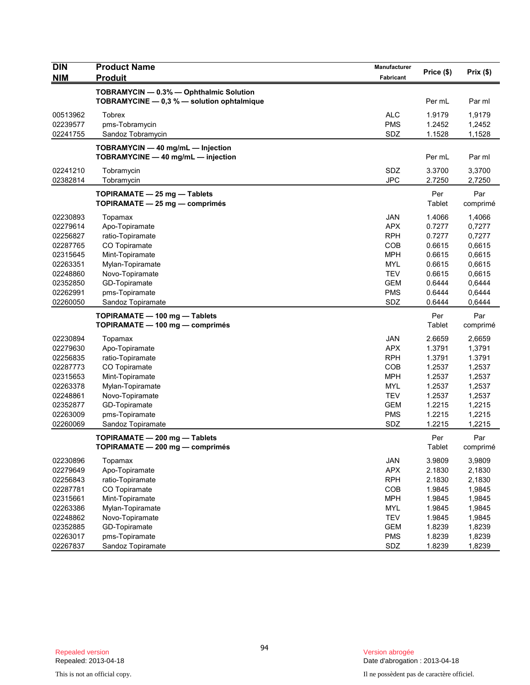| <b>DIN</b><br><b>NIM</b>                                                                                             | <b>Product Name</b><br><b>Produit</b>                                                                                                                                            | Manufacturer<br>Fabricant                                                                                                  | Price (\$)                                                                                       | Prix (\$)                                                                                        |
|----------------------------------------------------------------------------------------------------------------------|----------------------------------------------------------------------------------------------------------------------------------------------------------------------------------|----------------------------------------------------------------------------------------------------------------------------|--------------------------------------------------------------------------------------------------|--------------------------------------------------------------------------------------------------|
|                                                                                                                      | TOBRAMYCIN - 0.3% - Ophthalmic Solution<br>TOBRAMYCINE - 0,3 % - solution ophtalmique                                                                                            |                                                                                                                            | Per mL                                                                                           | Par ml                                                                                           |
| 00513962<br>02239577<br>02241755                                                                                     | Tobrex<br>pms-Tobramycin<br>Sandoz Tobramycin                                                                                                                                    | <b>ALC</b><br><b>PMS</b><br>SDZ                                                                                            | 1.9179<br>1.2452<br>1.1528                                                                       | 1,9179<br>1,2452<br>1,1528                                                                       |
|                                                                                                                      | TOBRAMYCIN - 40 mg/mL - Injection<br>TOBRAMYCINE - 40 mg/mL - injection                                                                                                          |                                                                                                                            | Per mL                                                                                           | Par ml                                                                                           |
| 02241210<br>02382814                                                                                                 | Tobramycin<br>Tobramycin                                                                                                                                                         | SDZ<br><b>JPC</b>                                                                                                          | 3.3700<br>2.7250                                                                                 | 3,3700<br>2,7250                                                                                 |
|                                                                                                                      | TOPIRAMATE - 25 mg - Tablets<br>TOPIRAMATE - 25 mg - comprimés                                                                                                                   |                                                                                                                            | Per<br>Tablet                                                                                    | Par<br>comprimé                                                                                  |
| 02230893<br>02279614<br>02256827<br>02287765<br>02315645<br>02263351<br>02248860<br>02352850<br>02262991<br>02260050 | Topamax<br>Apo-Topiramate<br>ratio-Topiramate<br>CO Topiramate<br>Mint-Topiramate<br>Mylan-Topiramate<br>Novo-Topiramate<br>GD-Topiramate<br>pms-Topiramate<br>Sandoz Topiramate | JAN<br><b>APX</b><br><b>RPH</b><br>COB<br><b>MPH</b><br><b>MYL</b><br><b>TEV</b><br><b>GEM</b><br><b>PMS</b><br>SDZ        | 1.4066<br>0.7277<br>0.7277<br>0.6615<br>0.6615<br>0.6615<br>0.6615<br>0.6444<br>0.6444<br>0.6444 | 1,4066<br>0,7277<br>0,7277<br>0,6615<br>0,6615<br>0,6615<br>0,6615<br>0,6444<br>0,6444<br>0,6444 |
|                                                                                                                      | TOPIRAMATE - 100 mg - Tablets<br>TOPIRAMATE - 100 mg - comprimés                                                                                                                 |                                                                                                                            | Per<br>Tablet                                                                                    | Par<br>comprimé                                                                                  |
| 02230894<br>02279630<br>02256835<br>02287773<br>02315653<br>02263378<br>02248861<br>02352877<br>02263009<br>02260069 | Topamax<br>Apo-Topiramate<br>ratio-Topiramate<br>CO Topiramate<br>Mint-Topiramate<br>Mylan-Topiramate<br>Novo-Topiramate<br>GD-Topiramate<br>pms-Topiramate<br>Sandoz Topiramate | <b>JAN</b><br><b>APX</b><br><b>RPH</b><br>COB<br><b>MPH</b><br><b>MYL</b><br><b>TEV</b><br><b>GEM</b><br><b>PMS</b><br>SDZ | 2.6659<br>1.3791<br>1.3791<br>1.2537<br>1.2537<br>1.2537<br>1.2537<br>1.2215<br>1.2215<br>1.2215 | 2,6659<br>1,3791<br>1.3791<br>1,2537<br>1,2537<br>1,2537<br>1,2537<br>1,2215<br>1,2215<br>1,2215 |
|                                                                                                                      | TOPIRAMATE - 200 mg - Tablets<br>TOPIRAMATE - 200 mg - comprimés                                                                                                                 |                                                                                                                            | Per<br>Tablet                                                                                    | Par<br>comprimé                                                                                  |
| 02230896<br>02279649<br>02256843<br>02287781<br>02315661<br>02263386<br>02248862<br>02352885<br>02263017<br>02267837 | Topamax<br>Apo-Topiramate<br>ratio-Topiramate<br>CO Topiramate<br>Mint-Topiramate<br>Mylan-Topiramate<br>Novo-Topiramate<br>GD-Topiramate<br>pms-Topiramate<br>Sandoz Topiramate | <b>JAN</b><br><b>APX</b><br><b>RPH</b><br>COB<br><b>MPH</b><br><b>MYL</b><br><b>TEV</b><br><b>GEM</b><br><b>PMS</b><br>SDZ | 3.9809<br>2.1830<br>2.1830<br>1.9845<br>1.9845<br>1.9845<br>1.9845<br>1.8239<br>1.8239<br>1.8239 | 3,9809<br>2,1830<br>2,1830<br>1,9845<br>1,9845<br>1,9845<br>1,9845<br>1,8239<br>1,8239<br>1,8239 |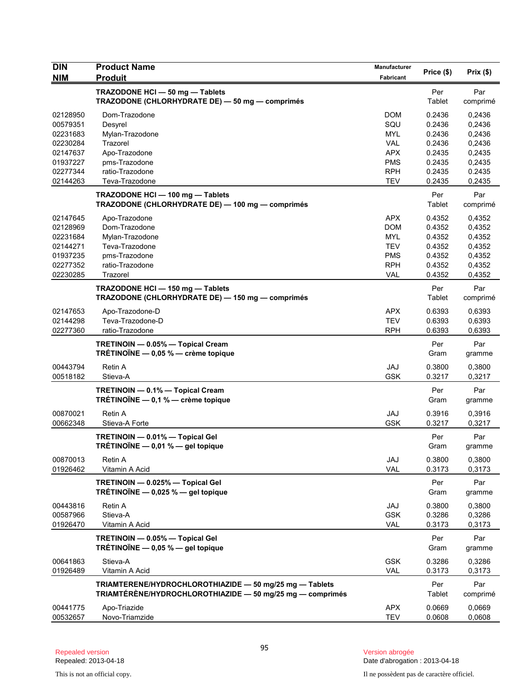| <b>DIN</b>           | <b>Product Name</b>                                                                                                  | Manufacturer             | Price (\$)       | Prix(\$)         |
|----------------------|----------------------------------------------------------------------------------------------------------------------|--------------------------|------------------|------------------|
| <b>NIM</b>           | <b>Produit</b>                                                                                                       | Fabricant                |                  |                  |
|                      | TRAZODONE HCI-50 mg-Tablets<br>TRAZODONE (CHLORHYDRATE DE) - 50 mg - comprimés                                       |                          | Per<br>Tablet    | Par<br>comprimé  |
| 02128950             | Dom-Trazodone                                                                                                        | <b>DOM</b>               | 0.2436           | 0,2436           |
| 00579351             | Desyrel                                                                                                              | SQU                      | 0.2436           | 0,2436           |
| 02231683             | Mylan-Trazodone                                                                                                      | <b>MYL</b>               | 0.2436           | 0,2436           |
| 02230284             | Trazorel                                                                                                             | <b>VAL</b>               | 0.2436           | 0,2436           |
| 02147637             | Apo-Trazodone                                                                                                        | <b>APX</b>               | 0.2435           | 0,2435           |
| 01937227             | pms-Trazodone                                                                                                        | <b>PMS</b>               | 0.2435           | 0,2435           |
| 02277344             | ratio-Trazodone                                                                                                      | <b>RPH</b>               | 0.2435           | 0.2435           |
| 02144263             | Teva-Trazodone                                                                                                       | <b>TEV</b>               | 0.2435           | 0,2435           |
|                      | TRAZODONE HCI - 100 mg - Tablets<br>TRAZODONE (CHLORHYDRATE DE) - 100 mg - comprimés                                 |                          | Per<br>Tablet    | Par<br>comprimé  |
| 02147645             | Apo-Trazodone                                                                                                        | <b>APX</b>               | 0.4352           | 0,4352           |
| 02128969             | Dom-Trazodone                                                                                                        | <b>DOM</b>               | 0.4352           | 0,4352           |
| 02231684             | Mylan-Trazodone                                                                                                      | <b>MYL</b>               | 0.4352           | 0,4352           |
| 02144271             | Teva-Trazodone                                                                                                       | <b>TEV</b>               | 0.4352           | 0,4352           |
| 01937235             | pms-Trazodone                                                                                                        | <b>PMS</b>               | 0.4352           | 0,4352           |
| 02277352             | ratio-Trazodone                                                                                                      | <b>RPH</b>               | 0.4352           | 0,4352           |
| 02230285             | Trazorel                                                                                                             | <b>VAL</b>               | 0.4352           | 0,4352           |
|                      | TRAZODONE HCI - 150 mg - Tablets<br>TRAZODONE (CHLORHYDRATE DE) - 150 mg - comprimés                                 |                          | Per<br>Tablet    | Par<br>comprimé  |
| 02147653             | Apo-Trazodone-D                                                                                                      | <b>APX</b>               | 0.6393           | 0,6393           |
| 02144298             | Teva-Trazodone-D                                                                                                     | <b>TEV</b>               | 0.6393           | 0,6393           |
| 02277360             | ratio-Trazodone                                                                                                      | <b>RPH</b>               | 0.6393           | 0,6393           |
|                      | TRETINOIN - 0.05% - Topical Cream<br>TRÉTINOÏNE $-$ 0,05 % $-$ crème topique                                         |                          | Per<br>Gram      | Par<br>gramme    |
| 00443794             | <b>Retin A</b>                                                                                                       | JAJ                      | 0.3800           | 0,3800           |
| 00518182             | Stieva-A                                                                                                             | <b>GSK</b>               | 0.3217           | 0,3217           |
|                      | TRETINOIN - 0.1% - Topical Cream<br>TRÉTINOÏNE $-$ 0,1 % $-$ crème topique                                           |                          | Per<br>Gram      | Par<br>gramme    |
| 00870021             | Retin A                                                                                                              | JAJ                      | 0.3916           | 0,3916           |
| 00662348             | Stieva-A Forte                                                                                                       | <b>GSK</b>               | 0.3217           | 0,3217           |
|                      | TRETINOIN - 0.01% - Topical Gel<br>TRÉTINOÏNE $-$ 0,01 % $-$ gel topique                                             |                          | Per<br>Gram      | Par<br>gramme    |
| 00870013             | Retin A                                                                                                              | JAJ                      | 0.3800           | 0,3800           |
| 01926462             | Vitamin A Acid                                                                                                       | <b>VAL</b>               | 0.3173           | 0,3173           |
|                      | TRETINOIN - 0.025% - Topical Gel<br>TRÉTINOÏNE $-$ 0,025 % $-$ gel topique                                           |                          | Per<br>Gram      | Par<br>gramme    |
| 00443816             | Retin A                                                                                                              | JAJ                      | 0.3800           | 0,3800           |
| 00587966             | Stieva-A                                                                                                             | <b>GSK</b>               | 0.3286           | 0,3286           |
| 01926470             | Vitamin A Acid                                                                                                       | <b>VAL</b>               | 0.3173           | 0,3173           |
|                      | TRETINOIN - 0.05% - Topical Gel<br>TRÉTINOÏNE $-$ 0,05 % $-$ gel topique                                             |                          | Per<br>Gram      | Par<br>gramme    |
| 00641863<br>01926489 | Stieva-A<br>Vitamin A Acid                                                                                           | <b>GSK</b><br><b>VAL</b> | 0.3286<br>0.3173 | 0,3286<br>0,3173 |
|                      |                                                                                                                      |                          |                  |                  |
|                      | TRIAMTERENE/HYDROCHLOROTHIAZIDE - 50 mg/25 mg - Tablets<br>TRIAMTÉRÈNE/HYDROCHLOROTHIAZIDE - 50 mg/25 mg - comprimés |                          | Per<br>Tablet    | Par<br>comprimé  |
| 00441775             | Apo-Triazide                                                                                                         | <b>APX</b>               | 0.0669           | 0,0669           |
| 00532657             | Novo-Triamzide                                                                                                       | <b>TEV</b>               | 0.0608           | 0,0608           |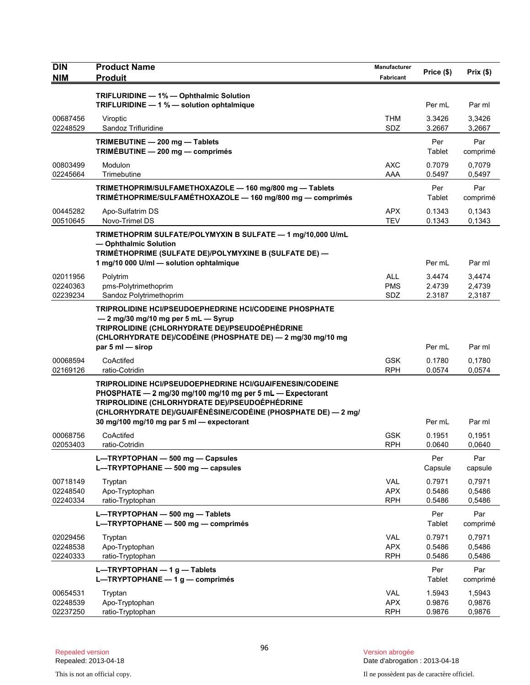| <b>DIN</b>           | <b>Product Name</b>                                                                                                                                                                                                                                                                           | Manufacturer             | Price (\$)       | Prix(\$)         |
|----------------------|-----------------------------------------------------------------------------------------------------------------------------------------------------------------------------------------------------------------------------------------------------------------------------------------------|--------------------------|------------------|------------------|
| <b>NIM</b>           | <b>Produit</b>                                                                                                                                                                                                                                                                                | Fabricant                |                  |                  |
|                      | TRIFLURIDINE - 1% - Ophthalmic Solution                                                                                                                                                                                                                                                       |                          |                  |                  |
|                      | TRIFLURIDINE - 1 % - solution ophtalmique                                                                                                                                                                                                                                                     |                          | Per mL           | Par ml           |
| 00687456             | Viroptic                                                                                                                                                                                                                                                                                      | <b>THM</b>               | 3.3426           | 3,3426           |
| 02248529             | Sandoz Trifluridine                                                                                                                                                                                                                                                                           | SDZ                      | 3.2667           | 3,2667           |
|                      | TRIMEBUTINE - 200 mg - Tablets<br>TRIMÉBUTINE - 200 mg - comprimés                                                                                                                                                                                                                            |                          | Per<br>Tablet    | Par<br>comprimé  |
| 00803499<br>02245664 | Modulon<br>Trimebutine                                                                                                                                                                                                                                                                        | <b>AXC</b><br>AAA        | 0.7079<br>0.5497 | 0,7079<br>0,5497 |
|                      | TRIMETHOPRIM/SULFAMETHOXAZOLE - 160 mg/800 mg - Tablets<br>TRIMÉTHOPRIME/SULFAMÉTHOXAZOLE - 160 mg/800 mg - comprimés                                                                                                                                                                         |                          | Per<br>Tablet    | Par<br>comprimé  |
| 00445282<br>00510645 | Apo-Sulfatrim DS<br>Novo-Trimel DS                                                                                                                                                                                                                                                            | <b>APX</b><br>TEV        | 0.1343<br>0.1343 | 0,1343<br>0,1343 |
|                      | TRIMETHOPRIM SULFATE/POLYMYXIN B SULFATE - 1 mg/10,000 U/mL<br>- Ophthalmic Solution                                                                                                                                                                                                          |                          |                  |                  |
|                      | TRIMÉTHOPRIME (SULFATE DE)/POLYMYXINE B (SULFATE DE) -<br>1 mg/10 000 U/ml - solution ophtalmique                                                                                                                                                                                             |                          | Per mL           | Par ml           |
| 02011956             | Polytrim                                                                                                                                                                                                                                                                                      | <b>ALL</b>               | 3.4474           | 3,4474           |
| 02240363             | pms-Polytrimethoprim                                                                                                                                                                                                                                                                          | <b>PMS</b>               | 2.4739           | 2,4739           |
| 02239234             | Sandoz Polytrimethoprim                                                                                                                                                                                                                                                                       | SDZ                      | 2.3187           | 2,3187           |
|                      | <b>TRIPROLIDINE HCI/PSEUDOEPHEDRINE HCI/CODEINE PHOSPHATE</b><br>- 2 mg/30 mg/10 mg per 5 mL - Syrup<br>TRIPROLIDINE (CHLORHYDRATE DE)/PSEUDOÉPHÉDRINE<br>(CHLORHYDRATE DE)/CODÉINE (PHOSPHATE DE) - 2 mg/30 mg/10 mg                                                                         |                          |                  |                  |
|                      | par $5$ ml $-$ sirop                                                                                                                                                                                                                                                                          |                          | Per mL           | Par ml           |
| 00068594<br>02169126 | CoActifed<br>ratio-Cotridin                                                                                                                                                                                                                                                                   | <b>GSK</b><br><b>RPH</b> | 0.1780<br>0.0574 | 0,1780<br>0,0574 |
|                      | <b>TRIPROLIDINE HCI/PSEUDOEPHEDRINE HCI/GUAIFENESIN/CODEINE</b><br>PHOSPHATE - 2 mg/30 mg/100 mg/10 mg per 5 mL - Expectorant<br>TRIPROLIDINE (CHLORHYDRATE DE)/PSEUDOÉPHÉDRINE<br>(CHLORHYDRATE DE)/GUAIFÉNÉSINE/CODÉINE (PHOSPHATE DE) — 2 mg/<br>30 mg/100 mg/10 mg par 5 ml - expectorant |                          | Per mL           | Par ml           |
| 00068756             | CoActifed                                                                                                                                                                                                                                                                                     | <b>GSK</b>               | 0.1951           | 0,1951           |
| 02053403             | ratio-Cotridin                                                                                                                                                                                                                                                                                | <b>RPH</b>               | 0.0640           | 0,0640           |
|                      | L-TRYPTOPHAN - 500 mg - Capsules<br>L-TRYPTOPHANE - 500 mg - capsules                                                                                                                                                                                                                         |                          | Per<br>Capsule   | Par<br>capsule   |
| 00718149             | Tryptan                                                                                                                                                                                                                                                                                       | <b>VAL</b>               | 0.7971           | 0,7971           |
| 02248540<br>02240334 | Apo-Tryptophan<br>ratio-Tryptophan                                                                                                                                                                                                                                                            | <b>APX</b><br><b>RPH</b> | 0.5486<br>0.5486 | 0,5486<br>0,5486 |
|                      | L-TRYPTOPHAN - 500 mg - Tablets<br>L-TRYPTOPHANE - 500 mg - comprimés                                                                                                                                                                                                                         |                          | Per<br>Tablet    | Par<br>comprimé  |
| 02029456             | Tryptan                                                                                                                                                                                                                                                                                       | VAL                      | 0.7971           | 0,7971           |
| 02248538             | Apo-Tryptophan                                                                                                                                                                                                                                                                                | <b>APX</b>               | 0.5486           | 0,5486           |
| 02240333             | ratio-Tryptophan                                                                                                                                                                                                                                                                              | <b>RPH</b>               | 0.5486           | 0,5486           |
|                      | L-TRYPTOPHAN - 1 g - Tablets<br>L-TRYPTOPHANE $-1$ g - comprimés                                                                                                                                                                                                                              |                          | Per<br>Tablet    | Par<br>comprimé  |
| 00654531             | Tryptan                                                                                                                                                                                                                                                                                       | <b>VAL</b>               | 1.5943           | 1,5943           |
| 02248539<br>02237250 | Apo-Tryptophan<br>ratio-Tryptophan                                                                                                                                                                                                                                                            | <b>APX</b><br><b>RPH</b> | 0.9876<br>0.9876 | 0,9876<br>0,9876 |
|                      |                                                                                                                                                                                                                                                                                               |                          |                  |                  |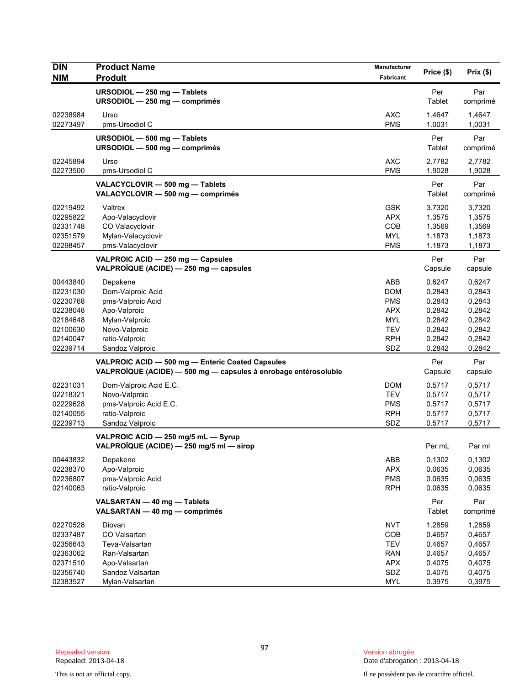| <b>DIN</b> | <b>Product Name</b>                                             | Manufacturer | Price (\$) | Prix(\$) |
|------------|-----------------------------------------------------------------|--------------|------------|----------|
| <b>NIM</b> | <b>Produit</b>                                                  | Fabricant    |            |          |
|            | URSODIOL - 250 mg - Tablets                                     |              | Per        | Par      |
|            | URSODIOL - 250 mg - comprimés                                   |              | Tablet     | comprimé |
| 02238984   | Urso                                                            | <b>AXC</b>   | 1.4647     | 1,4647   |
| 02273497   | pms-Ursodiol C                                                  | <b>PMS</b>   | 1.0031     | 1,0031   |
|            | URSODIOL - 500 mg - Tablets                                     |              | Per        | Par      |
|            | URSODIOL - 500 mg - comprimés                                   |              | Tablet     | comprimé |
| 02245894   | Urso                                                            | <b>AXC</b>   | 2.7782     | 2,7782   |
| 02273500   | pms-Ursodiol C                                                  | <b>PMS</b>   | 1.9028     | 1,9028   |
|            | VALACYCLOVIR - 500 mg - Tablets                                 |              | Per        | Par      |
|            | VALACYCLOVIR - 500 mg - comprimés                               |              | Tablet     | comprimé |
| 02219492   | Valtrex                                                         | <b>GSK</b>   | 3.7320     | 3,7320   |
| 02295822   | Apo-Valacyclovir                                                | <b>APX</b>   | 1.3575     | 1,3575   |
| 02331748   | CO Valacyclovir                                                 | COB          | 1.3569     | 1,3569   |
| 02351579   | Mylan-Valacyclovir                                              | <b>MYL</b>   | 1.1873     | 1,1873   |
| 02298457   | pms-Valacyclovir                                                | <b>PMS</b>   | 1.1873     | 1,1873   |
|            | VALPROIC ACID - 250 mg - Capsules                               |              | Per        | Par      |
|            | VALPROÏQUE (ACIDE) - 250 mg - capsules                          |              | Capsule    | capsule  |
| 00443840   | Depakene                                                        | ABB          | 0.6247     | 0.6247   |
| 02231030   | Dom-Valproic Acid                                               | <b>DOM</b>   | 0.2843     | 0,2843   |
| 02230768   | pms-Valproic Acid                                               | <b>PMS</b>   | 0.2843     | 0,2843   |
| 02238048   | Apo-Valproic                                                    | <b>APX</b>   | 0.2842     | 0,2842   |
| 02184648   | Mylan-Valproic                                                  | <b>MYL</b>   | 0.2842     | 0,2842   |
| 02100630   | Novo-Valproic                                                   | <b>TEV</b>   | 0.2842     | 0,2842   |
| 02140047   | ratio-Valproic                                                  | <b>RPH</b>   | 0.2842     | 0,2842   |
| 02239714   | Sandoz Valproic                                                 | SDZ          | 0.2842     | 0,2842   |
|            | VALPROIC ACID - 500 mg - Enteric Coated Capsules                |              | Per        | Par      |
|            | VALPROÏQUE (ACIDE) - 500 mg - capsules à enrobage entérosoluble |              | Capsule    | capsule  |
| 02231031   | Dom-Valproic Acid E.C.                                          | <b>DOM</b>   | 0.5717     | 0,5717   |
| 02218321   | Novo-Valproic                                                   | <b>TEV</b>   | 0.5717     | 0,5717   |
| 02229628   | pms-Valproic Acid E.C.                                          | <b>PMS</b>   | 0.5717     | 0,5717   |
| 02140055   | ratio-Valproic                                                  | <b>RPH</b>   | 0.5717     | 0,5717   |
| 02239713   | Sandoz Valproic                                                 | SDZ          | 0.5717     | 0,5717   |
|            | VALPROIC ACID - 250 mg/5 mL - Syrup                             |              |            |          |
|            | VALPROÏQUE (ACIDE) — 250 mg/5 ml — sirop                        |              | Per mL     | Par ml   |
| 00443832   | Depakene                                                        | ABB          | 0.1302     | 0,1302   |
| 02238370   | Apo-Valproic                                                    | <b>APX</b>   | 0.0635     | 0,0635   |
| 02236807   | pms-Valproic Acid                                               | <b>PMS</b>   | 0.0635     | 0,0635   |
| 02140063   | ratio-Valproic                                                  | <b>RPH</b>   | 0.0635     | 0,0635   |
|            | VALSARTAN - 40 mg - Tablets                                     |              | Per        | Par      |
|            | VALSARTAN - 40 mg - comprimés                                   |              | Tablet     | comprimé |
| 02270528   | Diovan                                                          | <b>NVT</b>   | 1.2859     | 1,2859   |
| 02337487   | CO Valsartan                                                    | COB          | 0.4657     | 0,4657   |
| 02356643   | Teva-Valsartan                                                  | <b>TEV</b>   | 0.4657     | 0,4657   |
| 02363062   | Ran-Valsartan                                                   | <b>RAN</b>   | 0.4657     | 0,4657   |
| 02371510   | Apo-Valsartan                                                   | <b>APX</b>   | 0.4075     | 0,4075   |
| 02356740   | Sandoz Valsartan                                                | SDZ          | 0.4075     | 0,4075   |
| 02383527   | Mylan-Valsartan                                                 | <b>MYL</b>   | 0.3975     | 0,3975   |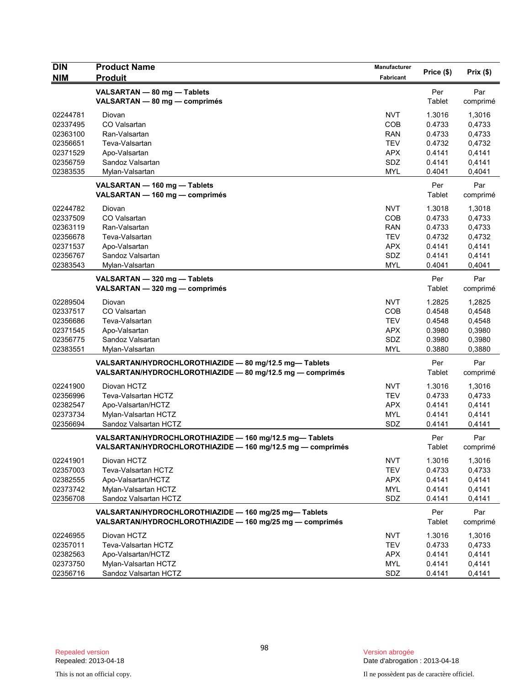| <b>DIN</b> | <b>Product Name</b>                                                                                                   | Manufacturer |               |                 |
|------------|-----------------------------------------------------------------------------------------------------------------------|--------------|---------------|-----------------|
| <b>NIM</b> | <b>Produit</b>                                                                                                        | Fabricant    | Price (\$)    | Prix(\$)        |
|            | VALSARTAN - 80 mg - Tablets<br>VALSARTAN - 80 mg - comprimés                                                          |              | Per<br>Tablet | Par<br>comprimé |
| 02244781   | Diovan                                                                                                                | <b>NVT</b>   | 1.3016        | 1,3016          |
| 02337495   | CO Valsartan                                                                                                          | <b>COB</b>   | 0.4733        | 0,4733          |
| 02363100   | Ran-Valsartan                                                                                                         | <b>RAN</b>   | 0.4733        | 0,4733          |
| 02356651   | Teva-Valsartan                                                                                                        | <b>TEV</b>   | 0.4732        | 0,4732          |
| 02371529   | Apo-Valsartan                                                                                                         | <b>APX</b>   | 0.4141        | 0,4141          |
| 02356759   | Sandoz Valsartan                                                                                                      | SDZ          | 0.4141        | 0,4141          |
| 02383535   | Mylan-Valsartan                                                                                                       | <b>MYL</b>   | 0.4041        | 0,4041          |
|            | VALSARTAN - 160 mg - Tablets<br>VALSARTAN - 160 mg - comprimés                                                        |              | Per<br>Tablet | Par<br>comprimé |
| 02244782   | Diovan                                                                                                                | <b>NVT</b>   | 1.3018        | 1,3018          |
| 02337509   | CO Valsartan                                                                                                          | <b>COB</b>   | 0.4733        | 0,4733          |
| 02363119   | Ran-Valsartan                                                                                                         | <b>RAN</b>   | 0.4733        | 0,4733          |
| 02356678   | Teva-Valsartan                                                                                                        | <b>TEV</b>   | 0.4732        | 0,4732          |
| 02371537   | Apo-Valsartan                                                                                                         | <b>APX</b>   | 0.4141        | 0,4141          |
| 02356767   | Sandoz Valsartan                                                                                                      | SDZ          | 0.4141        | 0,4141          |
| 02383543   | Mylan-Valsartan                                                                                                       | <b>MYL</b>   | 0.4041        | 0,4041          |
|            | VALSARTAN - 320 mg - Tablets<br>VALSARTAN - 320 mg - comprimés                                                        |              | Per<br>Tablet | Par<br>comprimé |
| 02289504   | Diovan                                                                                                                | <b>NVT</b>   | 1.2825        | 1,2825          |
| 02337517   | CO Valsartan                                                                                                          | <b>COB</b>   | 0.4548        | 0,4548          |
| 02356686   | Teva-Valsartan                                                                                                        | <b>TEV</b>   | 0.4548        | 0,4548          |
| 02371545   | Apo-Valsartan                                                                                                         | <b>APX</b>   | 0.3980        | 0,3980          |
| 02356775   | Sandoz Valsartan                                                                                                      | SDZ          | 0.3980        | 0,3980          |
| 02383551   | Mylan-Valsartan                                                                                                       | <b>MYL</b>   | 0.3880        | 0,3880          |
|            | VALSARTAN/HYDROCHLOROTHIAZIDE - 80 mg/12.5 mg-Tablets<br>VALSARTAN/HYDROCHLOROTHIAZIDE - 80 mg/12.5 mg - comprimés    |              | Per<br>Tablet | Par<br>comprimé |
| 02241900   | Diovan HCTZ                                                                                                           | <b>NVT</b>   | 1.3016        | 1,3016          |
| 02356996   | Teva-Valsartan HCTZ                                                                                                   | TEV          | 0.4733        | 0,4733          |
| 02382547   | Apo-Valsartan/HCTZ                                                                                                    | <b>APX</b>   | 0.4141        | 0,4141          |
| 02373734   | Mylan-Valsartan HCTZ                                                                                                  | <b>MYL</b>   | 0.4141        | 0,4141          |
| 02356694   | Sandoz Valsartan HCTZ                                                                                                 | SDZ          | 0.4141        | 0,4141          |
|            | VALSARTAN/HYDROCHLOROTHIAZIDE - 160 mg/12.5 mg- Tablets<br>VALSARTAN/HYDROCHLOROTHIAZIDE - 160 mg/12.5 mg - comprimés |              | Per<br>Tablet | Par<br>comprimé |
| 02241901   | Diovan HCTZ                                                                                                           | <b>NVT</b>   | 1.3016        | 1,3016          |
| 02357003   | Teva-Valsartan HCTZ                                                                                                   | <b>TEV</b>   | 0.4733        | 0,4733          |
| 02382555   | Apo-Valsartan/HCTZ                                                                                                    | <b>APX</b>   | 0.4141        | 0,4141          |
| 02373742   | Mylan-Valsartan HCTZ                                                                                                  | <b>MYL</b>   | 0.4141        | 0,4141          |
| 02356708   | Sandoz Valsartan HCTZ                                                                                                 | SDZ          | 0.4141        | 0,4141          |
|            | VALSARTAN/HYDROCHLOROTHIAZIDE - 160 mg/25 mg-Tablets<br>VALSARTAN/HYDROCHLOROTHIAZIDE - 160 mg/25 mg - comprimés      |              | Per<br>Tablet | Par<br>comprimé |
| 02246955   | Diovan HCTZ                                                                                                           | <b>NVT</b>   | 1.3016        | 1,3016          |
| 02357011   | Teva-Valsartan HCTZ                                                                                                   | <b>TEV</b>   | 0.4733        | 0,4733          |
| 02382563   | Apo-Valsartan/HCTZ                                                                                                    | <b>APX</b>   | 0.4141        | 0,4141          |
| 02373750   | Mylan-Valsartan HCTZ                                                                                                  | <b>MYL</b>   | 0.4141        | 0,4141          |
| 02356716   | Sandoz Valsartan HCTZ                                                                                                 | SDZ          | 0.4141        | 0,4141          |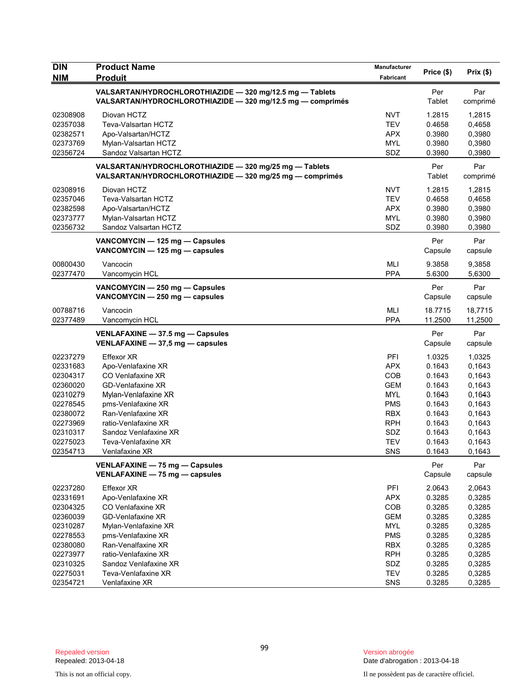| <b>DIN</b><br><b>NIM</b> | <b>Product Name</b><br><b>Produit</b>                                                                                  | Manufacturer<br>Fabricant | Price (\$)     | Prix(\$)        |
|--------------------------|------------------------------------------------------------------------------------------------------------------------|---------------------------|----------------|-----------------|
|                          | VALSARTAN/HYDROCHLOROTHIAZIDE - 320 mg/12.5 mg - Tablets<br>VALSARTAN/HYDROCHLOROTHIAZIDE - 320 mg/12.5 mg - comprimés |                           | Per<br>Tablet  | Par<br>comprimé |
| 02308908                 | Diovan HCTZ                                                                                                            | <b>NVT</b>                | 1.2815         | 1,2815          |
| 02357038                 | Teva-Valsartan HCTZ                                                                                                    | <b>TEV</b>                | 0.4658         | 0,4658          |
| 02382571                 | Apo-Valsartan/HCTZ                                                                                                     | <b>APX</b>                | 0.3980         | 0,3980          |
| 02373769                 | Mylan-Valsartan HCTZ                                                                                                   | <b>MYL</b>                | 0.3980         | 0,3980          |
| 02356724                 | Sandoz Valsartan HCTZ                                                                                                  | SDZ                       | 0.3980         | 0,3980          |
|                          | VALSARTAN/HYDROCHLOROTHIAZIDE - 320 mg/25 mg - Tablets<br>VALSARTAN/HYDROCHLOROTHIAZIDE - 320 mg/25 mg - comprimés     |                           | Per<br>Tablet  | Par<br>comprimé |
| 02308916                 | Diovan HCTZ                                                                                                            | <b>NVT</b>                | 1.2815         | 1,2815          |
| 02357046                 | Teva-Valsartan HCTZ                                                                                                    | <b>TEV</b>                | 0.4658         | 0,4658          |
| 02382598                 | Apo-Valsartan/HCTZ                                                                                                     | <b>APX</b>                | 0.3980         | 0,3980          |
| 02373777                 | Mylan-Valsartan HCTZ                                                                                                   | MYL                       | 0.3980         | 0,3980          |
| 02356732                 | Sandoz Valsartan HCTZ                                                                                                  | SDZ                       | 0.3980         | 0,3980          |
|                          | VANCOMYCIN - 125 mg - Capsules<br>VANCOMYCIN - 125 mg - capsules                                                       |                           | Per<br>Capsule | Par<br>capsule  |
| 00800430                 | Vancocin                                                                                                               | <b>MLI</b>                | 9.3858         | 9,3858          |
| 02377470                 | Vancomycin HCL                                                                                                         | <b>PPA</b>                | 5.6300         | 5,6300          |
|                          | VANCOMYCIN - 250 mg - Capsules<br>VANCOMYCIN - 250 mg - capsules                                                       |                           | Per<br>Capsule | Par<br>capsule  |
| 00788716                 | Vancocin                                                                                                               | <b>MLI</b>                | 18.7715        | 18,7715         |
| 02377489                 | Vancomycin HCL                                                                                                         | <b>PPA</b>                | 11.2500        | 11,2500         |
|                          | VENLAFAXINE - 37.5 mg - Capsules<br>VENLAFAXINE - 37,5 mg - capsules                                                   |                           | Per<br>Capsule | Par<br>capsule  |
| 02237279                 | Effexor XR                                                                                                             | PFI                       | 1.0325         | 1,0325          |
| 02331683                 | Apo-Venlafaxine XR                                                                                                     | <b>APX</b>                | 0.1643         | 0,1643          |
| 02304317                 | CO Venlafaxine XR                                                                                                      | <b>COB</b>                | 0.1643         | 0,1643          |
| 02360020                 | GD-Venlafaxine XR                                                                                                      | <b>GEM</b>                | 0.1643         | 0,1643          |
| 02310279                 | Mylan-Venlafaxine XR                                                                                                   | <b>MYL</b>                | 0.1643         | 0,1643          |
| 02278545                 | pms-Venlafaxine XR                                                                                                     | <b>PMS</b>                | 0.1643         | 0,1643          |
| 02380072                 | Ran-Venlafaxine XR                                                                                                     | <b>RBX</b>                | 0.1643         | 0,1643          |
| 02273969                 | ratio-Venlafaxine XR                                                                                                   | <b>RPH</b>                | 0.1643         | 0,1643          |
| 02310317                 | Sandoz Venlafaxine XR                                                                                                  | SDZ                       | 0.1643         | 0,1643          |
| 02275023                 | Teva-Venlafaxine XR                                                                                                    | <b>TEV</b>                | 0.1643         | 0,1643          |
| 02354713                 | Venlafaxine XR                                                                                                         | <b>SNS</b>                | 0.1643         | 0,1643          |
|                          | VENLAFAXINE - 75 mg - Capsules<br>VENLAFAXINE - 75 mg - capsules                                                       |                           | Per<br>Capsule | Par<br>capsule  |
| 02237280                 | <b>Effexor XR</b>                                                                                                      | PFI                       | 2.0643         | 2,0643          |
| 02331691                 | Apo-Venlafaxine XR                                                                                                     | <b>APX</b>                | 0.3285         | 0,3285          |
| 02304325                 | CO Venlafaxine XR                                                                                                      | COB                       | 0.3285         | 0,3285          |
| 02360039                 | <b>GD-Venlafaxine XR</b>                                                                                               | <b>GEM</b>                | 0.3285         | 0,3285          |
| 02310287                 | Mylan-Venlafaxine XR                                                                                                   | <b>MYL</b>                | 0.3285         | 0,3285          |
| 02278553                 | pms-Venlafaxine XR                                                                                                     | <b>PMS</b>                | 0.3285         | 0,3285          |
| 02380080                 | Ran-Venalfaxine XR                                                                                                     | <b>RBX</b>                | 0.3285         | 0,3285          |
| 02273977                 | ratio-Venlafaxine XR                                                                                                   | <b>RPH</b>                | 0.3285         | 0,3285          |
| 02310325                 | Sandoz Venlafaxine XR                                                                                                  | SDZ                       | 0.3285         | 0,3285          |
| 02275031                 | Teva-Venlafaxine XR                                                                                                    | <b>TEV</b>                | 0.3285         | 0,3285          |
| 02354721                 | Venlafaxine XR                                                                                                         | SNS                       | 0.3285         | 0,3285          |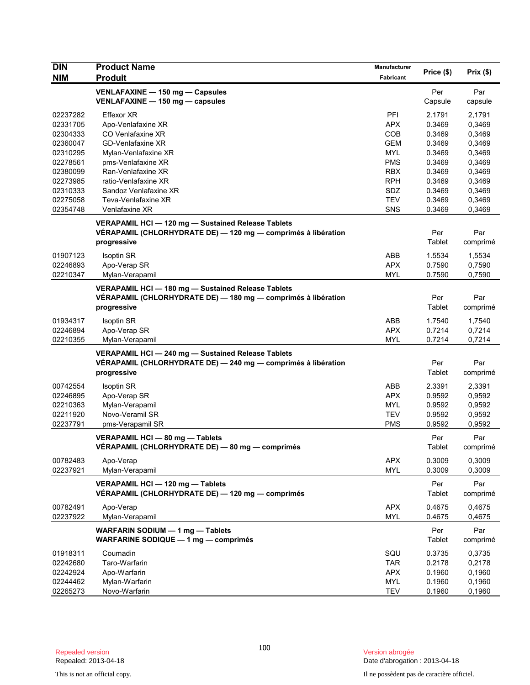| <b>DIN</b> | <b>Product Name</b>                                           | <b>Manufacturer</b> | Price (\$) | Prix(\$) |
|------------|---------------------------------------------------------------|---------------------|------------|----------|
| <b>NIM</b> | <b>Produit</b>                                                | Fabricant           |            |          |
|            | VENLAFAXINE - 150 mg - Capsules                               |                     | Per        | Par      |
|            | VENLAFAXINE - 150 mg - capsules                               |                     | Capsule    | capsule  |
| 02237282   | Effexor XR                                                    | PFI                 | 2.1791     | 2,1791   |
| 02331705   | Apo-Venlafaxine XR                                            | <b>APX</b>          | 0.3469     | 0,3469   |
| 02304333   | CO Venlafaxine XR                                             | COB                 | 0.3469     | 0,3469   |
| 02360047   | <b>GD-Venlafaxine XR</b>                                      | <b>GEM</b>          | 0.3469     | 0,3469   |
| 02310295   | Mylan-Venlafaxine XR                                          | <b>MYL</b>          | 0.3469     | 0,3469   |
| 02278561   | pms-Venlafaxine XR                                            | <b>PMS</b>          | 0.3469     | 0,3469   |
| 02380099   | Ran-Venlafaxine XR                                            | <b>RBX</b>          | 0.3469     | 0,3469   |
| 02273985   | ratio-Venlafaxine XR                                          | <b>RPH</b>          | 0.3469     | 0,3469   |
| 02310333   | Sandoz Venlafaxine XR                                         | <b>SDZ</b>          | 0.3469     | 0,3469   |
| 02275058   | Teva-Venlafaxine XR                                           | <b>TEV</b>          | 0.3469     | 0,3469   |
| 02354748   | Venlafaxine XR                                                | SNS                 | 0.3469     | 0,3469   |
|            | VERAPAMIL HCI-120 mg-Sustained Release Tablets                |                     |            |          |
|            | VÉRAPAMIL (CHLORHYDRATE DE) - 120 mg - comprimés à libération |                     | Per        | Par      |
|            | progressive                                                   |                     | Tablet     | comprimé |
|            |                                                               |                     |            |          |
| 01907123   | <b>Isoptin SR</b>                                             | ABB                 | 1.5534     | 1,5534   |
| 02246893   | Apo-Verap SR                                                  | <b>APX</b>          | 0.7590     | 0,7590   |
| 02210347   | Mylan-Verapamil                                               | <b>MYL</b>          | 0.7590     | 0,7590   |
|            | VERAPAMIL HCI-180 mg-Sustained Release Tablets                |                     |            |          |
|            | VÉRAPAMIL (CHLORHYDRATE DE) — 180 mg — comprimés à libération |                     | Per        | Par      |
|            | progressive                                                   |                     | Tablet     | comprimé |
|            |                                                               |                     |            |          |
| 01934317   | <b>Isoptin SR</b>                                             | ABB                 | 1.7540     | 1,7540   |
| 02246894   | Apo-Verap SR                                                  | <b>APX</b>          | 0.7214     | 0,7214   |
| 02210355   | Mylan-Verapamil                                               | MYL                 | 0.7214     | 0,7214   |
|            | VERAPAMIL HCI-240 mg-Sustained Release Tablets                |                     |            |          |
|            | VÉRAPAMIL (CHLORHYDRATE DE) - 240 mg - comprimés à libération |                     | Per        | Par      |
|            | progressive                                                   |                     | Tablet     | comprimé |
| 00742554   | <b>Isoptin SR</b>                                             | ABB                 | 2.3391     | 2,3391   |
| 02246895   | Apo-Verap SR                                                  | APX.                | 0.9592     | 0,9592   |
| 02210363   | Mylan-Verapamil                                               | MYL                 | 0.9592     | 0,9592   |
| 02211920   | Novo-Veramil SR                                               | <b>TEV</b>          | 0.9592     | 0,9592   |
| 02237791   | pms-Verapamil SR                                              | <b>PMS</b>          | 0.9592     | 0,9592   |
|            |                                                               |                     |            |          |
|            | VERAPAMIL HCI - 80 mg - Tablets                               |                     | Per        | Par      |
|            | VERAPAMIL (CHLORHYDRATE DE) — 80 mg — comprimés               |                     | Tablet     | comprimé |
| 00782483   | Apo-Verap                                                     | <b>APX</b>          | 0.3009     | 0,3009   |
| 02237921   | Mylan-Verapamil                                               | <b>MYL</b>          | 0.3009     | 0,3009   |
|            |                                                               |                     |            |          |
|            | VERAPAMIL HCI - 120 mg - Tablets                              |                     | Per        | Par      |
|            | VÉRAPAMIL (CHLORHYDRATE DE) — 120 mg — comprimés              |                     | Tablet     | comprimé |
| 00782491   | Apo-Verap                                                     | <b>APX</b>          | 0.4675     | 0,4675   |
| 02237922   | Mylan-Verapamil                                               | <b>MYL</b>          | 0.4675     | 0,4675   |
|            | WARFARIN SODIUM - 1 mg - Tablets                              |                     | Per        | Par      |
|            | WARFARINE SODIQUE - 1 mg - comprimés                          |                     | Tablet     | comprimé |
|            |                                                               |                     |            |          |
| 01918311   | Coumadin                                                      | SQU                 | 0.3735     | 0,3735   |
| 02242680   | Taro-Warfarin                                                 | <b>TAR</b>          | 0.2178     | 0,2178   |
| 02242924   | Apo-Warfarin                                                  | <b>APX</b>          | 0.1960     | 0,1960   |
| 02244462   | Mylan-Warfarin                                                | <b>MYL</b>          | 0.1960     | 0,1960   |
| 02265273   | Novo-Warfarin                                                 | <b>TEV</b>          | 0.1960     | 0,1960   |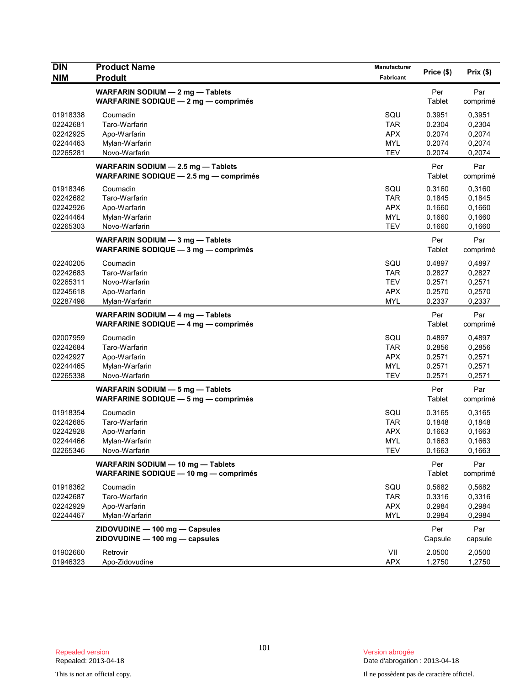| <b>DIN</b><br><b>NIM</b>                                 | <b>Product Name</b><br><b>Produit</b>                                        | Manufacturer<br>Fabricant                                   | Price (\$)                                     | Prix(\$)                                       |
|----------------------------------------------------------|------------------------------------------------------------------------------|-------------------------------------------------------------|------------------------------------------------|------------------------------------------------|
|                                                          | WARFARIN SODIUM - 2 mg - Tablets<br>WARFARINE SODIQUE $-2$ mg $-$ comprimes  |                                                             | Per<br>Tablet                                  | Par<br>comprimé                                |
| 01918338<br>02242681<br>02242925<br>02244463<br>02265281 | Coumadin<br>Taro-Warfarin<br>Apo-Warfarin<br>Mylan-Warfarin<br>Novo-Warfarin | SQU<br>TAR<br><b>APX</b><br><b>MYL</b><br><b>TEV</b>        | 0.3951<br>0.2304<br>0.2074<br>0.2074<br>0.2074 | 0,3951<br>0.2304<br>0,2074<br>0,2074<br>0,2074 |
|                                                          | WARFARIN SODIUM - 2.5 mg - Tablets<br>WARFARINE SODIQUE - 2.5 mg - comprimés |                                                             | Per<br>Tablet                                  | Par<br>comprimé                                |
| 01918346<br>02242682<br>02242926<br>02244464<br>02265303 | Coumadin<br>Taro-Warfarin<br>Apo-Warfarin<br>Mylan-Warfarin<br>Novo-Warfarin | SQU<br><b>TAR</b><br><b>APX</b><br>MYL<br><b>TEV</b>        | 0.3160<br>0.1845<br>0.1660<br>0.1660<br>0.1660 | 0,3160<br>0,1845<br>0,1660<br>0,1660<br>0,1660 |
|                                                          | WARFARIN SODIUM - 3 mg - Tablets<br>WARFARINE SODIQUE - 3 mg - comprimés     |                                                             | Per<br>Tablet                                  | Par<br>comprimé                                |
| 02240205<br>02242683<br>02265311<br>02245618<br>02287498 | Coumadin<br>Taro-Warfarin<br>Novo-Warfarin<br>Apo-Warfarin<br>Mylan-Warfarin | SQU<br><b>TAR</b><br><b>TEV</b><br><b>APX</b><br><b>MYL</b> | 0.4897<br>0.2827<br>0.2571<br>0.2570<br>0.2337 | 0,4897<br>0,2827<br>0,2571<br>0,2570<br>0,2337 |
|                                                          | WARFARIN SODIUM - 4 mg - Tablets<br>WARFARINE SODIQUE $-$ 4 mg $-$ comprimes |                                                             | Per<br>Tablet                                  | Par<br>comprimé                                |
| 02007959<br>02242684<br>02242927<br>02244465<br>02265338 | Coumadin<br>Taro-Warfarin<br>Apo-Warfarin<br>Mylan-Warfarin<br>Novo-Warfarin | SQU<br>TAR<br><b>APX</b><br><b>MYL</b><br><b>TEV</b>        | 0.4897<br>0.2856<br>0.2571<br>0.2571<br>0.2571 | 0,4897<br>0,2856<br>0,2571<br>0,2571<br>0,2571 |
|                                                          | WARFARIN SODIUM - 5 mg - Tablets<br>WARFARINE SODIQUE $-5$ mg $-$ comprimes  |                                                             | Per<br>Tablet                                  | Par<br>comprimé                                |
| 01918354<br>02242685<br>02242928<br>02244466<br>02265346 | Coumadin<br>Taro-Warfarin<br>Apo-Warfarin<br>Mylan-Warfarin<br>Novo-Warfarin | SQU<br><b>TAR</b><br><b>APX</b><br><b>MYL</b><br>TEV        | 0.3165<br>0.1848<br>0.1663<br>0.1663<br>0.1663 | 0,3165<br>0,1848<br>0,1663<br>0,1663<br>0,1663 |
|                                                          | WARFARIN SODIUM - 10 mg - Tablets<br>WARFARINE SODIQUE - 10 mg - comprimés   |                                                             | Per<br>Tablet                                  | Par<br>comprimé                                |
| 01918362<br>02242687<br>02242929<br>02244467             | Coumadin<br>Taro-Warfarin<br>Apo-Warfarin<br>Mylan-Warfarin                  | SQU<br><b>TAR</b><br><b>APX</b><br><b>MYL</b>               | 0.5682<br>0.3316<br>0.2984<br>0.2984           | 0,5682<br>0,3316<br>0,2984<br>0,2984           |
|                                                          | ZIDOVUDINE - 100 mg - Capsules<br>ZIDOVUDINE - 100 mg - capsules             |                                                             | Per<br>Capsule                                 | Par<br>capsule                                 |
| 01902660<br>01946323                                     | Retrovir<br>Apo-Zidovudine                                                   | VII<br><b>APX</b>                                           | 2.0500<br>1.2750                               | 2,0500<br>1,2750                               |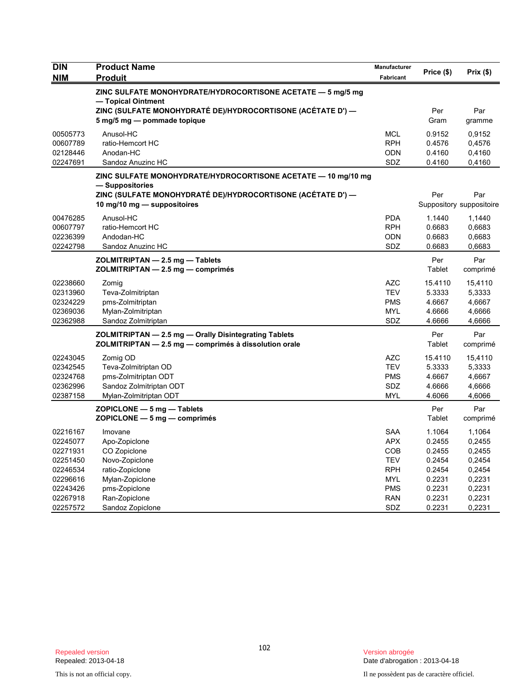| <b>DIN</b> | <b>Product Name</b>                                                                        | Manufacturer | Price (\$)    | Prix(\$)                 |
|------------|--------------------------------------------------------------------------------------------|--------------|---------------|--------------------------|
| <b>NIM</b> | <b>Produit</b>                                                                             | Fabricant    |               |                          |
|            | ZINC SULFATE MONOHYDRATE/HYDROCORTISONE ACETATE - 5 mg/5 mg<br>- Topical Ointment          |              |               |                          |
|            | ZINC (SULFATE MONOHYDRATÉ DE)/HYDROCORTISONE (ACÉTATE D') —<br>5 mg/5 mg - pommade topique |              | Per<br>Gram   | Par<br>gramme            |
| 00505773   | Anusol-HC                                                                                  | <b>MCL</b>   | 0.9152        | 0,9152                   |
| 00607789   | ratio-Hemcort HC                                                                           | <b>RPH</b>   | 0.4576        | 0,4576                   |
| 02128446   | Anodan-HC                                                                                  | <b>ODN</b>   | 0.4160        | 0,4160                   |
| 02247691   | Sandoz Anuzinc HC                                                                          | SDZ          | 0.4160        | 0,4160                   |
|            | ZINC SULFATE MONOHYDRATE/HYDROCORTISONE ACETATE — 10 mg/10 mg<br>— Suppositories           |              |               |                          |
|            | ZINC (SULFATE MONOHYDRATE DE)/HYDROCORTISONE (ACETATE D') —                                |              | Per           | Par                      |
|            | 10 mg/10 mg $-$ suppositoires                                                              |              |               | Suppository suppositoire |
| 00476285   | Anusol-HC                                                                                  | <b>PDA</b>   | 1.1440        | 1,1440                   |
| 00607797   | ratio-Hemcort HC                                                                           | <b>RPH</b>   | 0.6683        | 0,6683                   |
| 02236399   | Andodan-HC                                                                                 | <b>ODN</b>   | 0.6683        | 0,6683                   |
| 02242798   | Sandoz Anuzinc HC                                                                          | SDZ          | 0.6683        | 0,6683                   |
|            | ZOLMITRIPTAN - 2.5 mg - Tablets<br>ZOLMITRIPTAN - 2.5 mg - comprimés                       |              | Per<br>Tablet | Par<br>comprimé          |
| 02238660   |                                                                                            | <b>AZC</b>   | 15.4110       |                          |
| 02313960   | Zomig<br>Teva-Zolmitriptan                                                                 | <b>TEV</b>   | 5.3333        | 15,4110<br>5,3333        |
| 02324229   | pms-Zolmitriptan                                                                           | <b>PMS</b>   | 4.6667        | 4,6667                   |
| 02369036   | Mylan-Zolmitriptan                                                                         | <b>MYL</b>   | 4.6666        | 4,6666                   |
| 02362988   | Sandoz Zolmitriptan                                                                        | SDZ          | 4.6666        | 4,6666                   |
|            | ZOLMITRIPTAN - 2.5 mg - Orally Disintegrating Tablets                                      |              | Per           | Par                      |
|            | ZOLMITRIPTAN - 2.5 mg - comprimés à dissolution orale                                      |              | Tablet        | comprimé                 |
| 02243045   | Zomig OD                                                                                   | <b>AZC</b>   | 15.4110       | 15,4110                  |
| 02342545   | Teva-Zolmitriptan OD                                                                       | <b>TEV</b>   | 5.3333        | 5,3333                   |
| 02324768   | pms-Zolmitriptan ODT                                                                       | <b>PMS</b>   | 4.6667        | 4,6667                   |
| 02362996   | Sandoz Zolmitriptan ODT                                                                    | <b>SDZ</b>   | 4.6666        | 4,6666                   |
| 02387158   | Mylan-Zolmitriptan ODT                                                                     | <b>MYL</b>   | 4.6066        | 4,6066                   |
|            | $ZOPICLONE - 5 mg - Tables$<br>$ZOPICLONE - 5 mg - comprimés$                              |              | Per<br>Tablet | Par<br>comprimé          |
| 02216167   | Imovane                                                                                    | <b>SAA</b>   | 1.1064        | 1,1064                   |
| 02245077   | Apo-Zopiclone                                                                              | <b>APX</b>   | 0.2455        | 0,2455                   |
| 02271931   | CO Zopiclone                                                                               | <b>COB</b>   | 0.2455        | 0,2455                   |
| 02251450   | Novo-Zopiclone                                                                             | <b>TEV</b>   | 0.2454        | 0,2454                   |
| 02246534   | ratio-Zopiclone                                                                            | <b>RPH</b>   | 0.2454        | 0,2454                   |
| 02296616   | Mylan-Zopiclone                                                                            | MYL          | 0.2231        | 0,2231                   |
| 02243426   | pms-Zopiclone                                                                              | <b>PMS</b>   | 0.2231        | 0,2231                   |
| 02267918   | Ran-Zopiclone                                                                              | <b>RAN</b>   | 0.2231        | 0,2231                   |
| 02257572   | Sandoz Zopiclone                                                                           | SDZ          | 0.2231        | 0,2231                   |